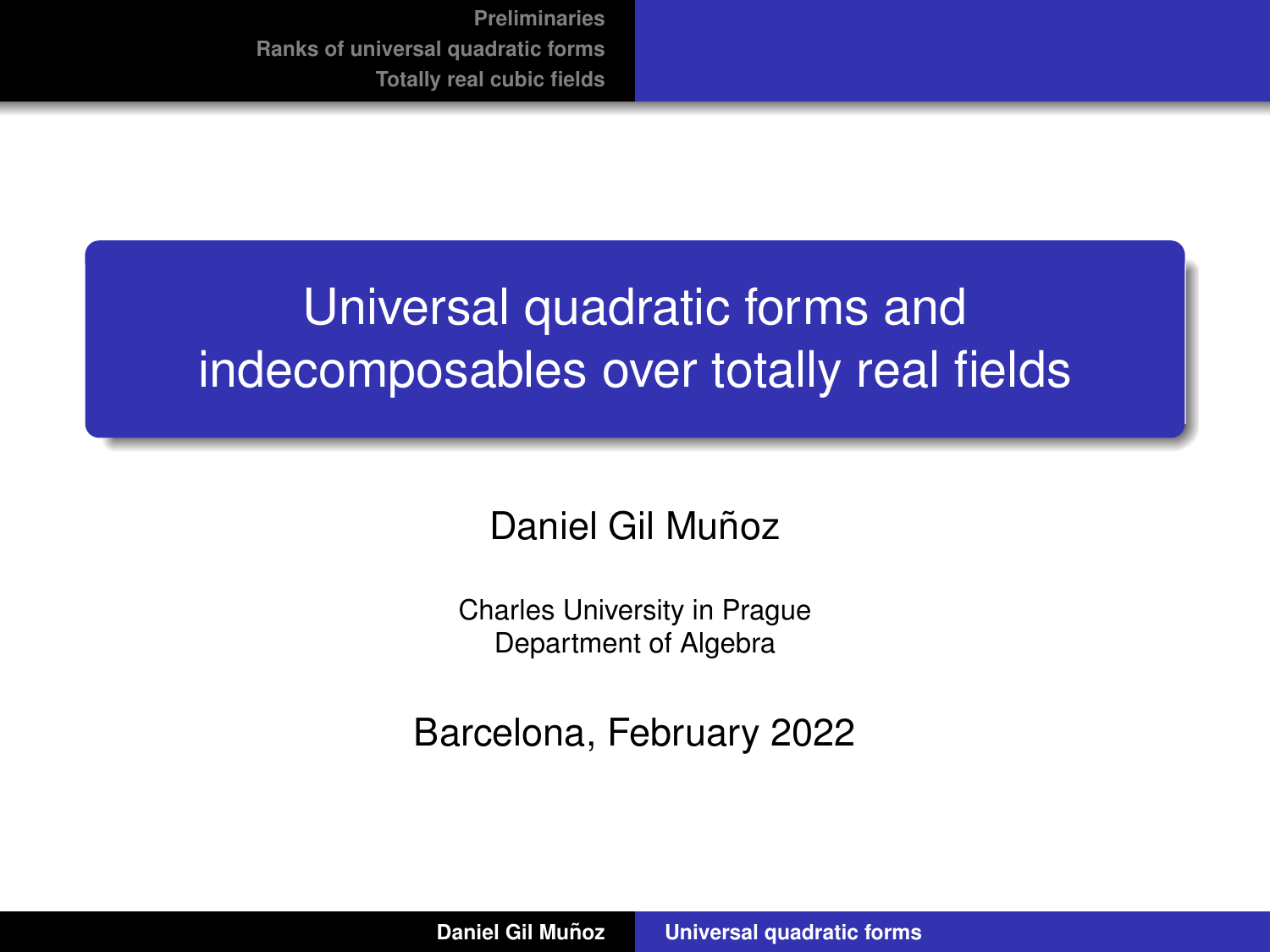# <span id="page-0-0"></span>Universal quadratic forms and indecomposables over totally real fields

# Daniel Gil Muñoz

Charles University in Prague Department of Algebra

Barcelona, February 2022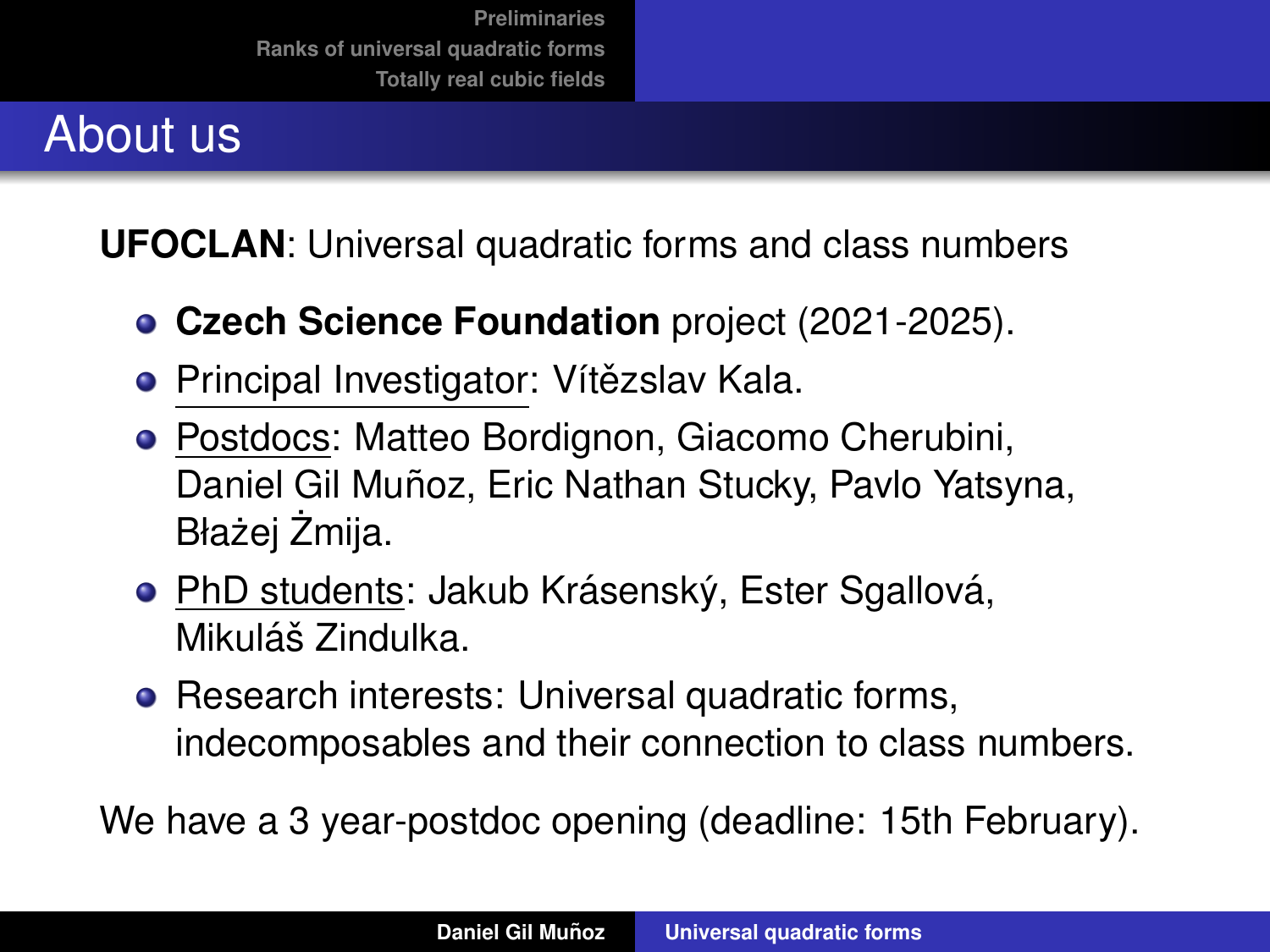# About us

**UFOCLAN**: Universal quadratic forms and class numbers

- **Czech Science Foundation** project (2021-2025).
- Principal Investigator: Vítězslav Kala.
- Postdocs: Matteo Bordignon, Giacomo Cherubini, Daniel Gil Muñoz, Eric Nathan Stucky, Pavlo Yatsyna, Błażej Żmija.
- PhD students: Jakub Krásenský, Ester Sgallová, Mikuláš Zindulka.
- Research interests: Universal quadratic forms, indecomposables and their connection to class numbers.

We have a 3 year-postdoc opening (deadline: 15th February).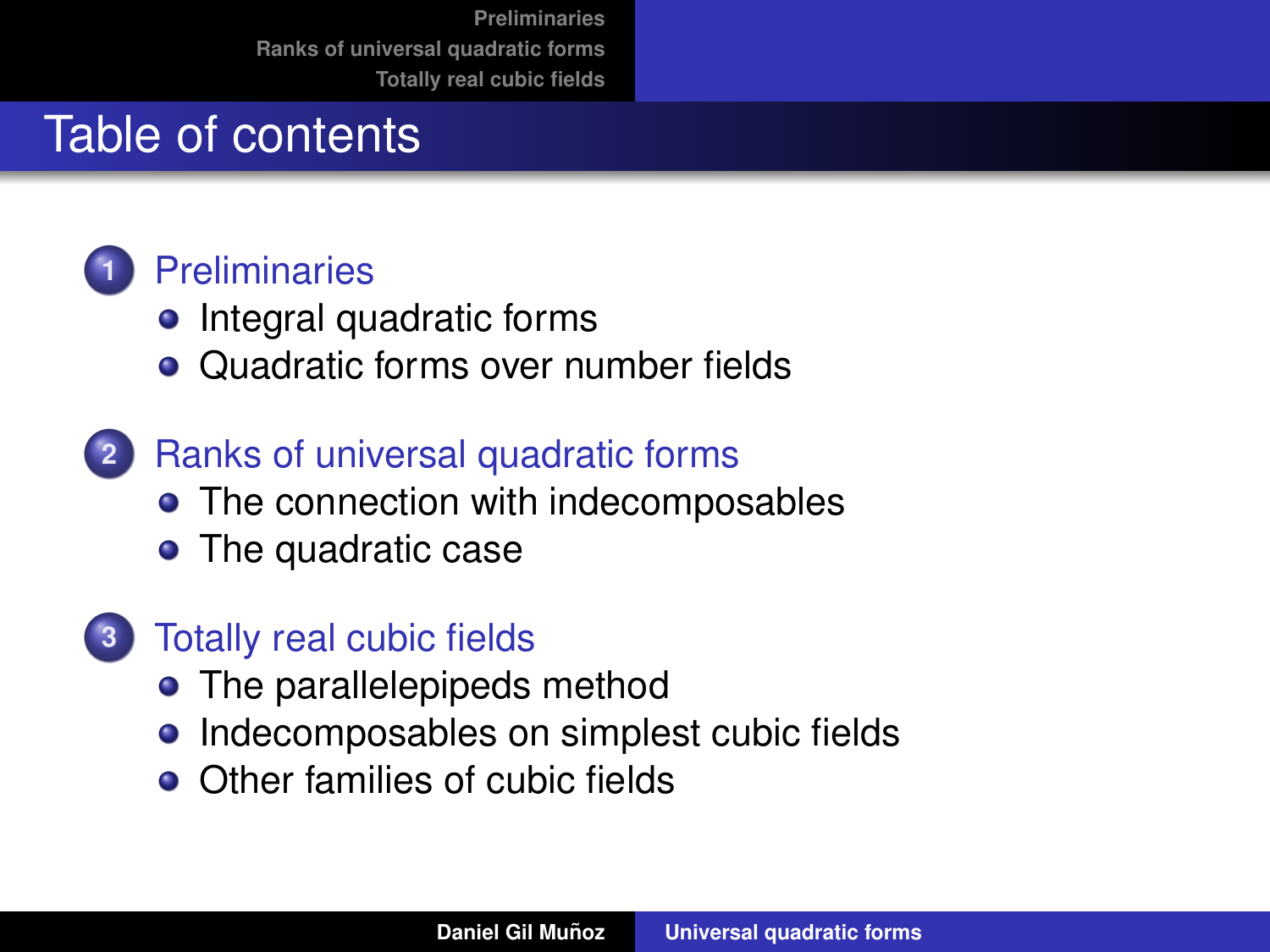# Table of contents

# **1** [Preliminaries](#page-3-0)

- [Integral quadratic forms](#page-4-0)
- [Quadratic forms over number fields](#page-15-0)
- **2** [Ranks of universal quadratic forms](#page-24-0)
	- [The connection with indecomposables](#page-30-0)
	- [The quadratic case](#page-39-0)
- **3** [Totally real cubic fields](#page-60-0)
	- [The parallelepipeds method](#page-62-0)
	- **•** [Indecomposables on simplest cubic fields](#page-85-0)
	- [Other families of cubic fields](#page-103-0)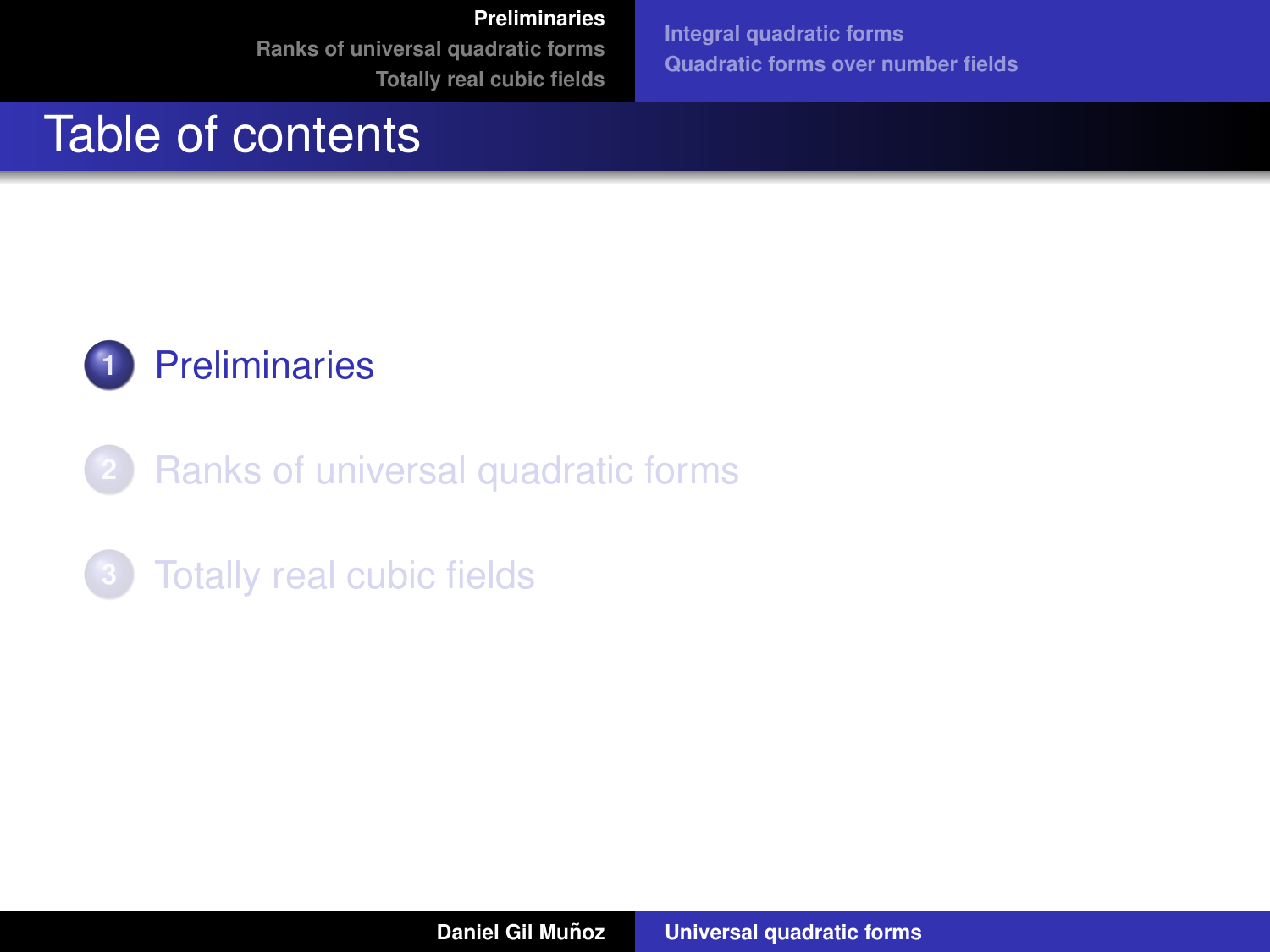**[Integral quadratic forms](#page-4-0) [Quadratic forms over number fields](#page-15-0)**

# <span id="page-3-0"></span>Table of contents



- **2** [Ranks of universal quadratic forms](#page-24-0)
- **3** [Totally real cubic fields](#page-60-0)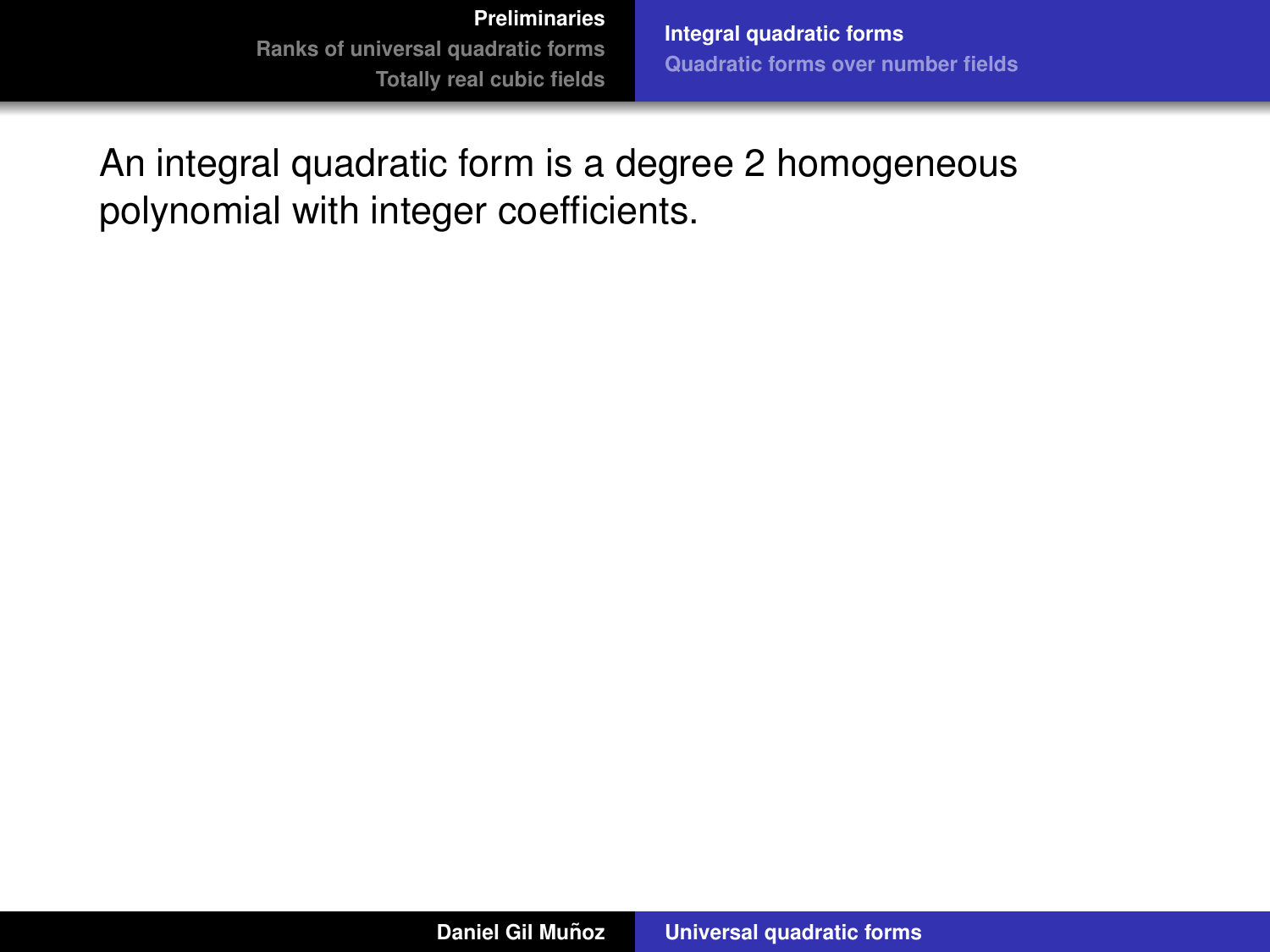**[Integral quadratic forms](#page-7-0) [Quadratic forms over number fields](#page-15-0)**

<span id="page-4-0"></span>An integral quadratic form is a degree 2 homogeneous polynomial with integer coefficients.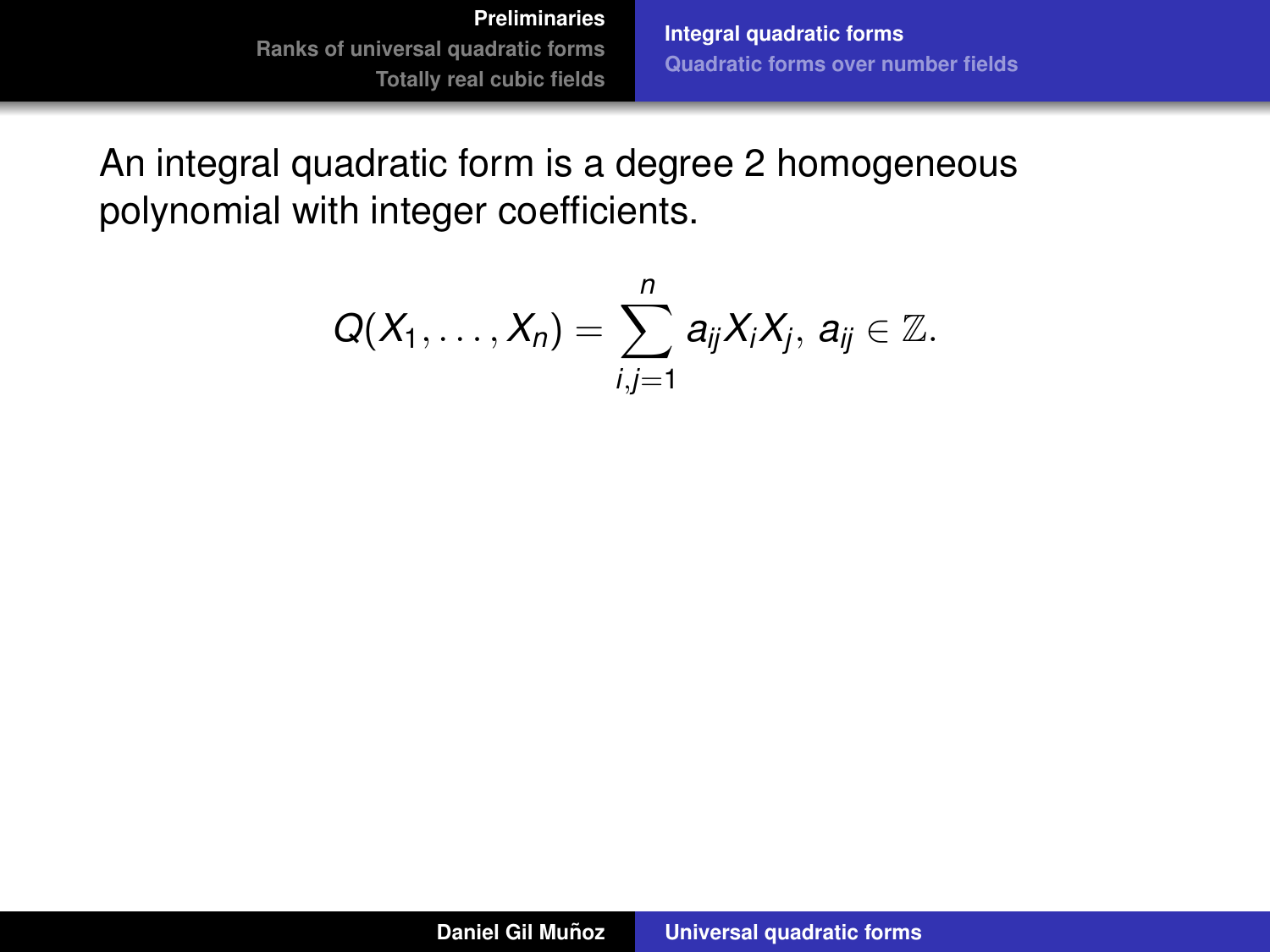**[Integral quadratic forms](#page-7-0) [Quadratic forms over number fields](#page-15-0)**

An integral quadratic form is a degree 2 homogeneous polynomial with integer coefficients.

$$
Q(X_1,\ldots,X_n)=\sum_{i,j=1}^n a_{ij}X_iX_j, a_{ij}\in\mathbb{Z}.
$$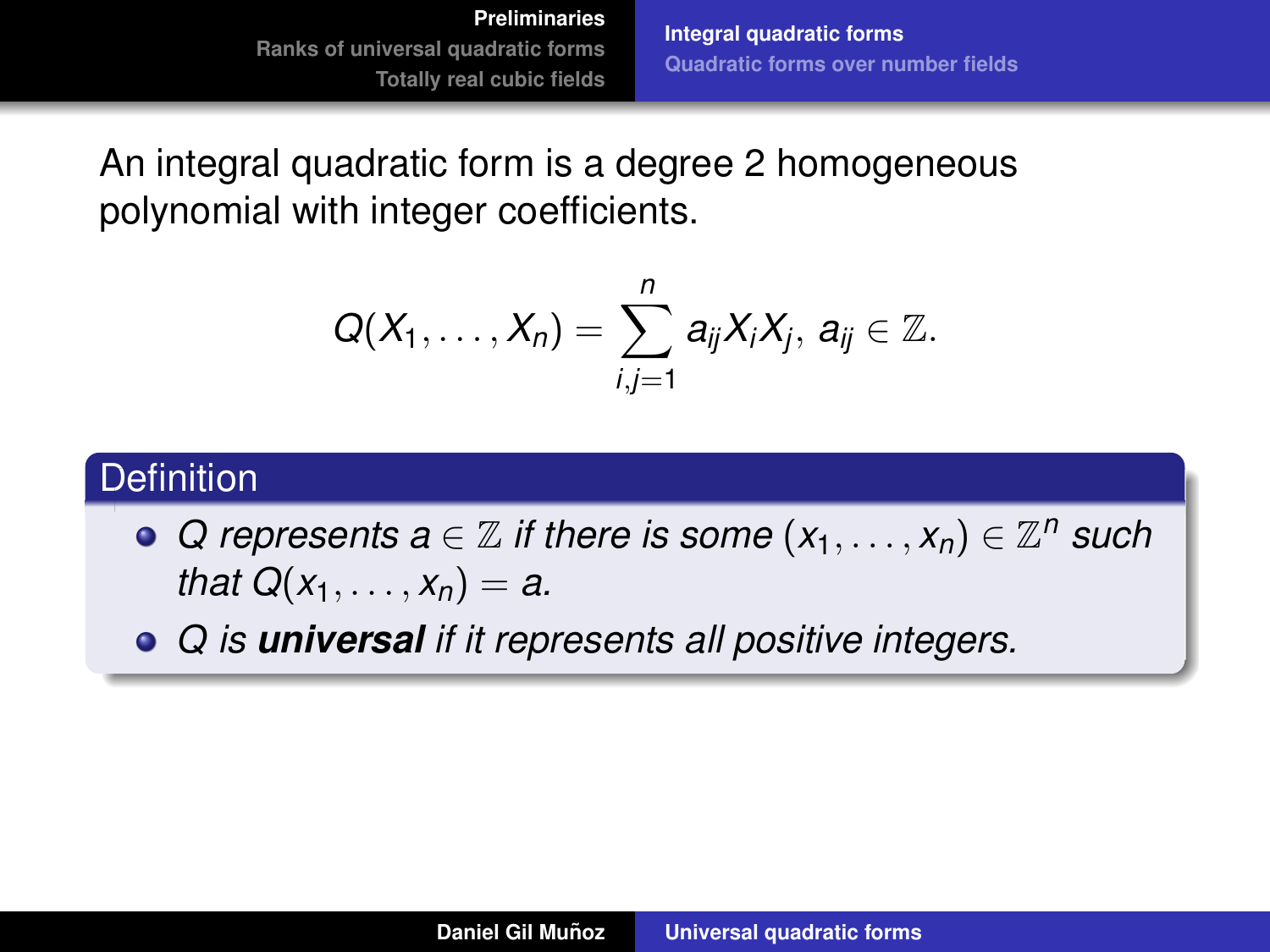**[Integral quadratic forms](#page-7-0) [Quadratic forms over number fields](#page-15-0)**

An integral quadratic form is a degree 2 homogeneous polynomial with integer coefficients.

$$
Q(X_1,\ldots,X_n)=\sum_{i,j=1}^n a_{ij}X_iX_j, a_{ij}\in\mathbb{Z}.
$$

### **Definition**

- *Q* represents  $a \in \mathbb{Z}$  if there is some  $(x_1, \ldots, x_n) \in \mathbb{Z}^n$  such *that*  $Q(x_1, ..., x_n) = a$ .
- *Q is universal if it represents all positive integers.*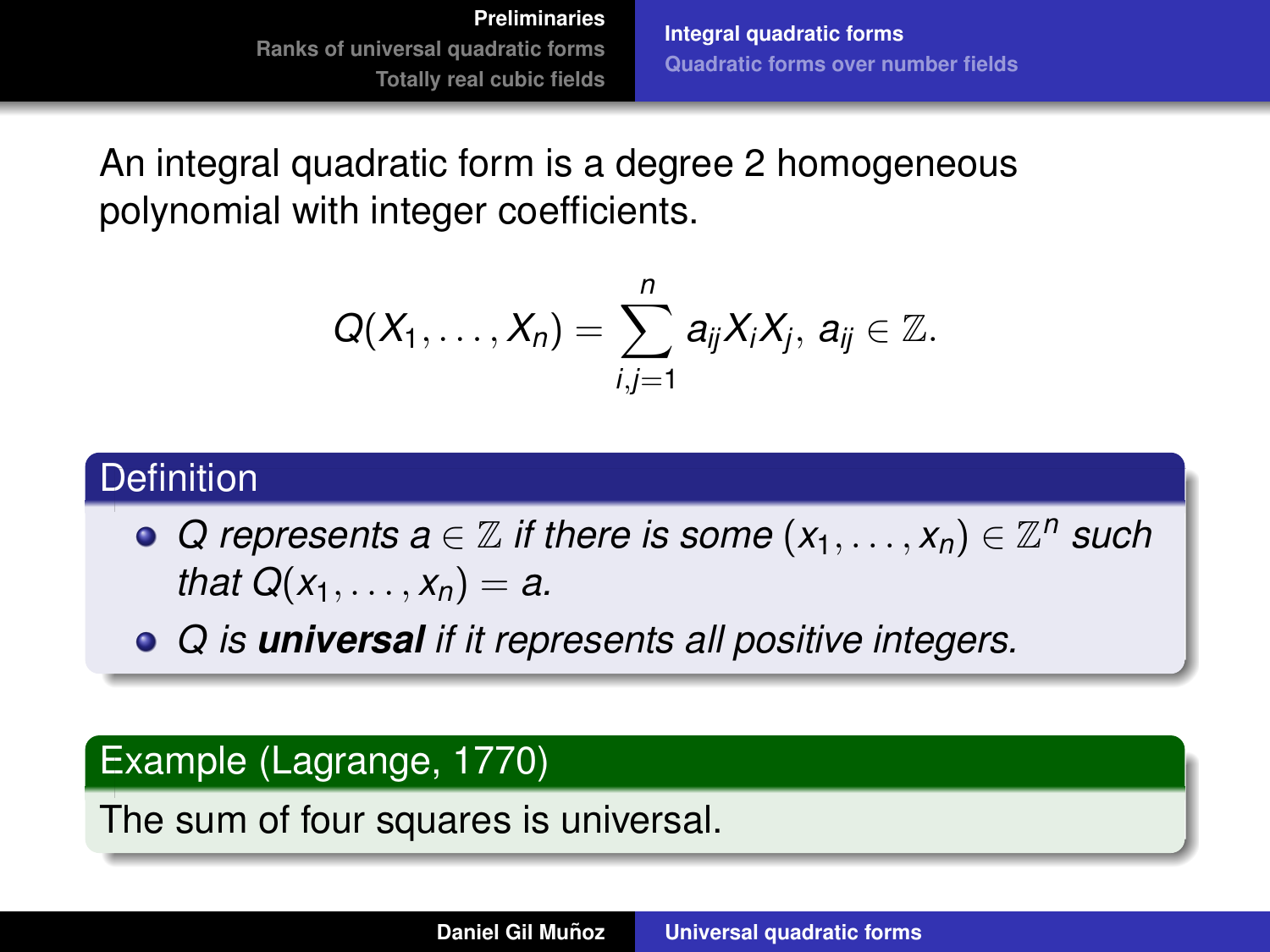**[Integral quadratic forms](#page-4-0) [Quadratic forms over number fields](#page-15-0)**

<span id="page-7-0"></span>An integral quadratic form is a degree 2 homogeneous polynomial with integer coefficients.

$$
Q(X_1,\ldots,X_n)=\sum_{i,j=1}^n a_{ij}X_iX_j, a_{ij}\in\mathbb{Z}.
$$

### **Definition**

- *Q* represents  $a \in \mathbb{Z}$  if there is some  $(x_1, \ldots, x_n) \in \mathbb{Z}^n$  such *that*  $Q(x_1, ..., x_n) = a$ .
- *Q is universal if it represents all positive integers.*

### Example (Lagrange, 1770)

The sum of four squares is universal.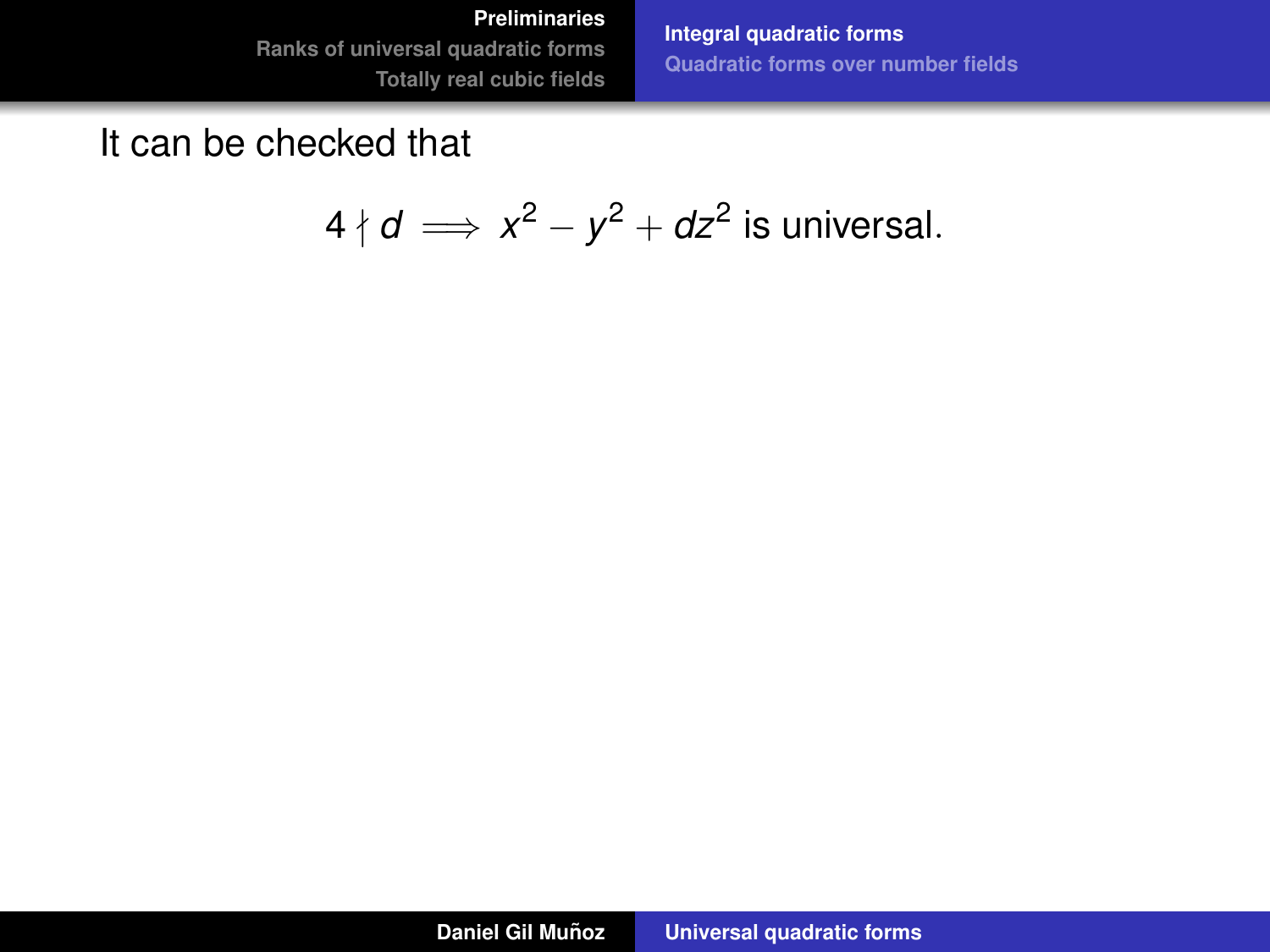#### **[Preliminaries](#page-3-0)**

**[Ranks of universal quadratic forms](#page-24-0) [Totally real cubic fields](#page-60-0)** **[Integral quadratic forms](#page-4-0) [Quadratic forms over number fields](#page-15-0)**

# It can be checked that

$$
4 \nmid d \implies x^2 - y^2 + dz^2
$$
 is universal.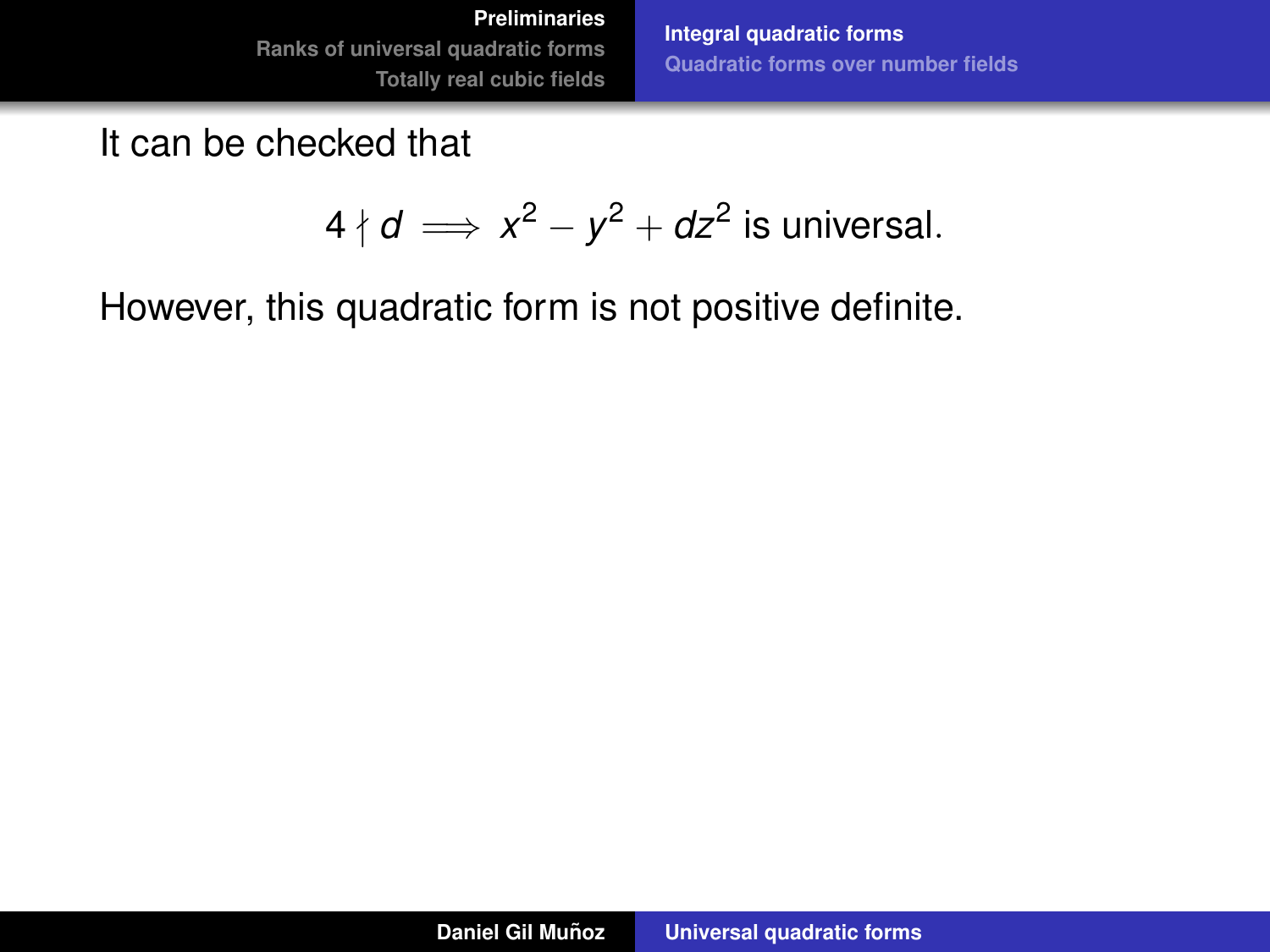**[Integral quadratic forms](#page-4-0) [Quadratic forms over number fields](#page-15-0)**

It can be checked that

$$
4 \nmid d \implies x^2 - y^2 + dz^2
$$
 is universal.

However, this quadratic form is not positive definite.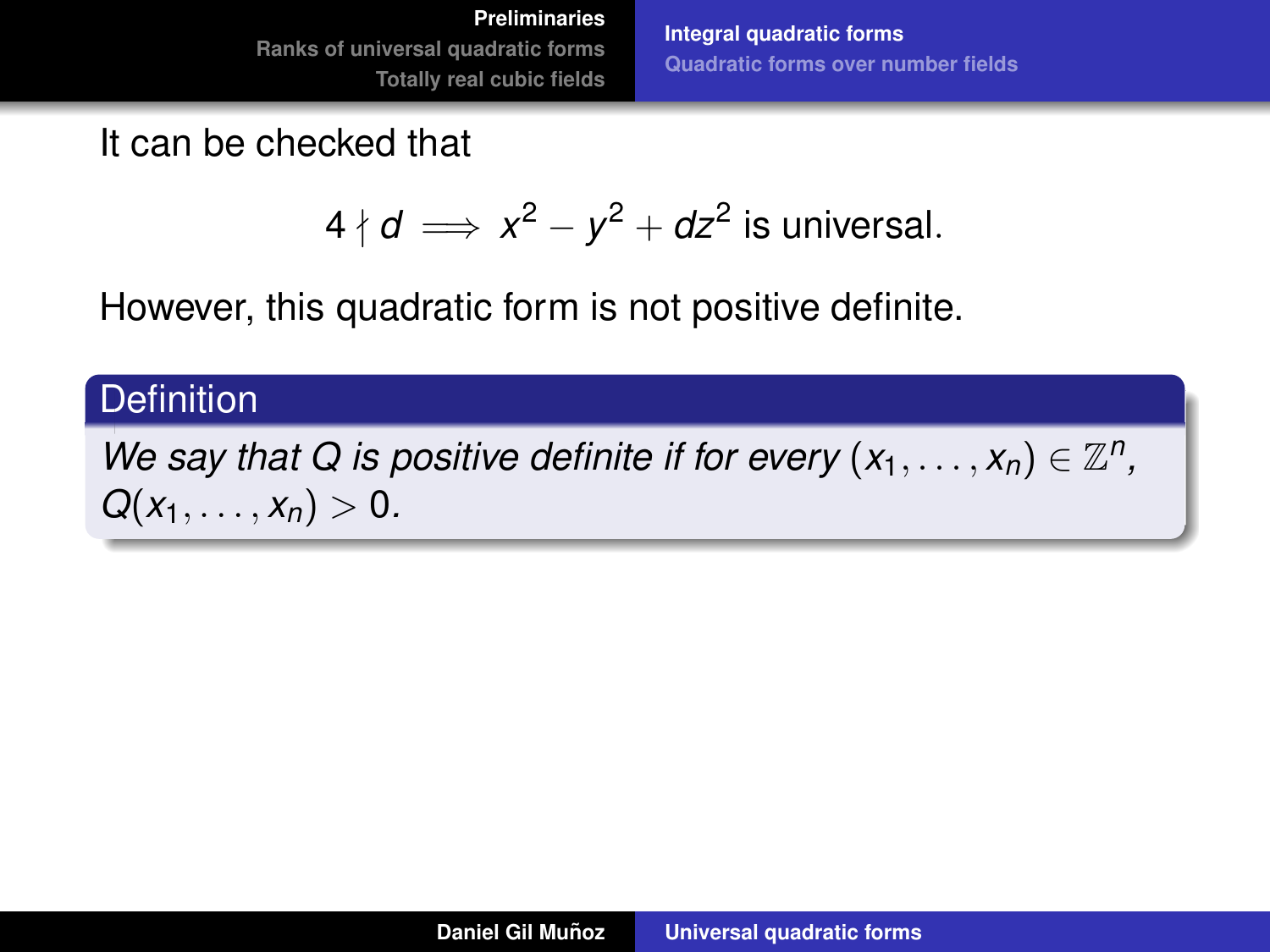**[Integral quadratic forms](#page-4-0) [Quadratic forms over number fields](#page-15-0)**

It can be checked that

$$
4 \nmid d \implies x^2 - y^2 + dz^2
$$
 is universal.

However, this quadratic form is not positive definite.

### **Definition**

*We say that Q is positive definite if for every*  $(x_1, \ldots, x_n) \in \mathbb{Z}^n$ *,*  $Q(x_1, \ldots, x_n) > 0.$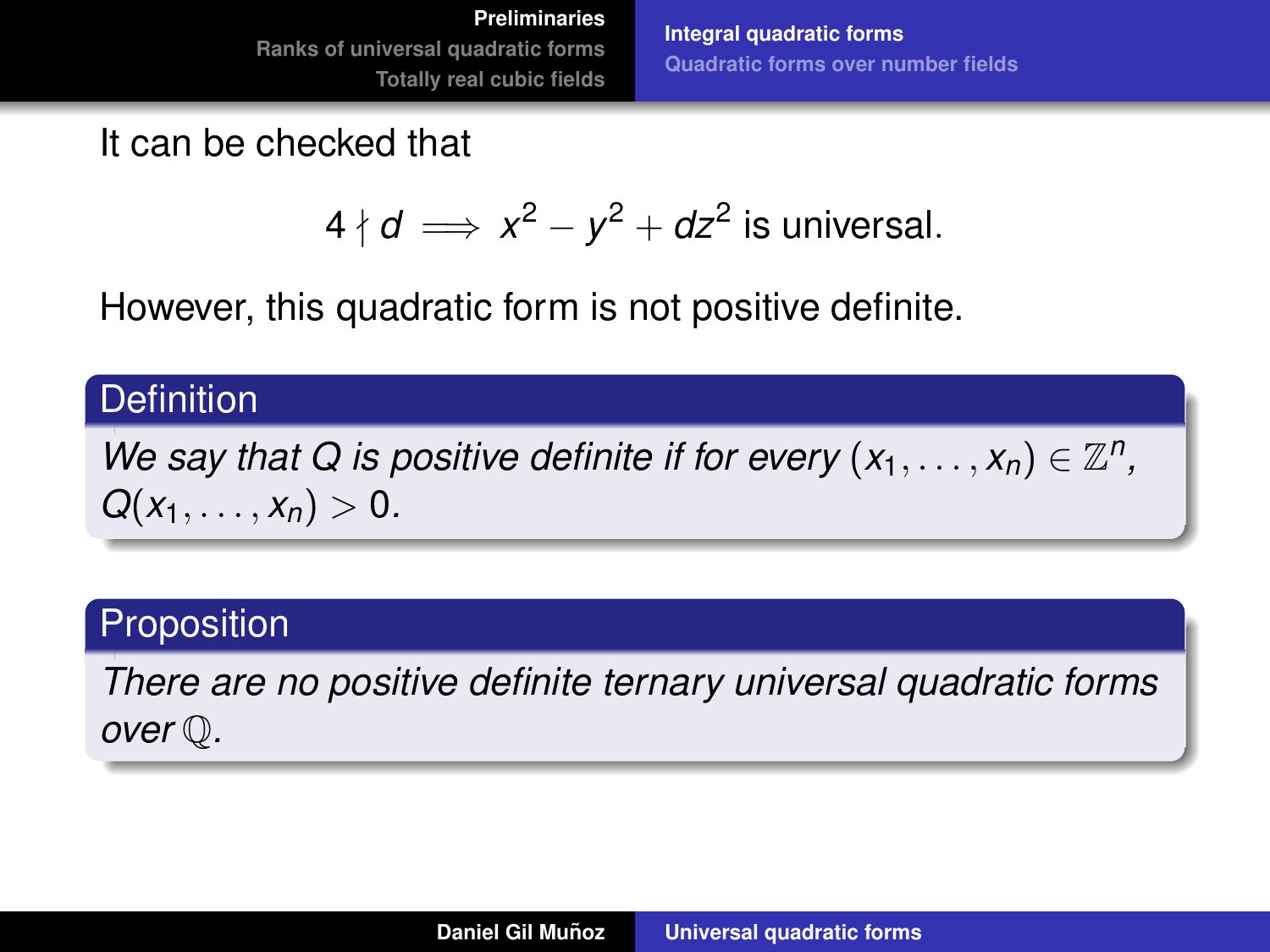**[Integral quadratic forms](#page-4-0) [Quadratic forms over number fields](#page-15-0)**

It can be checked that

$$
4 \nmid d \implies x^2 - y^2 + dz^2
$$
 is universal.

However, this quadratic form is not positive definite.

### **Definition**

*We say that Q is positive definite if for every*  $(x_1, \ldots, x_n) \in \mathbb{Z}^n$ *,*  $Q(x_1, \ldots, x_n) > 0.$ 

# **Proposition**

*There are no positive definite ternary universal quadratic forms over* Q*.*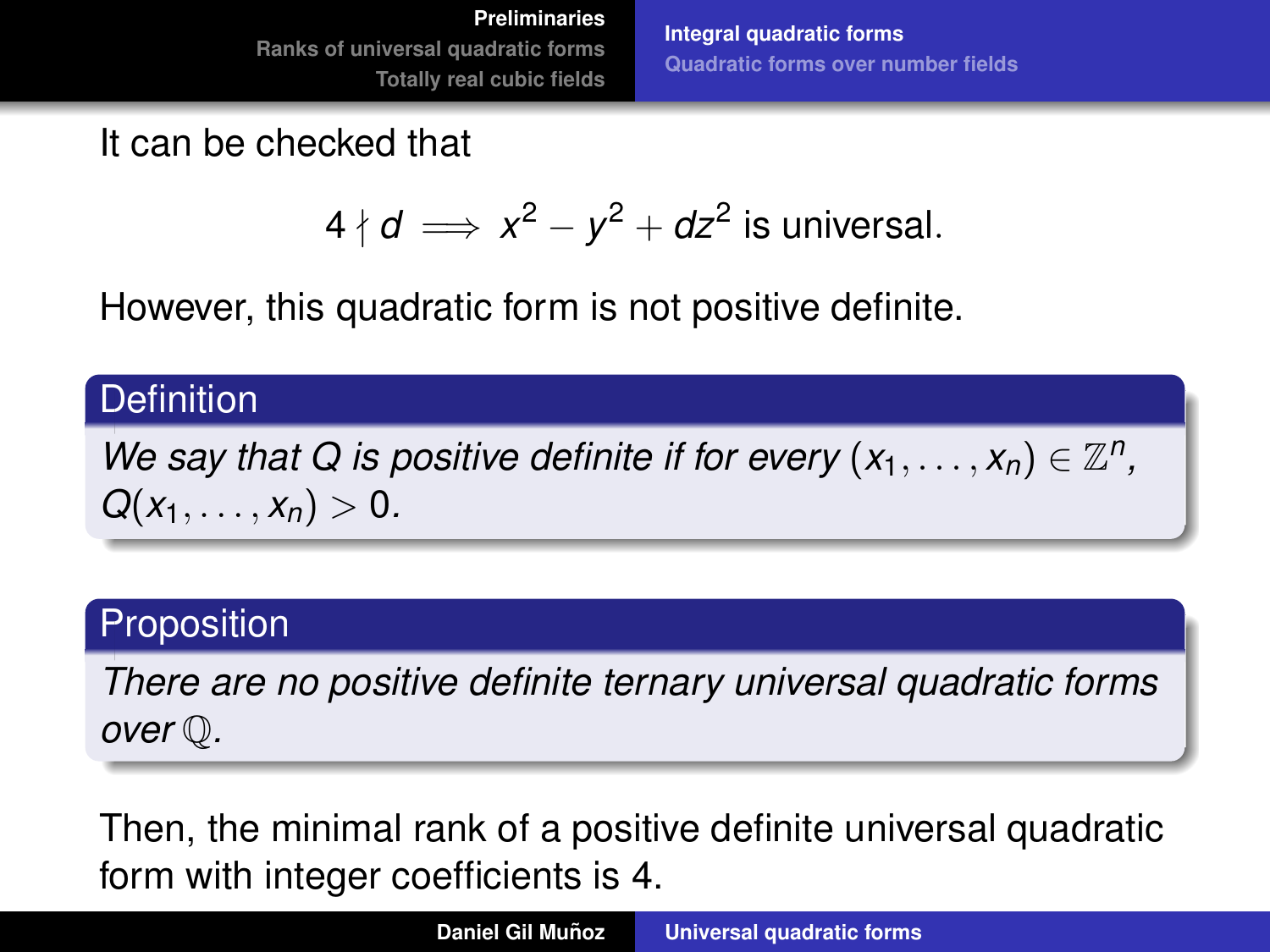**[Integral quadratic forms](#page-4-0) [Quadratic forms over number fields](#page-15-0)**

It can be checked that

$$
4 \nmid d \implies x^2 - y^2 + dz^2
$$
 is universal.

However, this quadratic form is not positive definite.

### **Definition**

*We say that Q is positive definite if for every*  $(x_1, \ldots, x_n) \in \mathbb{Z}^n$ *,*  $Q(x_1, \ldots, x_n) > 0.$ 

# **Proposition**

*There are no positive definite ternary universal quadratic forms over* Q*.*

Then, the minimal rank of a positive definite universal quadratic form with integer coefficients is 4.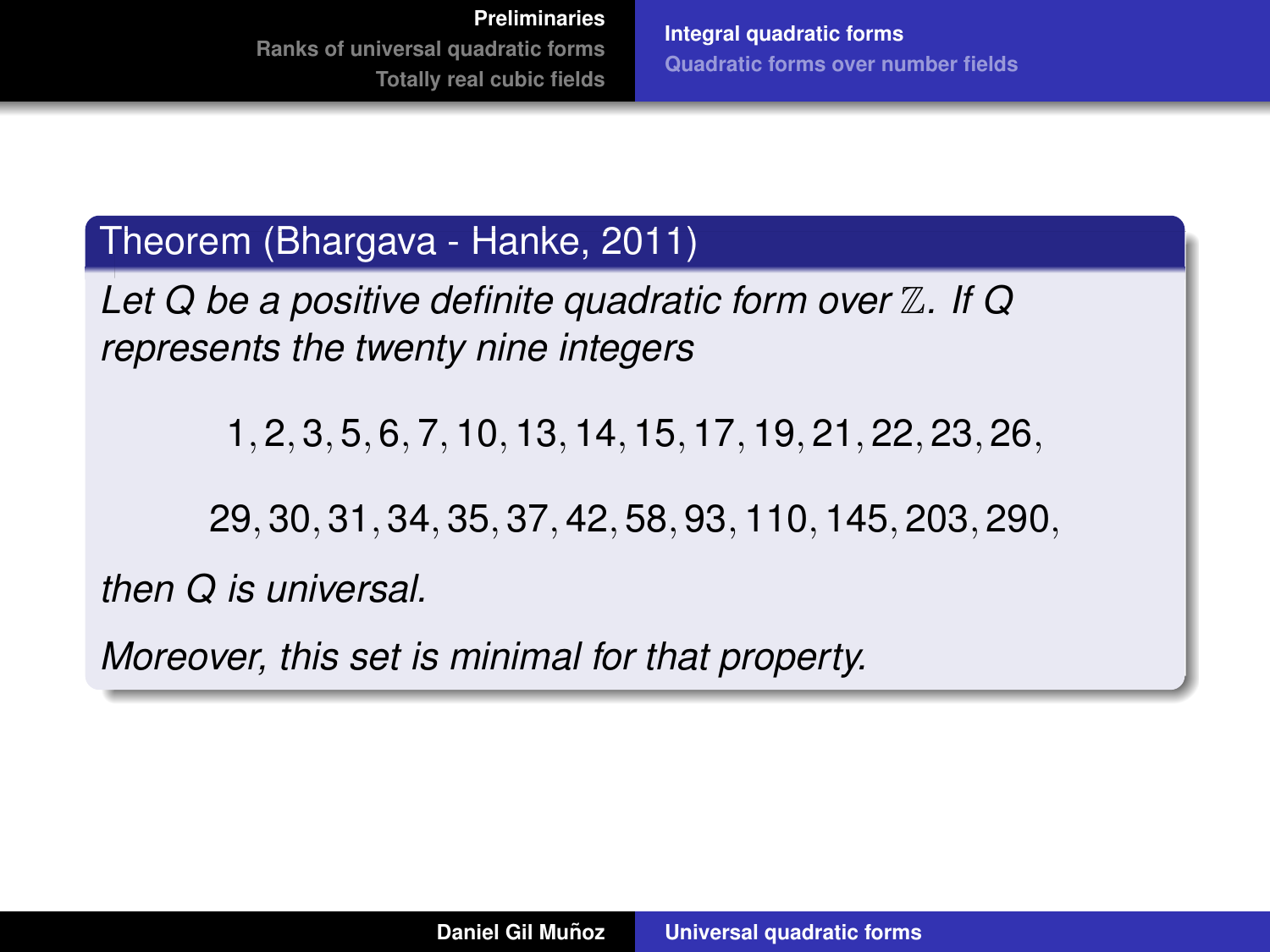# Theorem (Bhargava - Hanke, 2011)

*Let Q be a positive definite quadratic form over* Z*. If Q represents the twenty nine integers*

1, 2, 3, 5, 6, 7, 10, 13, 14, 15, 17, 19, 21, 22, 23, 26,

29, 30, 31, 34, 35, 37, 42, 58, 93, 110, 145, 203, 290,

*then Q is universal.*

*Moreover, this set is minimal for that property.*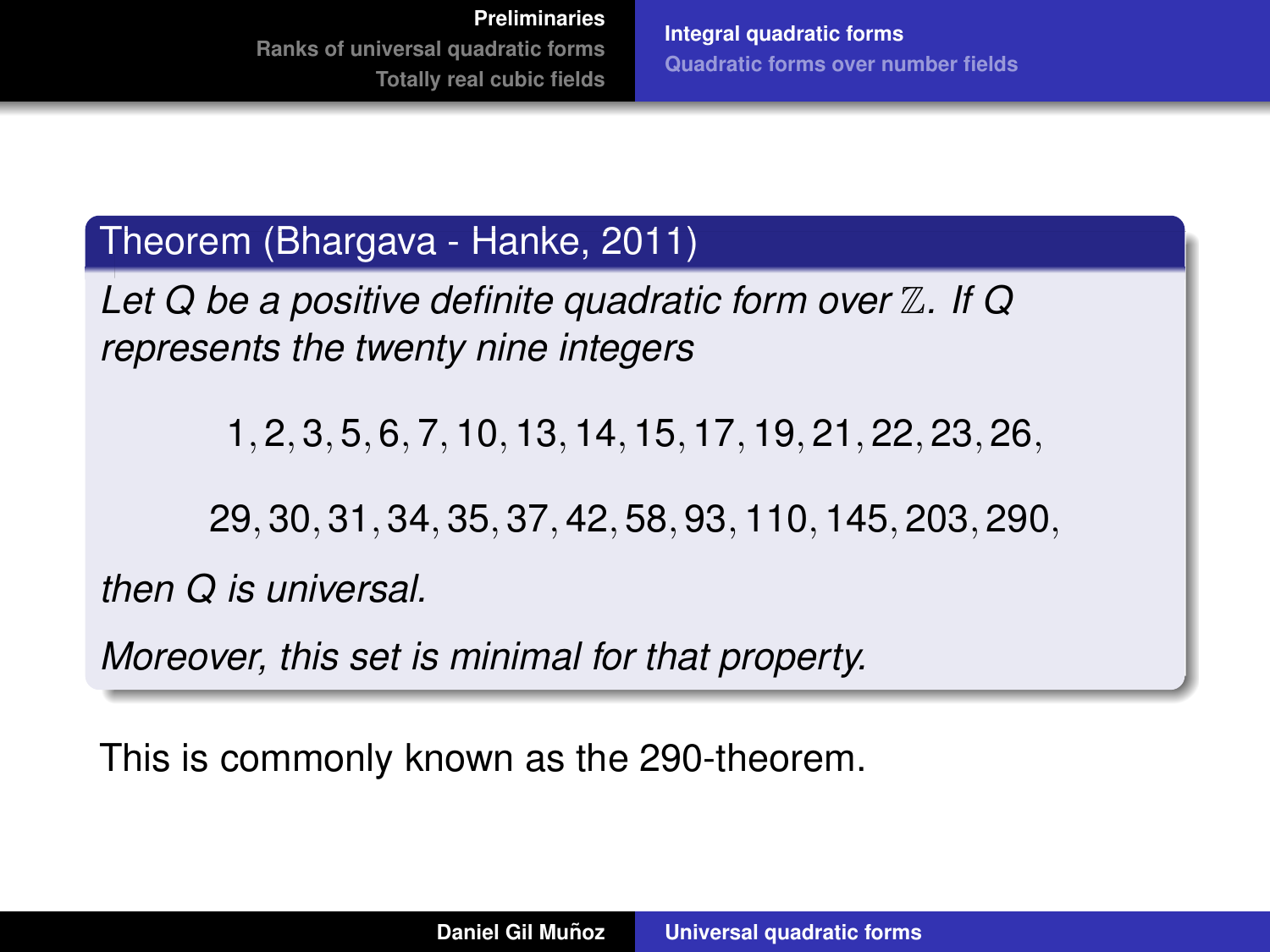# Theorem (Bhargava - Hanke, 2011)

*Let Q be a positive definite quadratic form over* Z*. If Q represents the twenty nine integers*

1, 2, 3, 5, 6, 7, 10, 13, 14, 15, 17, 19, 21, 22, 23, 26,

29, 30, 31, 34, 35, 37, 42, 58, 93, 110, 145, 203, 290,

*then Q is universal.*

*Moreover, this set is minimal for that property.*

This is commonly known as the 290-theorem.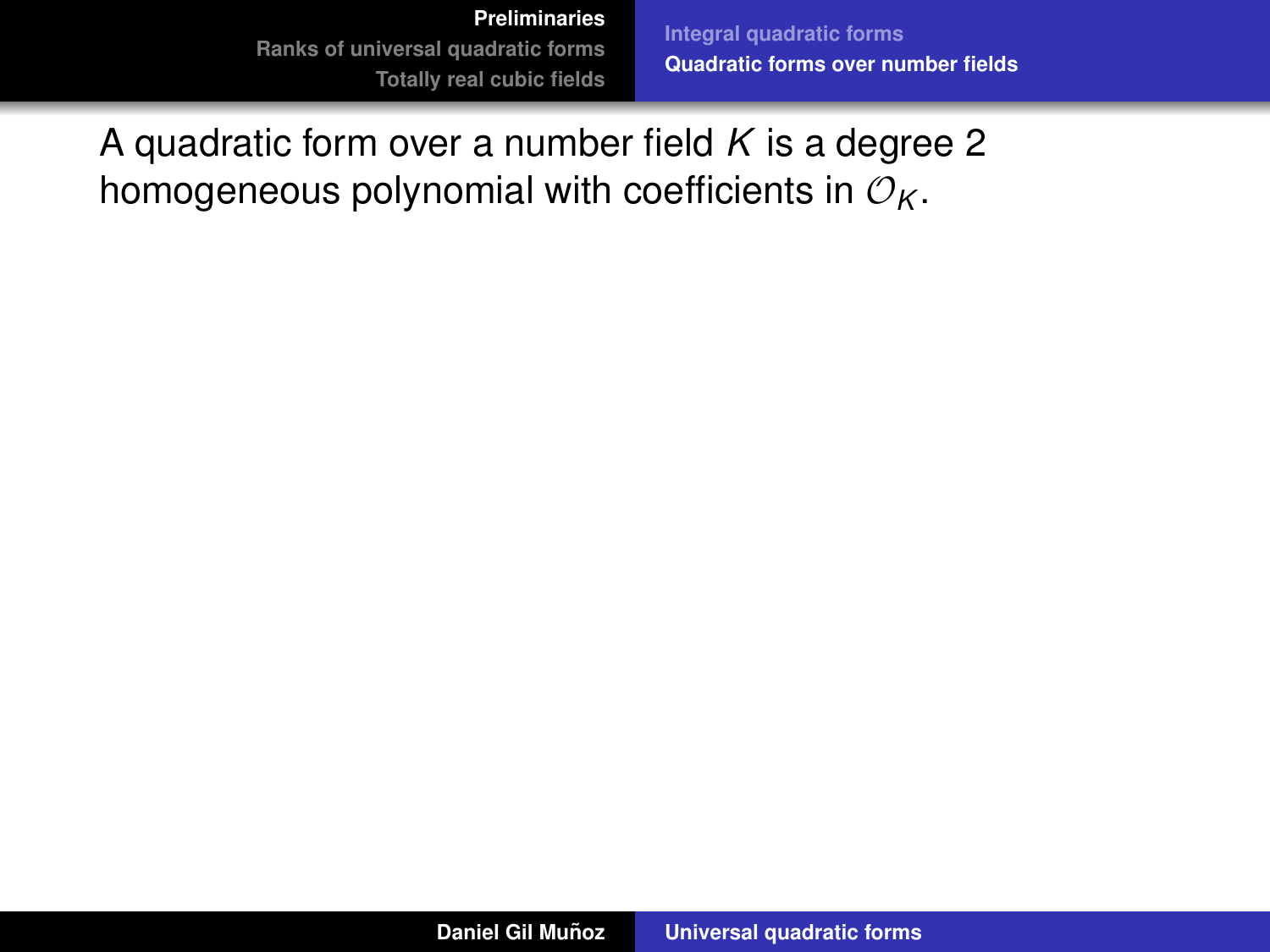**[Integral quadratic forms](#page-4-0) [Quadratic forms over number fields](#page-19-0)**

<span id="page-15-0"></span>A quadratic form over a number field *K* is a degree 2 homogeneous polynomial with coefficients in  $\mathcal{O}_K$ .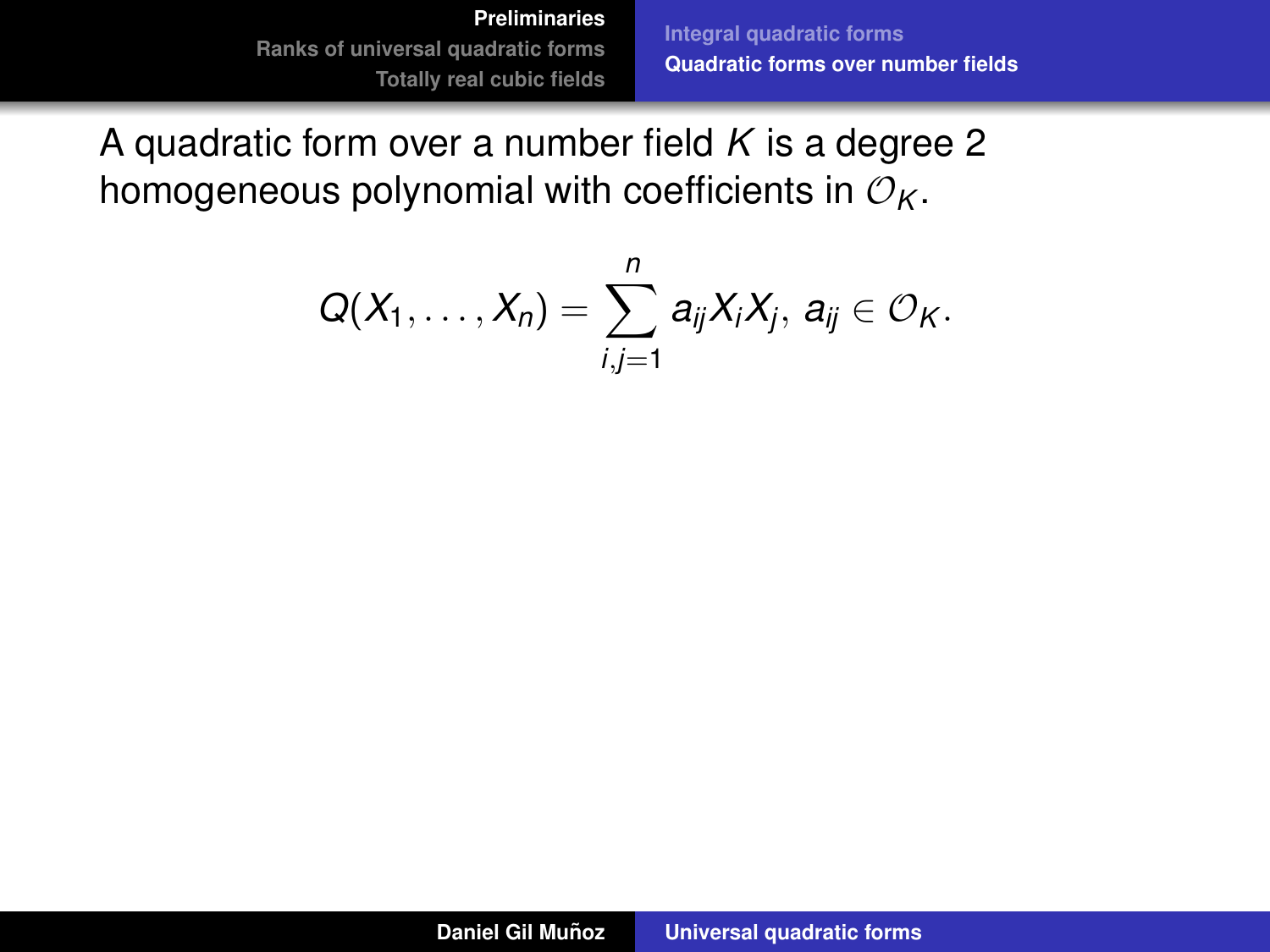**[Integral quadratic forms](#page-4-0) [Quadratic forms over number fields](#page-19-0)**

A quadratic form over a number field *K* is a degree 2 homogeneous polynomial with coefficients in  $\mathcal{O}_K$ .

$$
Q(X_1,\ldots,X_n)=\sum_{i,j=1}^n a_{ij}X_iX_j, a_{ij}\in\mathcal{O}_K.
$$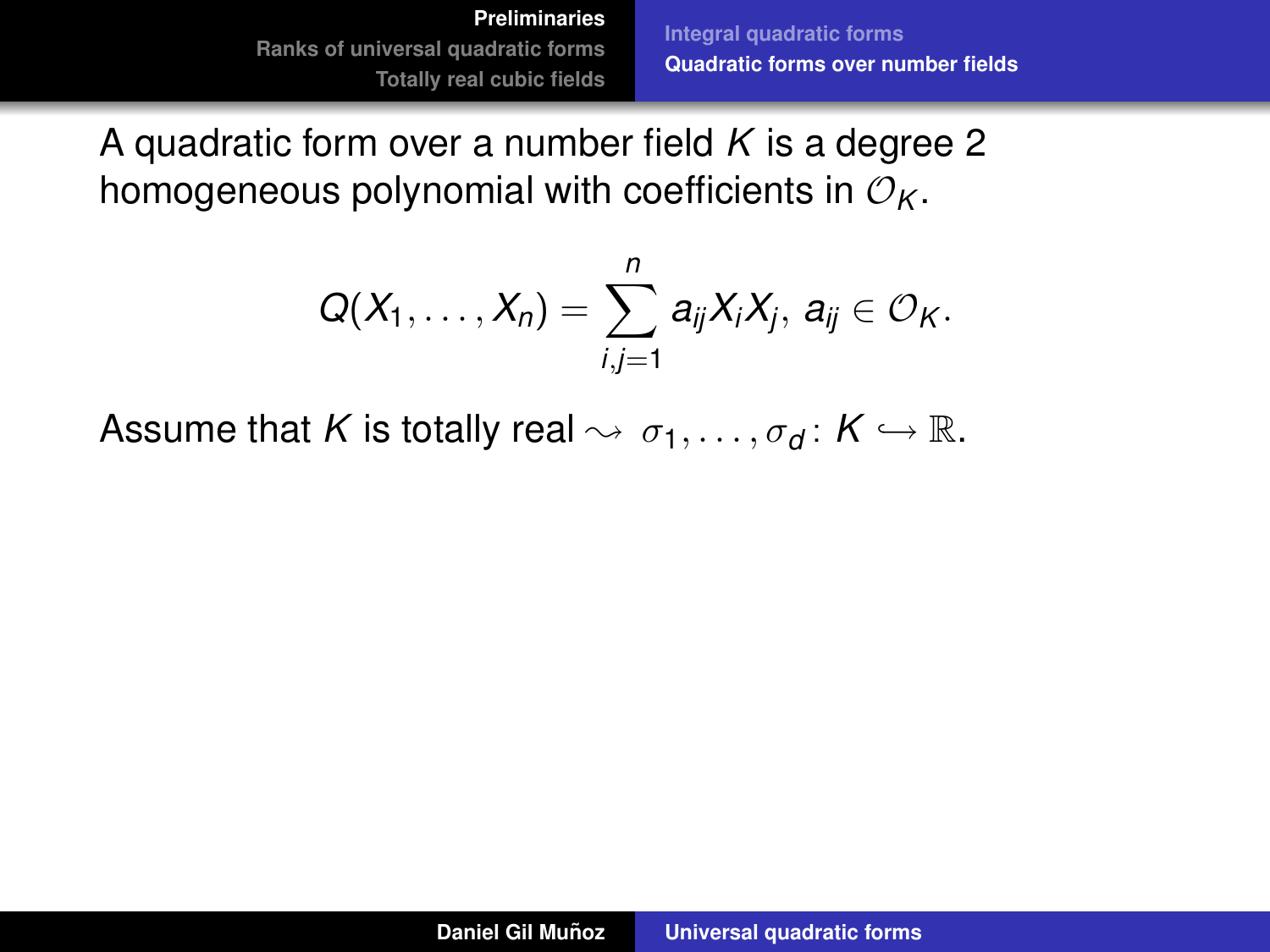**[Integral quadratic forms](#page-4-0) [Quadratic forms over number fields](#page-19-0)**

A quadratic form over a number field *K* is a degree 2 homogeneous polynomial with coefficients in  $\mathcal{O}_K$ .

$$
Q(X_1,\ldots,X_n)=\sum_{i,j=1}^n a_{ij}X_iX_j, a_{ij}\in O_K.
$$

Assume that *K* is totally real  $\rightsquigarrow \sigma_1, \ldots, \sigma_d \colon K \hookrightarrow \mathbb{R}$ .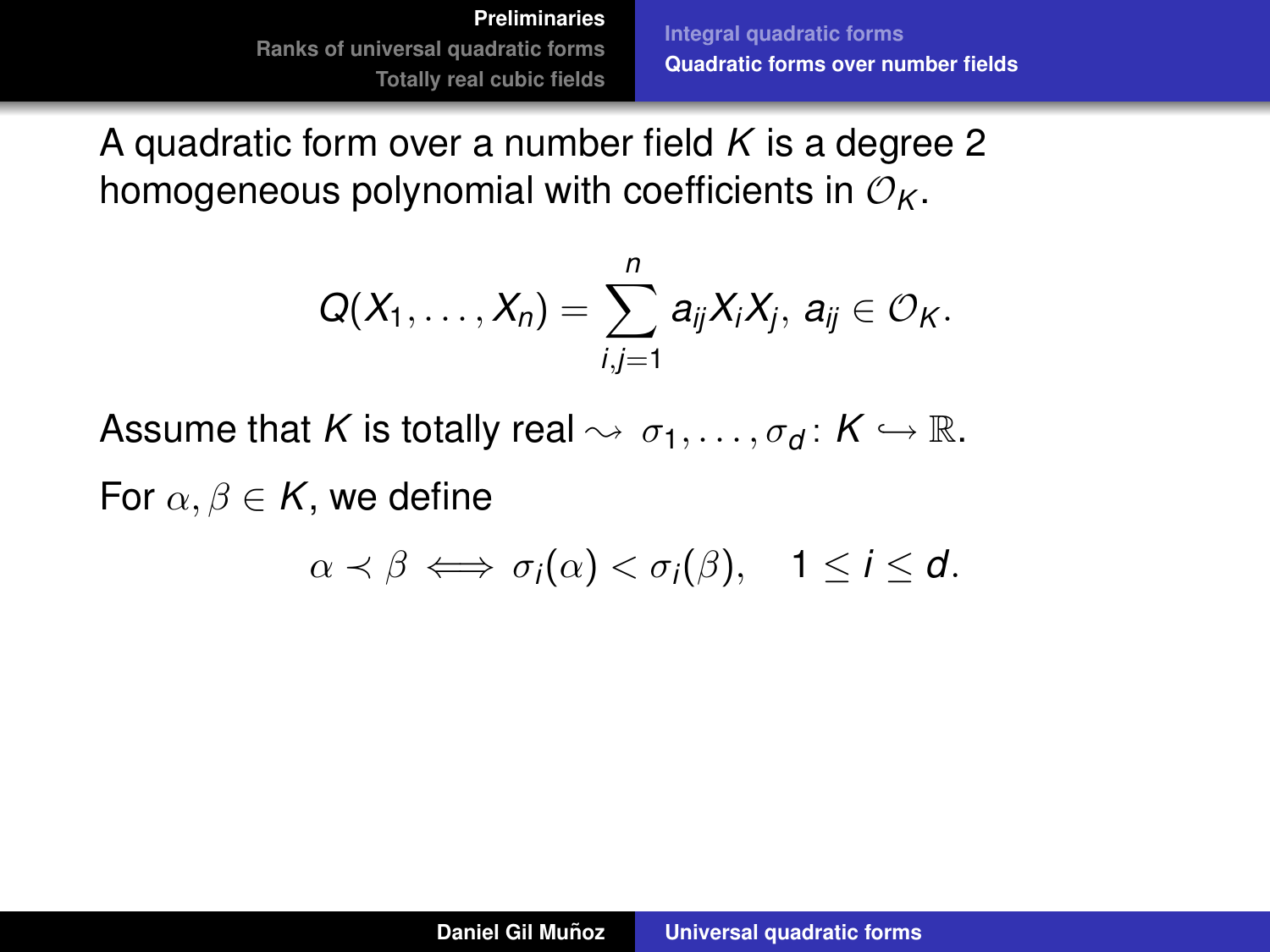**[Integral quadratic forms](#page-4-0) [Quadratic forms over number fields](#page-19-0)**

A quadratic form over a number field *K* is a degree 2 homogeneous polynomial with coefficients in  $\mathcal{O}_K$ .

$$
Q(X_1,\ldots,X_n)=\sum_{i,j=1}^n a_{ij}X_iX_j, a_{ij}\in \mathcal{O}_K.
$$

Assume that *K* is totally real  $\rightsquigarrow \sigma_1, \ldots, \sigma_d \colon K \hookrightarrow \mathbb{R}$ .

For  $\alpha, \beta \in K$ , we define

$$
\alpha \prec \beta \iff \sigma_i(\alpha) < \sigma_i(\beta), \quad 1 \leq i \leq d.
$$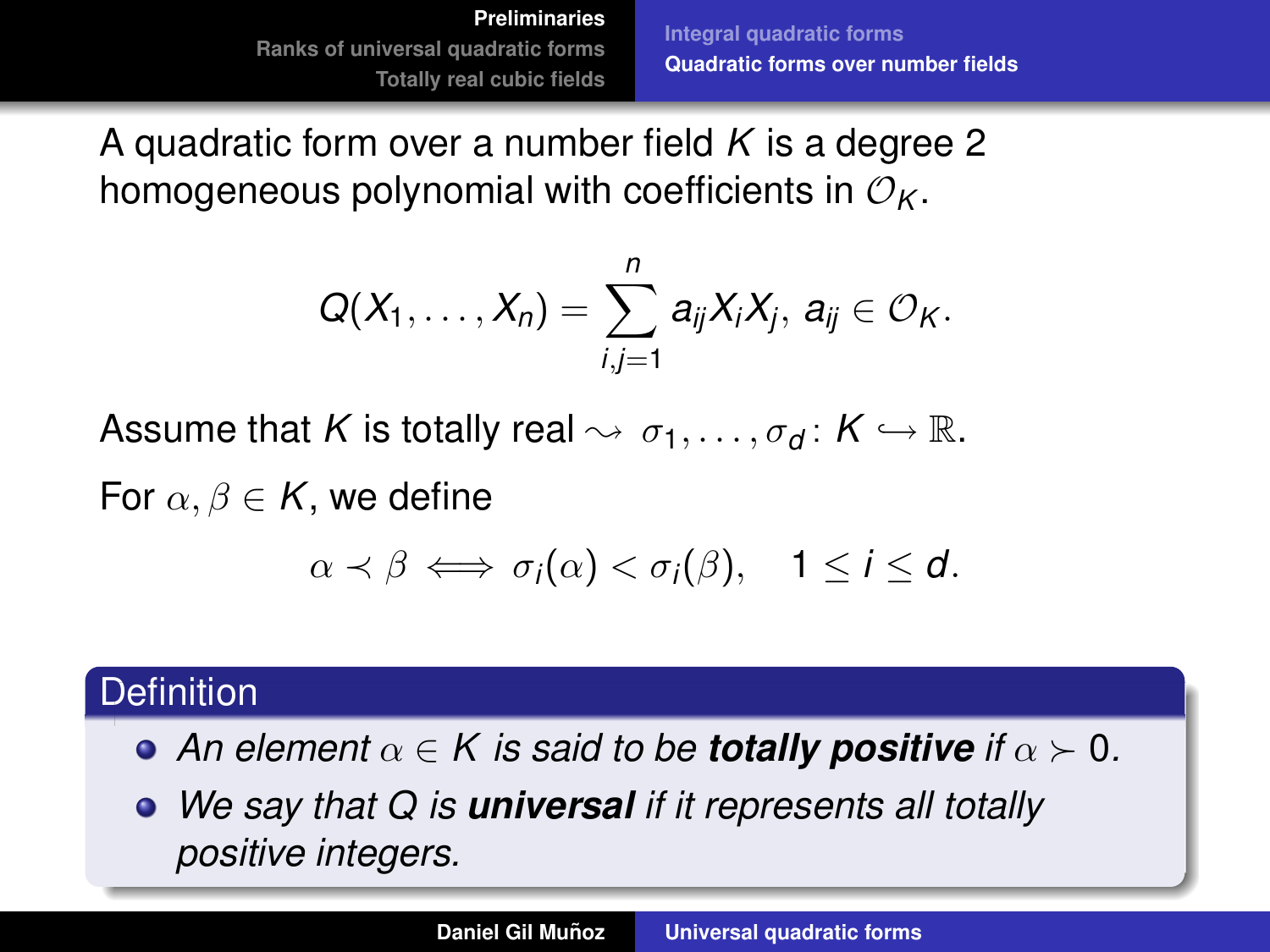**[Integral quadratic forms](#page-4-0) [Quadratic forms over number fields](#page-15-0)**

<span id="page-19-0"></span>A quadratic form over a number field *K* is a degree 2 homogeneous polynomial with coefficients in  $\mathcal{O}_K$ .

$$
Q(X_1,\ldots,X_n)=\sum_{i,j=1}^n a_{ij}X_iX_j, a_{ij}\in\mathcal{O}_K.
$$

Assume that *K* is totally real  $\rightsquigarrow \sigma_1, \ldots, \sigma_d \colon K \hookrightarrow \mathbb{R}$ .

For  $\alpha, \beta \in K$ , we define

$$
\alpha \prec \beta \iff \sigma_i(\alpha) < \sigma_i(\beta), \quad 1 \leq i \leq d.
$$

# **Definition**

- **•** An element  $\alpha \in K$  is said to be **totally positive** if  $\alpha \succ 0$ .
- *We say that Q is universal if it represents all totally positive integers.*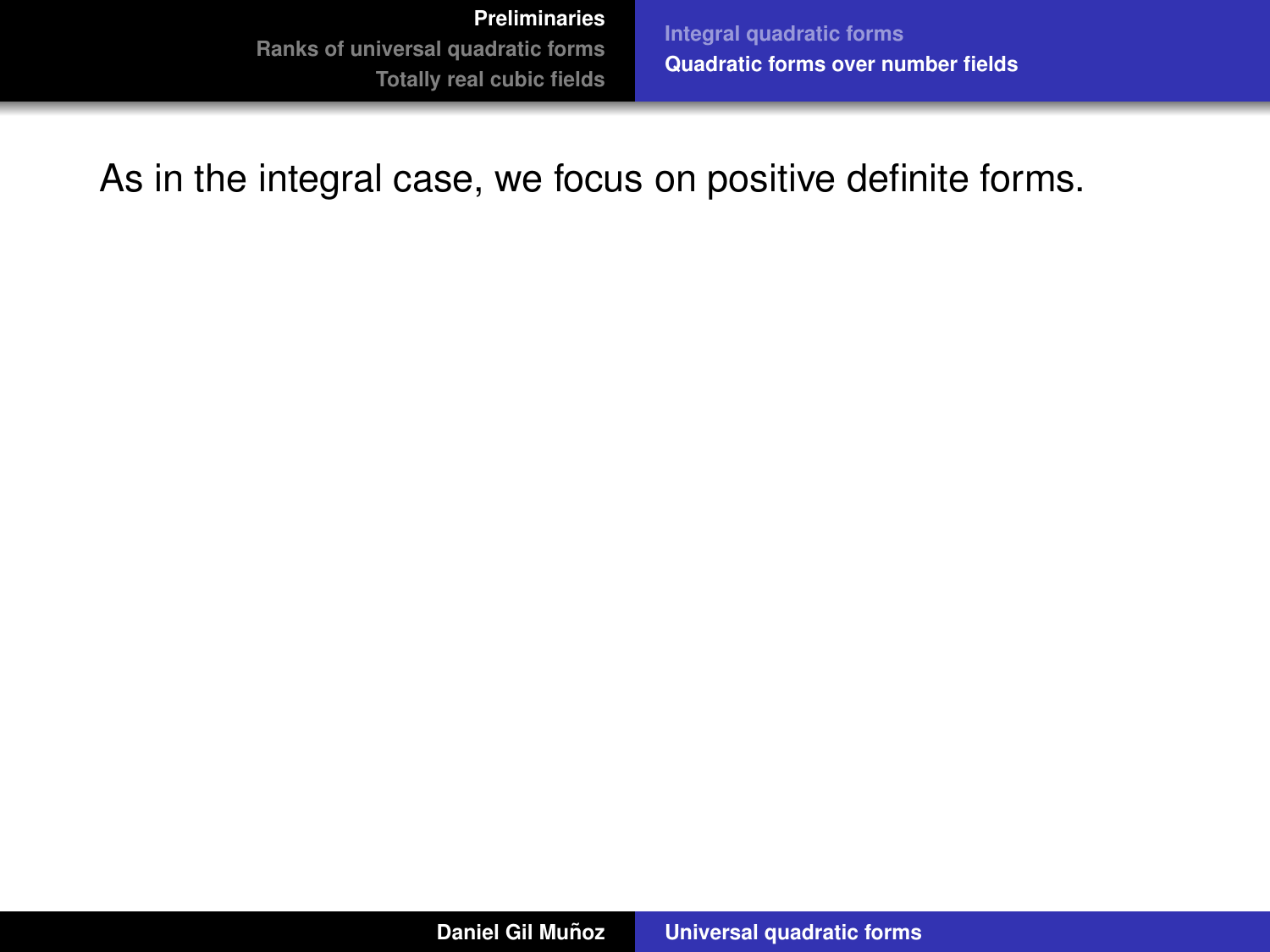**[Integral quadratic forms](#page-4-0) [Quadratic forms over number fields](#page-15-0)**

As in the integral case, we focus on positive definite forms.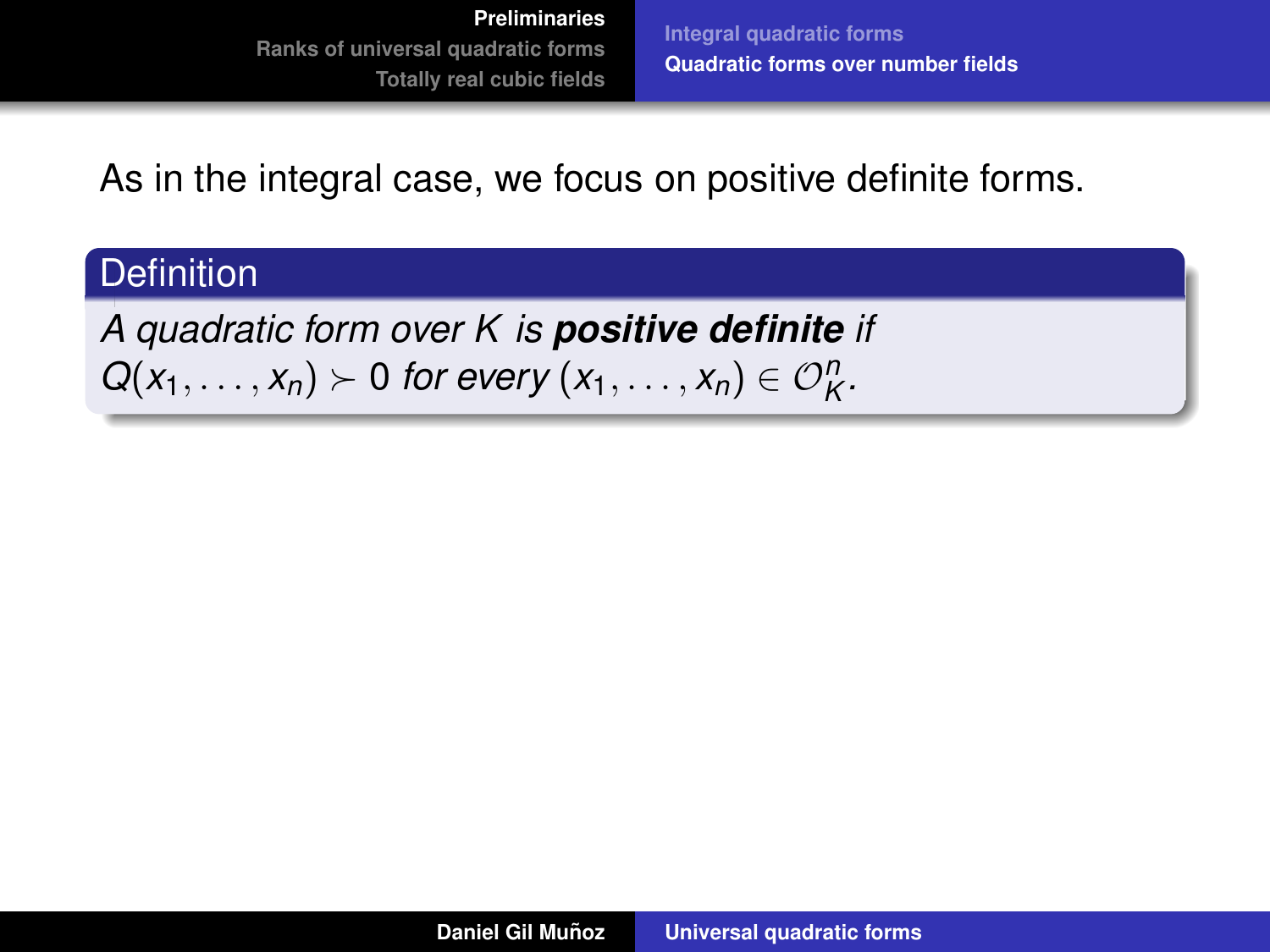**[Integral quadratic forms](#page-4-0) [Quadratic forms over number fields](#page-15-0)**

As in the integral case, we focus on positive definite forms.

## **Definition**

*A quadratic form over K is positive definite if*  $Q(x_1, \ldots, x_n) \succ 0$  *for every*  $(x_1, \ldots, x_n) \in \mathcal{O}_K^n$ .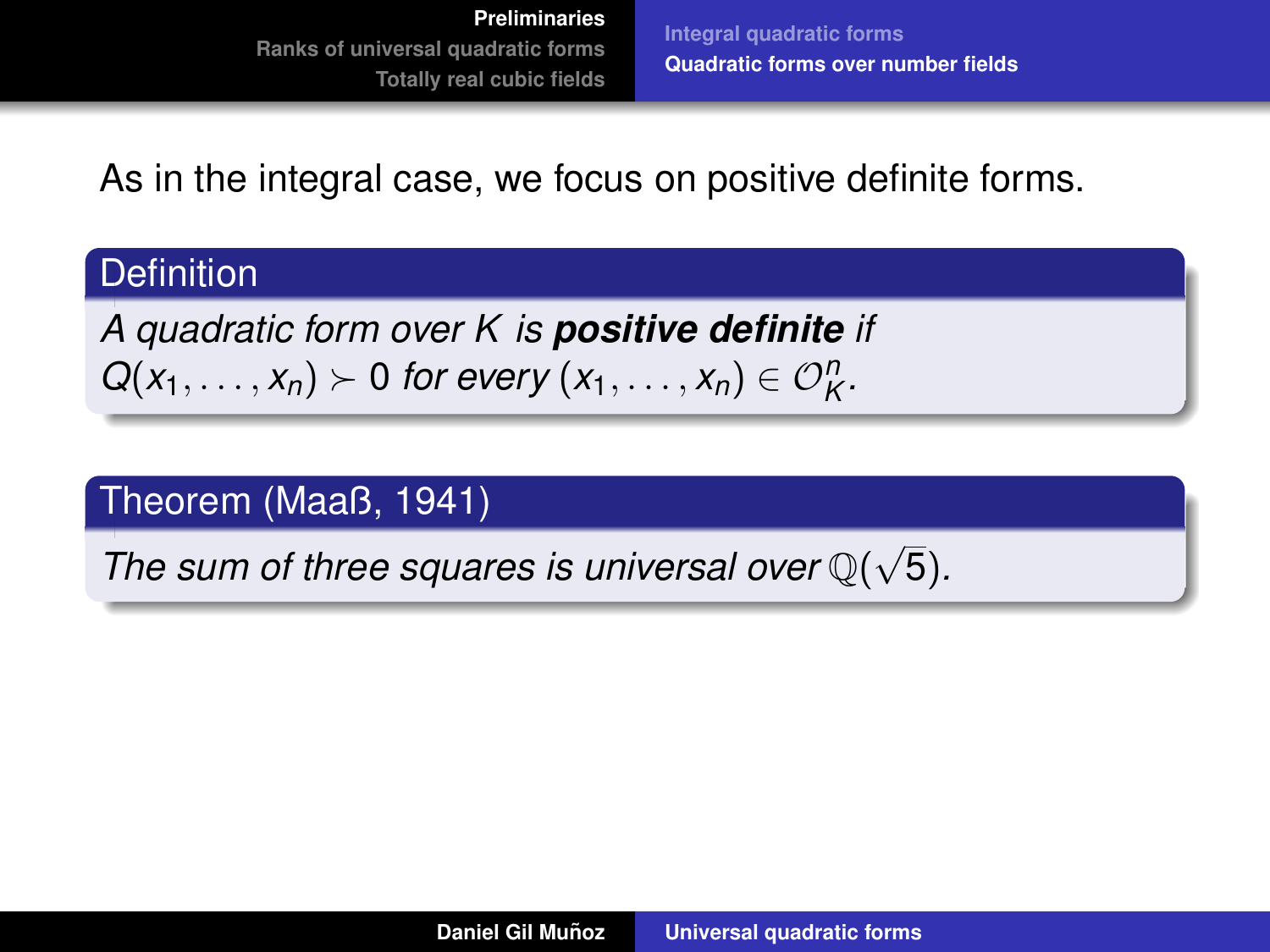**[Integral quadratic forms](#page-4-0) [Quadratic forms over number fields](#page-15-0)**

As in the integral case, we focus on positive definite forms.

## **Definition**

*A quadratic form over K is positive definite if*  $Q(x_1, \ldots, x_n) \succ 0$  *for every*  $(x_1, \ldots, x_n) \in \mathcal{O}_K^n$ .

## Theorem (Maaß, 1941)

*The sum of three squares is universal over* Q( √ 5)*.*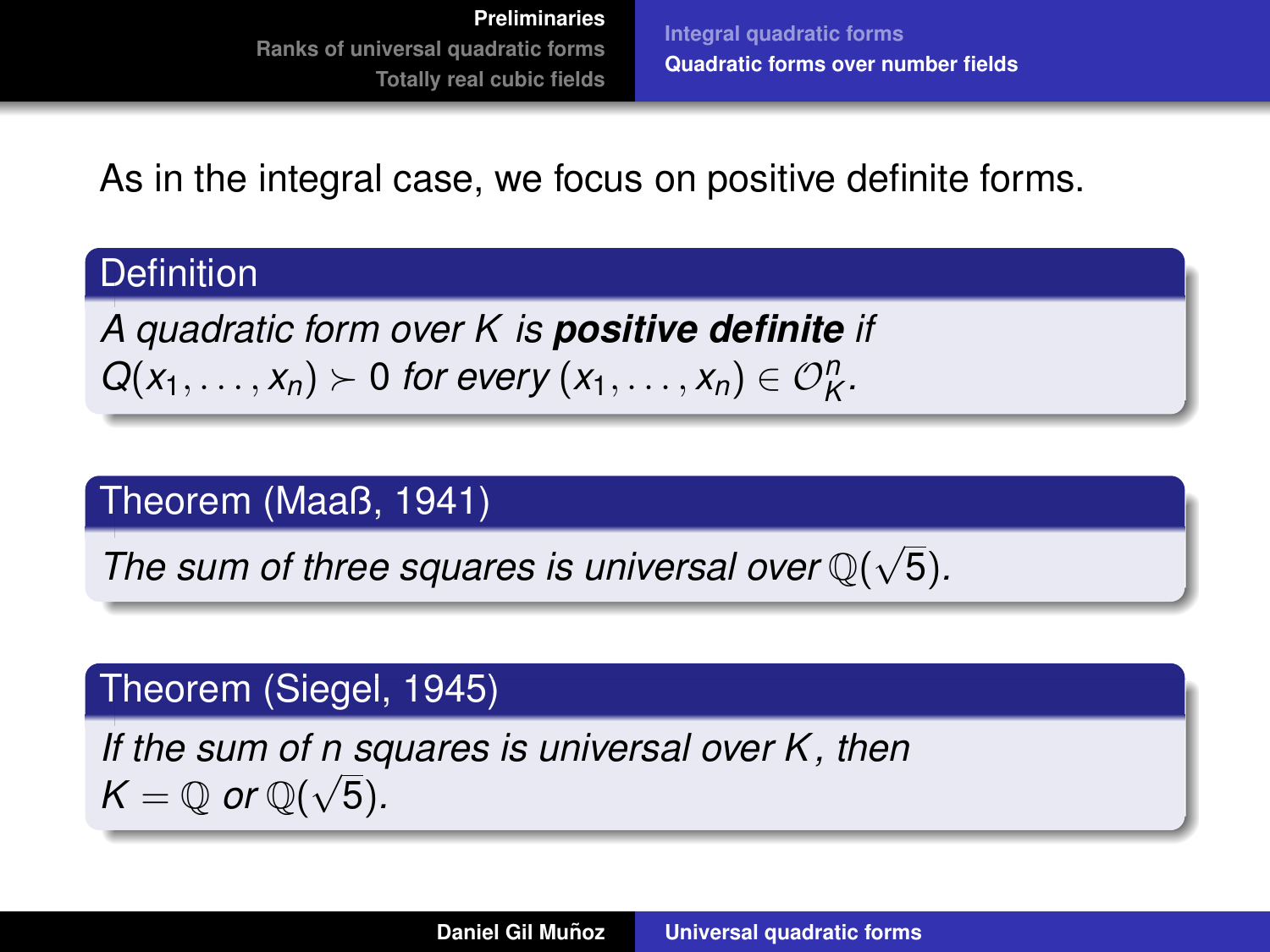**[Integral quadratic forms](#page-4-0) [Quadratic forms over number fields](#page-15-0)**

As in the integral case, we focus on positive definite forms.

## **Definition**

*A quadratic form over K is positive definite if*  $Q(x_1, \ldots, x_n) \succ 0$  *for every*  $(x_1, \ldots, x_n) \in \mathcal{O}_K^n$ .

### Theorem (Maaß, 1941)

*The sum of three squares is universal over* Q( √ 5)*.*

## Theorem (Siegel, 1945)

*If the sum of n squares is universal over K, then*  $K = \mathbb{Q}$  or  $\mathbb{Q}(\sqrt{5})$ .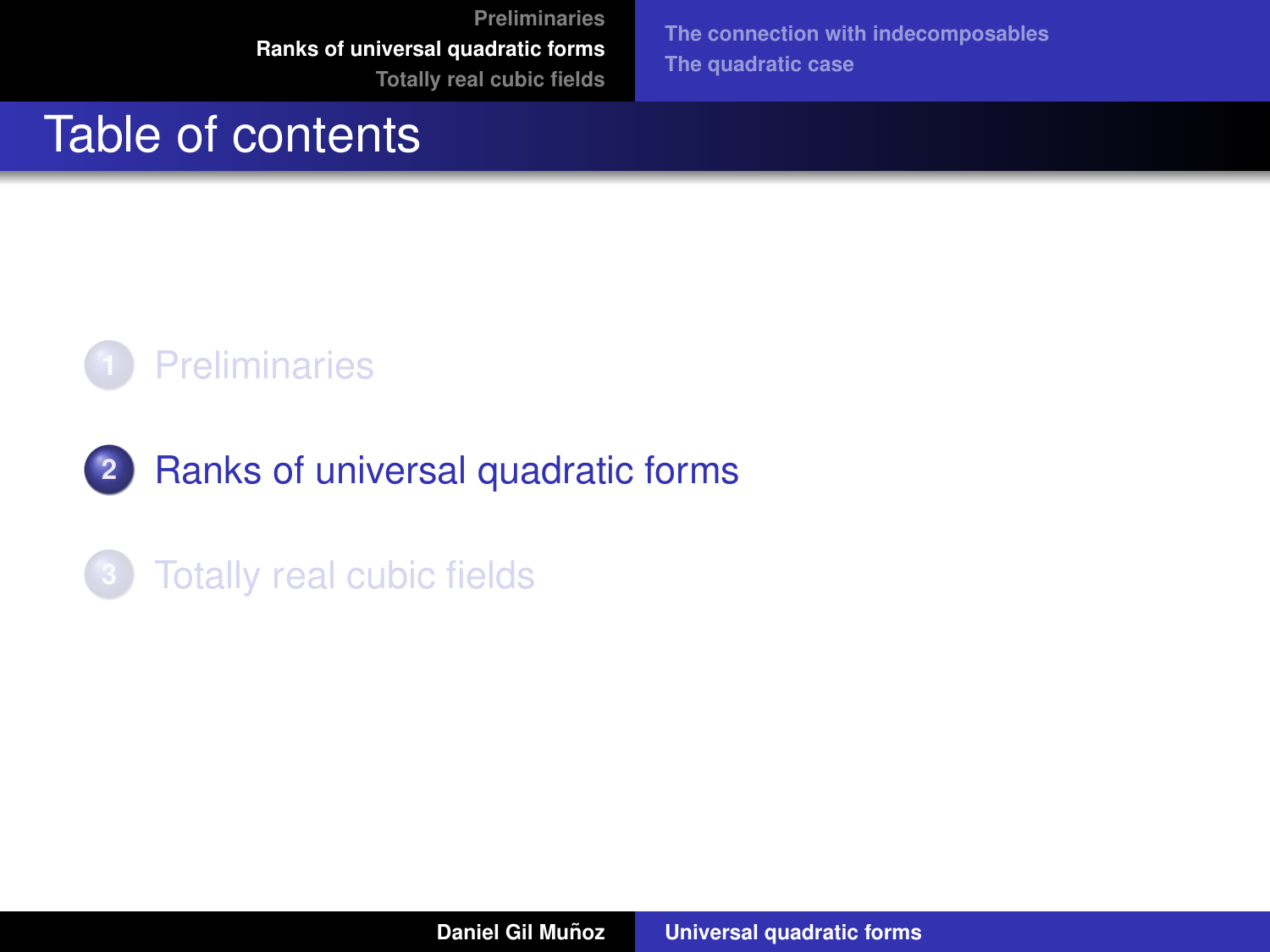**[The connection with indecomposables](#page-30-0) [The quadratic case](#page-39-0)**

# <span id="page-24-0"></span>Table of contents



# **2** [Ranks of universal quadratic forms](#page-24-0)

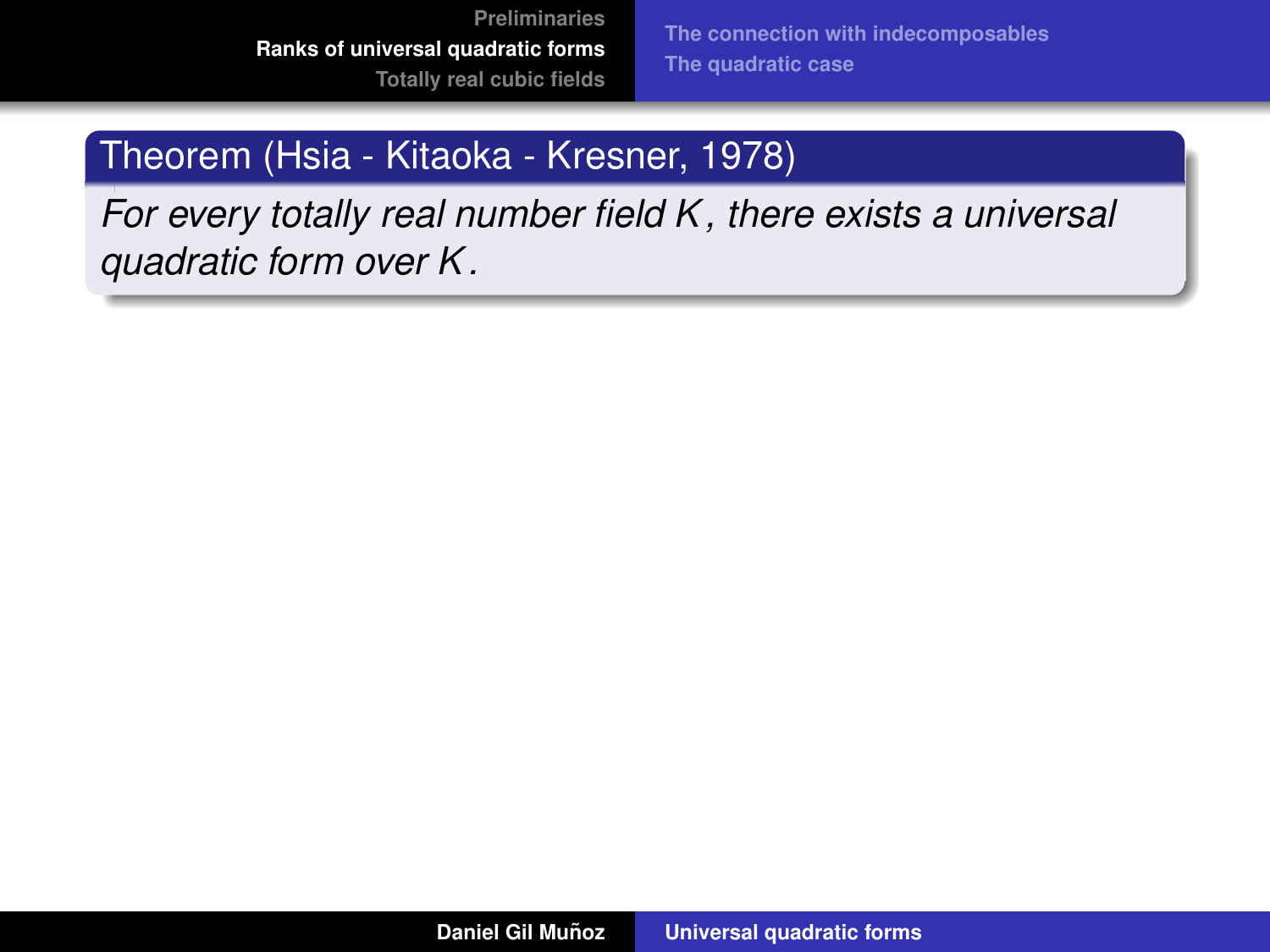**[The connection with indecomposables](#page-30-0) [The quadratic case](#page-39-0)**

# Theorem (Hsia - Kitaoka - Kresner, 1978)

*For every totally real number field K , there exists a universal quadratic form over K .*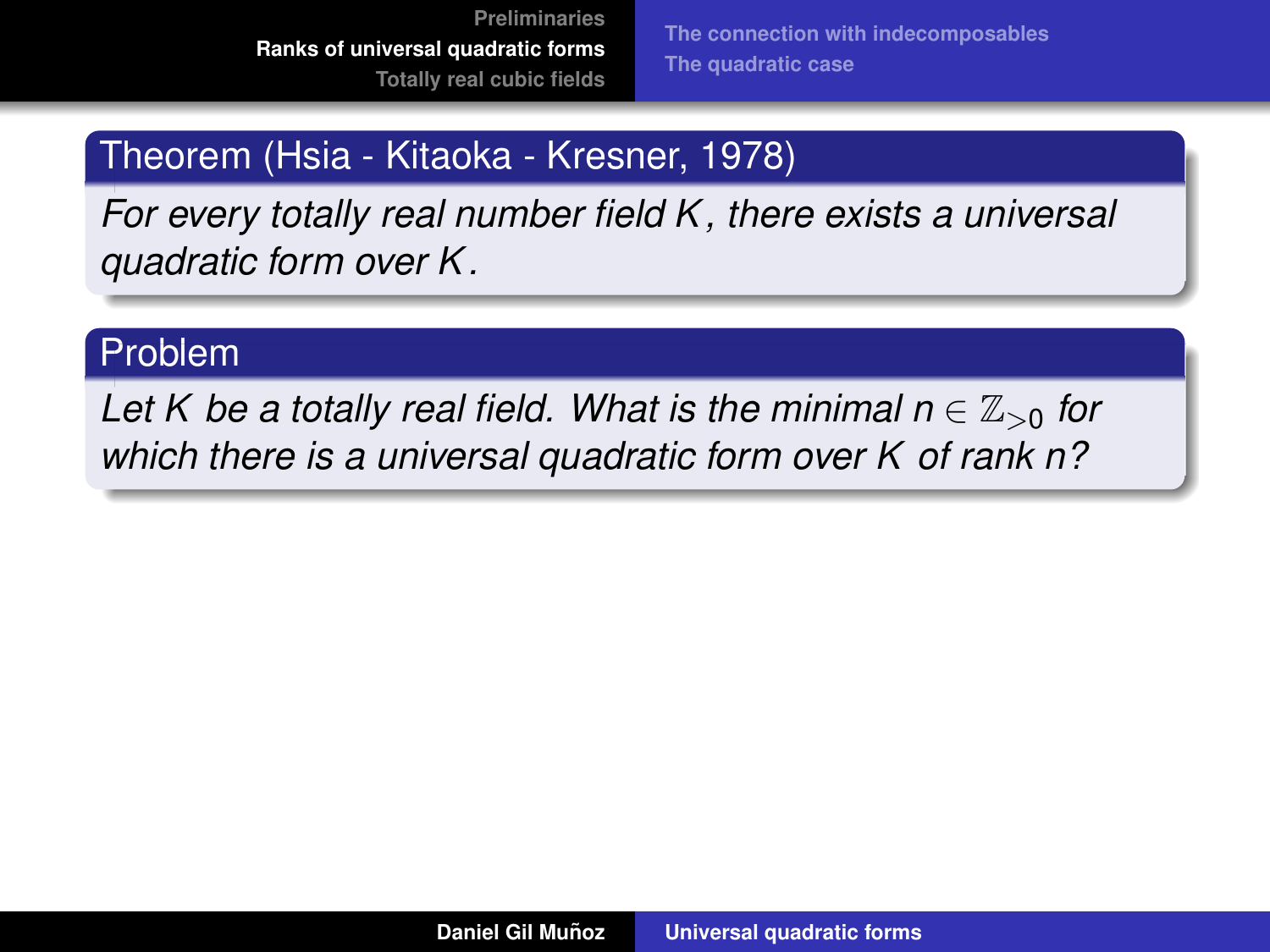# Theorem (Hsia - Kitaoka - Kresner, 1978)

*For every totally real number field K , there exists a universal quadratic form over K .*

# Problem

*Let K be a totally real field. What is the minimal n*  $\in \mathbb{Z}_{>0}$  *for which there is a universal quadratic form over K of rank n?*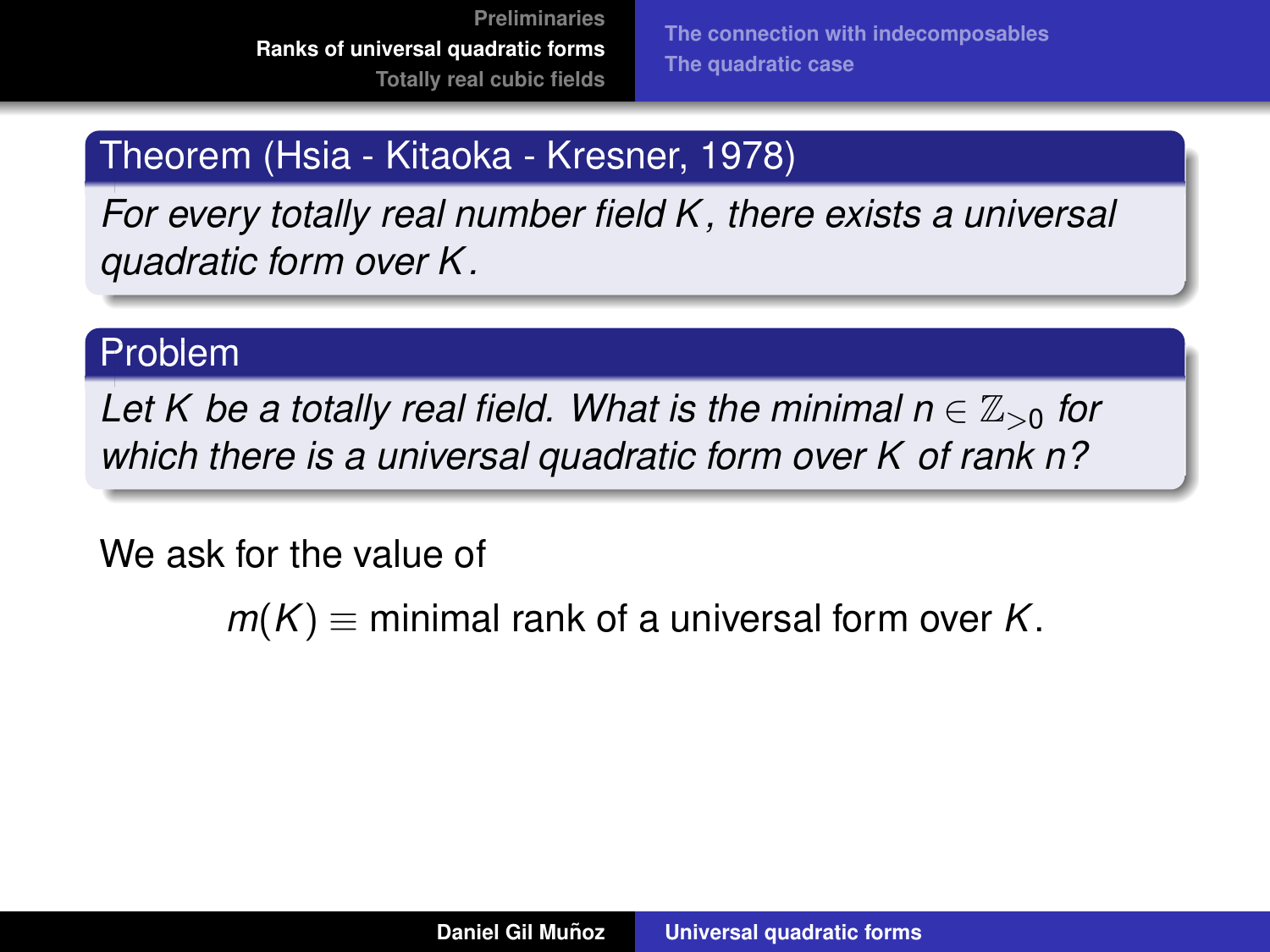# Theorem (Hsia - Kitaoka - Kresner, 1978)

*For every totally real number field K , there exists a universal quadratic form over K .*

## Problem

Let K be a totally real field. What is the minimal  $n \in \mathbb{Z}_{>0}$  for *which there is a universal quadratic form over K of rank n?*

We ask for the value of

 $m(K)$   $\equiv$  minimal rank of a universal form over *K*.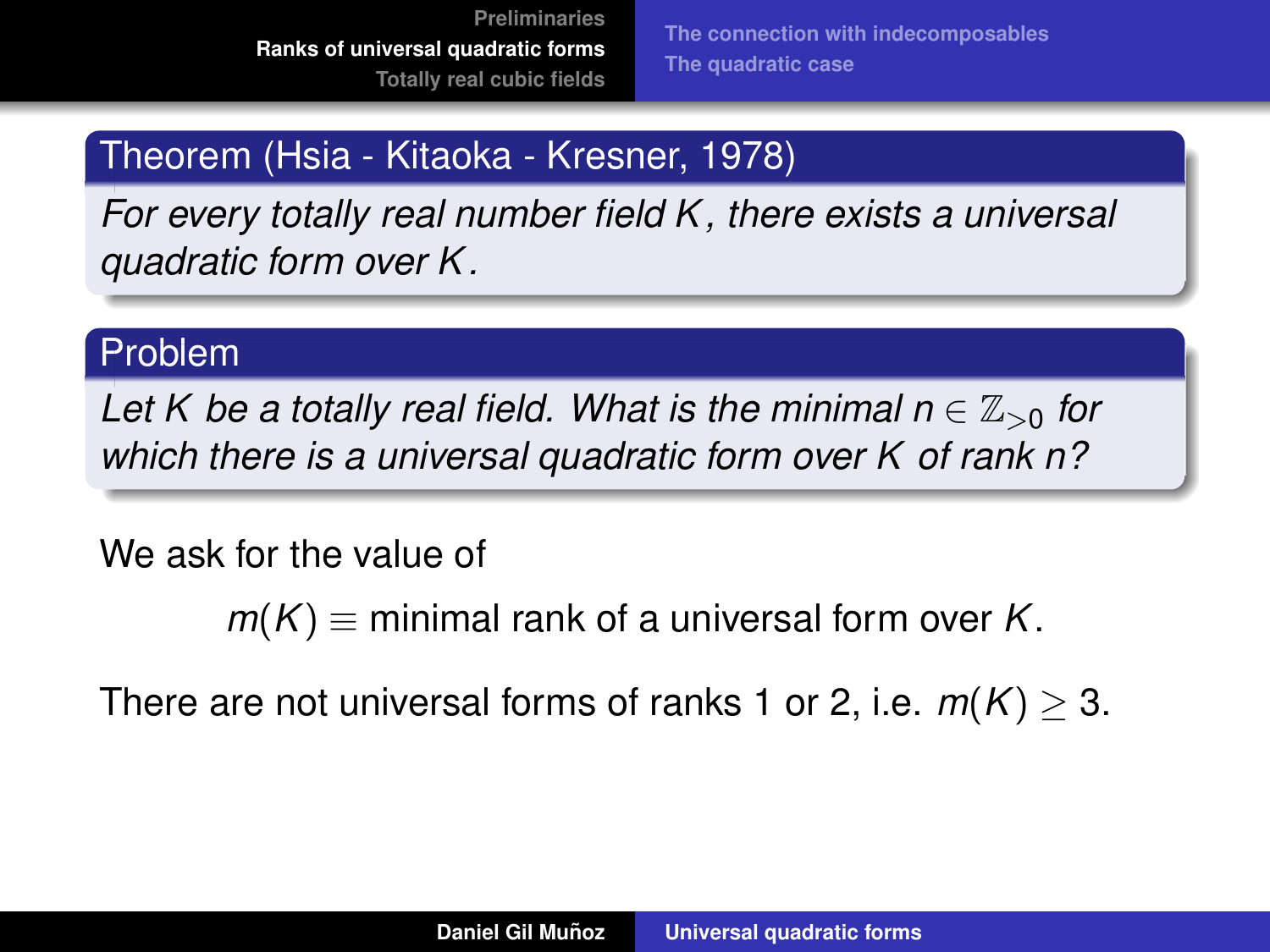# Theorem (Hsia - Kitaoka - Kresner, 1978)

*For every totally real number field K , there exists a universal quadratic form over K .*

# Problem

Let K be a totally real field. What is the minimal  $n \in \mathbb{Z}_{>0}$  for *which there is a universal quadratic form over K of rank n?*

We ask for the value of

 $m(K)$   $\equiv$  minimal rank of a universal form over *K*.

There are not universal forms of ranks 1 or 2, i.e.  $m(K) > 3$ .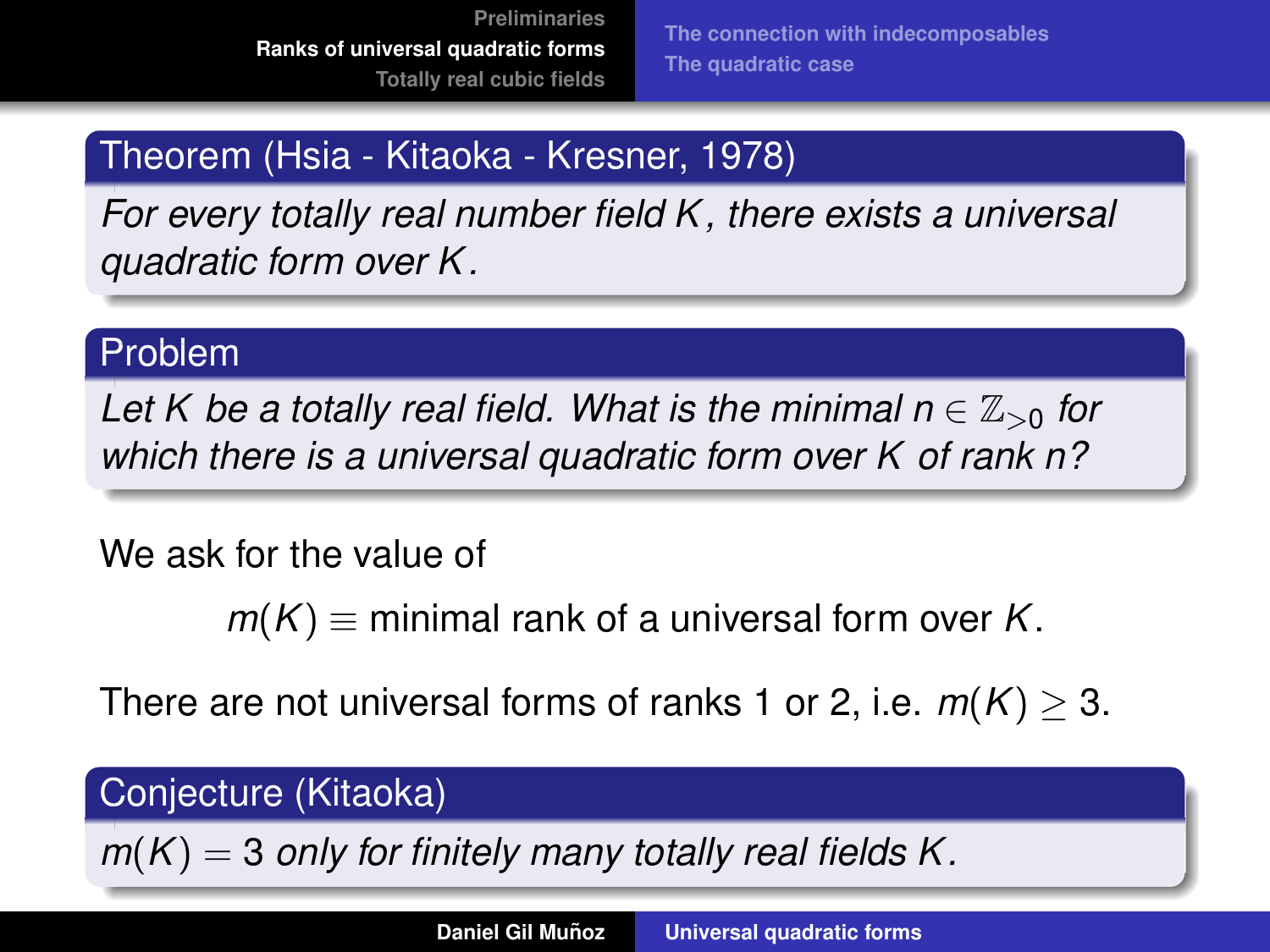# Theorem (Hsia - Kitaoka - Kresner, 1978)

*For every totally real number field K , there exists a universal quadratic form over K .*

# Problem

Let K be a totally real field. What is the minimal  $n \in \mathbb{Z}_{>0}$  for *which there is a universal quadratic form over K of rank n?*

We ask for the value of

 $m(K)$   $\equiv$  minimal rank of a universal form over *K*.

There are not universal forms of ranks 1 or 2, i.e.  $m(K) > 3$ .

# Conjecture (Kitaoka)

 $m(K) = 3$  *only for finitely many totally real fields K.*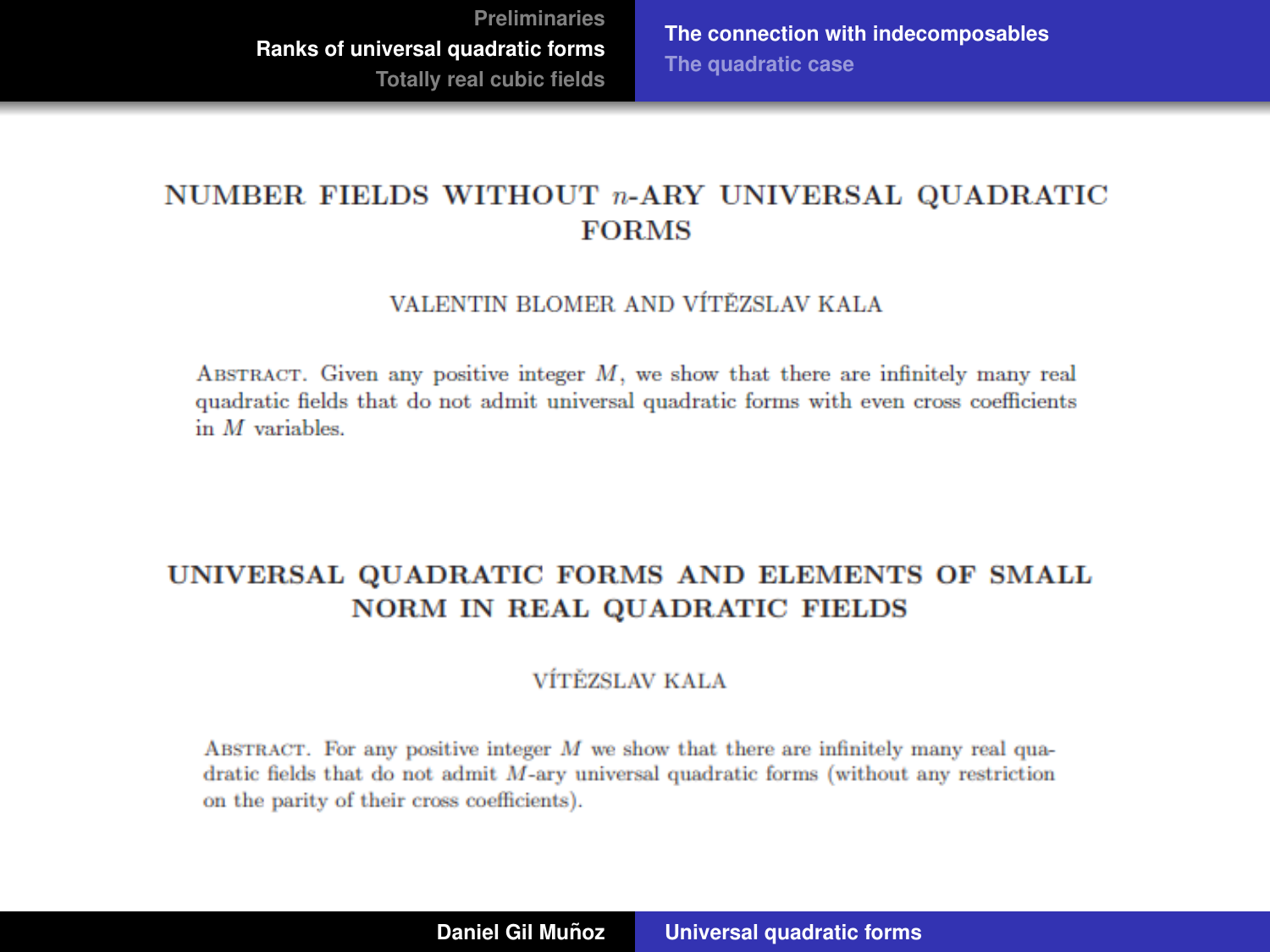**[The connection with indecomposables](#page-30-0) [The quadratic case](#page-39-0)**

#### <span id="page-30-0"></span>NUMBER FIELDS WITHOUT  $n$ -ARY UNIVERSAL OUADRATIC **FORMS**

#### VALENTIN BLOMER AND VÍTĚZSLAV KALA

ABSTRACT. Given any positive integer  $M$ , we show that there are infinitely many real quadratic fields that do not admit universal quadratic forms with even cross coefficients in  $M$  variables.

#### UNIVERSAL QUADRATIC FORMS AND ELEMENTS OF SMALL **NORM IN REAL QUADRATIC FIELDS**

#### VÍTĚZSLAV KALA

ABSTRACT. For any positive integer  $M$  we show that there are infinitely many real quadratic fields that do not admit  $M$ -ary universal quadratic forms (without any restriction on the parity of their cross coefficients).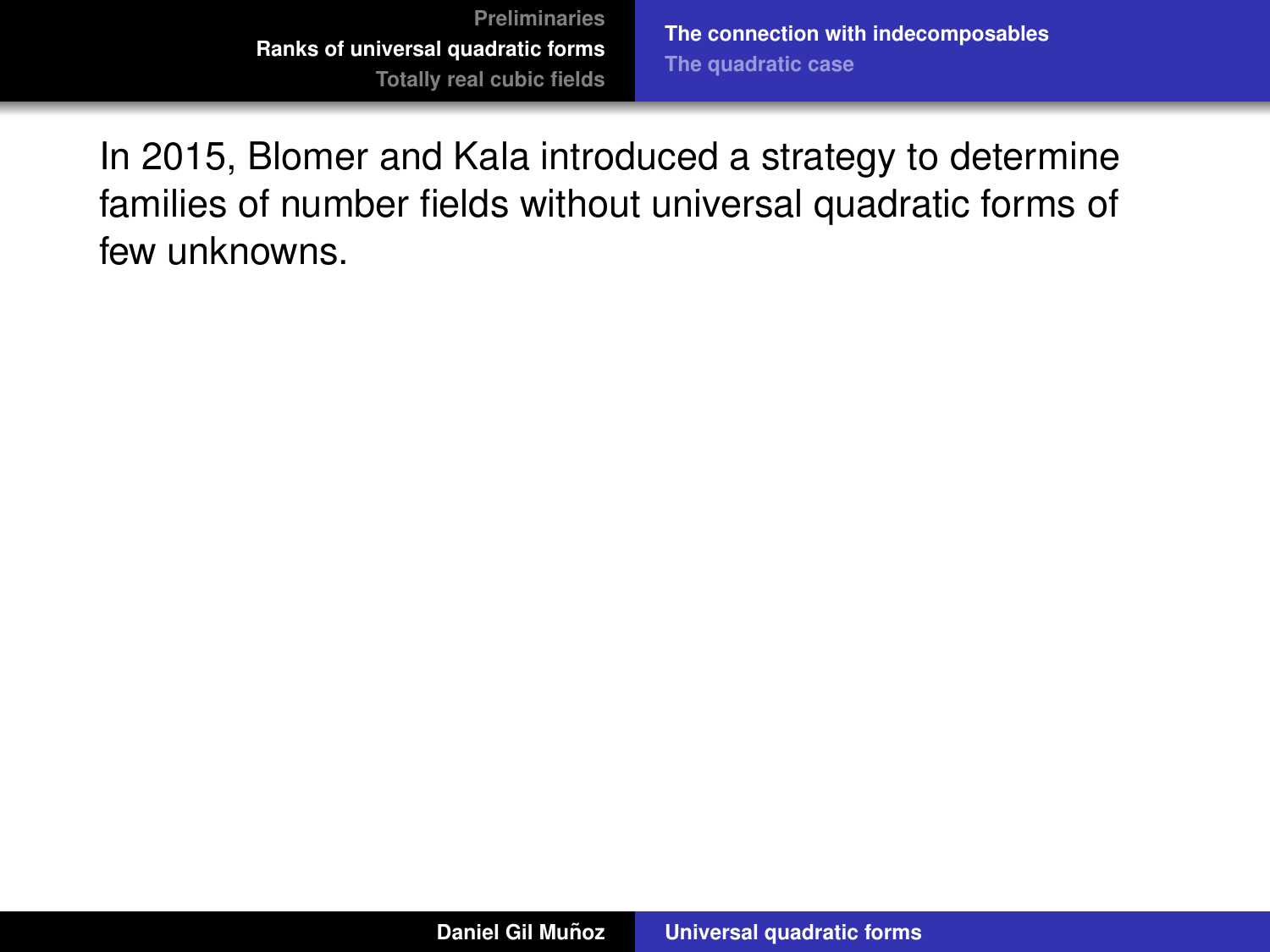In 2015, Blomer and Kala introduced a strategy to determine families of number fields without universal quadratic forms of few unknowns.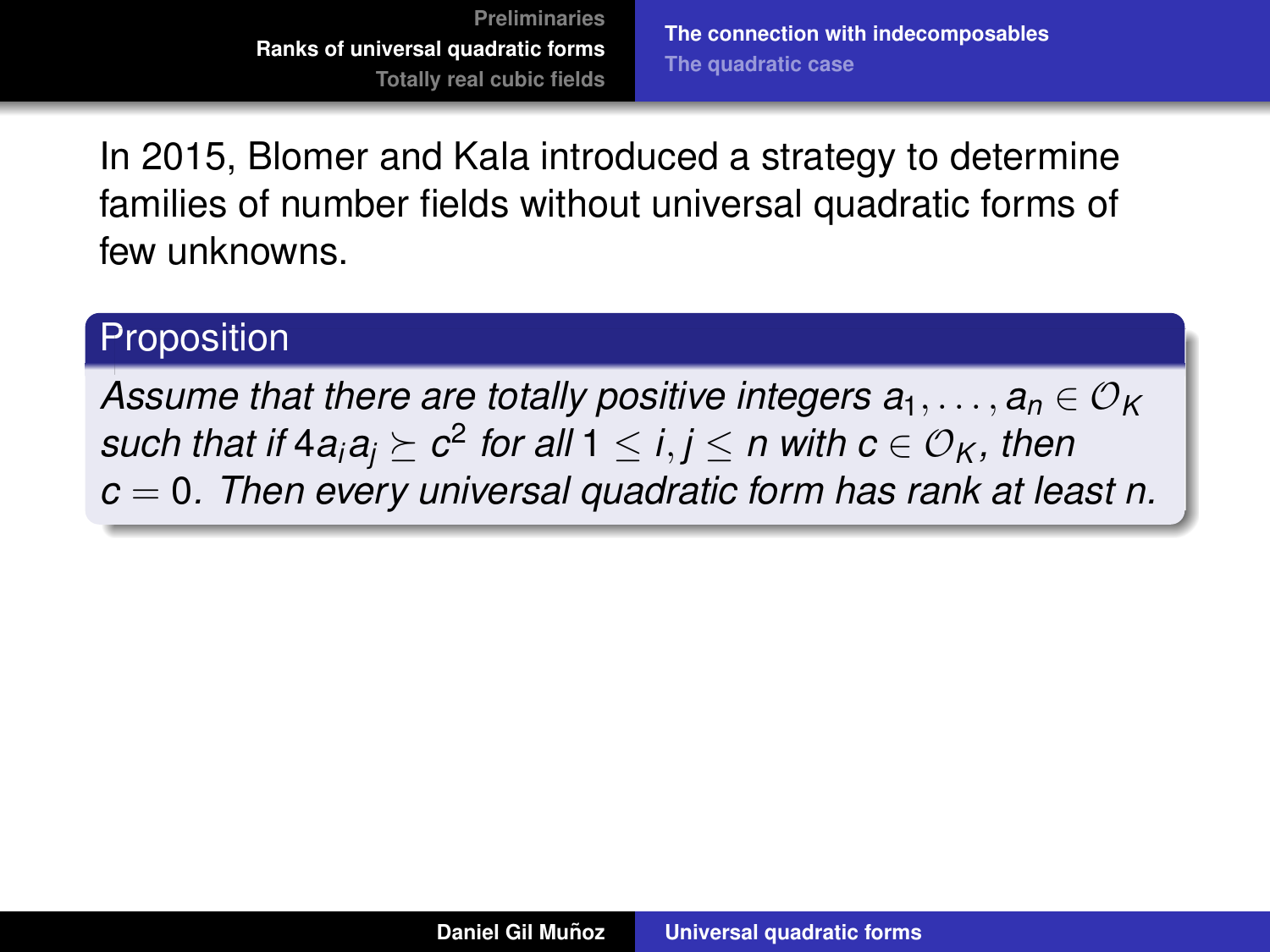In 2015, Blomer and Kala introduced a strategy to determine families of number fields without universal quadratic forms of few unknowns.

# **Proposition**

*Assume that there are totally positive integers*  $a_1, \ldots, a_n \in \mathcal{O}_K$  $\mathcal{S}$  *such that if*  $4a_i a_j \succeq c^2$  *for all*  $1 \leq i,j \leq n$  *with*  $c \in \mathcal{O}_K$  *, then c* = 0*. Then every universal quadratic form has rank at least n.*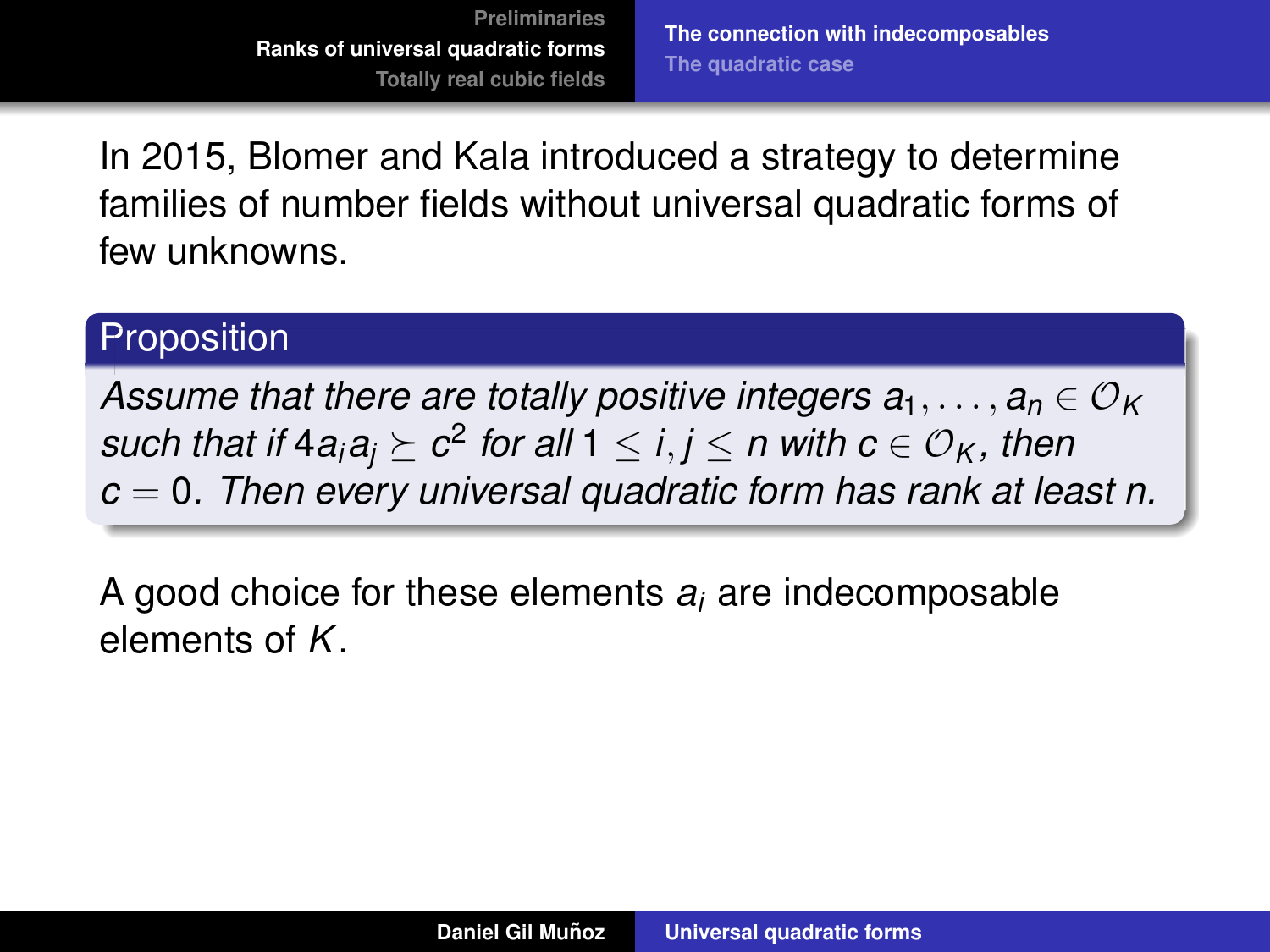In 2015, Blomer and Kala introduced a strategy to determine families of number fields without universal quadratic forms of few unknowns.

# **Proposition**

*Assume that there are totally positive integers*  $a_1, \ldots, a_n \in \mathcal{O}_K$  $\mathcal{S}$  *such that if*  $4a_i a_j \succeq c^2$  *for all*  $1 \leq i,j \leq n$  *with*  $c \in \mathcal{O}_K$  *, then c* = 0*. Then every universal quadratic form has rank at least n.*

A good choice for these elements *a<sup>i</sup>* are indecomposable elements of *K*.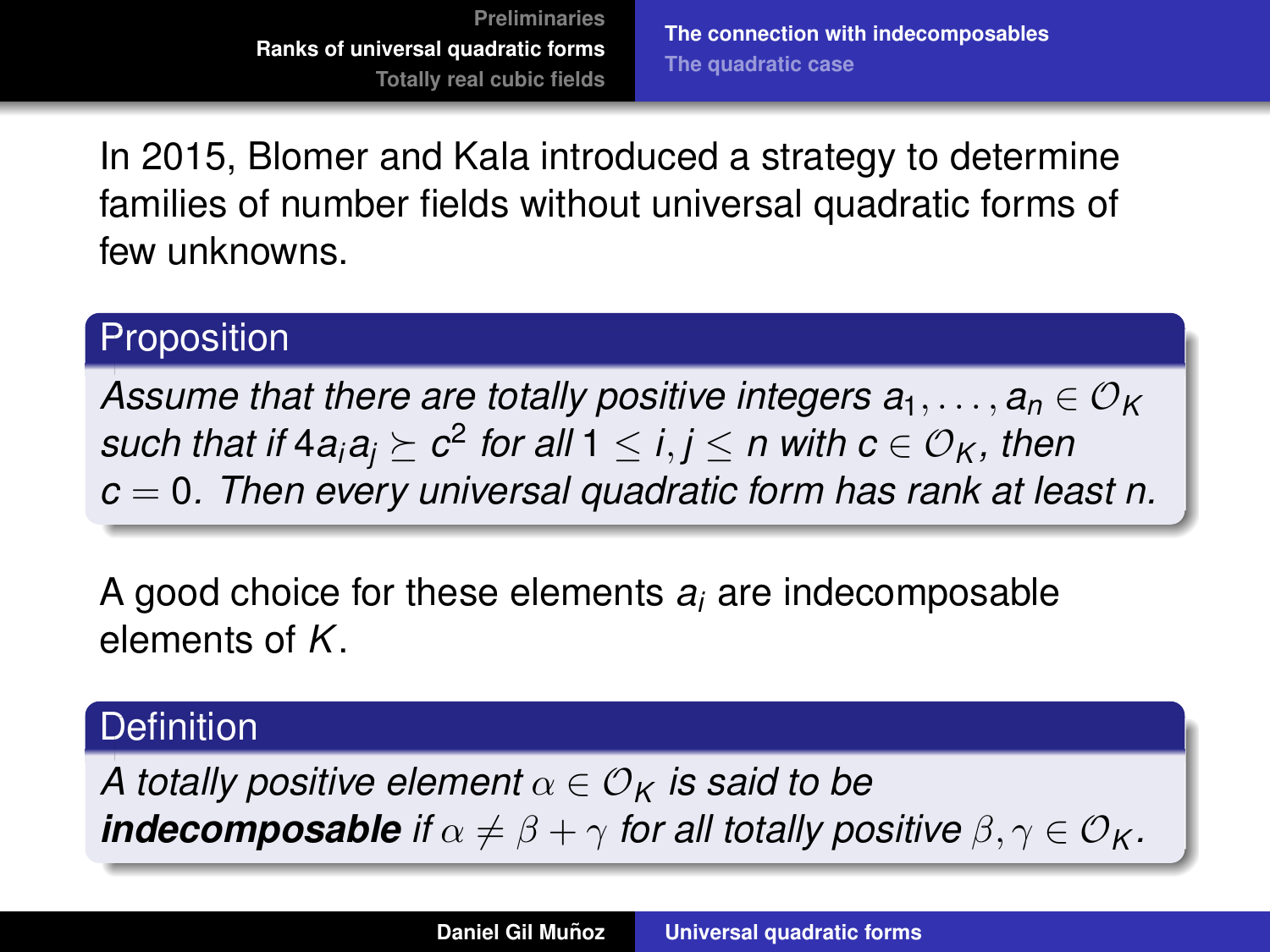**[The connection with indecomposables](#page-30-0) [The quadratic case](#page-39-0)**

In 2015, Blomer and Kala introduced a strategy to determine families of number fields without universal quadratic forms of few unknowns.

## **Proposition**

*Assume that there are totally positive integers*  $a_1, \ldots, a_n \in \mathcal{O}_K$  $\mathcal{S}$  *such that if*  $4a_i a_j \succeq c^2$  *for all*  $1 \leq i,j \leq n$  *with*  $c \in \mathcal{O}_K$  *, then c* = 0*. Then every universal quadratic form has rank at least n.*

A good choice for these elements *a<sup>i</sup>* are indecomposable elements of *K*.

# **Definition**

*A totally positive element*  $\alpha \in \mathcal{O}_K$  *is said to be indecomposable if*  $\alpha \neq \beta + \gamma$  *for all totally positive*  $\beta, \gamma \in \mathcal{O}_K$ *.*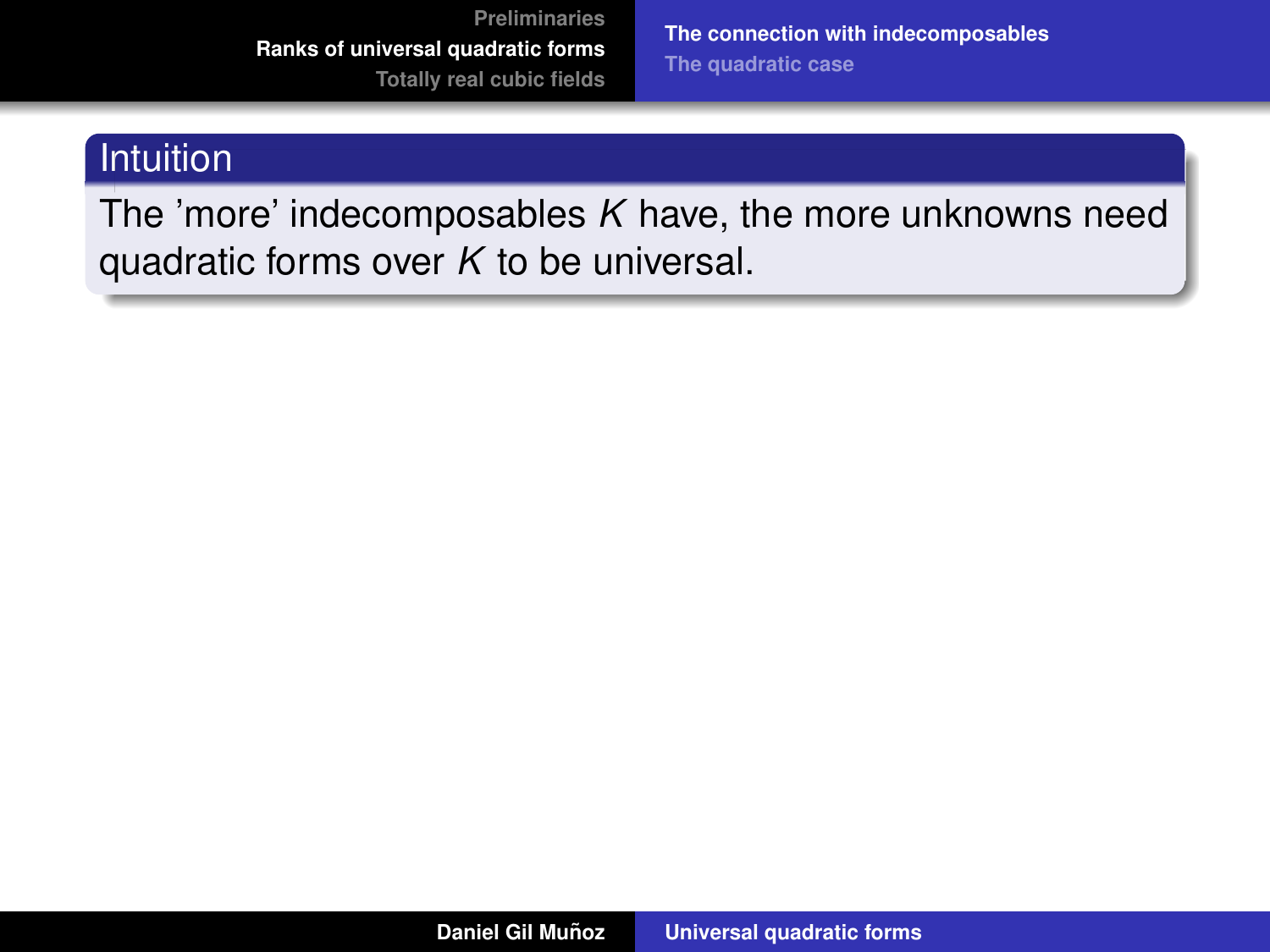**[The connection with indecomposables](#page-30-0) [The quadratic case](#page-39-0)**

# Intuition

The 'more' indecomposables *K* have, the more unknowns need quadratic forms over *K* to be universal.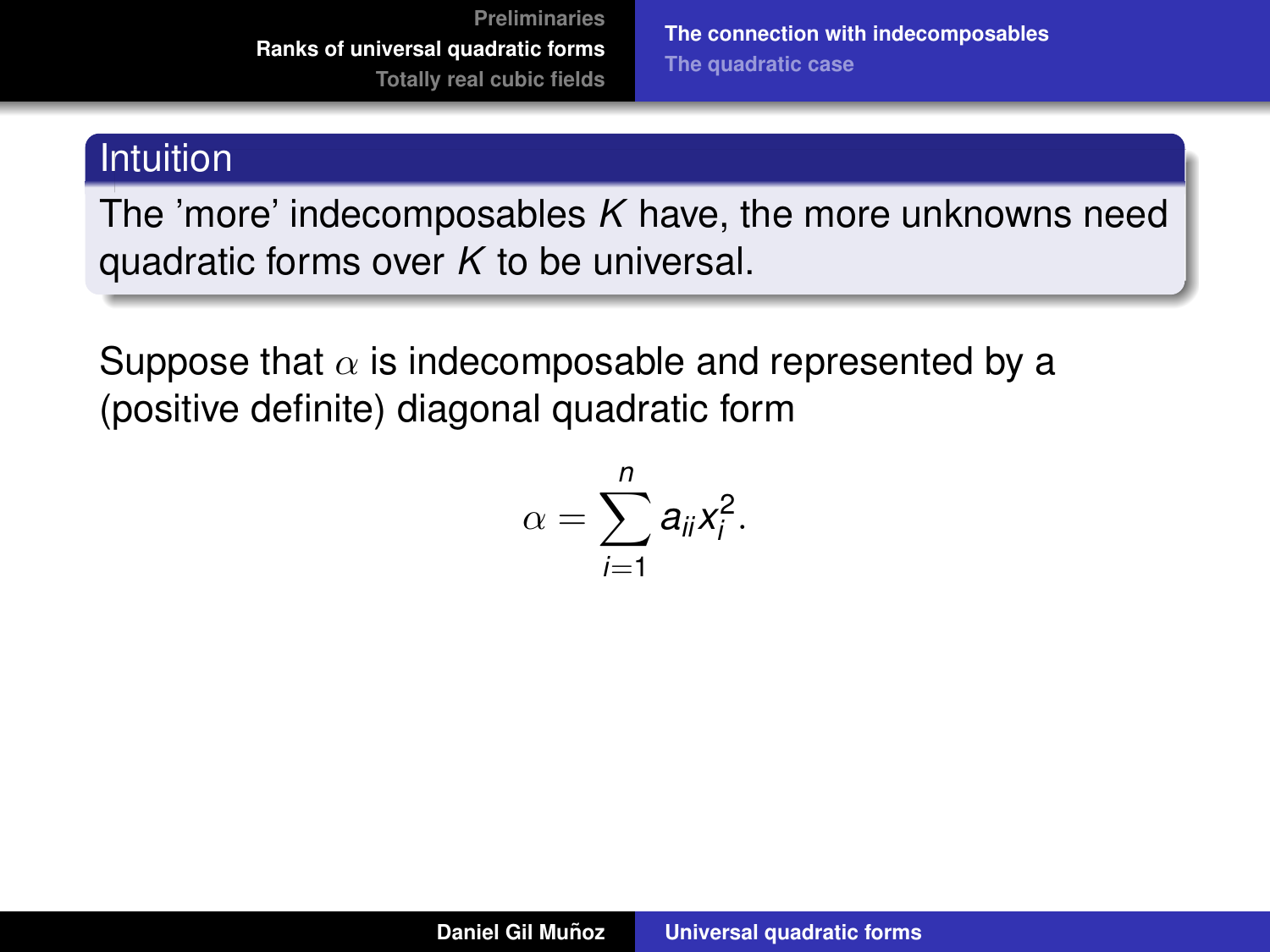**[The connection with indecomposables](#page-30-0) [The quadratic case](#page-39-0)**

#### Intuition

The 'more' indecomposables *K* have, the more unknowns need quadratic forms over *K* to be universal.

Suppose that  $\alpha$  is indecomposable and represented by a (positive definite) diagonal quadratic form

$$
\alpha=\sum_{i=1}^n a_{ii}x_i^2.
$$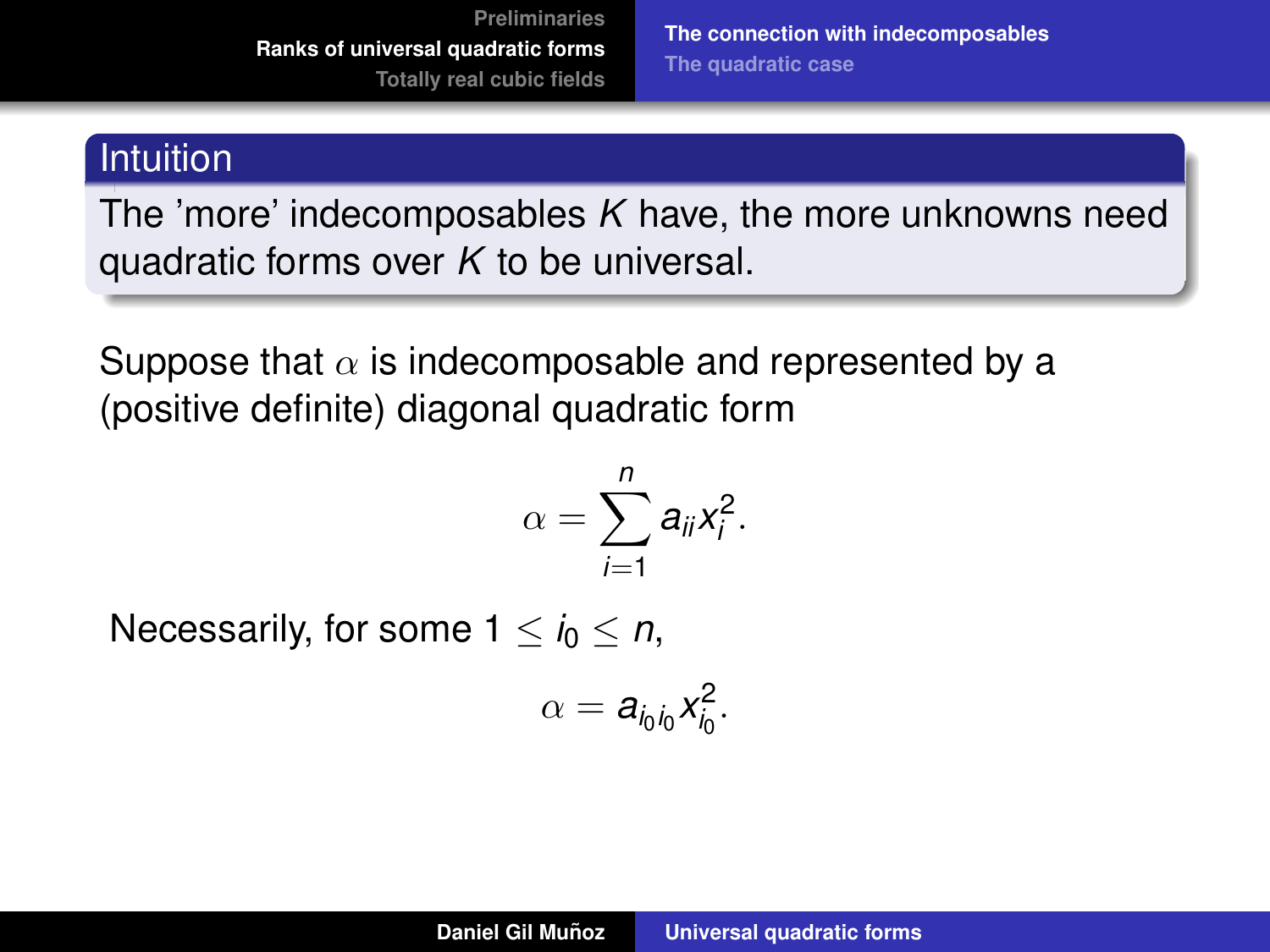**[The connection with indecomposables](#page-30-0) [The quadratic case](#page-39-0)**

#### **Intuition**

The 'more' indecomposables *K* have, the more unknowns need quadratic forms over *K* to be universal.

Suppose that  $\alpha$  is indecomposable and represented by a (positive definite) diagonal quadratic form

$$
\alpha=\sum_{i=1}^n a_{ii}x_i^2.
$$

Necessarily, for some  $1 \leq i_0 \leq n$ ,

$$
\alpha = a_{i_0i_0}x_{i_0}^2.
$$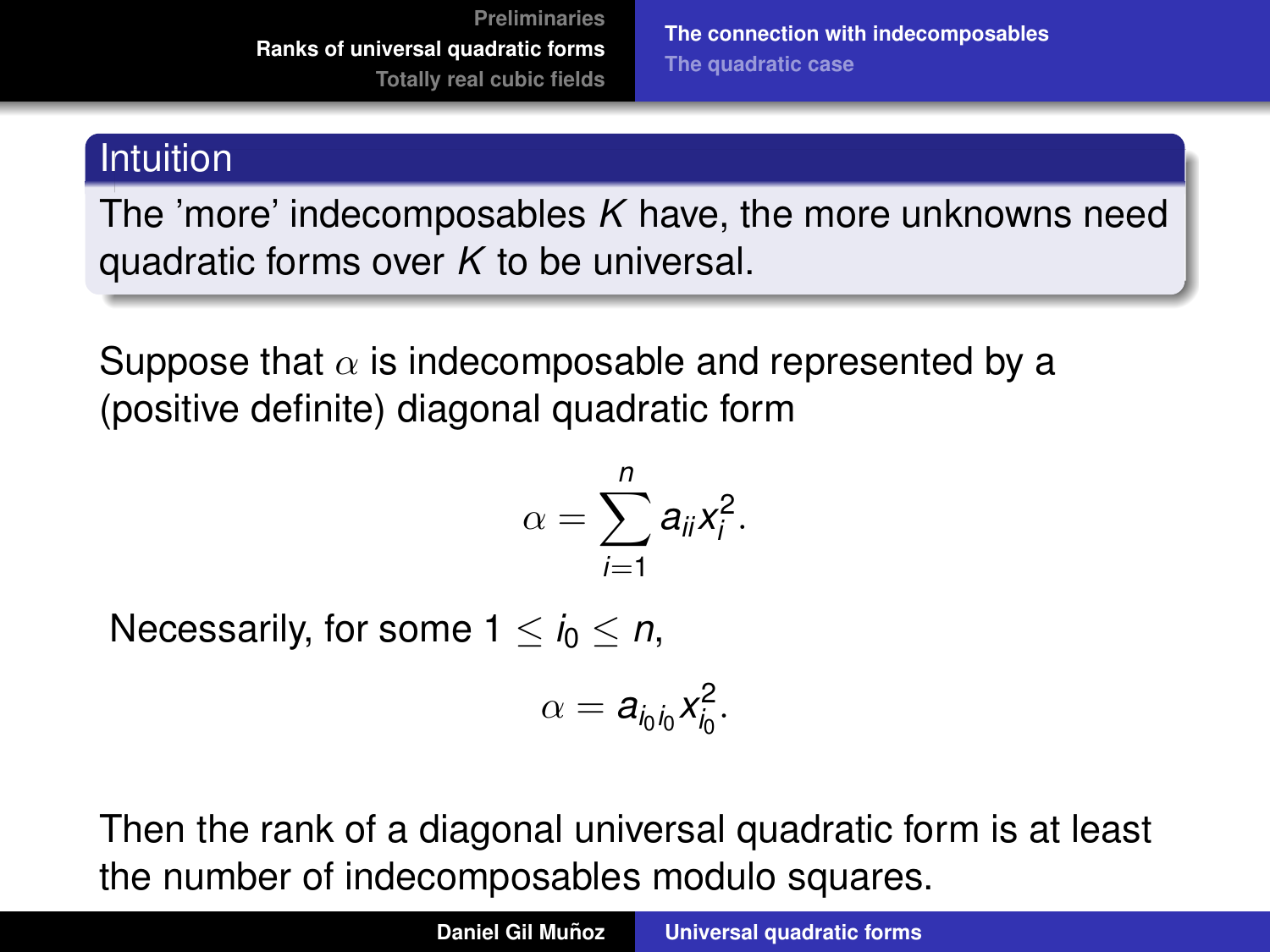**[The connection with indecomposables](#page-30-0) [The quadratic case](#page-39-0)**

### **Intuition**

The 'more' indecomposables *K* have, the more unknowns need quadratic forms over *K* to be universal.

Suppose that  $\alpha$  is indecomposable and represented by a (positive definite) diagonal quadratic form

$$
\alpha=\sum_{i=1}^n a_{ii}x_i^2.
$$

Necessarily, for some  $1 \leq i_0 \leq n$ ,

$$
\alpha = a_{i_0i_0}x_{i_0}^2.
$$

Then the rank of a diagonal universal quadratic form is at least the number of indecomposables modulo squares.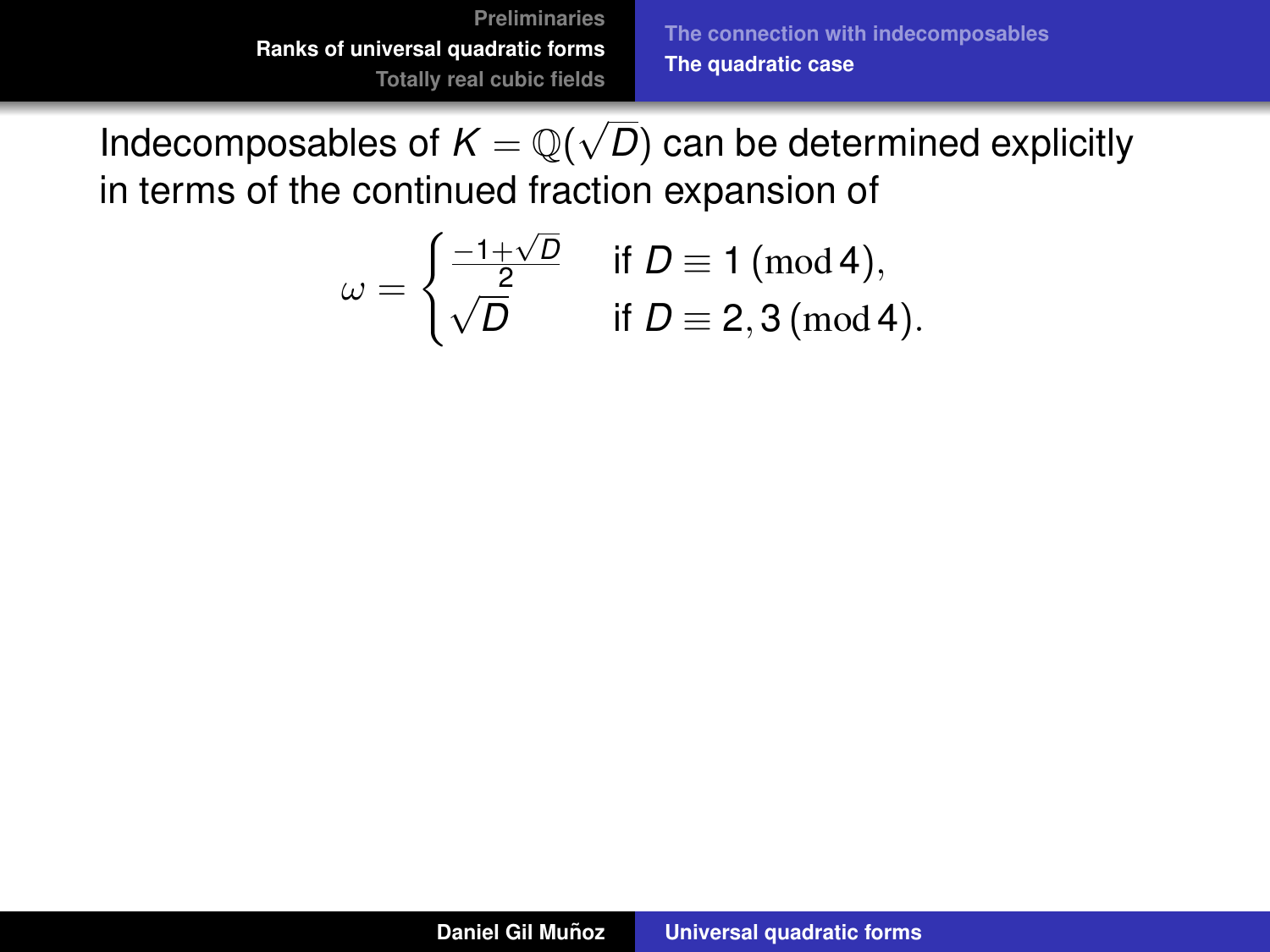<span id="page-39-0"></span>
$$
\omega = \begin{cases} \frac{-1+\sqrt{D}}{2} & \text{if } D \equiv 1 \text{ (mod 4)}, \\ \sqrt{D} & \text{if } D \equiv 2, 3 \text{ (mod 4)}. \end{cases}
$$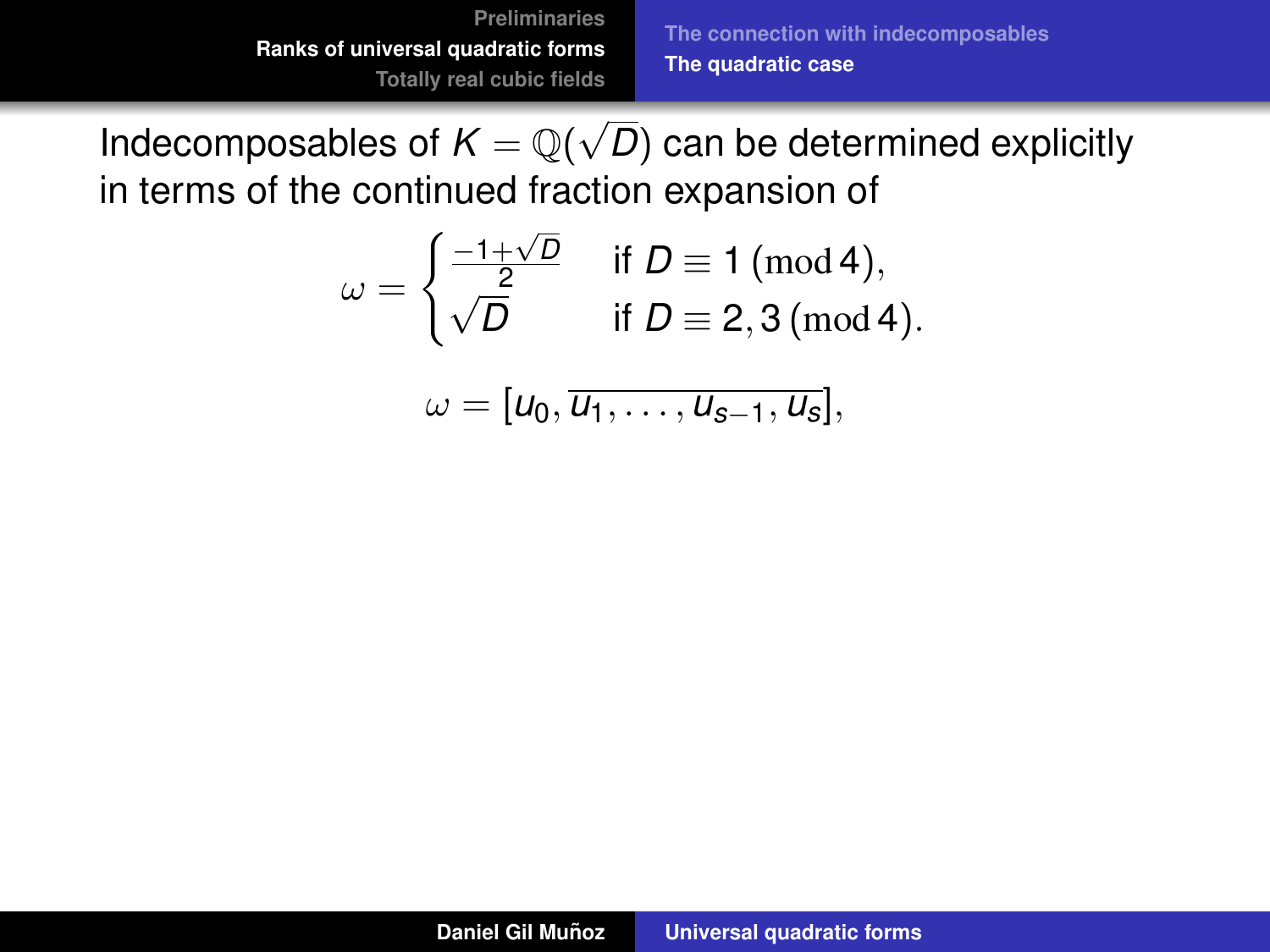$$
\omega = \begin{cases} \frac{-1+\sqrt{D}}{2} & \text{if } D \equiv 1 \text{ (mod 4)}, \\ \sqrt{D} & \text{if } D \equiv 2, 3 \text{ (mod 4)}. \end{cases}
$$

$$
\omega=[u_0,\overline{u_1,\ldots,u_{s-1},u_s}],
$$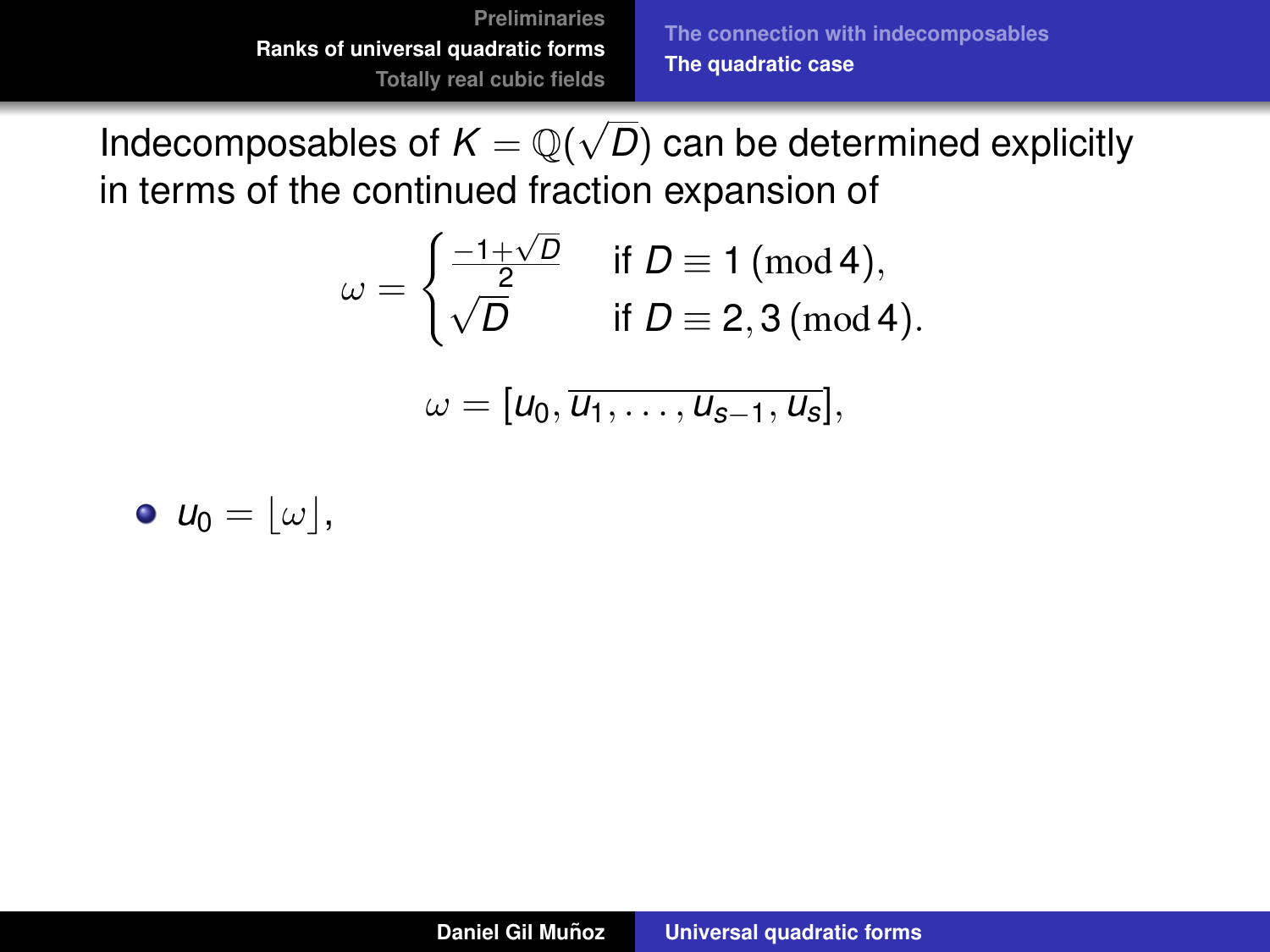$$
\omega = \begin{cases} \frac{-1+\sqrt{D}}{2} & \text{if } D \equiv 1 \text{ (mod 4)}, \\ \sqrt{D} & \text{if } D \equiv 2, 3 \text{ (mod 4)}. \end{cases}
$$

$$
\omega=[u_0,\overline{u_1,\ldots,u_{s-1},u_s}],
$$

$$
\bullet \ \mathbf{u}_0 = \lfloor \omega \rfloor,
$$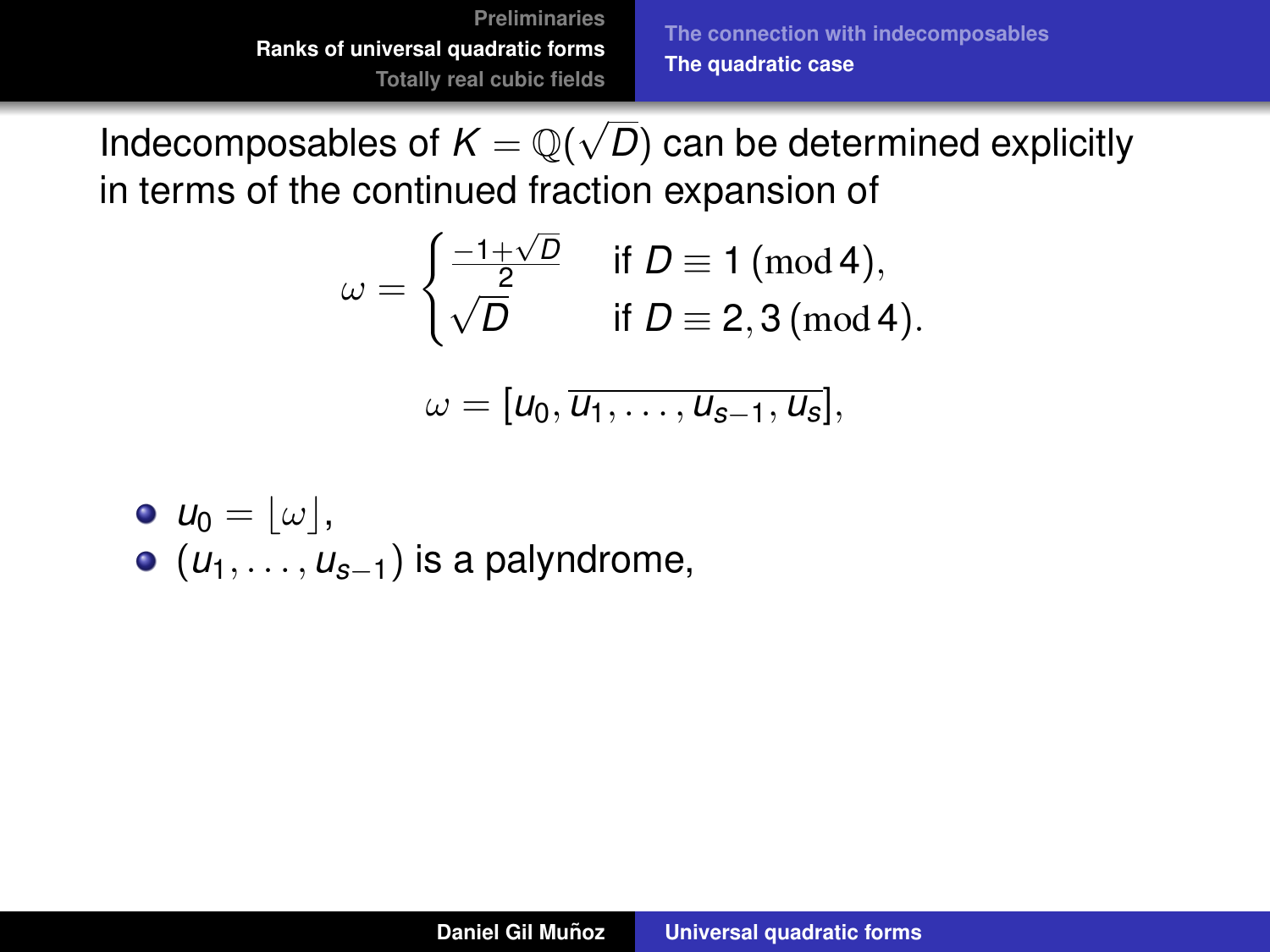$$
\omega = \begin{cases} \frac{-1+\sqrt{D}}{2} & \text{if } D \equiv 1 \text{ (mod 4)}, \\ \sqrt{D} & \text{if } D \equiv 2, 3 \text{ (mod 4)}. \end{cases}
$$

$$
\omega=[u_0,\overline{u_1,\ldots,u_{s-1},u_s}],
$$

\n- $$
u_0 = \lfloor \omega \rfloor
$$
\n- $(u_1, \ldots, u_{s-1})$  is a polyndrome,
\n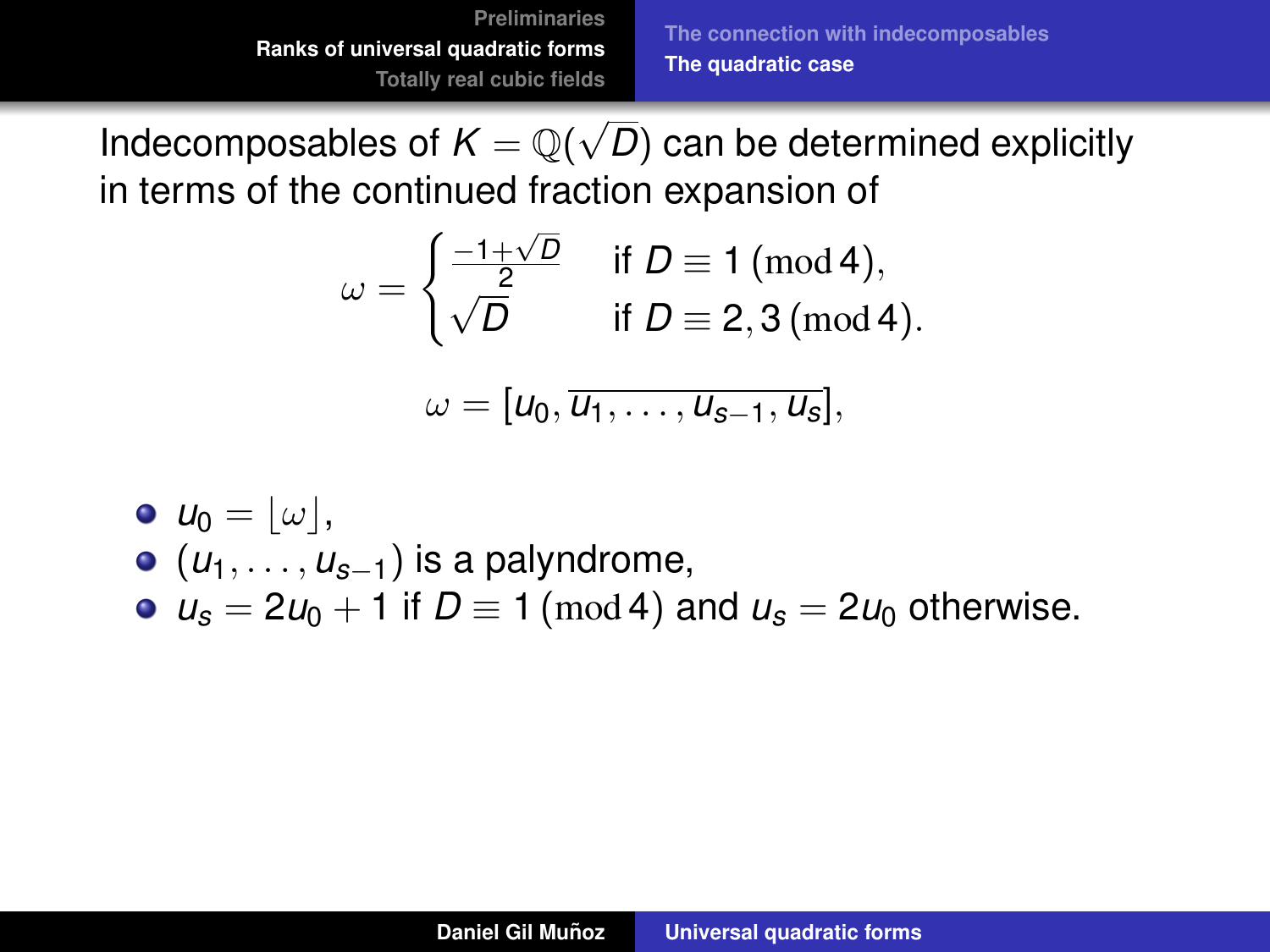$$
\omega = \begin{cases} \frac{-1+\sqrt{D}}{2} & \text{if } D \equiv 1 \text{ (mod 4)}, \\ \sqrt{D} & \text{if } D \equiv 2, 3 \text{ (mod 4)}. \end{cases}
$$

$$
\omega=[u_0,\overline{u_1,\ldots,u_{s-1},u_s}],
$$

\n- $$
u_0 = \lfloor \omega \rfloor
$$
,
\n- $(u_1, \ldots, u_{s-1})$  is a polyndrome,
\n- $u_s = 2u_0 + 1$  if  $D \equiv 1 \pmod{4}$  and  $u_s = 2u_0$  otherwise.
\n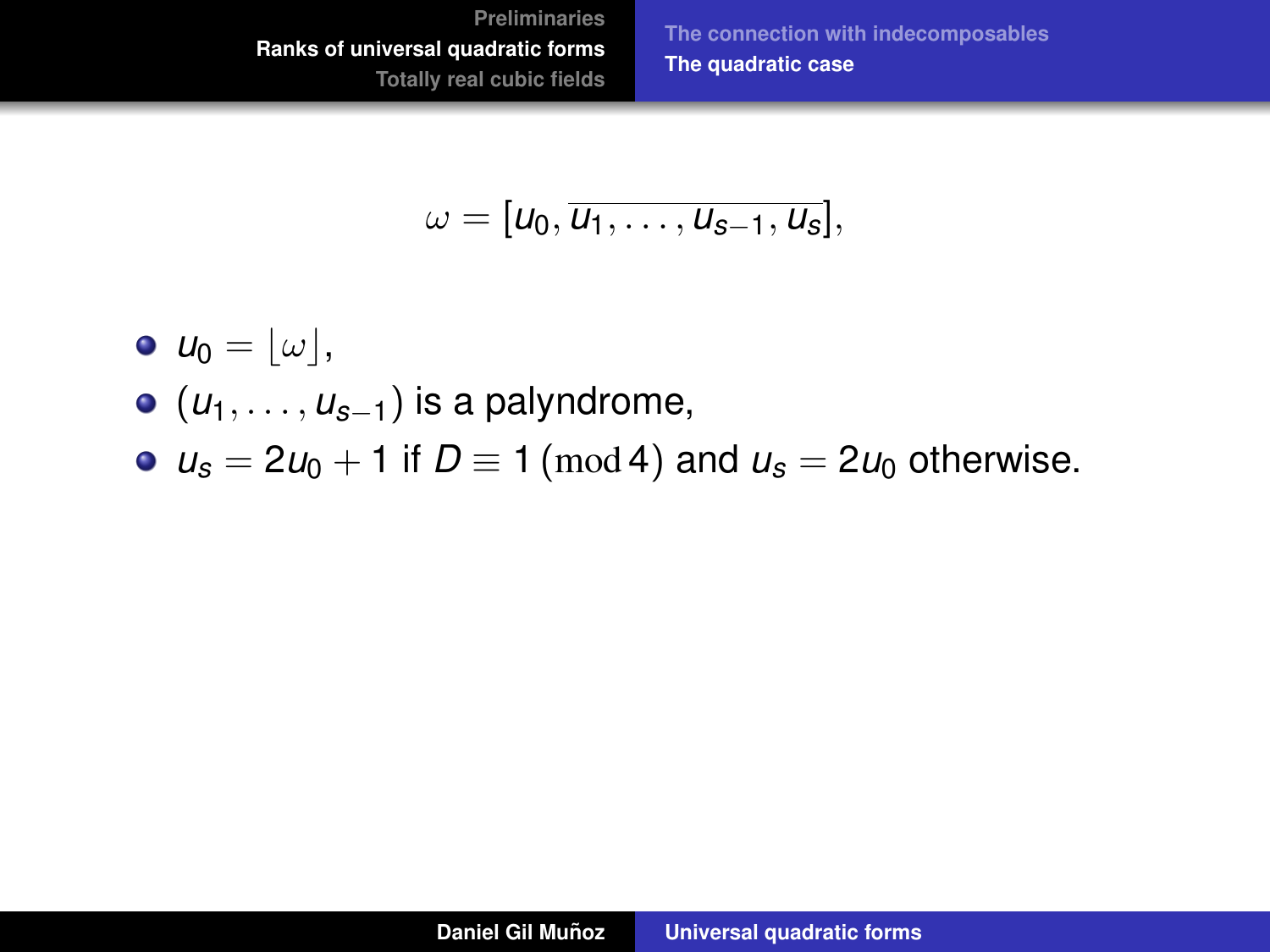**[The connection with indecomposables](#page-30-0) [The quadratic case](#page-47-0)**

$$
\omega=[u_0,\overline{u_1,\ldots,u_{s-1},u_s}],
$$

$$
\bullet \ \ u_0 = \lfloor \omega \rfloor,
$$

- (*u*1, . . . , *us*−1) is a palyndrome,
- $u_s = 2u_0 + 1$  if  $D \equiv 1 \pmod{4}$  and  $u_s = 2u_0$  otherwise.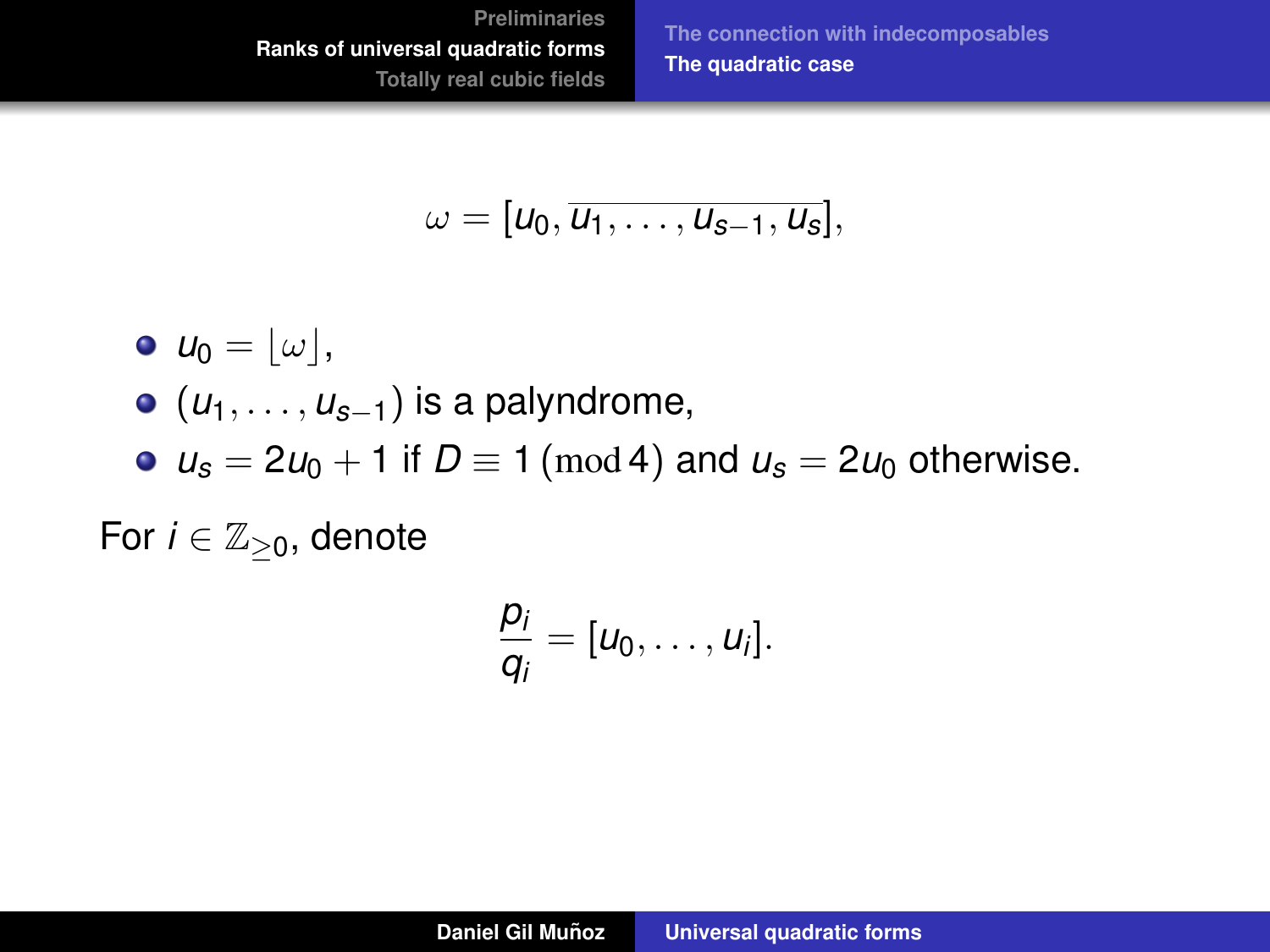**[The connection with indecomposables](#page-30-0) [The quadratic case](#page-47-0)**

$$
\omega=[u_0,\overline{u_1,\ldots,u_{s-1},u_s}],
$$

$$
\bullet \ \ u_0 = \lfloor \omega \rfloor,
$$

- (*u*1, . . . , *us*−1) is a palyndrome,
- $u_s = 2u_0 + 1$  if  $D \equiv 1 \pmod{4}$  and  $u_s = 2u_0$  otherwise.

For  $i \in \mathbb{Z}_{\geq 0}$ , denote

$$
\frac{p_i}{q_i}=[u_0,\ldots,u_i].
$$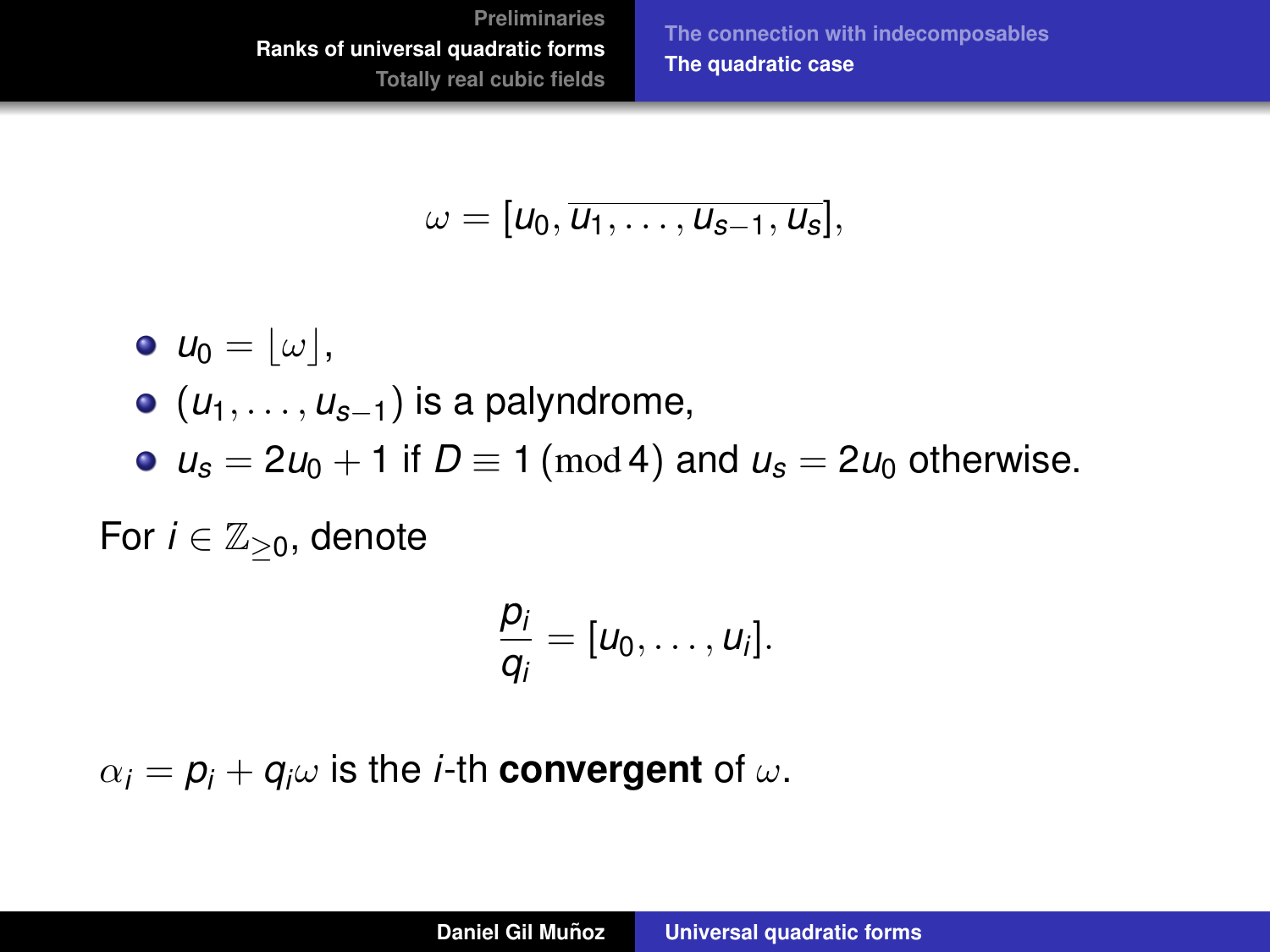**[The connection with indecomposables](#page-30-0) [The quadratic case](#page-47-0)**

$$
\omega=[u_0,\overline{u_1,\ldots,u_{s-1},u_s}],
$$

$$
\bullet \ \ u_0 = \lfloor \omega \rfloor,
$$

- (*u*1, . . . , *us*−1) is a palyndrome,
- $u_s = 2u_0 + 1$  if  $D \equiv 1 \pmod{4}$  and  $u_s = 2u_0$  otherwise.

For  $i \in \mathbb{Z}_{\geq 0}$ , denote

$$
\frac{p_i}{q_i}=[u_0,\ldots,u_i].
$$

 $\alpha_i = p_i + q_i \omega$  is the *i*-th **convergent** of  $\omega$ .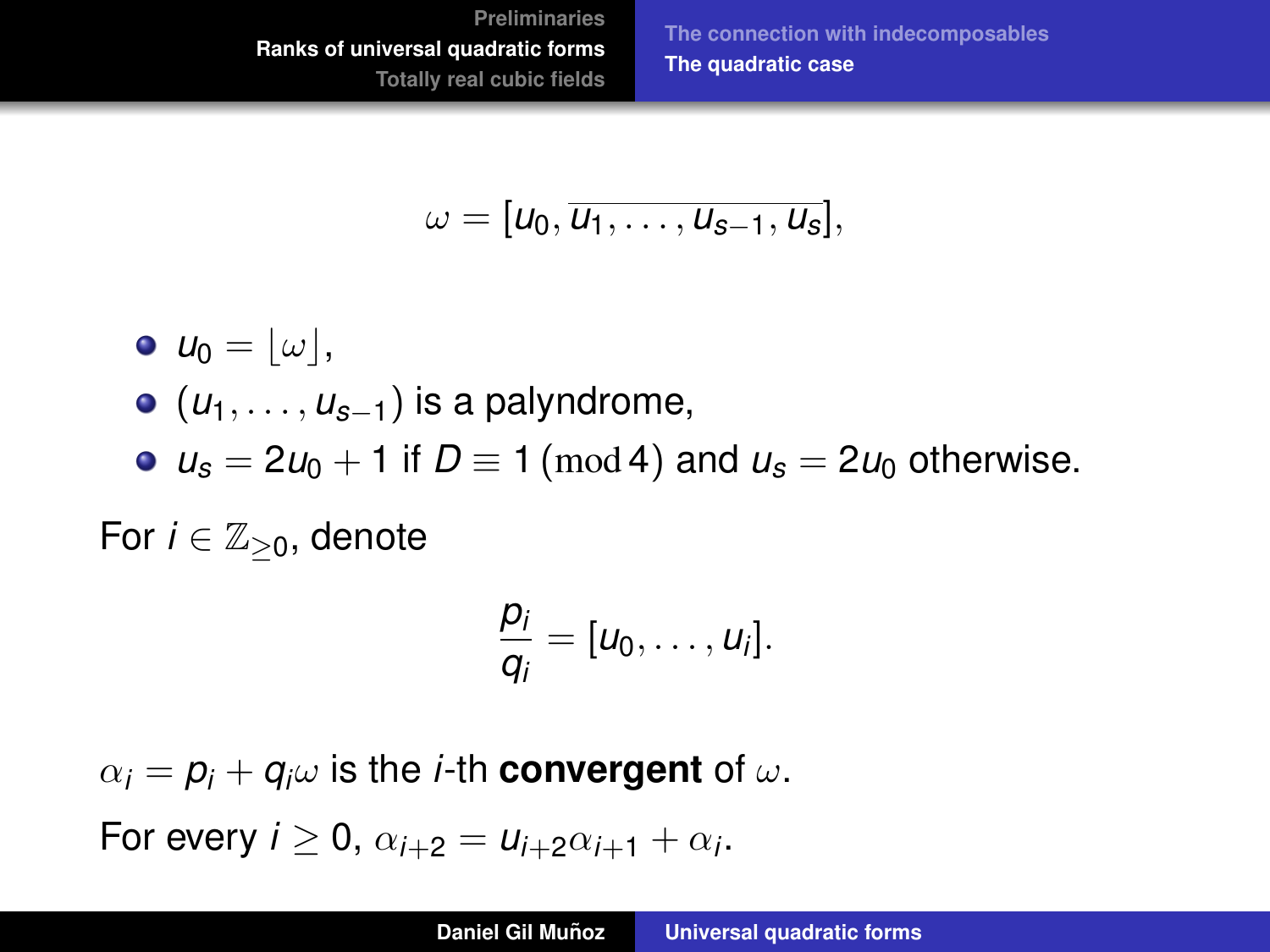**[The connection with indecomposables](#page-30-0) [The quadratic case](#page-39-0)**

$$
\omega=[u_0,\overline{u_1,\ldots,u_{s-1},u_s}],
$$

<span id="page-47-0"></span>
$$
\bullet \ \ u_0 = \lfloor \omega \rfloor,
$$

- $\bullet$  ( $u_1, \ldots, u_{s-1}$ ) is a palyndrome,
- $u_s = 2u_0 + 1$  if  $D \equiv 1 \pmod{4}$  and  $u_s = 2u_0$  otherwise.

For  $i \in \mathbb{Z}_{\geq 0}$ , denote

$$
\frac{p_i}{q_i}=[u_0,\ldots,u_i].
$$

 $\alpha_i = p_i + q_i \omega$  is the *i*-th **convergent** of  $\omega$ .

For every  $i \geq 0$ ,  $\alpha_{i+2} = u_{i+2}\alpha_{i+1} + \alpha_i$ .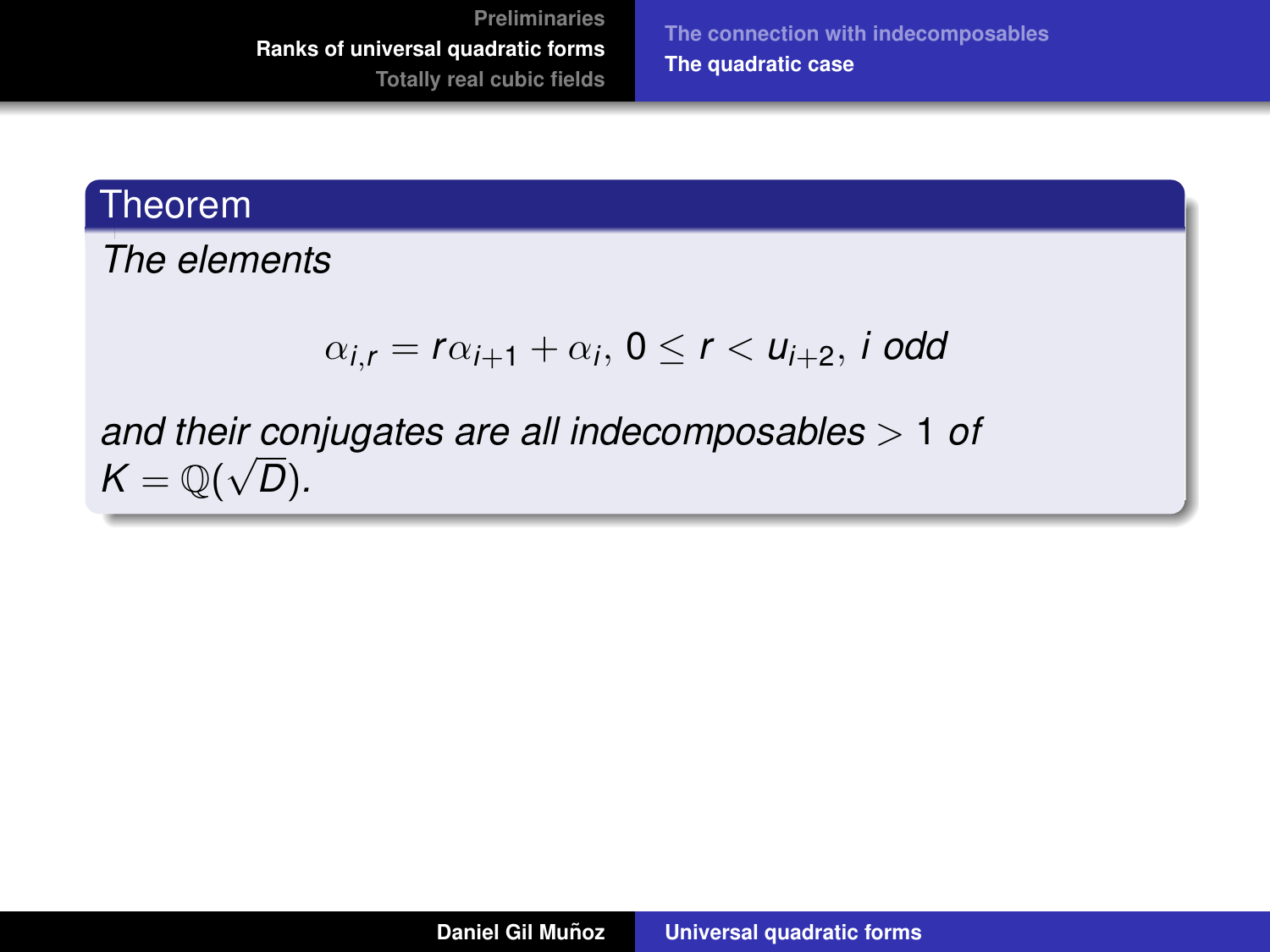**[The connection with indecomposables](#page-30-0) [The quadratic case](#page-39-0)**

#### Theorem

*The elements*

$$
\alpha_{i,r}=r\alpha_{i+1}+\alpha_i,\,0\leq r<\mathsf{u}_{i+2},\,i\,\,\text{odd}
$$

*and their conjugates are all indecomposables* > 1 *of* √  $\mathcal{K} = \mathbb{Q}(\sqrt{D}).$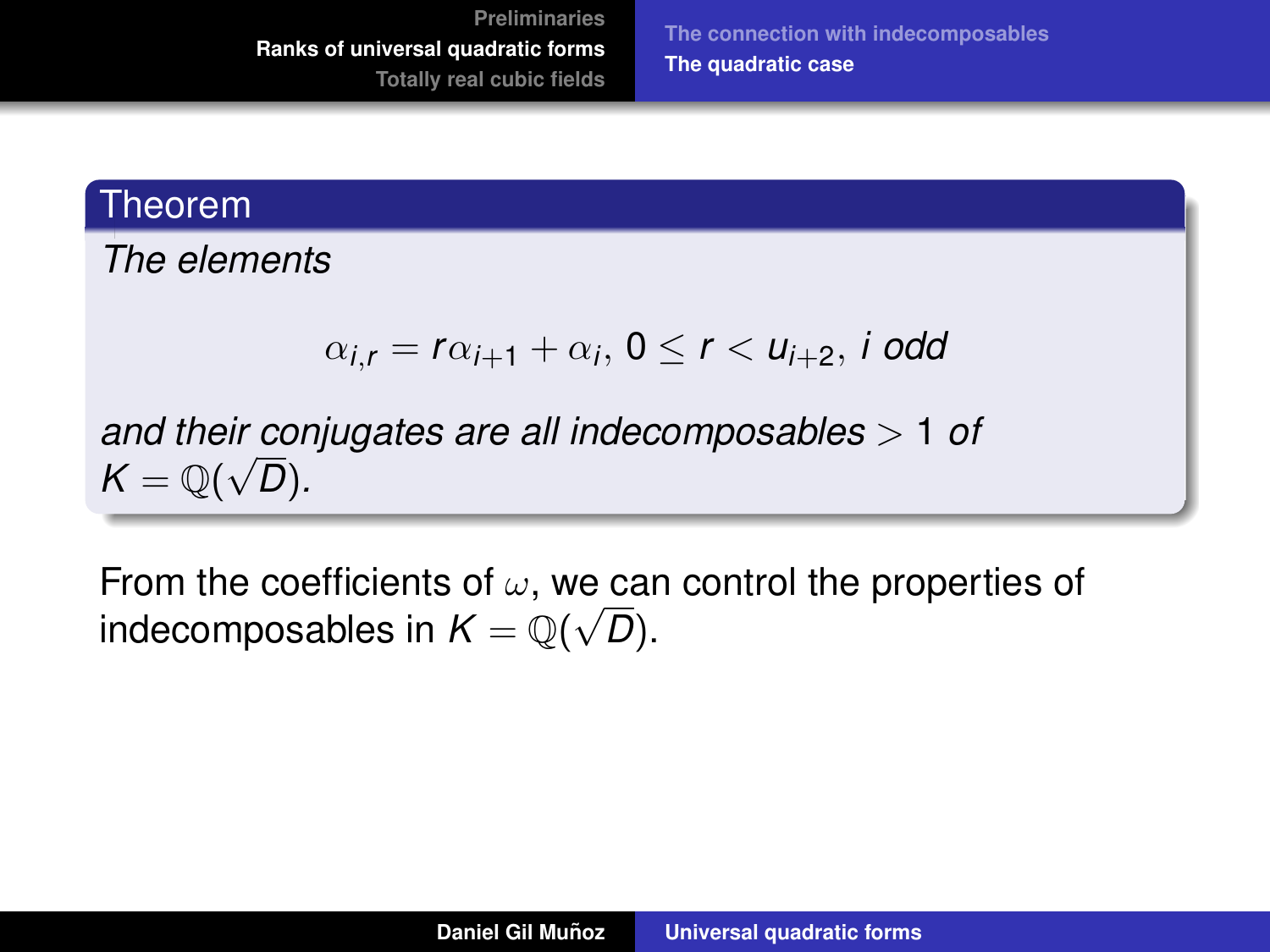**[The connection with indecomposables](#page-30-0) [The quadratic case](#page-39-0)**

#### **Theorem**

*The elements*

$$
\alpha_{i,r}=r\alpha_{i+1}+\alpha_i,\,0\leq r<\mathsf{u}_{i+2},\,i\,\,\text{odd}
$$

*and their conjugates are all indecomposables* > 1 *of* √  $\mathcal{K} = \mathbb{Q}(\sqrt{D}).$ 

From the coefficients of  $\omega$ , we can control the properties of indecomposables in  $\mathcal{K}=\mathbb{Q}(\sqrt{D}).$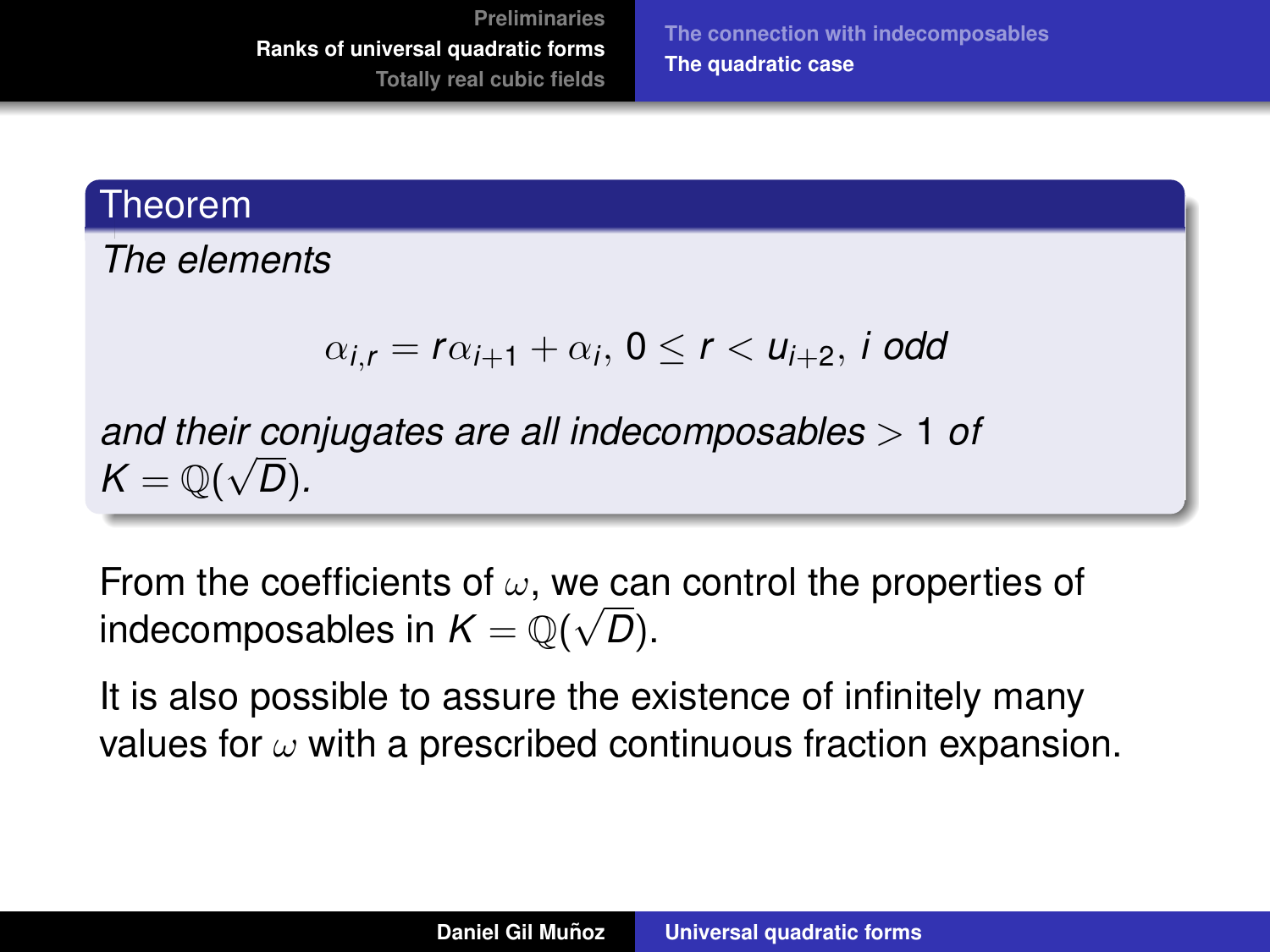**[The connection with indecomposables](#page-30-0) [The quadratic case](#page-39-0)**

#### Theorem

*The elements*

$$
\alpha_{i,r}=r\alpha_{i+1}+\alpha_i,\,0\leq r<\mathsf{u}_{i+2},\,i\,\,\text{odd}
$$

*and their conjugates are all indecomposables* > 1 *of* √  $\mathcal{K} = \mathbb{Q}(\sqrt{D}).$ 

From the coefficients of  $\omega$ , we can control the properties of indecomposables in  $\mathcal{K}=\mathbb{Q}(\sqrt{D}).$ 

It is also possible to assure the existence of infinitely many values for  $\omega$  with a prescribed continuous fraction expansion.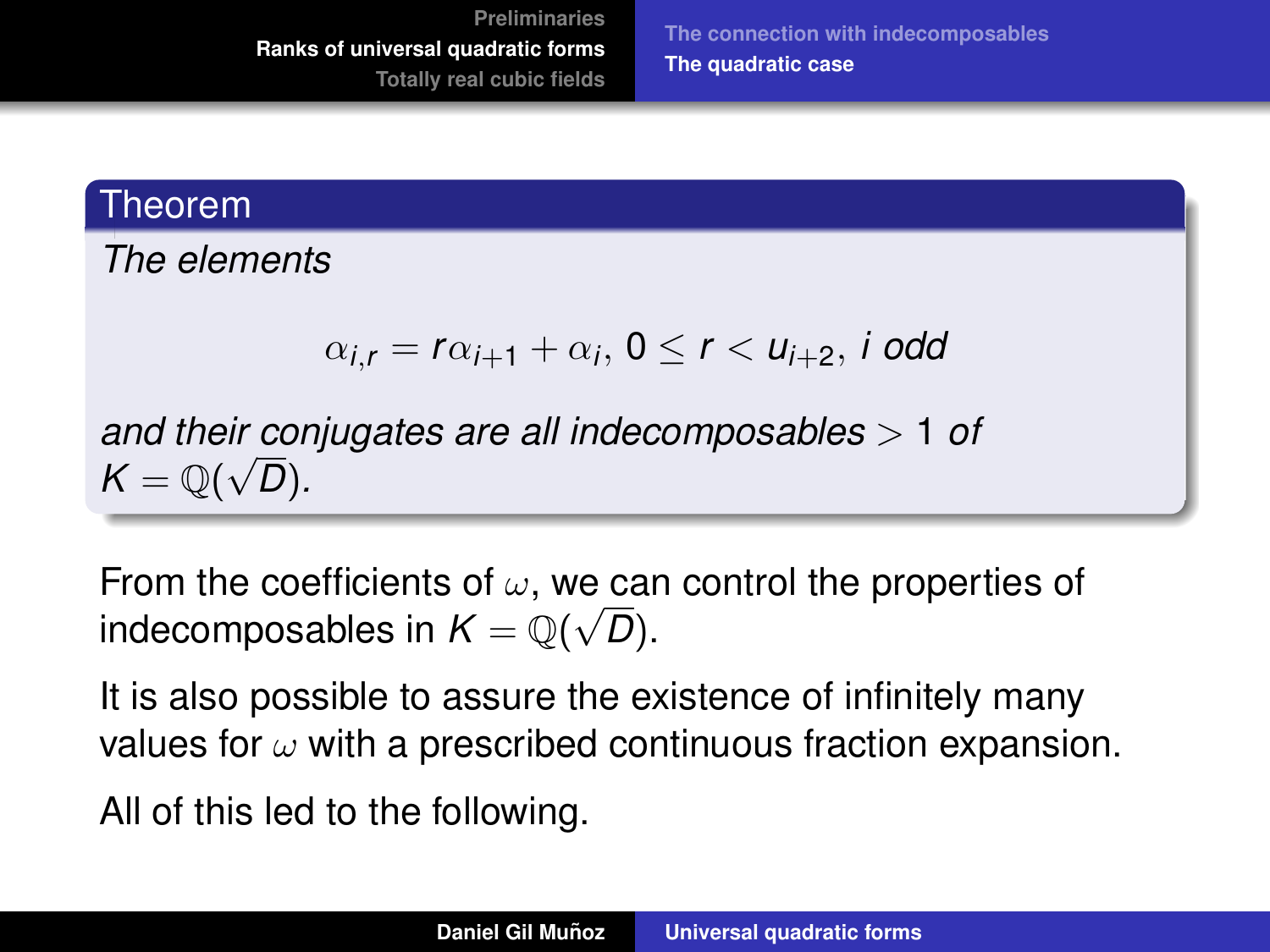**[The connection with indecomposables](#page-30-0) [The quadratic case](#page-39-0)**

#### Theorem

*The elements*

$$
\alpha_{i,r}=r\alpha_{i+1}+\alpha_i,\,0\leq r<\mathsf{u}_{i+2},\,i\,\,\text{odd}
$$

*and their conjugates are all indecomposables* > 1 *of* √  $\mathcal{K} = \mathbb{Q}(\sqrt{D}).$ 

From the coefficients of  $\omega$ , we can control the properties of indecomposables in  $\mathcal{K}=\mathbb{Q}(\sqrt{D}).$ 

It is also possible to assure the existence of infinitely many values for  $\omega$  with a prescribed continuous fraction expansion.

All of this led to the following.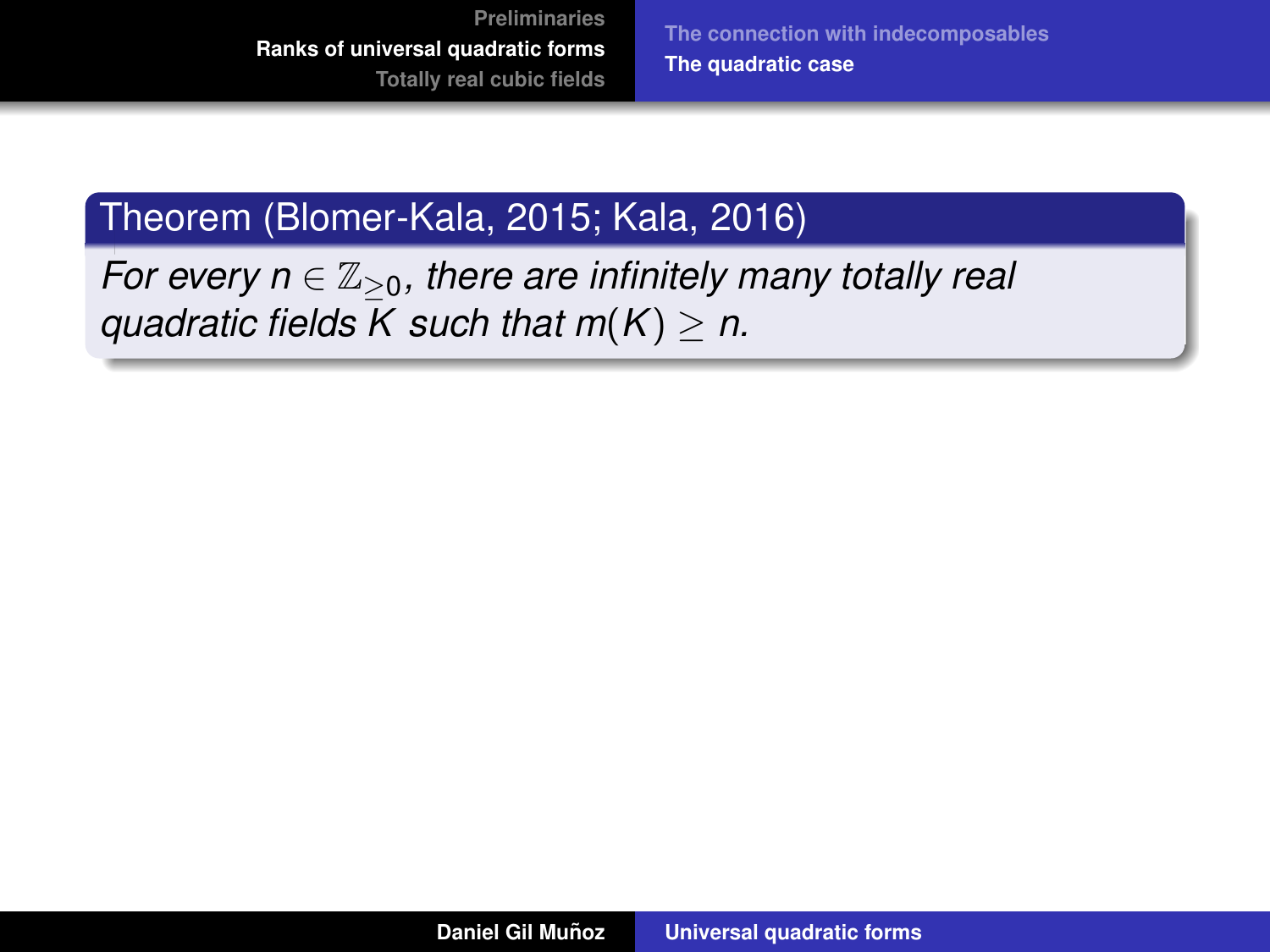**[The connection with indecomposables](#page-30-0) [The quadratic case](#page-39-0)**

### Theorem (Blomer-Kala, 2015; Kala, 2016)

*For every n*  $\in \mathbb{Z}_{\geq 0}$ , there are infinitely many totally real *guadratic fields K such that*  $m(K) \geq n$ *.*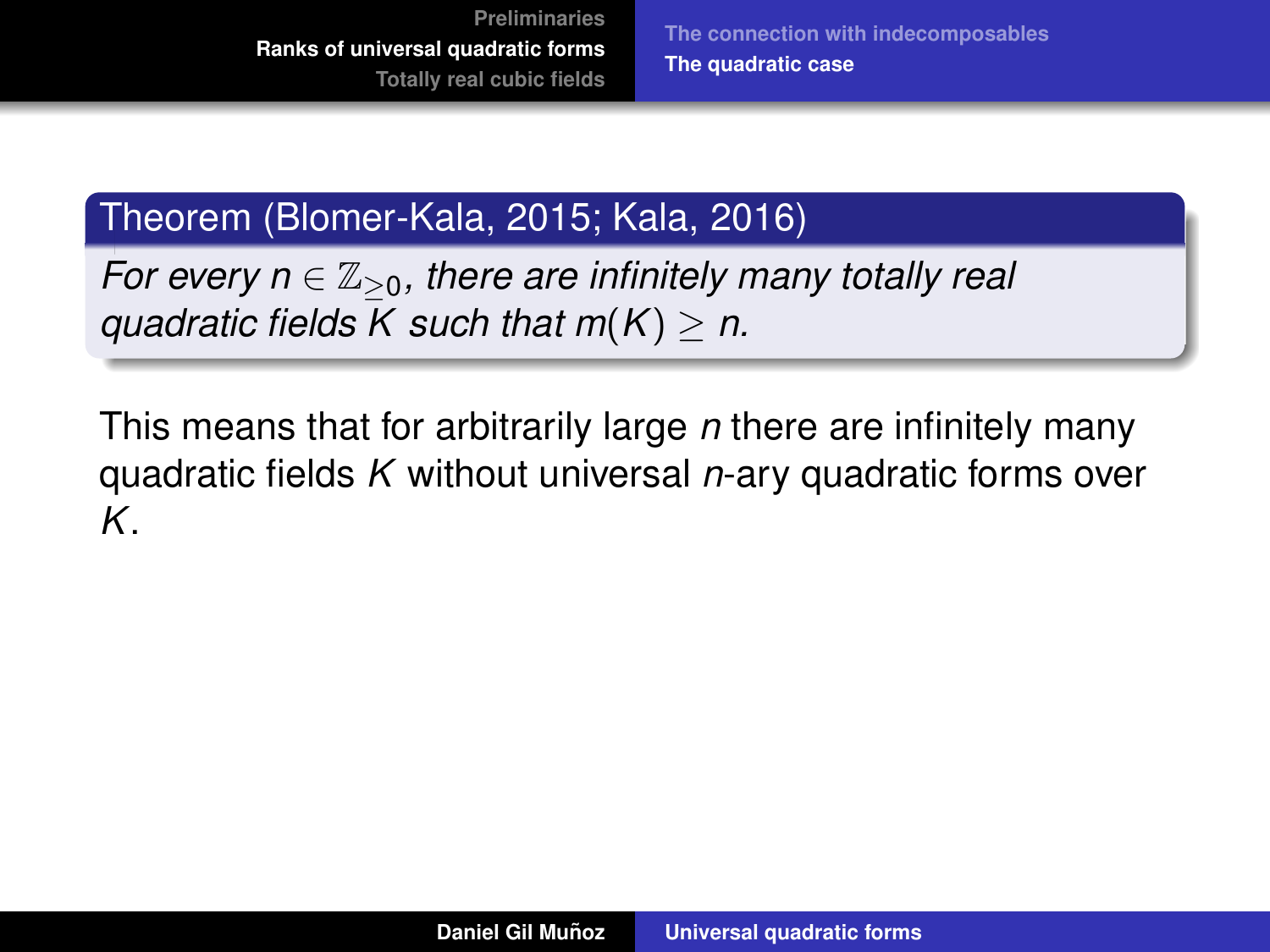## Theorem (Blomer-Kala, 2015; Kala, 2016)

*For every n*  $\in \mathbb{Z}_{\geq 0}$ , there are infinitely many totally real *guadratic fields K such that*  $m(K) > n$ *.* 

This means that for arbitrarily large *n* there are infinitely many quadratic fields *K* without universal *n*-ary quadratic forms over *K*.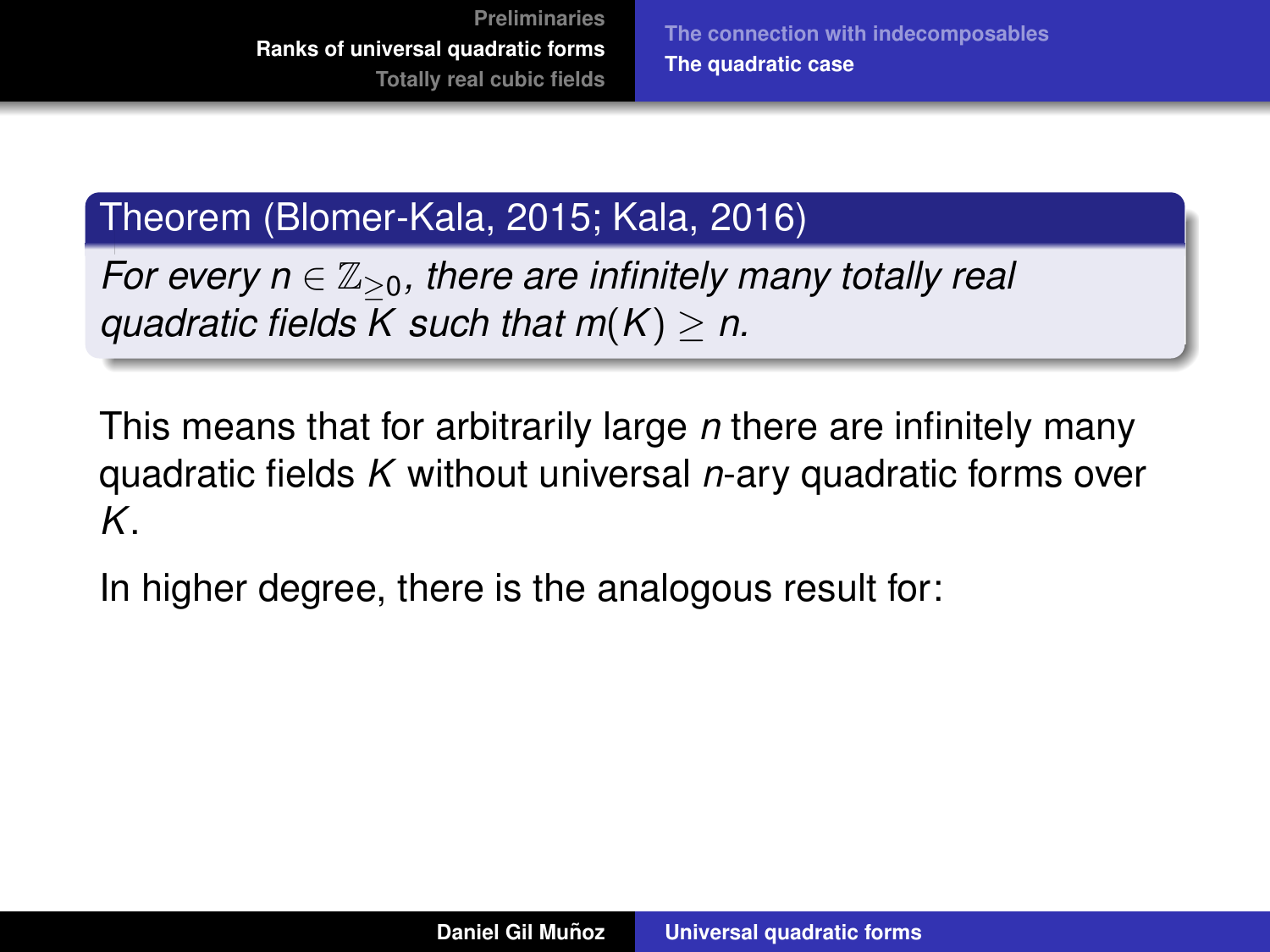## Theorem (Blomer-Kala, 2015; Kala, 2016)

*For every n*  $\in \mathbb{Z}_{\geq 0}$ , there are infinitely many totally real *guadratic fields K such that*  $m(K) > n$ *.* 

This means that for arbitrarily large *n* there are infinitely many quadratic fields *K* without universal *n*-ary quadratic forms over *K*.

In higher degree, there is the analogous result for: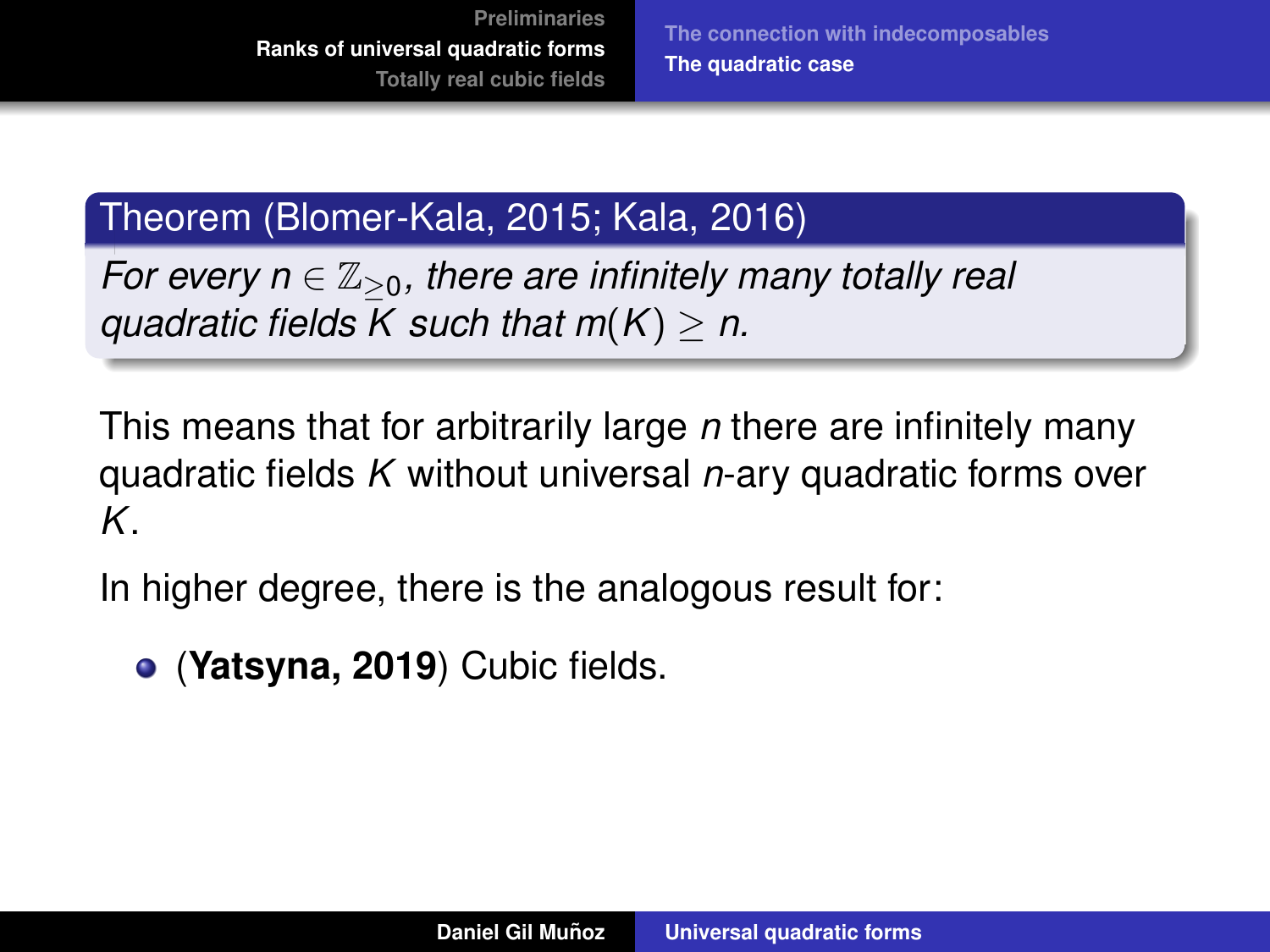**[The connection with indecomposables](#page-30-0) [The quadratic case](#page-39-0)**

## Theorem (Blomer-Kala, 2015; Kala, 2016)

*For every n*  $\in \mathbb{Z}_{\geq 0}$ , there are infinitely many totally real *guadratic fields K such that*  $m(K) > n$ *.* 

This means that for arbitrarily large *n* there are infinitely many quadratic fields *K* without universal *n*-ary quadratic forms over *K*.

In higher degree, there is the analogous result for:

(**Yatsyna, 2019**) Cubic fields.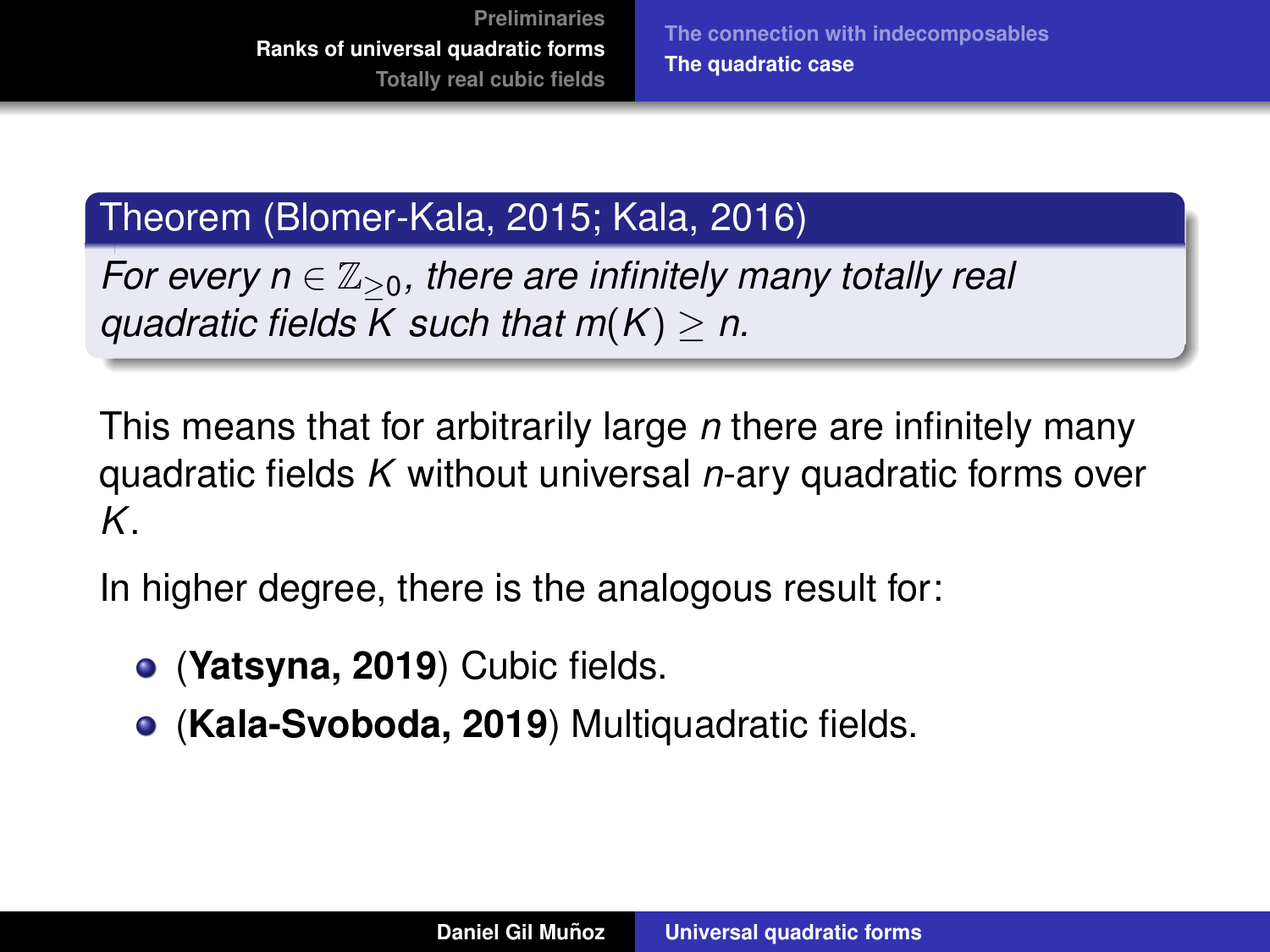## Theorem (Blomer-Kala, 2015; Kala, 2016)

*For every n*  $\in \mathbb{Z}_{\geq 0}$ , there are infinitely many totally real *quadratic fields K such that m*(*K*) ≥ *n.*

This means that for arbitrarily large *n* there are infinitely many quadratic fields *K* without universal *n*-ary quadratic forms over *K*.

In higher degree, there is the analogous result for:

- (**Yatsyna, 2019**) Cubic fields.
- (**Kala-Svoboda, 2019**) Multiquadratic fields.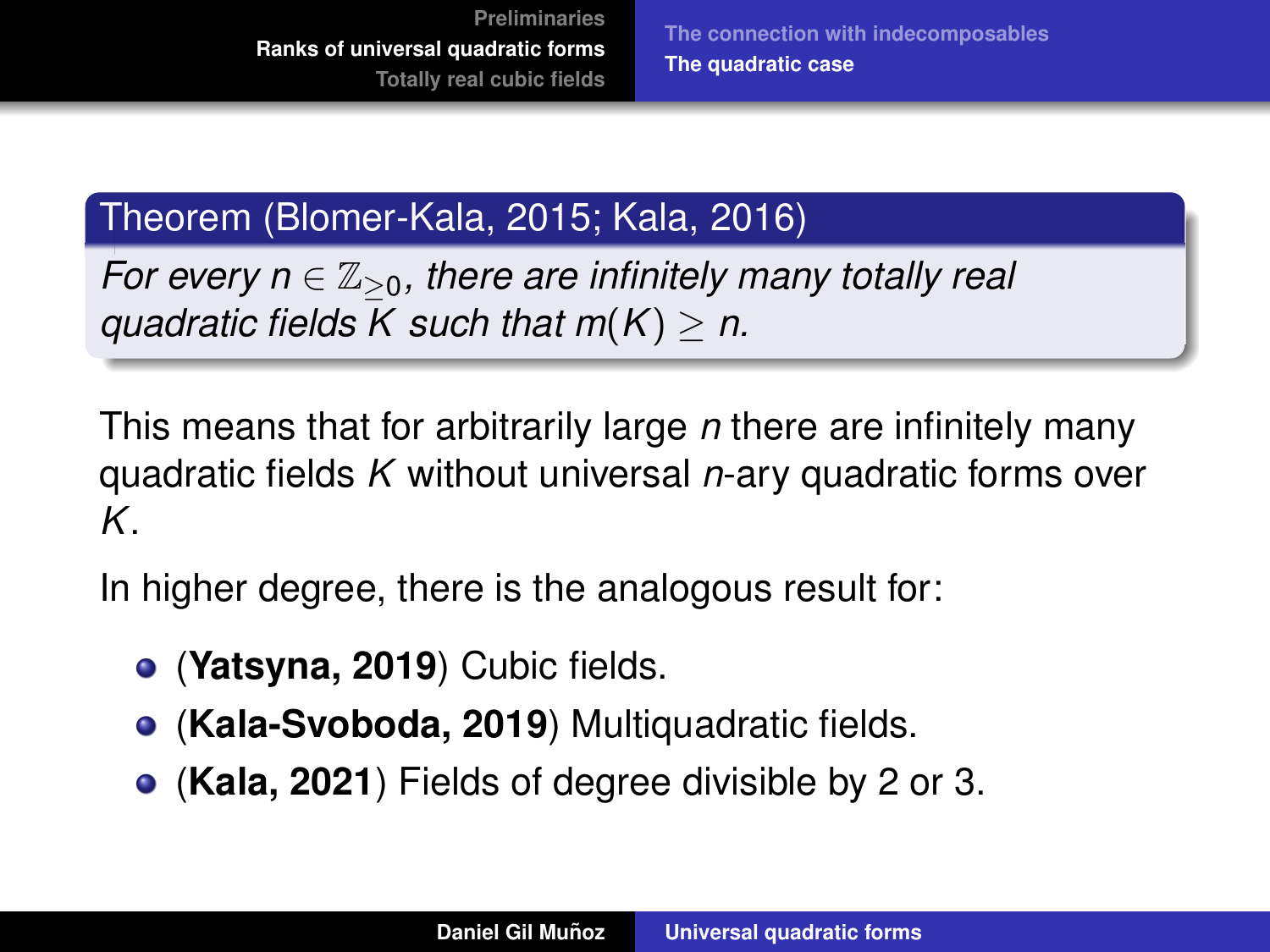## Theorem (Blomer-Kala, 2015; Kala, 2016)

*For every n*  $\in \mathbb{Z}_{\geq 0}$ , there are infinitely many totally real *quadratic fields K such that m*(*K*) ≥ *n.*

This means that for arbitrarily large *n* there are infinitely many quadratic fields *K* without universal *n*-ary quadratic forms over *K*.

In higher degree, there is the analogous result for:

- (**Yatsyna, 2019**) Cubic fields.
- (**Kala-Svoboda, 2019**) Multiquadratic fields.
- (**Kala, 2021**) Fields of degree divisible by 2 or 3.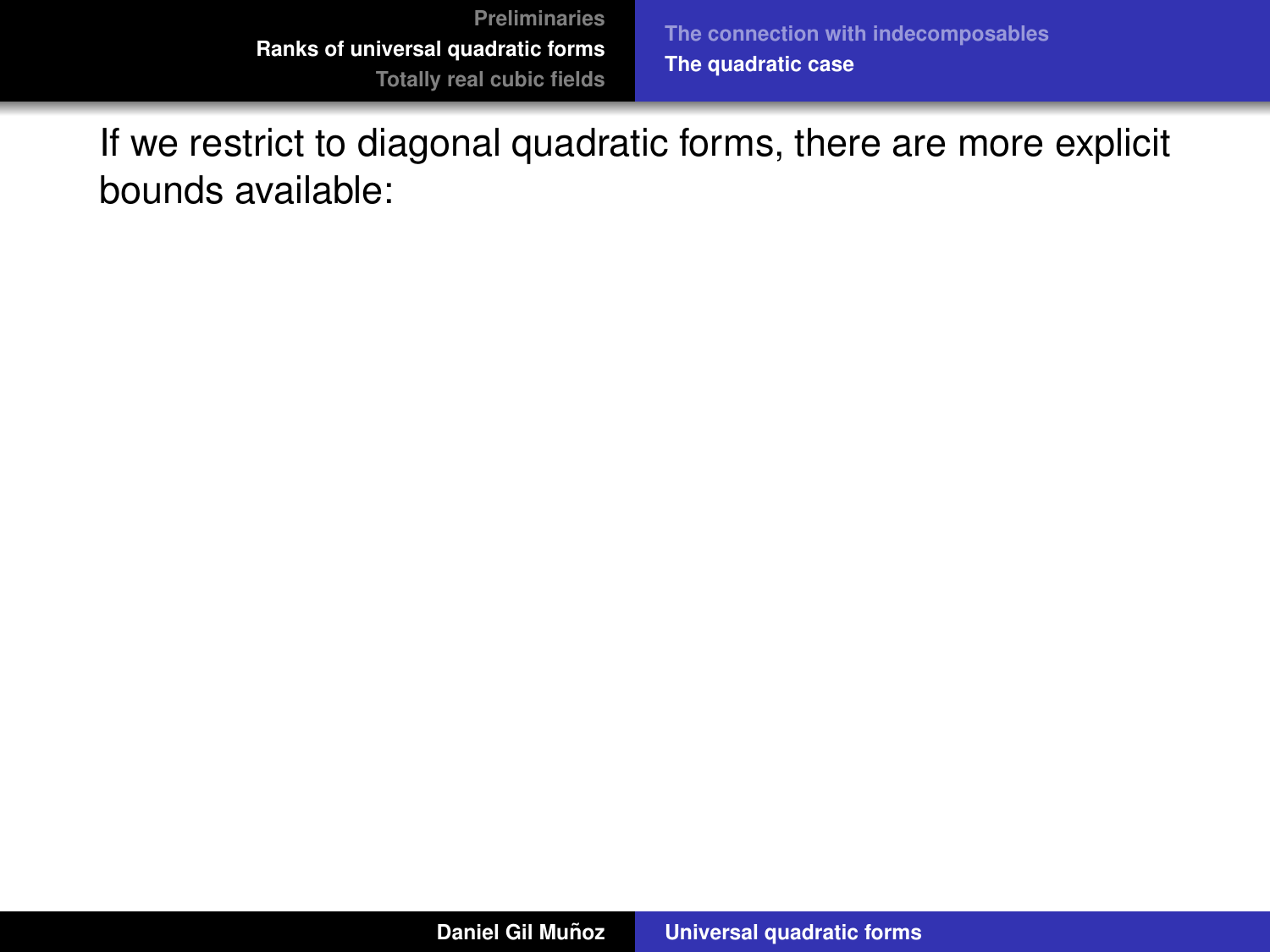If we restrict to diagonal quadratic forms, there are more explicit bounds available: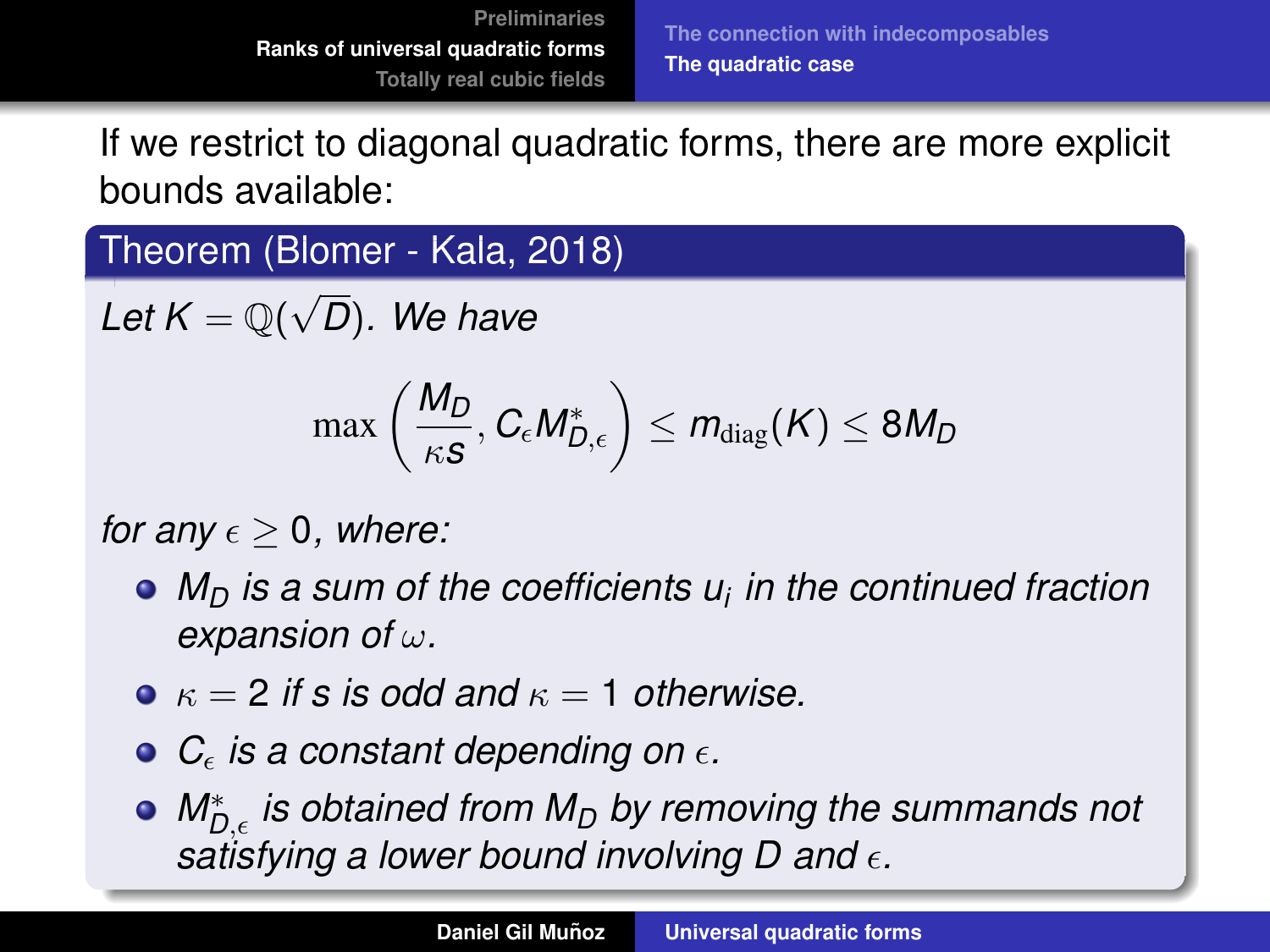If we restrict to diagonal quadratic forms, there are more explicit bounds available:

Theorem (Blomer - Kala, 2018)

 $\overline{\mathsf{Let}}\ \mathsf{K}=\overline{\mathbb{Q}(\sqrt{2})}$ *D*)*. We have*

$$
\max\left(\frac{M_D}{\kappa s}, C_{\epsilon} M^*_{D,\epsilon}\right) \leq m_{\text{diag}}(K) \leq 8M_D
$$

*for any*  $\epsilon > 0$ , where:

- *M<sup>D</sup> is a sum of the coefficients u<sup>i</sup> in the continued fraction expansion of* ω*.*
- $\bullet \ \kappa = 2$  *if s is odd and*  $\kappa = 1$  *otherwise.*
- $\bullet$  *C* $_{\epsilon}$  *is a constant depending on*  $\epsilon$ *.*
- *M*<sup>∗</sup><sub>*D,∈</sub> is obtained from M<sub>D</sub> by removing the summands not*</sub> *satisfying a lower bound involving D and* ϵ*.*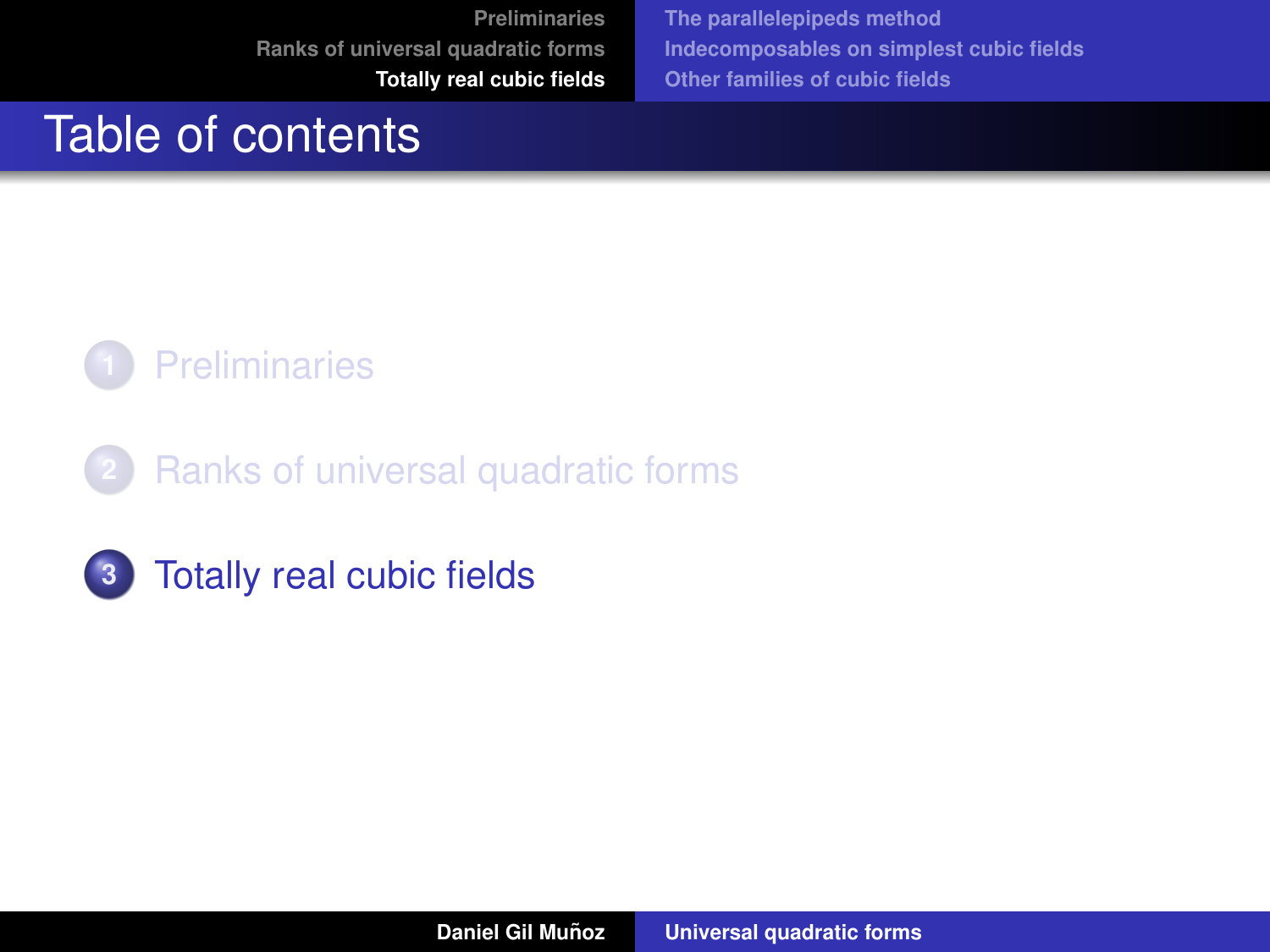**[The parallelepipeds method](#page-62-0) [Indecomposables on simplest cubic fields](#page-85-0) [Other families of cubic fields](#page-103-0)**

# <span id="page-60-0"></span>Table of contents



- **2** [Ranks of universal quadratic forms](#page-24-0)
- **3** [Totally real cubic fields](#page-60-0)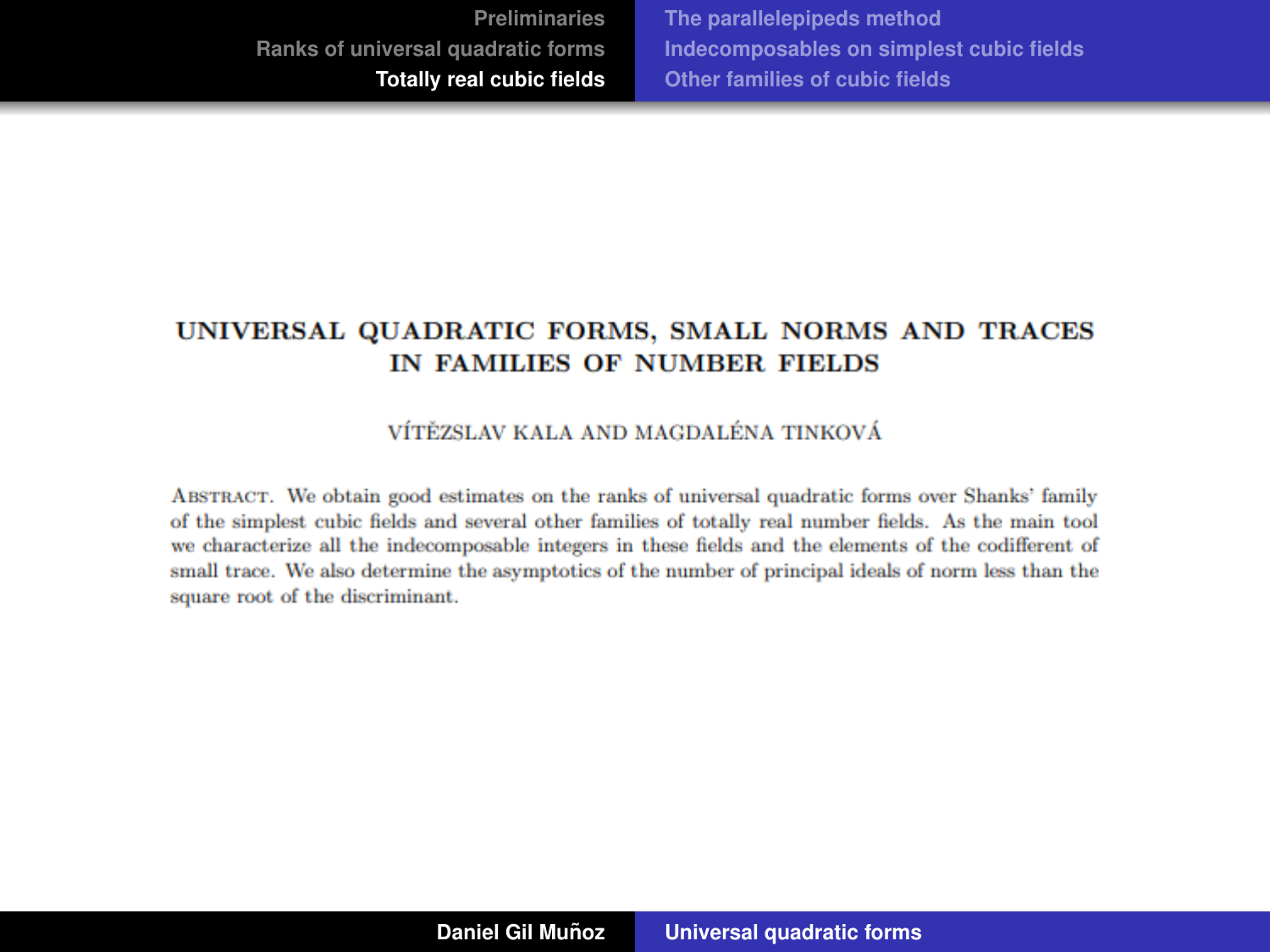**[The parallelepipeds method](#page-62-0) [Indecomposables on simplest cubic fields](#page-85-0) [Other families of cubic fields](#page-103-0)**

#### UNIVERSAL QUADRATIC FORMS, SMALL NORMS AND TRACES IN FAMILIES OF NUMBER FIELDS

#### VÍTĚZSLAV KALA AND MAGDALÉNA TINKOVÁ

ABSTRACT. We obtain good estimates on the ranks of universal quadratic forms over Shanks' family of the simplest cubic fields and several other families of totally real number fields. As the main tool we characterize all the indecomposable integers in these fields and the elements of the codifferent of small trace. We also determine the asymptotics of the number of principal ideals of norm less than the square root of the discriminant.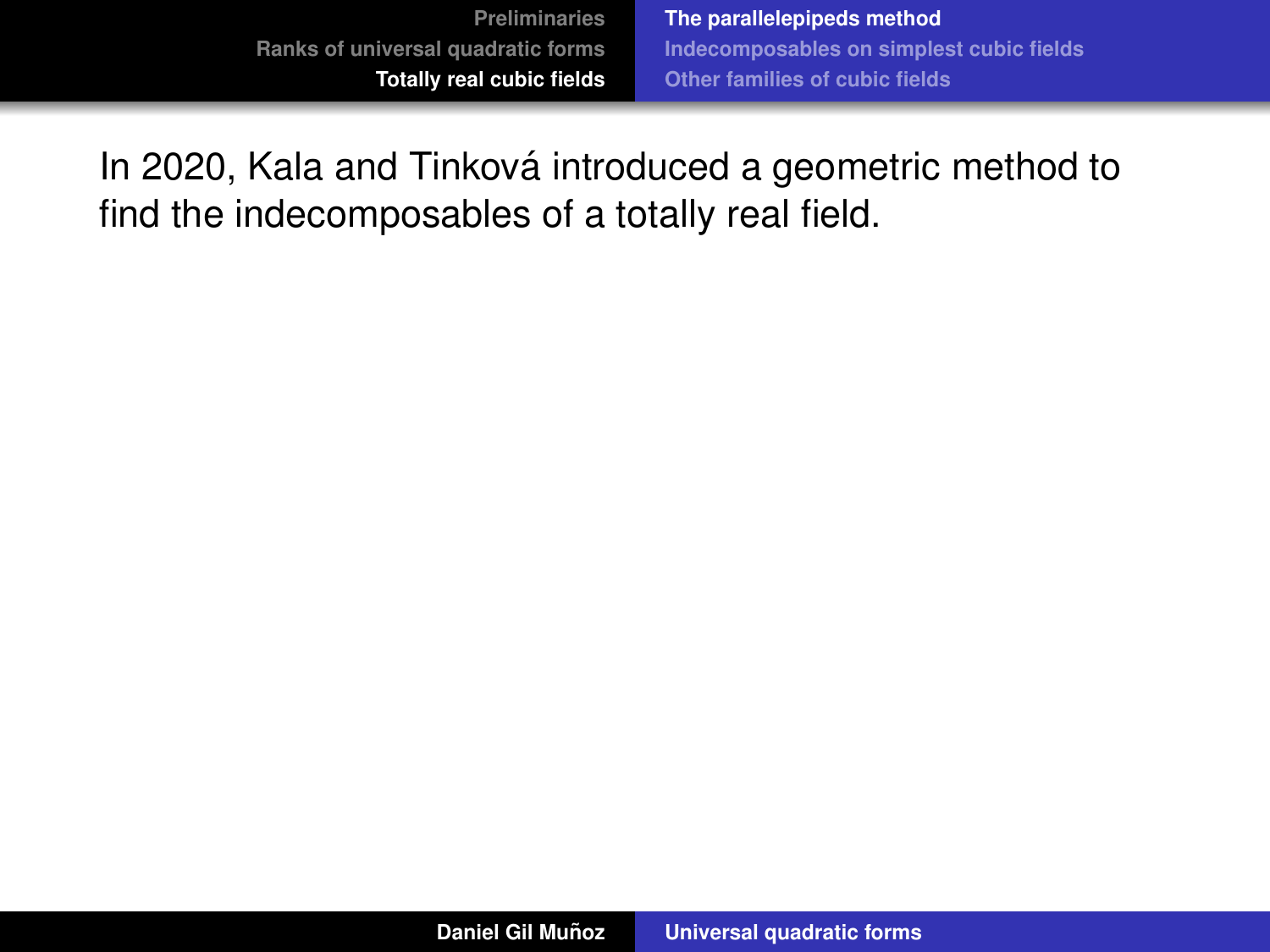<span id="page-62-0"></span>In 2020, Kala and Tinková introduced a geometric method to find the indecomposables of a totally real field.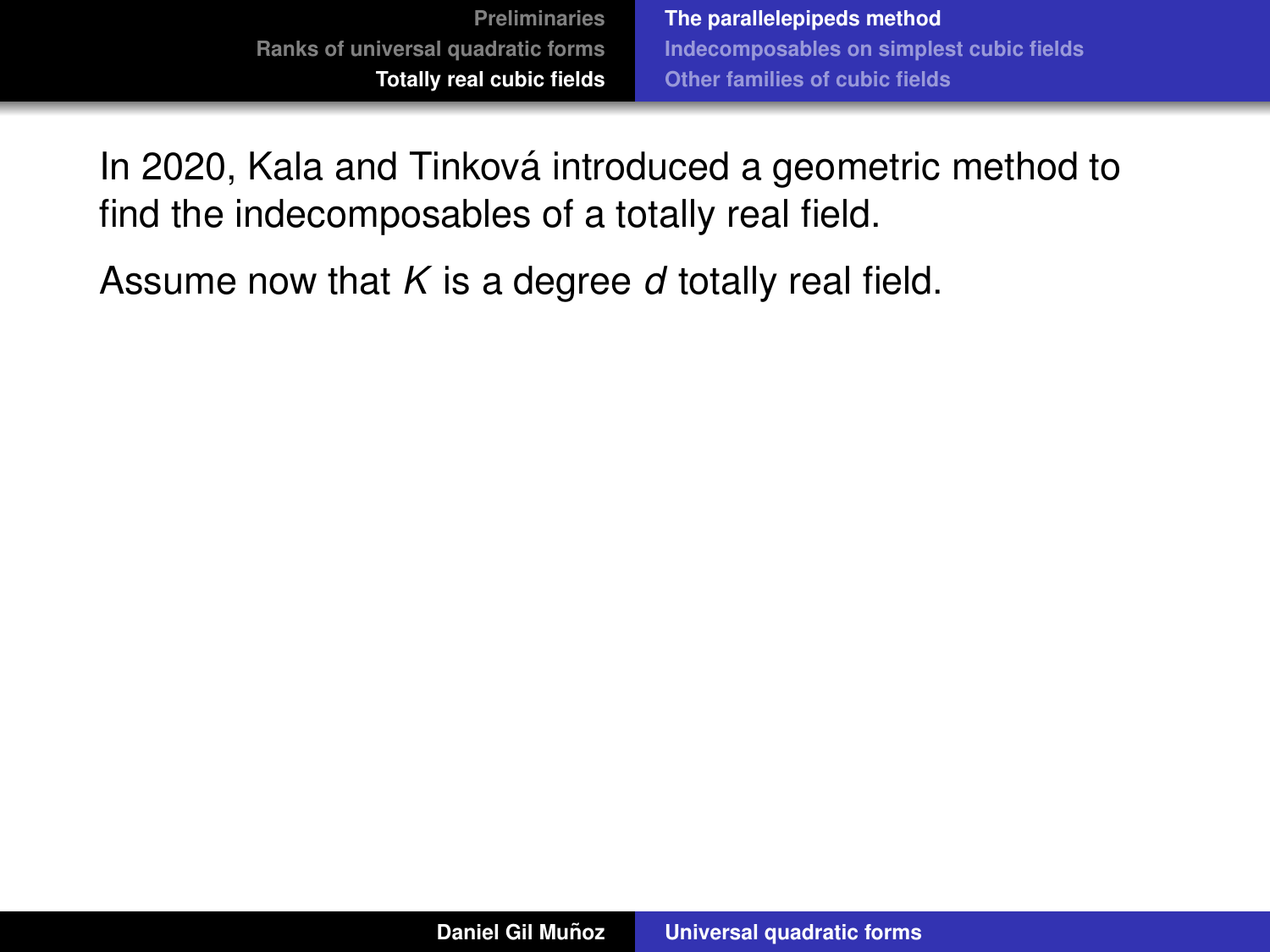In 2020, Kala and Tinková introduced a geometric method to find the indecomposables of a totally real field.

Assume now that *K* is a degree *d* totally real field.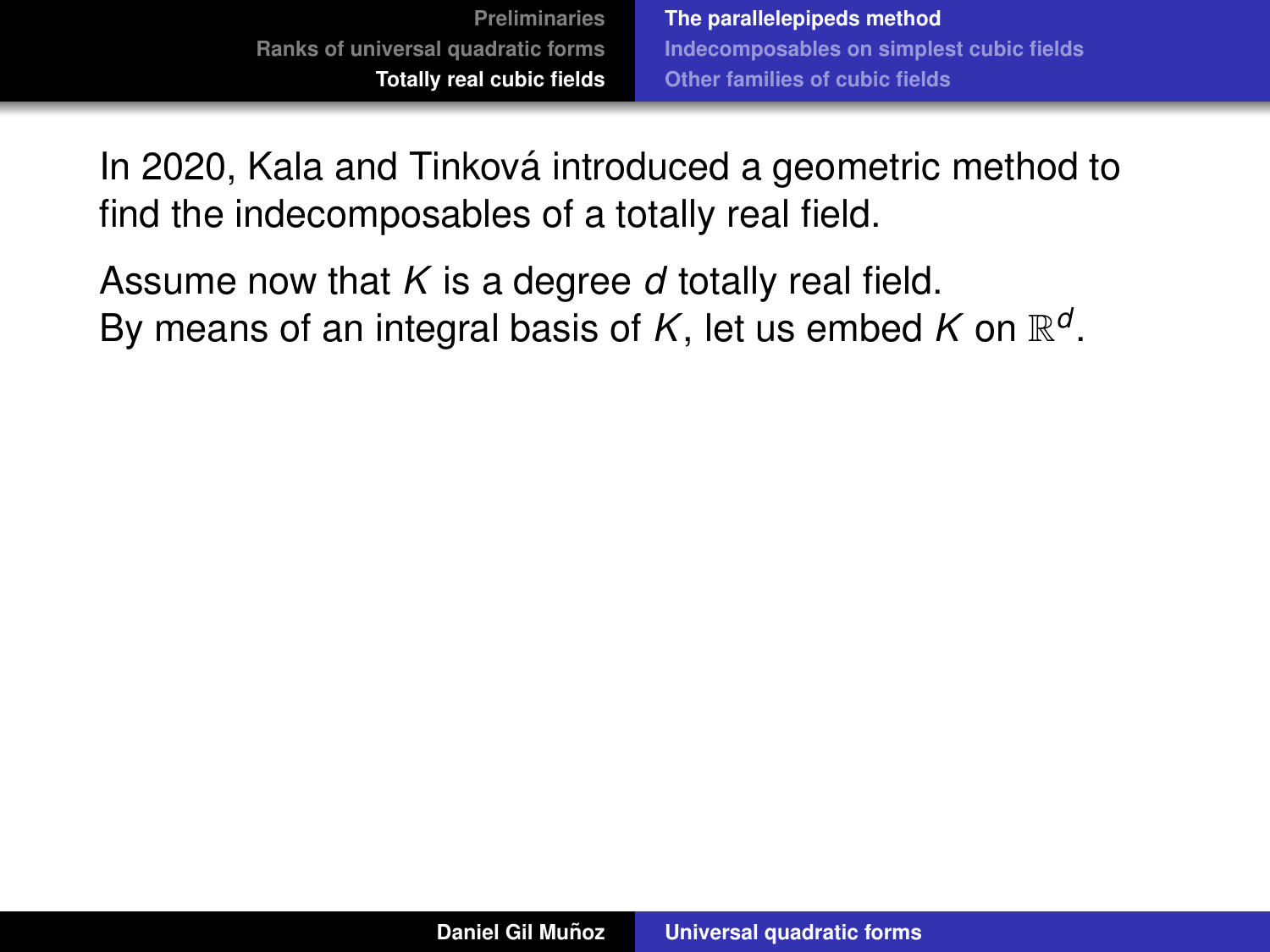In 2020, Kala and Tinková introduced a geometric method to find the indecomposables of a totally real field.

Assume now that *K* is a degree *d* totally real field. By means of an integral basis of  $K$ , let us embed  $K$  on  $\mathbb{R}^d$ .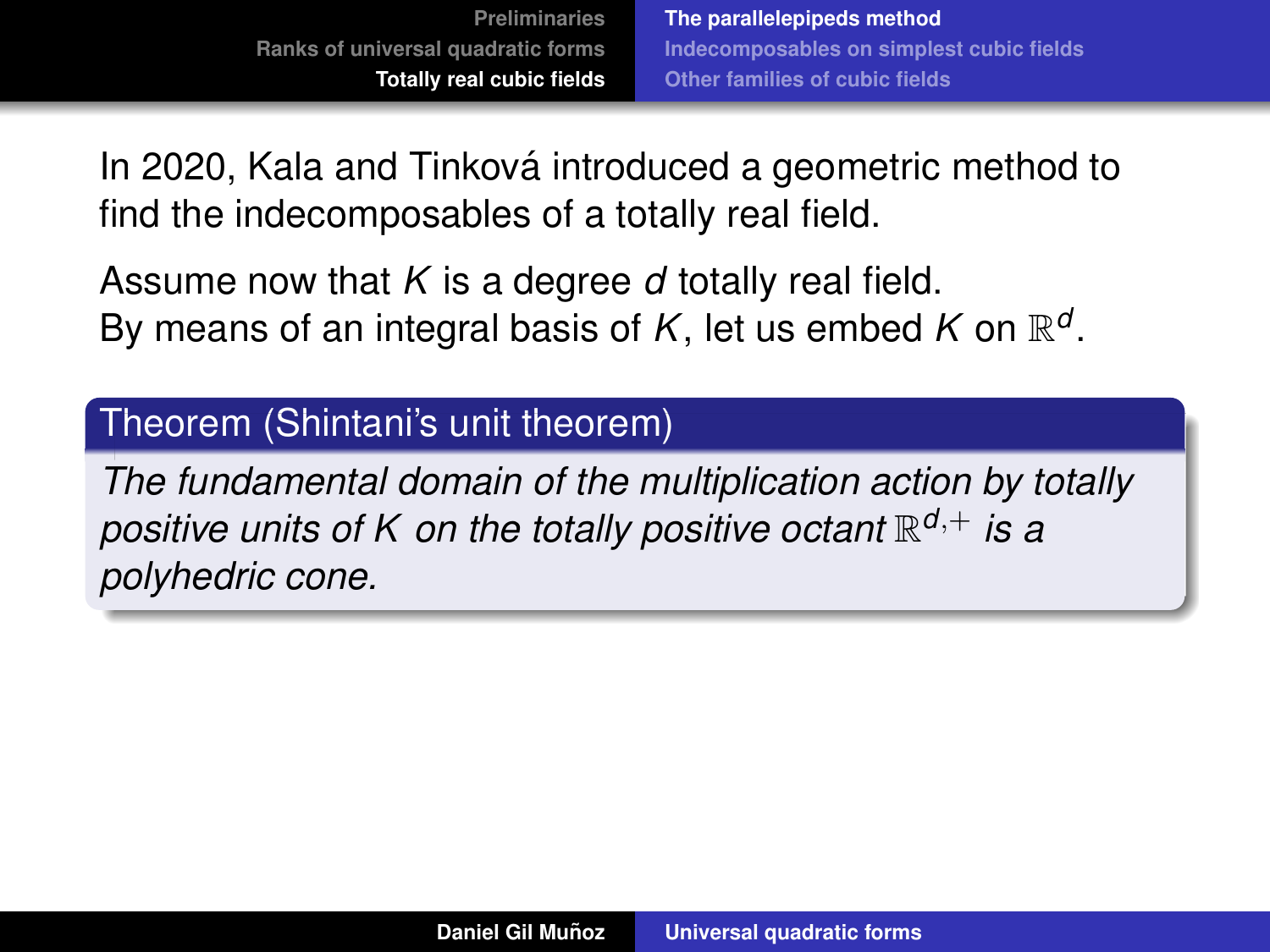In 2020, Kala and Tinková introduced a geometric method to find the indecomposables of a totally real field.

Assume now that *K* is a degree *d* totally real field. By means of an integral basis of  $K$ , let us embed  $K$  on  $\mathbb{R}^d$ .

### Theorem (Shintani's unit theorem)

*The fundamental domain of the multiplication action by totally positive units of K on the totally positive octant* R *<sup>d</sup>*,<sup>+</sup> *is a polyhedric cone.*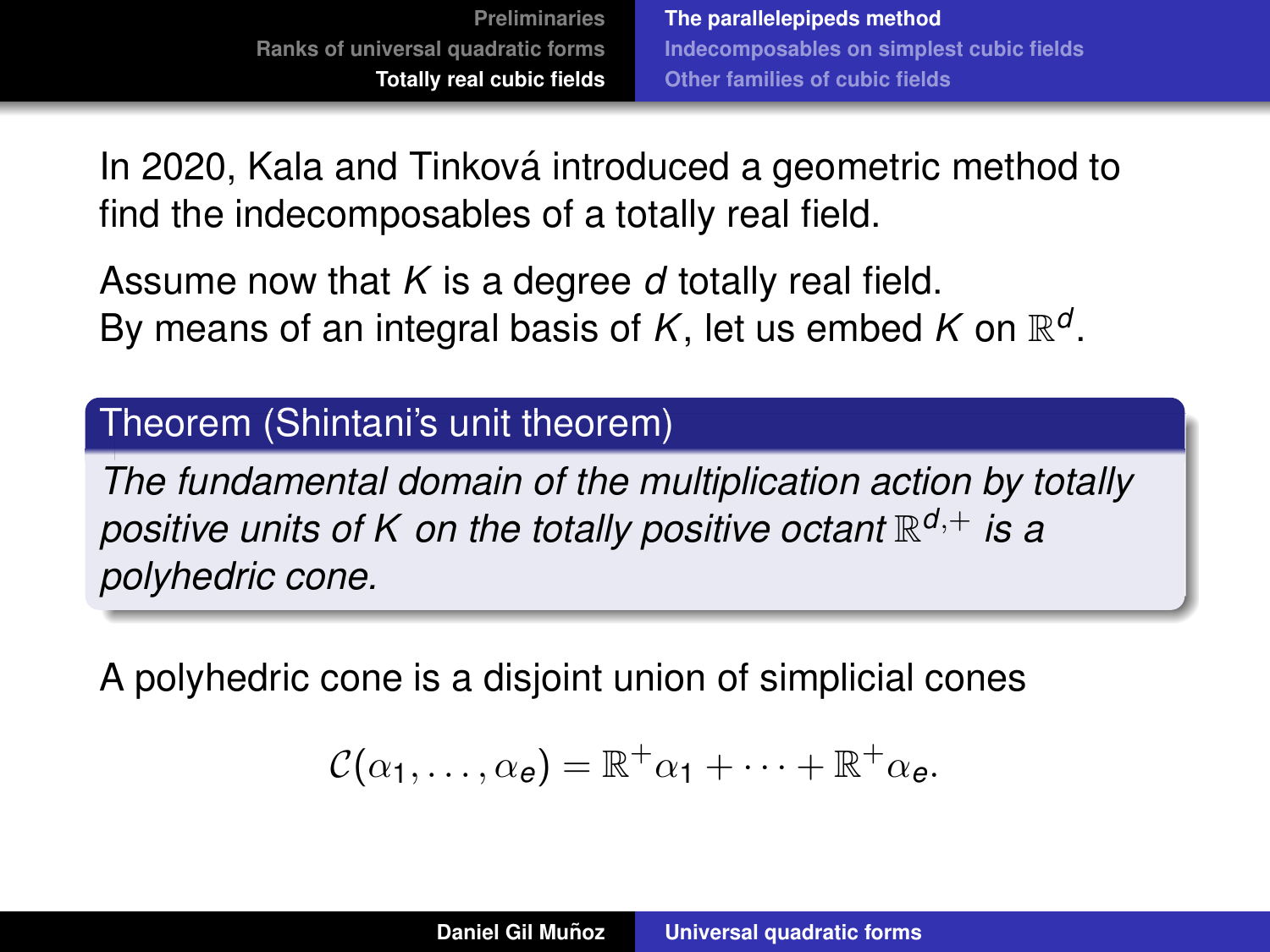<span id="page-66-0"></span>In 2020, Kala and Tinková introduced a geometric method to find the indecomposables of a totally real field.

Assume now that *K* is a degree *d* totally real field. By means of an integral basis of  $K$ , let us embed  $K$  on  $\mathbb{R}^d$ .

#### Theorem (Shintani's unit theorem)

*The fundamental domain of the multiplication action by totally positive units of K on the totally positive octant* R *<sup>d</sup>*,<sup>+</sup> *is a polyhedric cone.*

A polyhedric cone is a disjoint union of simplicial cones

$$
\mathcal{C}(\alpha_1,\ldots,\alpha_e)=\mathbb{R}^+\alpha_1+\cdots+\mathbb{R}^+\alpha_e.
$$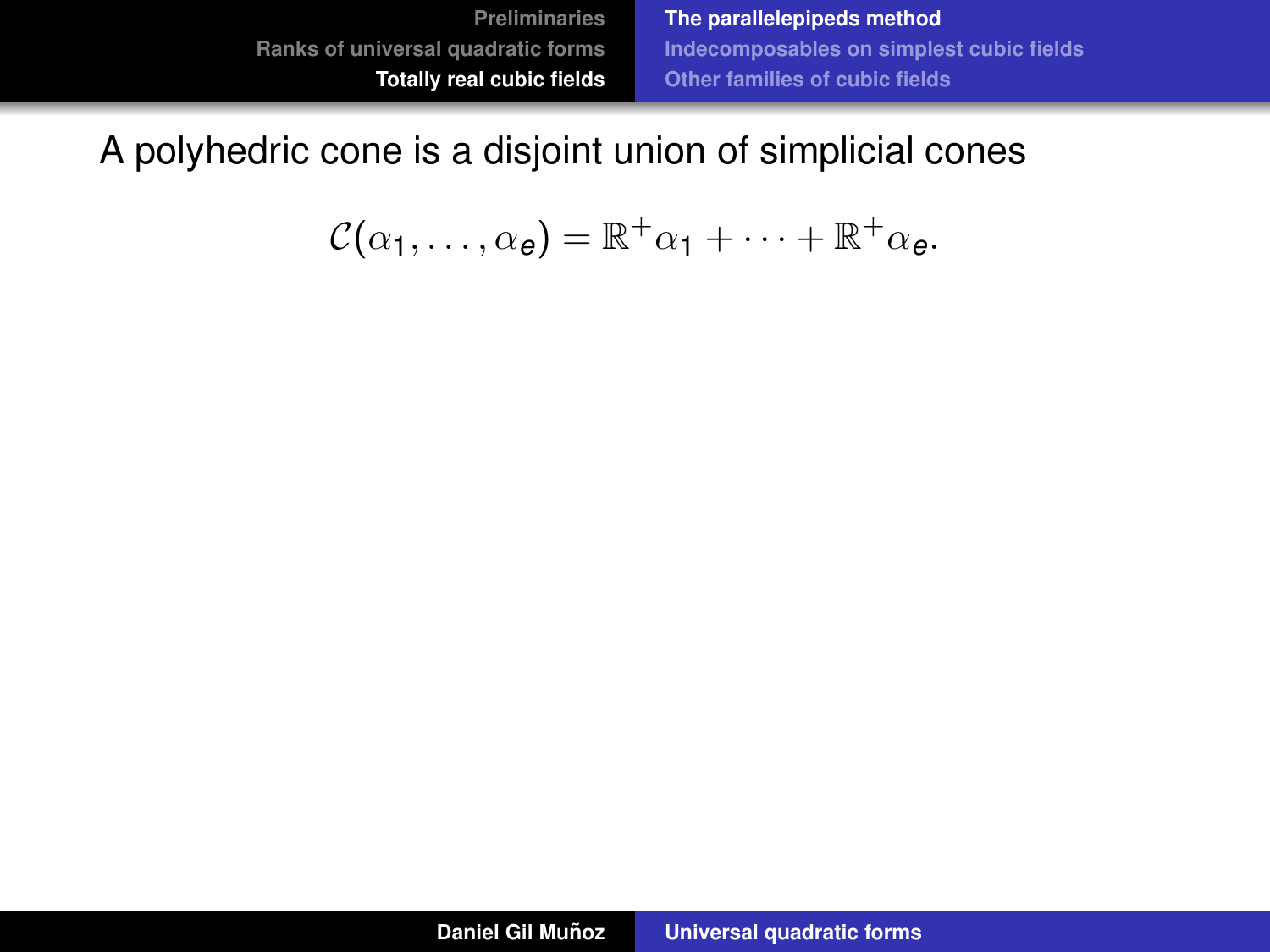**[The parallelepipeds method](#page-62-0) [Indecomposables on simplest cubic fields](#page-85-0) [Other families of cubic fields](#page-103-0)**

## A polyhedric cone is a disjoint union of simplicial cones

$$
\mathcal{C}(\alpha_1,\ldots,\alpha_e)=\mathbb{R}^+\alpha_1+\cdots+\mathbb{R}^+\alpha_e.
$$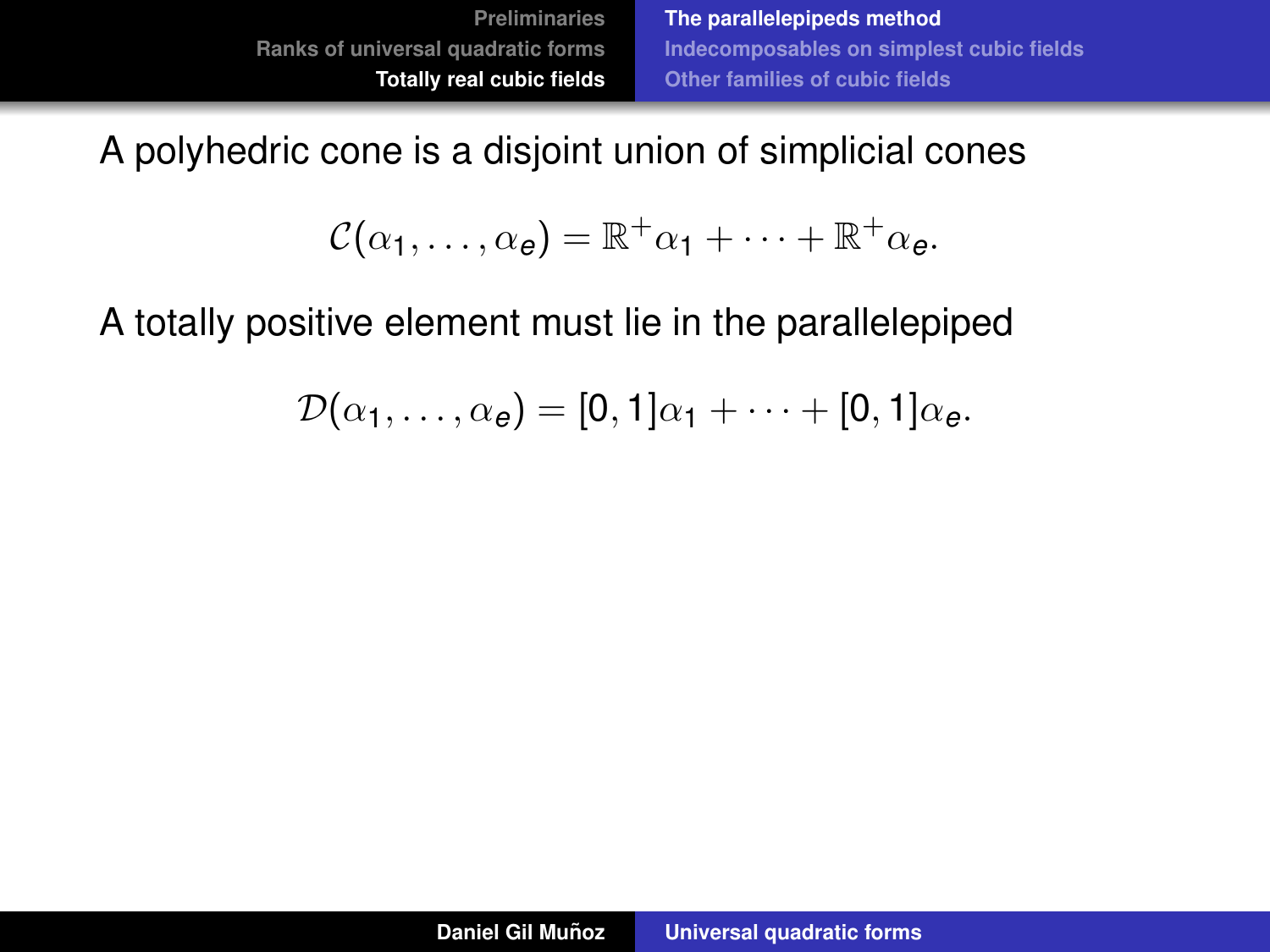A polyhedric cone is a disjoint union of simplicial cones

$$
\mathcal{C}(\alpha_1,\ldots,\alpha_e)=\mathbb{R}^+\alpha_1+\cdots+\mathbb{R}^+\alpha_e.
$$

A totally positive element must lie in the parallelepiped

$$
\mathcal{D}(\alpha_1,\ldots,\alpha_e)=[0,1]\alpha_1+\cdots+[0,1]\alpha_e.
$$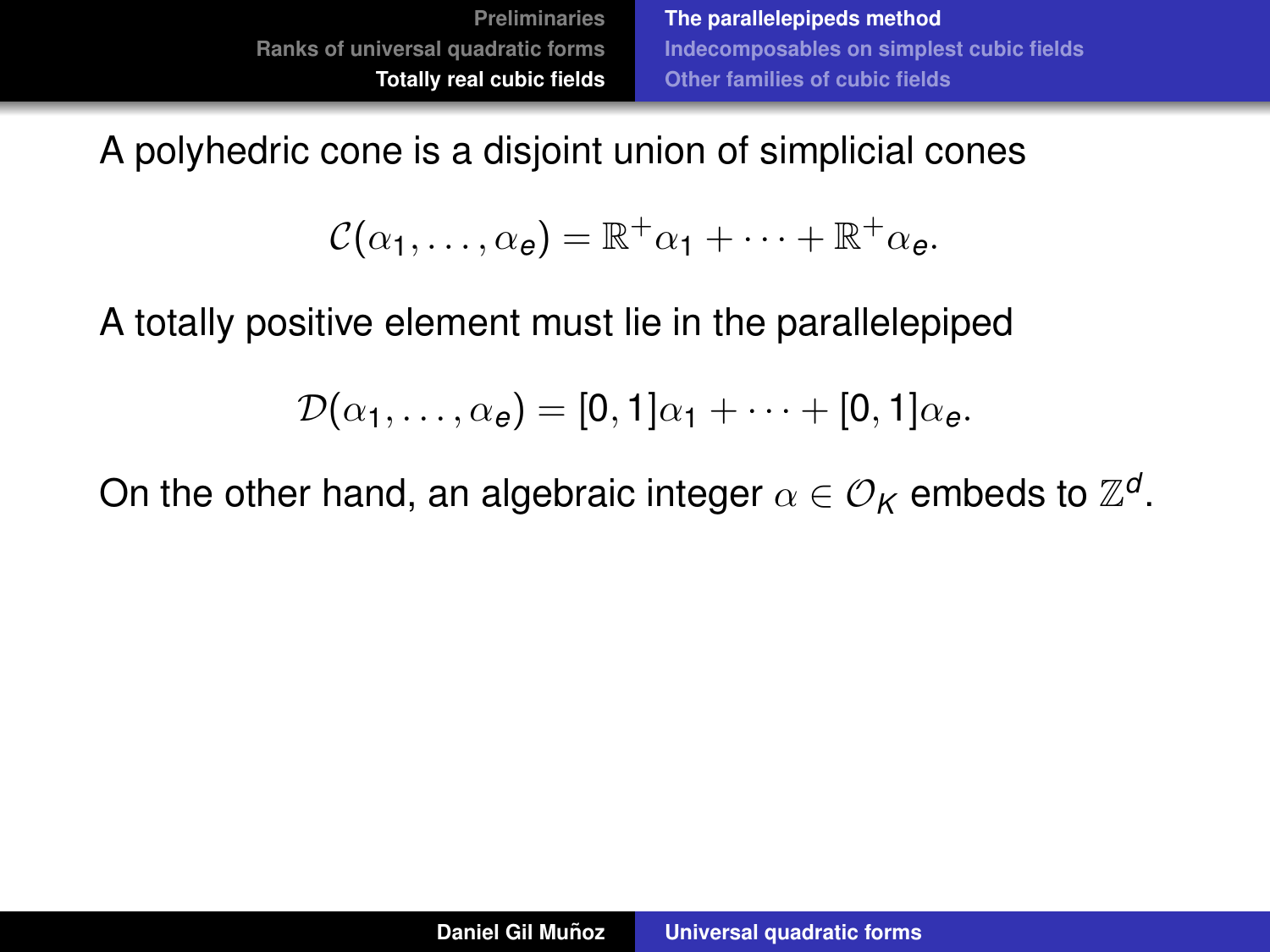A polyhedric cone is a disjoint union of simplicial cones

$$
\mathcal{C}(\alpha_1,\ldots,\alpha_e)=\mathbb{R}^+\alpha_1+\cdots+\mathbb{R}^+\alpha_e.
$$

A totally positive element must lie in the parallelepiped

$$
\mathcal{D}(\alpha_1,\ldots,\alpha_e)=[0,1]\alpha_1+\cdots+[0,1]\alpha_e.
$$

On the other hand, an algebraic integer  $\alpha \in \mathcal{O}_\mathcal{K}$  embeds to  $\mathbb{Z}^d.$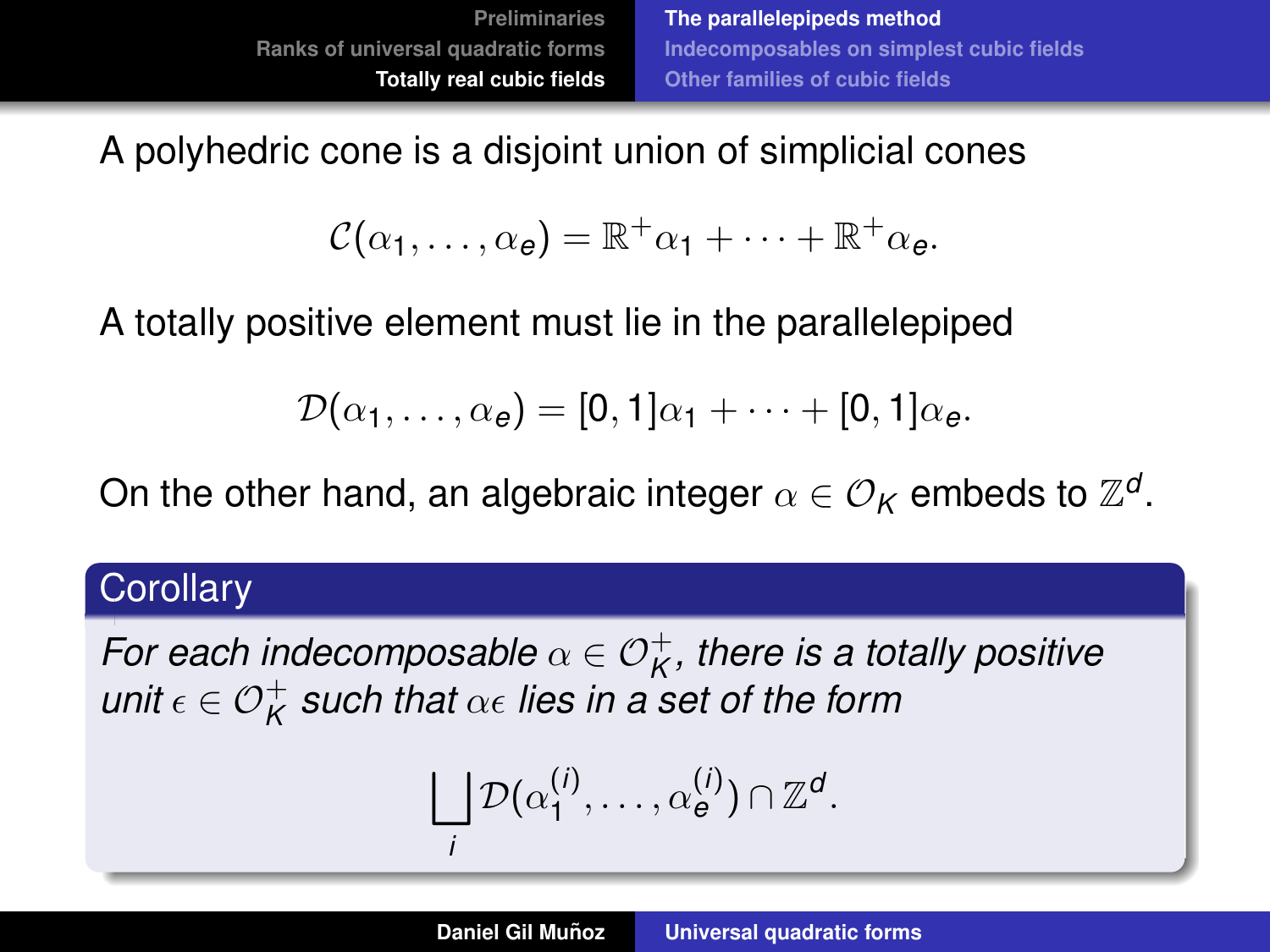A polyhedric cone is a disjoint union of simplicial cones

$$
\mathcal{C}(\alpha_1,\ldots,\alpha_e)=\mathbb{R}^+\alpha_1+\cdots+\mathbb{R}^+\alpha_e.
$$

A totally positive element must lie in the parallelepiped

$$
\mathcal{D}(\alpha_1,\ldots,\alpha_e)=[0,1]\alpha_1+\cdots+[0,1]\alpha_e.
$$

On the other hand, an algebraic integer  $\alpha \in \mathcal{O}_\mathcal{K}$  embeds to  $\mathbb{Z}^d.$ 

#### **Corollary**

For each indecomposable  $\alpha \in \mathcal{O}_\mathcal{K}^+$ , there is a totally positive  $\mathsf{unit}\, \epsilon \in \mathcal{O}_\mathcal{K}^+$  such that  $\alpha\epsilon$  lies in a set of the form

$$
\bigsqcup_i \mathcal{D}(\alpha_1^{(i)},\ldots,\alpha_{e}^{(i)}) \cap \mathbb{Z}^d.
$$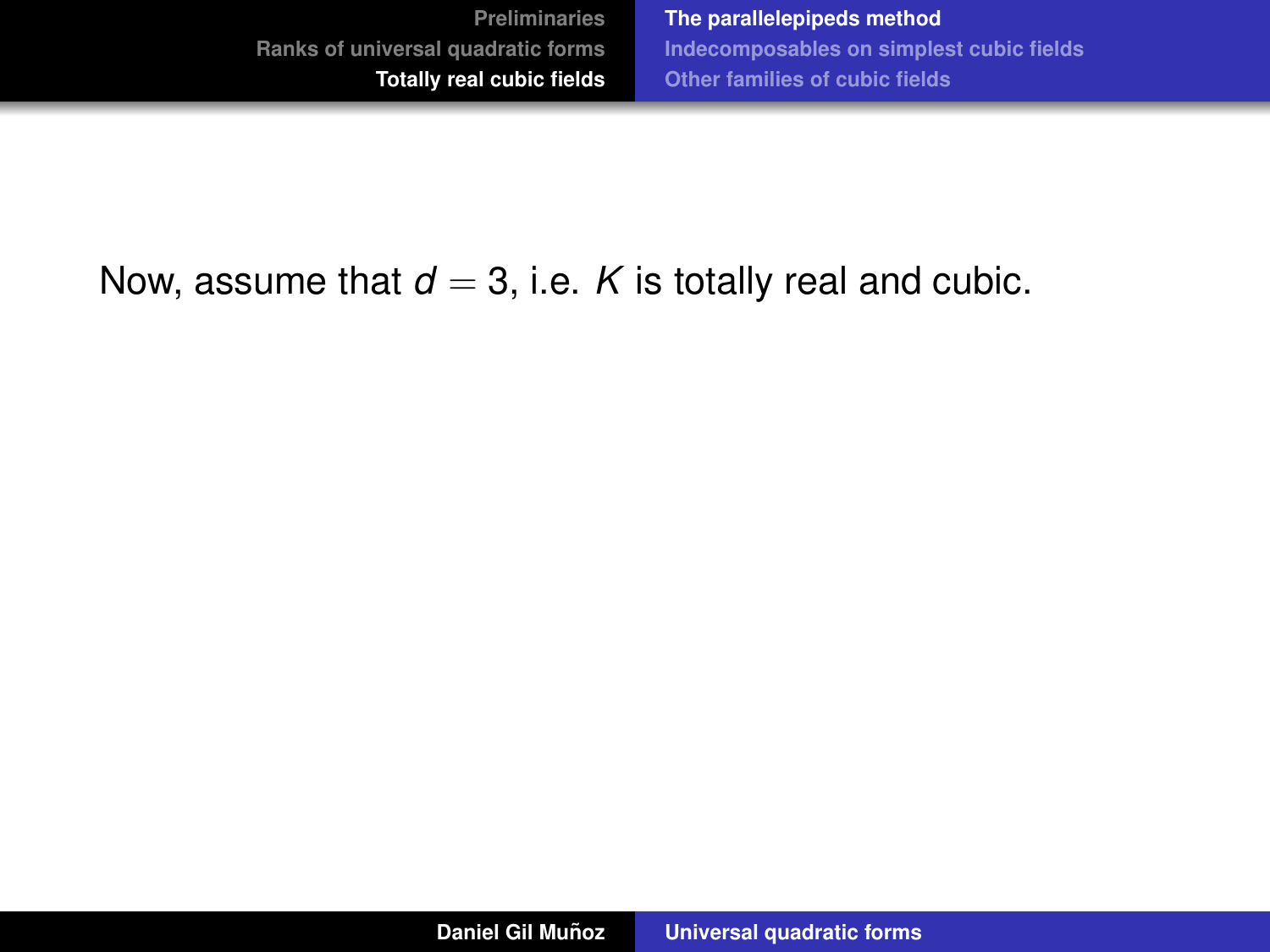### Now, assume that  $d = 3$ , i.e. *K* is totally real and cubic.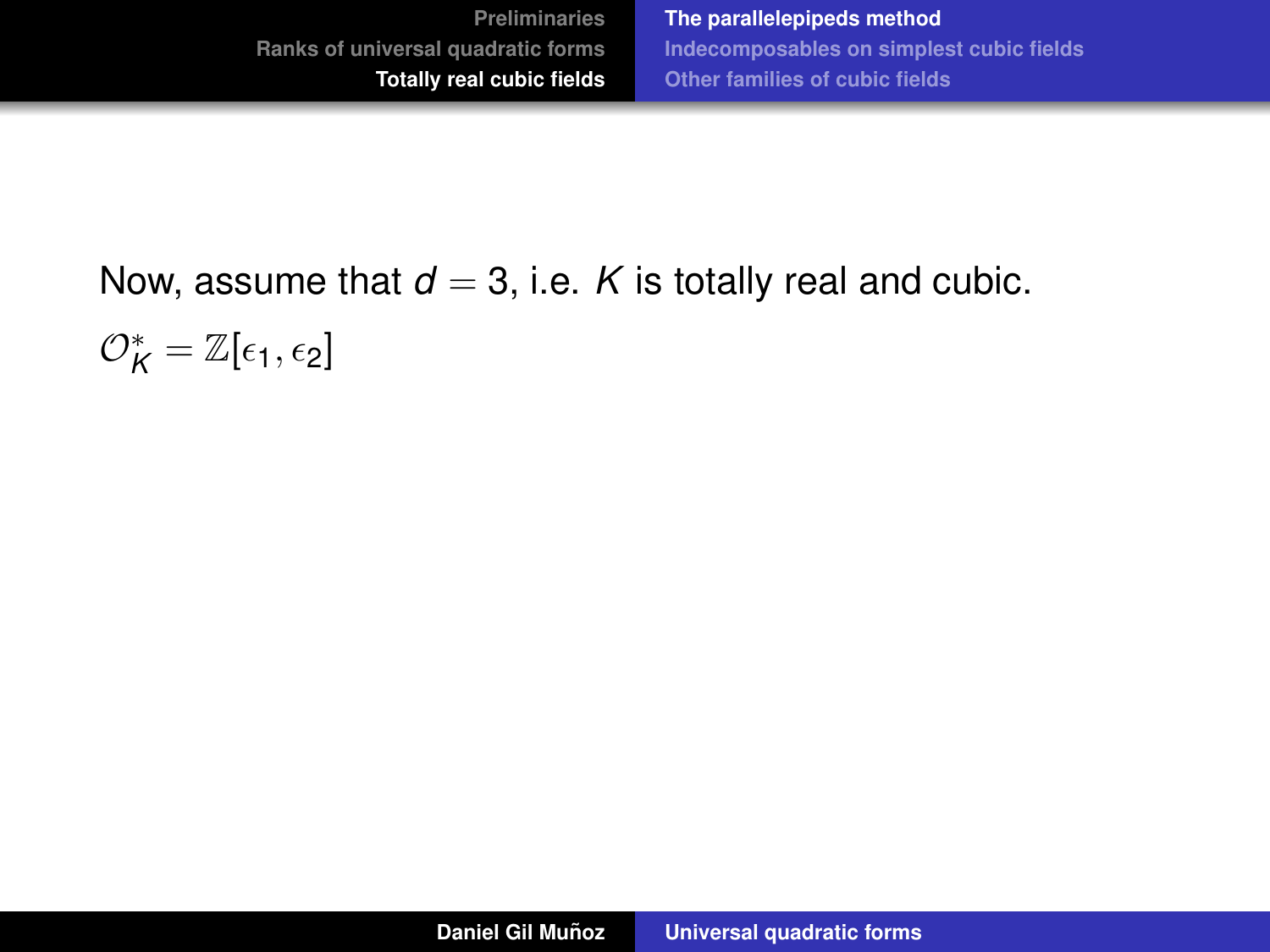# Now, assume that  $d = 3$ , i.e. *K* is totally real and cubic.  $\mathcal{O}_K^*=\mathbb{Z}[\epsilon_1,\epsilon_2]$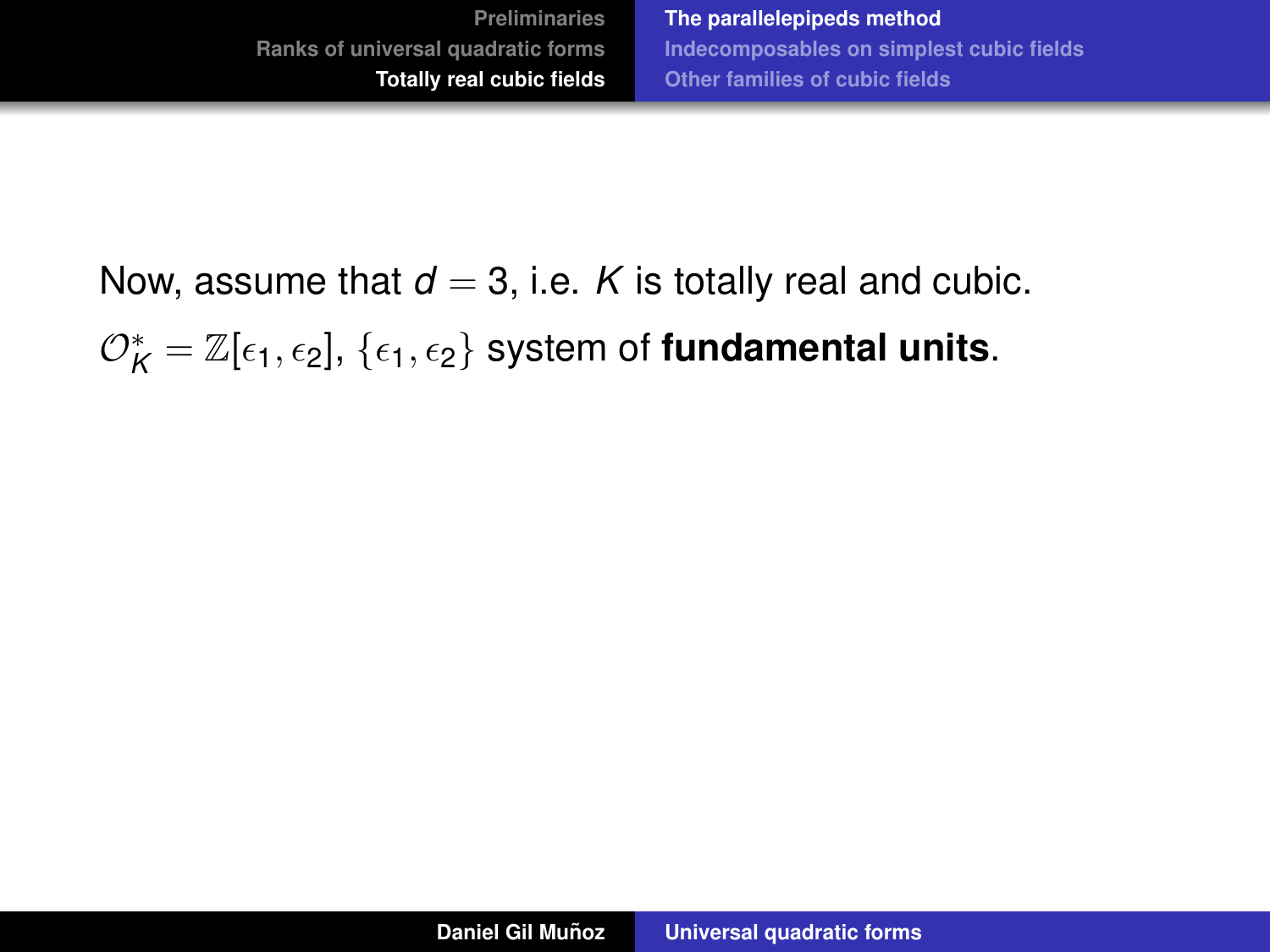Now, assume that  $d = 3$ , i.e. *K* is totally real and cubic.  $\mathcal{O}_\mathcal{K}^*=\mathbb{Z}[\epsilon_1,\epsilon_2],\,\{\epsilon_1,\epsilon_2\}$  system of **fundamental units**.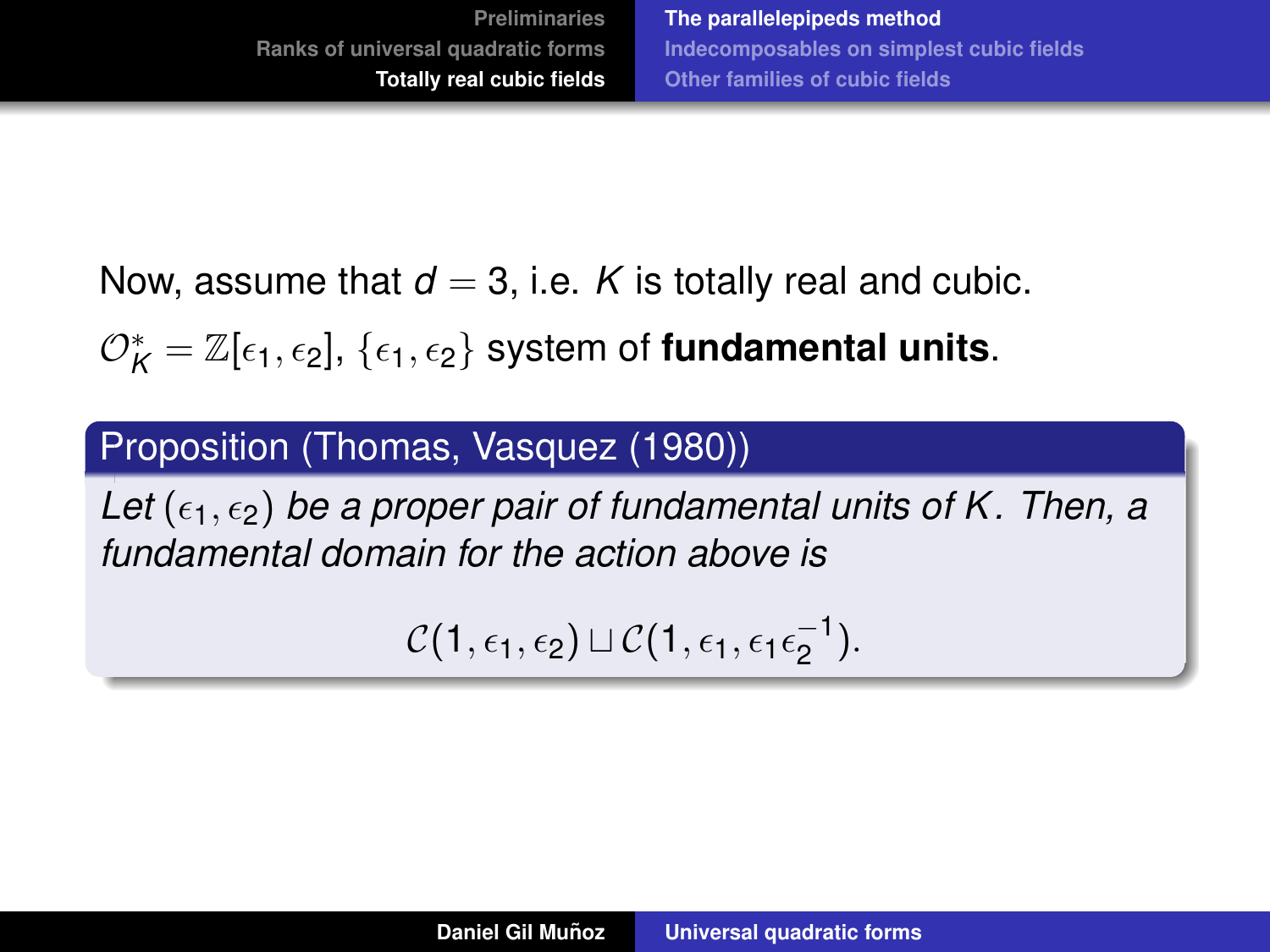Now, assume that  $d = 3$ , i.e. *K* is totally real and cubic.

 $\mathcal{O}_\mathcal{K}^*=\mathbb{Z}[\epsilon_1,\epsilon_2],\,\{\epsilon_1,\epsilon_2\}$  system of **fundamental units**.

## Proposition (Thomas, Vasquez (1980))

Let  $(\epsilon_1, \epsilon_2)$  *be a proper pair of fundamental units of K. Then, a fundamental domain for the action above is*

$$
\mathcal{C}(1,\epsilon_1,\epsilon_2)\sqcup \mathcal{C}(1,\epsilon_1,\epsilon_1\epsilon_2^{-1}).
$$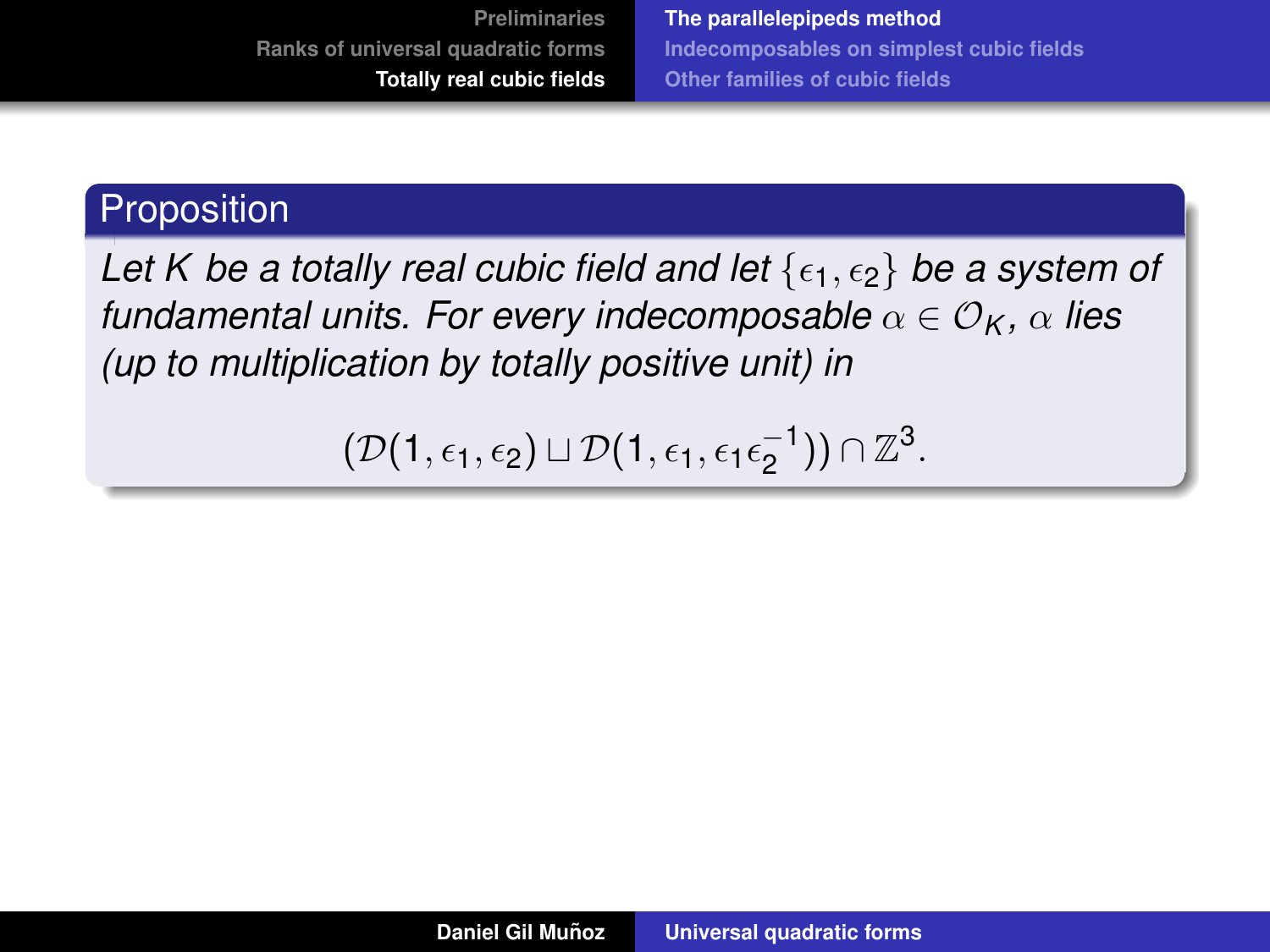**[The parallelepipeds method](#page-62-0) [Indecomposables on simplest cubic fields](#page-85-0) [Other families of cubic fields](#page-103-0)**

## **Proposition**

*Let K be a totally real cubic field and let*  $\{\epsilon_1, \epsilon_2\}$  *be a system of fundamental units. For every indecomposable*  $\alpha \in \mathcal{O}_K$ ,  $\alpha$  *lies (up to multiplication by totally positive unit) in*

$$
(\mathcal{D}(1,\epsilon_1,\epsilon_2) \sqcup \mathcal{D}(1,\epsilon_1,\epsilon_1\epsilon_2^{-1})) \cap \mathbb{Z}^3.
$$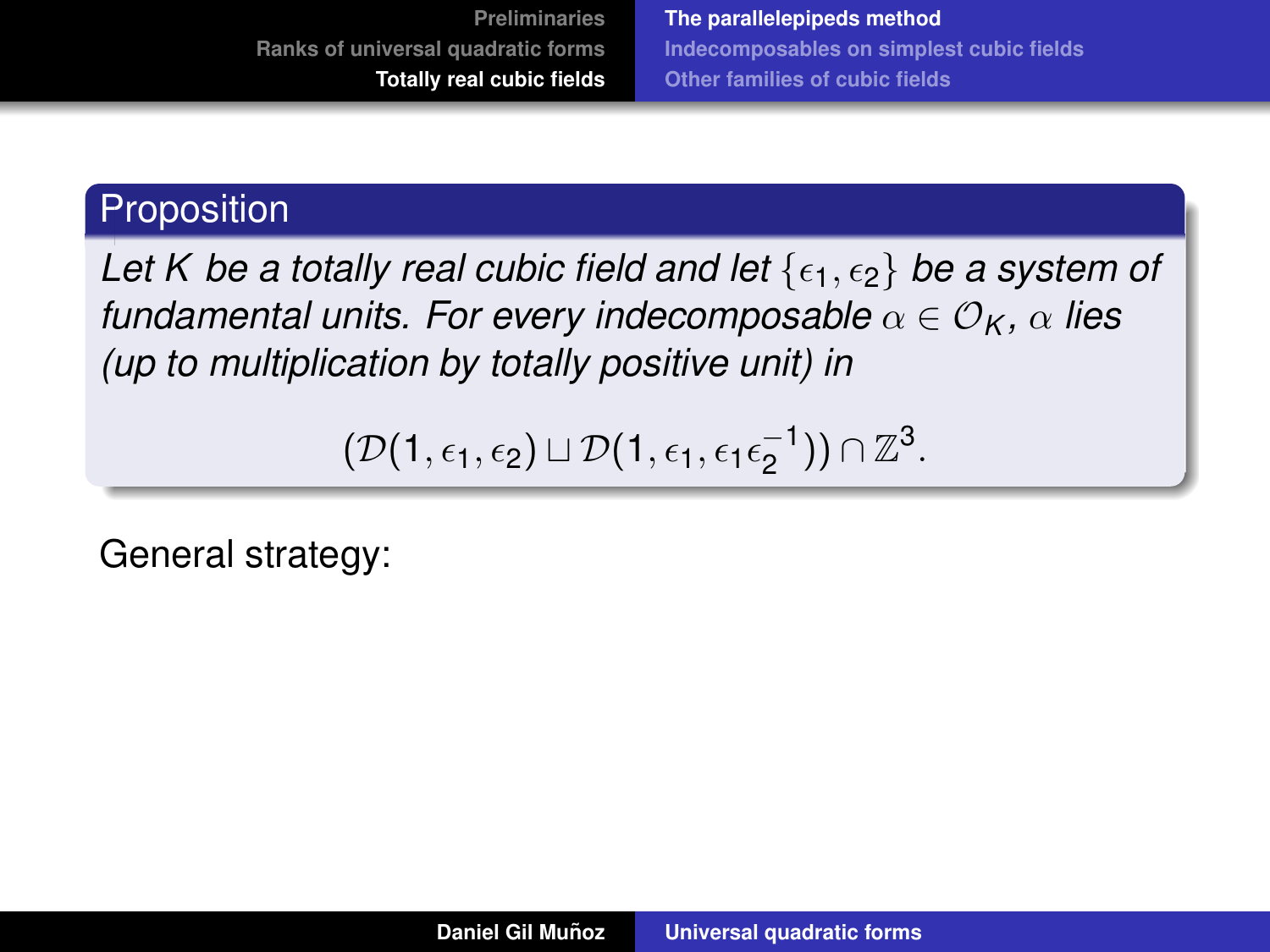**[The parallelepipeds method](#page-62-0) [Indecomposables on simplest cubic fields](#page-85-0) [Other families of cubic fields](#page-103-0)**

## **Proposition**

*Let K be a totally real cubic field and let*  $\{\epsilon_1, \epsilon_2\}$  *be a system of fundamental units. For every indecomposable*  $\alpha \in \mathcal{O}_K$ ,  $\alpha$  *lies (up to multiplication by totally positive unit) in*

$$
(\mathcal{D}(1,\epsilon_1,\epsilon_2) \sqcup \mathcal{D}(1,\epsilon_1,\epsilon_1\epsilon_2^{-1})) \cap \mathbb{Z}^3.
$$

General strategy: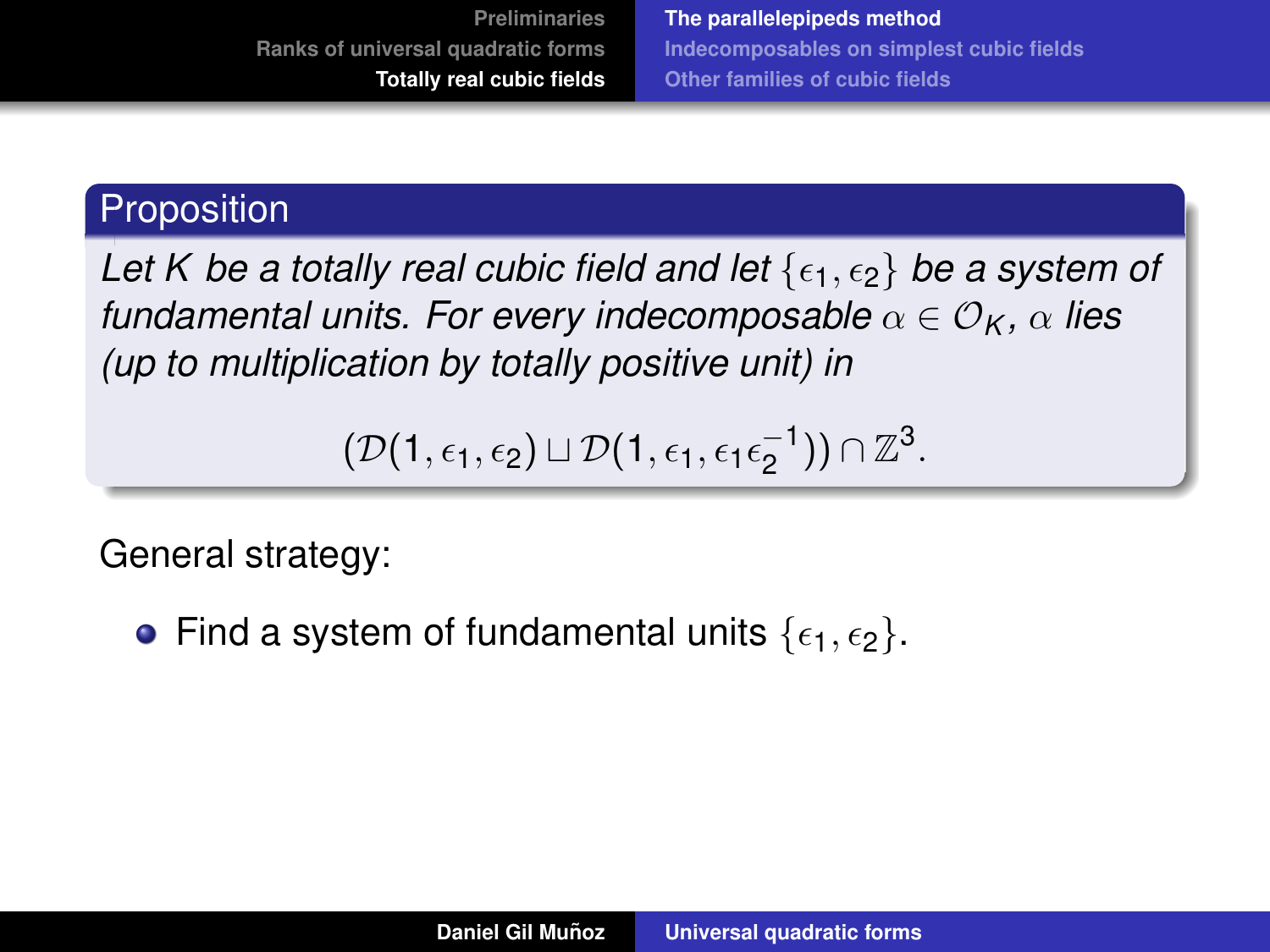## **Proposition**

*Let K be a totally real cubic field and let*  $\{\epsilon_1, \epsilon_2\}$  *be a system of fundamental units. For every indecomposable*  $\alpha \in \mathcal{O}_K$ ,  $\alpha$  *lies (up to multiplication by totally positive unit) in*

$$
(\mathcal{D}(1,\epsilon_1,\epsilon_2) \sqcup \mathcal{D}(1,\epsilon_1,\epsilon_1\epsilon_2^{-1})) \cap \mathbb{Z}^3.
$$

General strategy:

• Find a system of fundamental units  $\{\epsilon_1, \epsilon_2\}$ .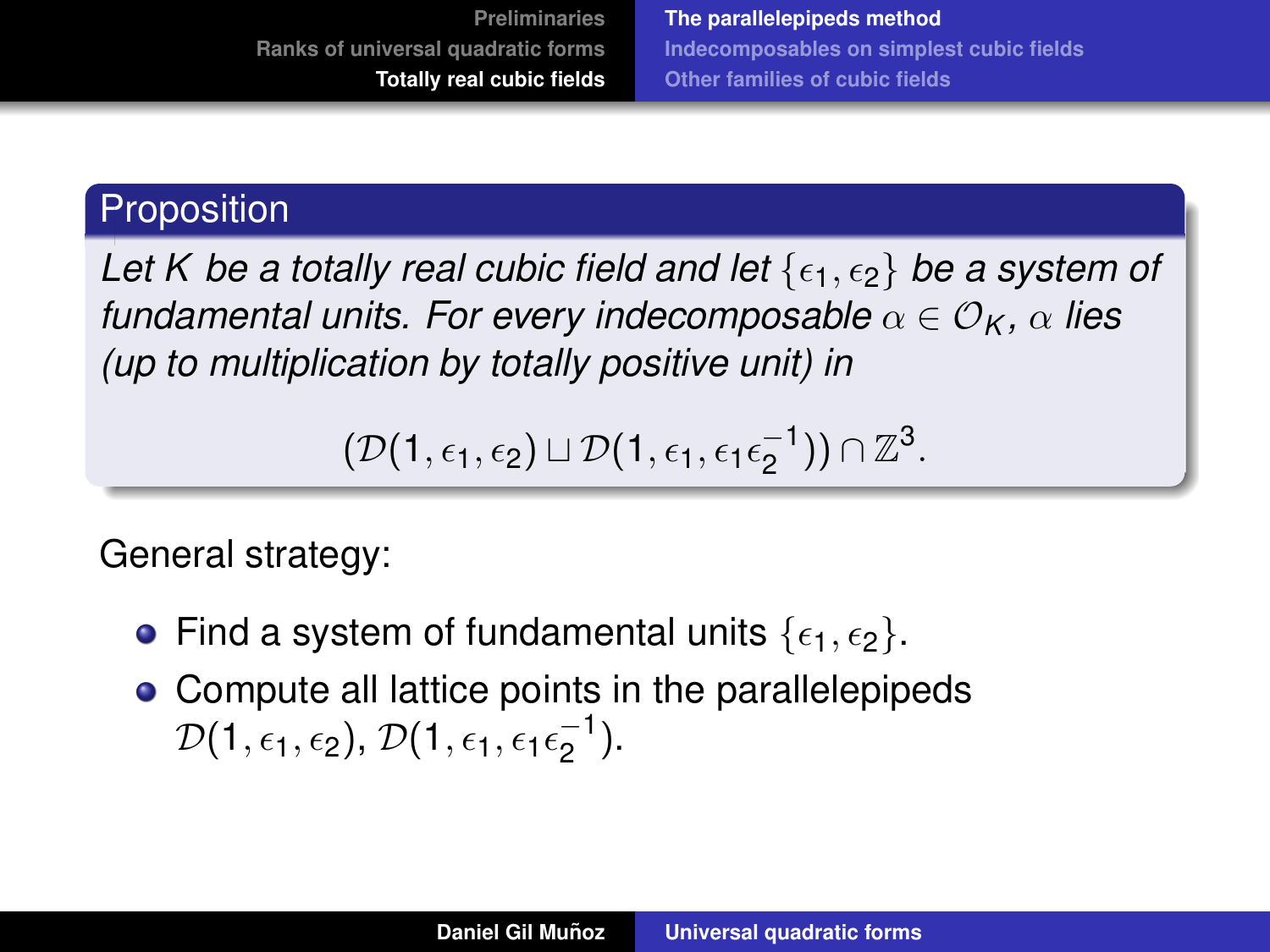## **Proposition**

Let K be a totally real cubic field and let  $\{\epsilon_1, \epsilon_2\}$  be a system of *fundamental units. For every indecomposable*  $\alpha \in \mathcal{O}_K$ ,  $\alpha$  *lies (up to multiplication by totally positive unit) in*

$$
(\mathcal{D}(1,\epsilon_1,\epsilon_2) \sqcup \mathcal{D}(1,\epsilon_1,\epsilon_1\epsilon_2^{-1})) \cap \mathbb{Z}^3.
$$

General strategy:

- Find a system of fundamental units  $\{\epsilon_1, \epsilon_2\}$ .
- Compute all lattice points in the parallelepipeds  $\mathcal{D}(1,\epsilon_1,\epsilon_2)$ ,  $\mathcal{D}(1,\epsilon_1,\epsilon_1\epsilon_2^{-1}$  $\frac{-1}{2}$ ).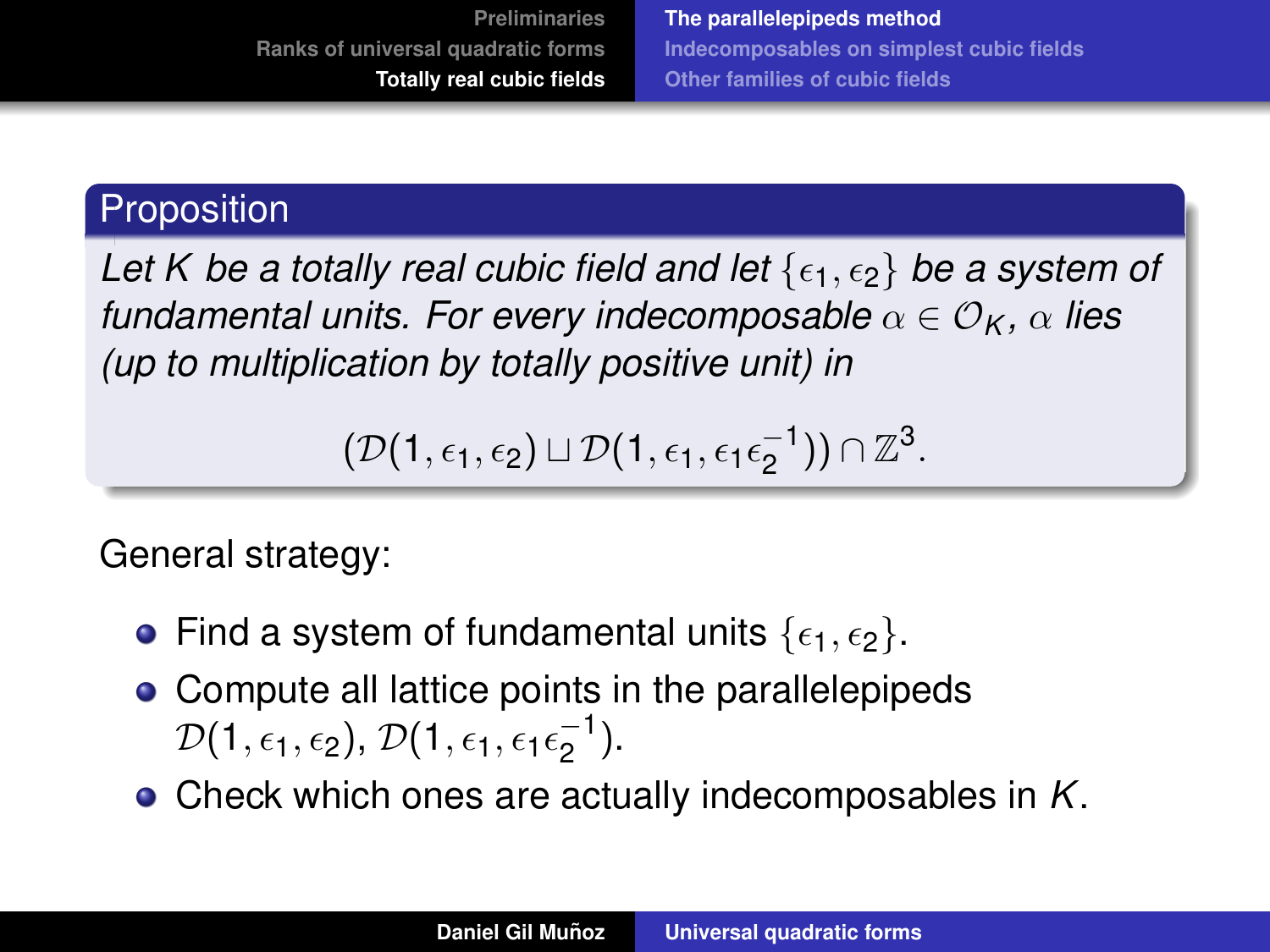## **Proposition**

Let K be a totally real cubic field and let  $\{\epsilon_1, \epsilon_2\}$  be a system of *fundamental units. For every indecomposable*  $\alpha \in \mathcal{O}_K$ ,  $\alpha$  *lies (up to multiplication by totally positive unit) in*

$$
(\mathcal{D}(1,\epsilon_1,\epsilon_2) \sqcup \mathcal{D}(1,\epsilon_1,\epsilon_1\epsilon_2^{-1})) \cap \mathbb{Z}^3.
$$

General strategy:

- Find a system of fundamental units  $\{\epsilon_1, \epsilon_2\}$ .
- Compute all lattice points in the parallelepipeds  $\mathcal{D}(1,\epsilon_1,\epsilon_2)$ ,  $\mathcal{D}(1,\epsilon_1,\epsilon_1\epsilon_2^{-1}$  $\frac{-1}{2}$ ).
- Check which ones are actually indecomposables in *K*.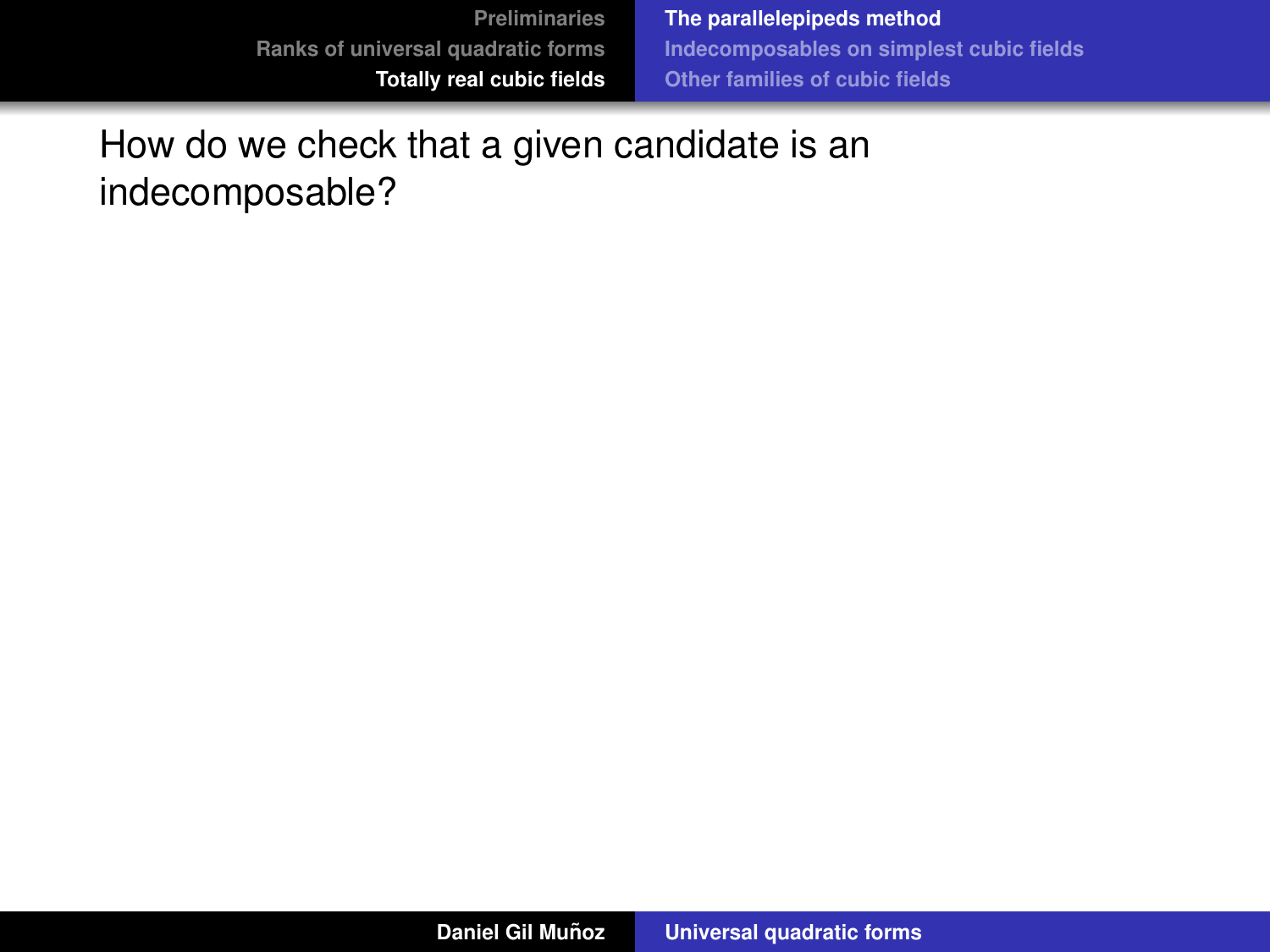**[The parallelepipeds method](#page-62-0) [Indecomposables on simplest cubic fields](#page-85-0) [Other families of cubic fields](#page-103-0)**

How do we check that a given candidate is an indecomposable?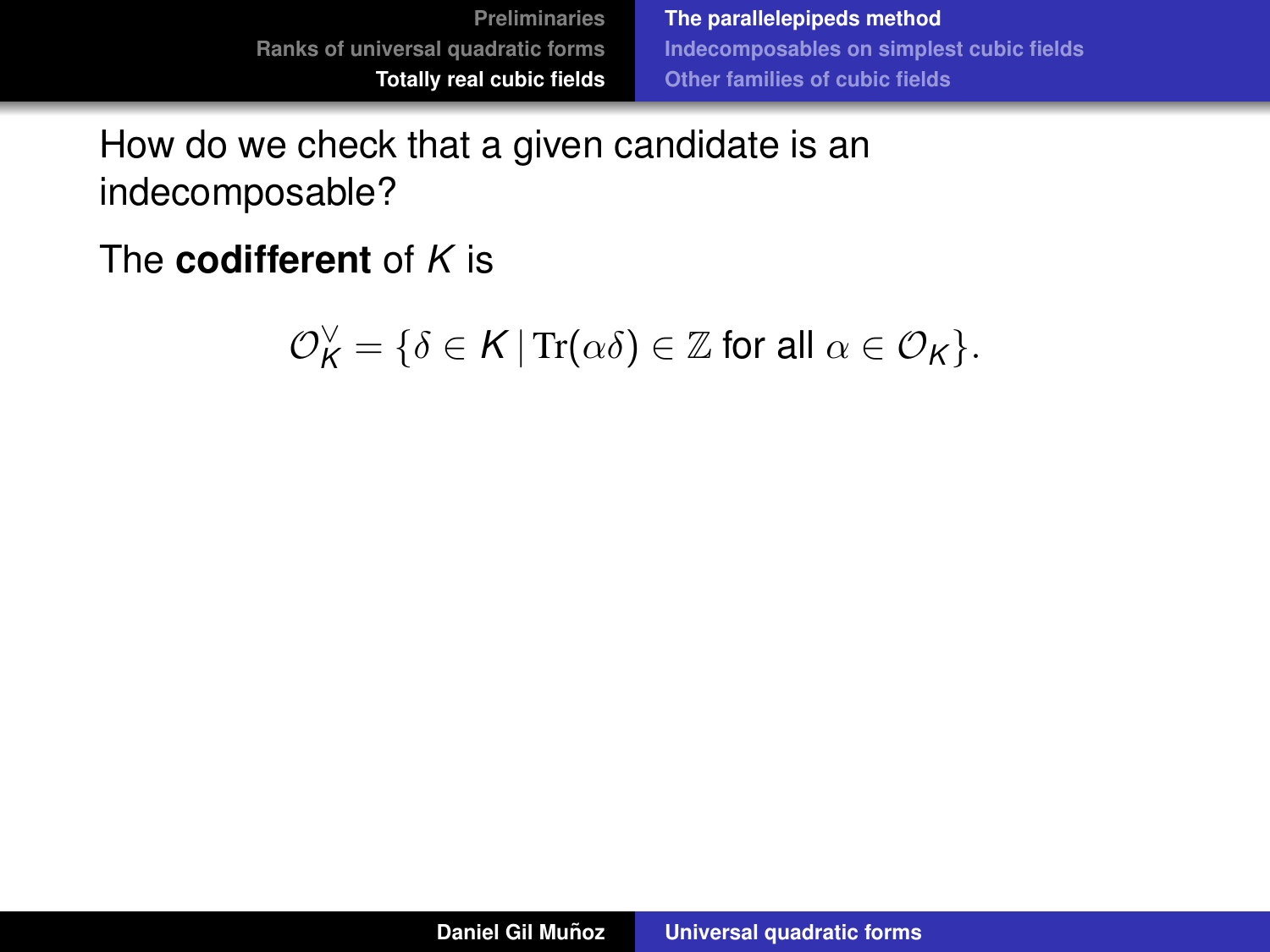How do we check that a given candidate is an indecomposable?

The **codifferent** of *K* is

$$
\mathcal{O}_{\mathsf{K}}^{\vee} = \{ \delta \in \mathsf{K} \, | \, \text{Tr}(\alpha \delta) \in \mathbb{Z} \text{ for all } \alpha \in \mathcal{O}_{\mathsf{K}} \}.
$$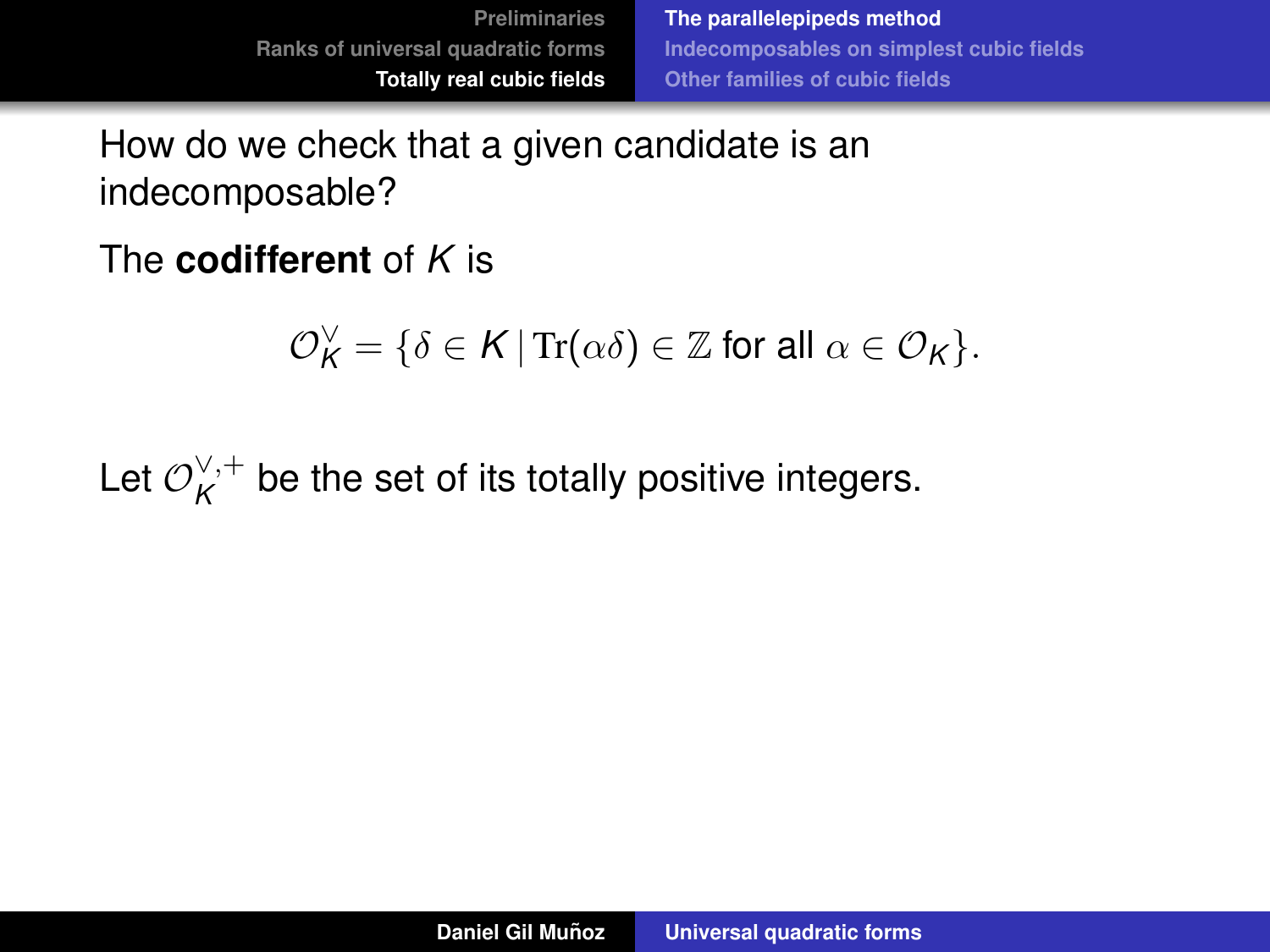**[The parallelepipeds method](#page-62-0) [Indecomposables on simplest cubic fields](#page-85-0) [Other families of cubic fields](#page-103-0)**

How do we check that a given candidate is an indecomposable?

The **codifferent** of *K* is

$$
\mathcal{O}_{K}^{\vee} = \{ \delta \in K \, | \operatorname{Tr}(\alpha \delta) \in \mathbb{Z} \text{ for all } \alpha \in \mathcal{O}_{K} \}.
$$

Let  $\mathcal{O}_{\bm K}^{\vee,+}$  $K^{\vee,+}$  be the set of its totally positive integers.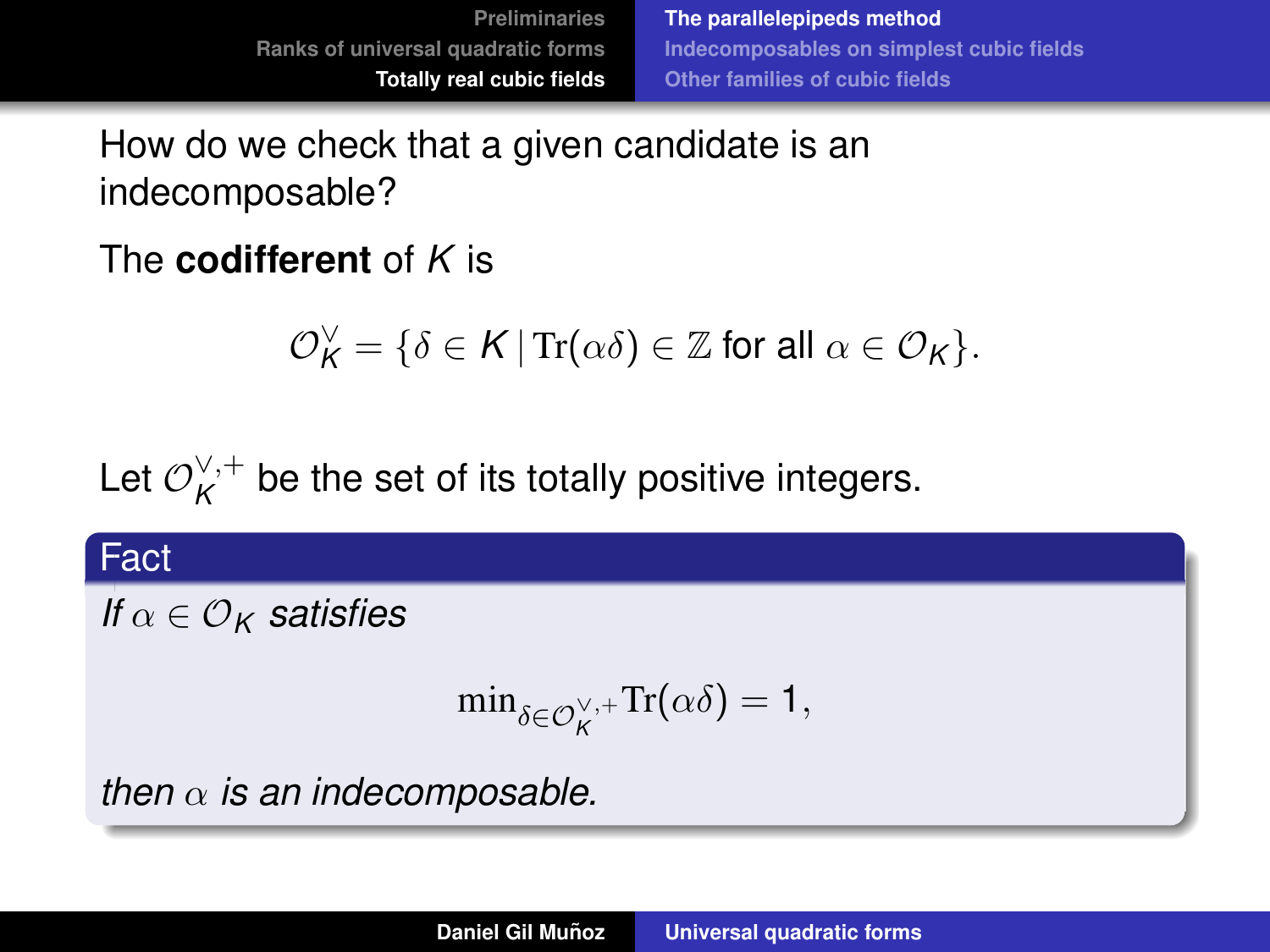**[The parallelepipeds method](#page-62-0) [Indecomposables on simplest cubic fields](#page-85-0) [Other families of cubic fields](#page-103-0)**

How do we check that a given candidate is an indecomposable?

The **codifferent** of *K* is

$$
\mathcal{O}_{\mathsf{K}}^{\vee} = \{ \delta \in \mathsf{K} \, | \, \text{Tr}(\alpha \delta) \in \mathbb{Z} \text{ for all } \alpha \in \mathcal{O}_{\mathsf{K}} \}.
$$

Let  $\mathcal{O}_{\bm K}^{\vee,+}$  $K^{\vee,+}$  be the set of its totally positive integers.

#### Fact

*If*  $\alpha \in \mathcal{O}_K$  *satisfies* 

$$
\min\nolimits_{\delta \in \mathcal{O}_K^{\vee,+}} \mathrm{Tr}(\alpha \delta) = 1,
$$

*then*  $\alpha$  *is an indecomposable.*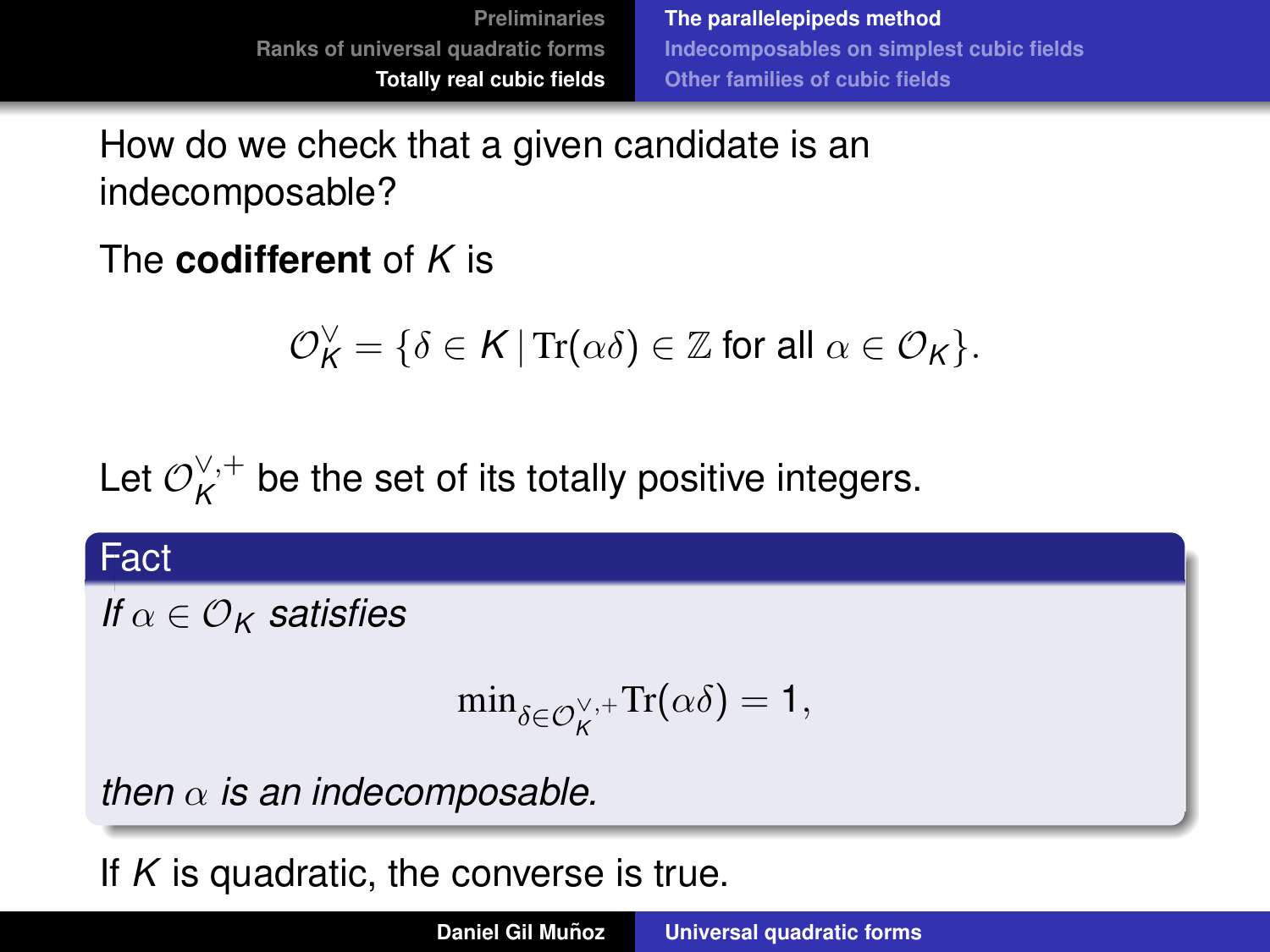**[The parallelepipeds method](#page-62-0) [Indecomposables on simplest cubic fields](#page-85-0) [Other families of cubic fields](#page-103-0)**

How do we check that a given candidate is an indecomposable?

The **codifferent** of *K* is

$$
\mathcal{O}_{\mathsf{K}}^{\vee} = \{ \delta \in \mathsf{K} \, | \, \text{Tr}(\alpha \delta) \in \mathbb{Z} \text{ for all } \alpha \in \mathcal{O}_{\mathsf{K}} \}.
$$

Let  $\mathcal{O}_{\bm K}^{\vee,+}$  $K^{\vee,+}$  be the set of its totally positive integers.

#### Fact

*If*  $\alpha \in \mathcal{O}_K$  *satisfies* 

$$
\min\nolimits_{\delta \in \mathcal{O}_K^{\vee,+}} \mathrm{Tr}(\alpha \delta) = 1,
$$

*then*  $\alpha$  *is an indecomposable.* 

If *K* is quadratic, the converse is true.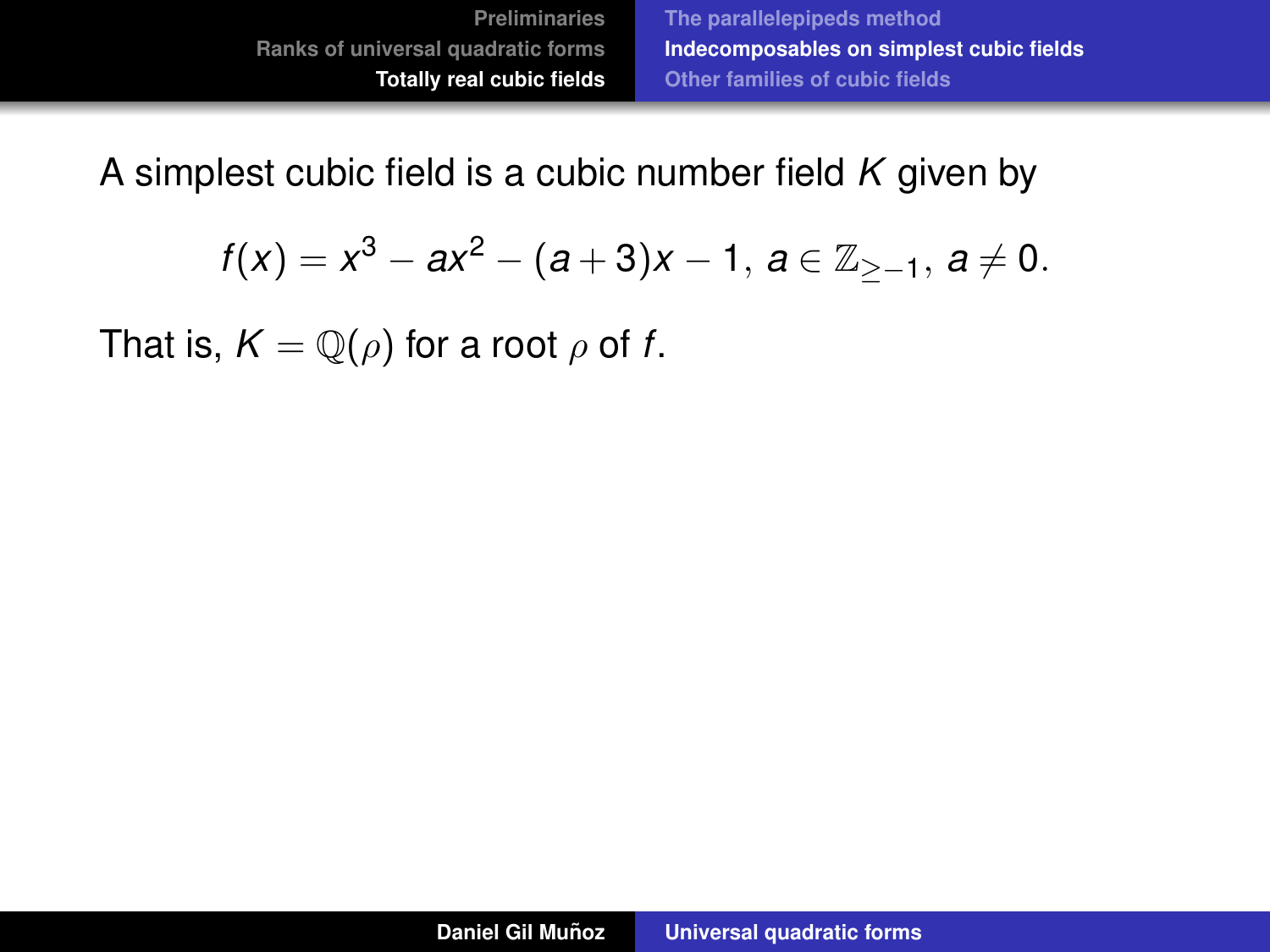<span id="page-85-0"></span>A simplest cubic field is a cubic number field *K* given by

$$
f(x) = x^3 - ax^2 - (a+3)x - 1, \ a \in \mathbb{Z}_{\ge -1}, \ a \ne 0.
$$

That is,  $K = \mathbb{Q}(\rho)$  for a root  $\rho$  of *f*.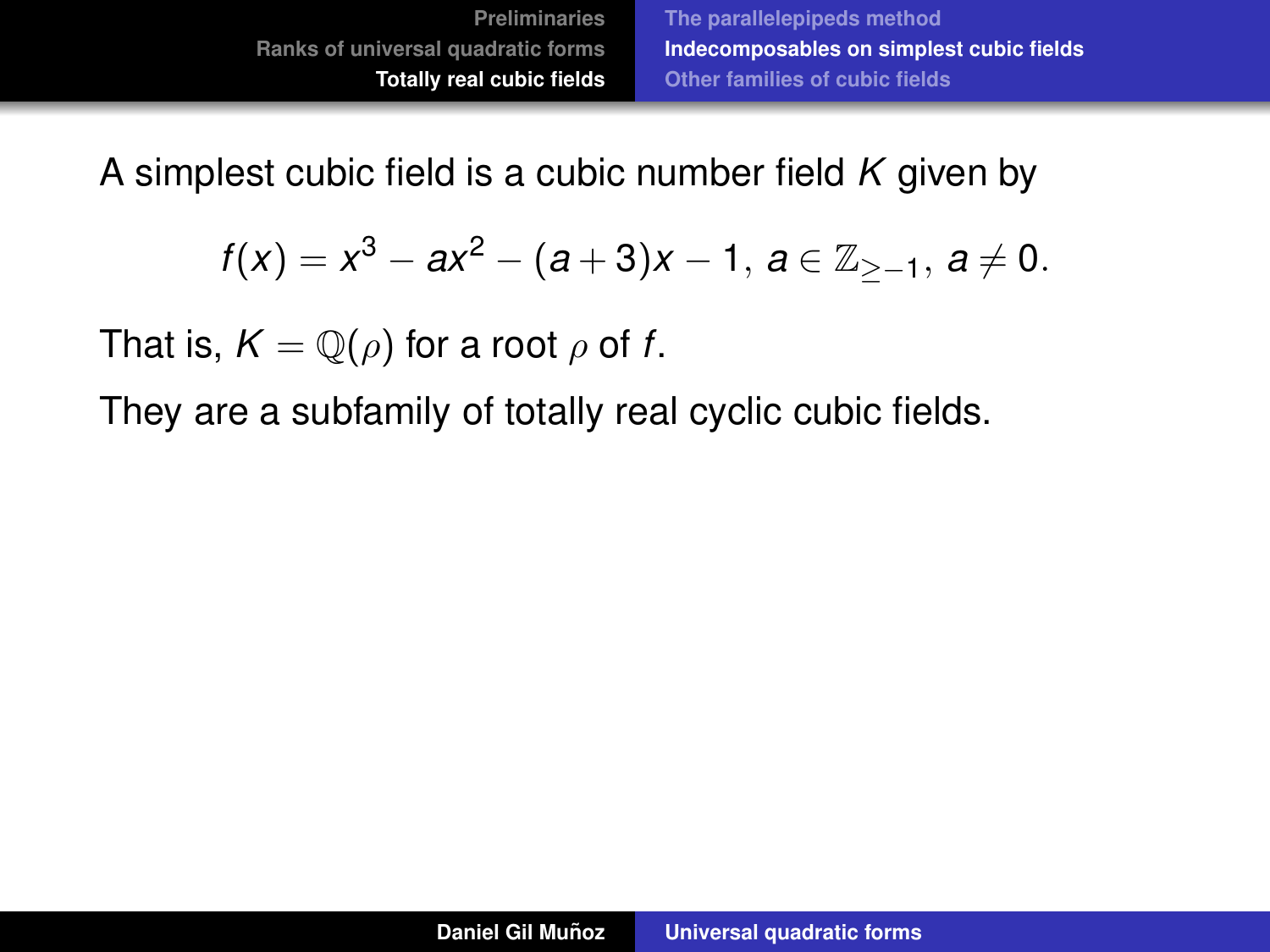A simplest cubic field is a cubic number field *K* given by

$$
f(x) = x^3 - ax^2 - (a+3)x - 1, \ a \in \mathbb{Z}_{\ge -1}, \ a \ne 0.
$$

That is,  $K = \mathbb{Q}(\rho)$  for a root  $\rho$  of f.

They are a subfamily of totally real cyclic cubic fields.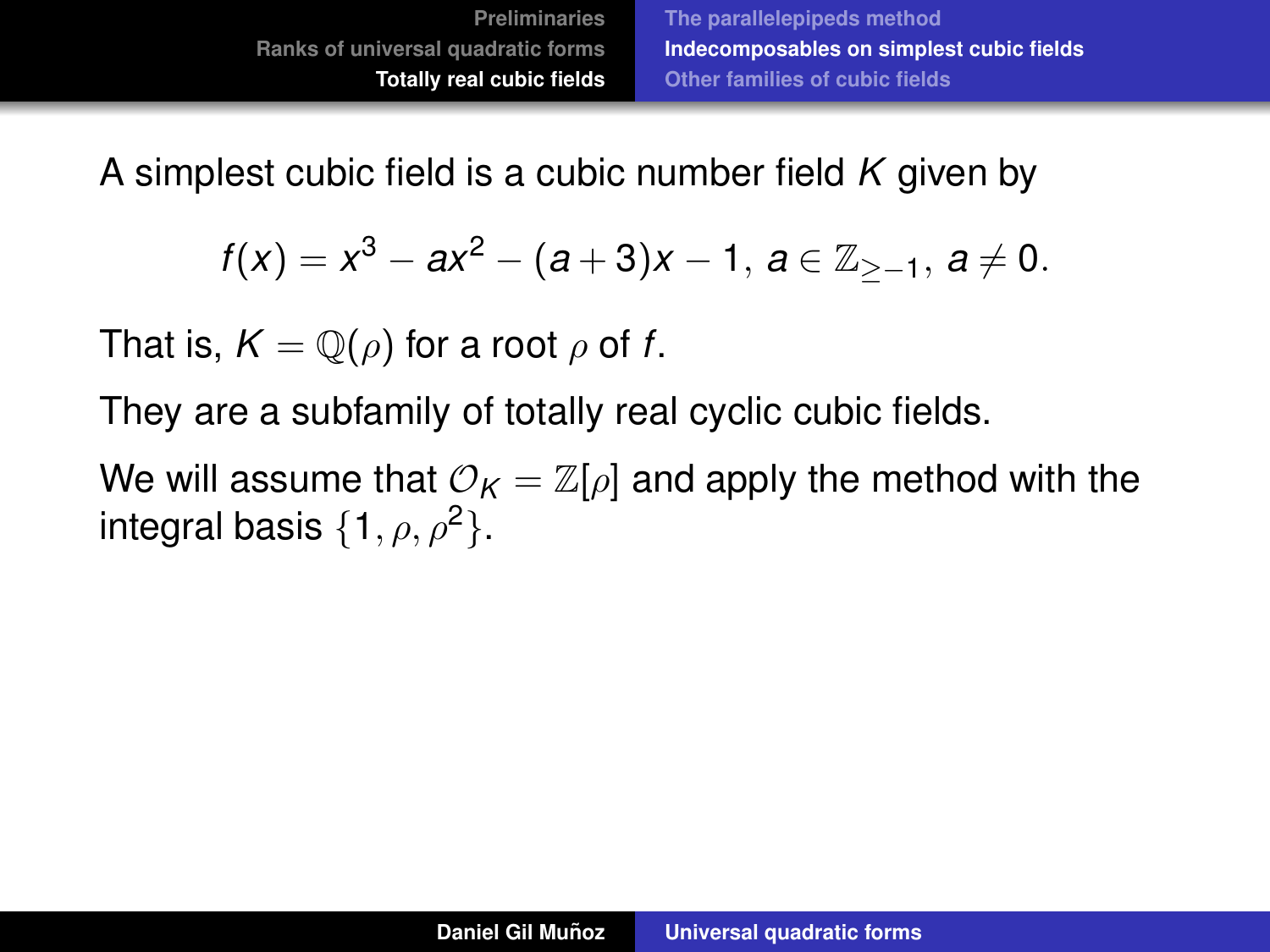$$
f(x) = x^3 - ax^2 - (a+3)x - 1, \ a \in \mathbb{Z}_{\ge -1}, \ a \ne 0.
$$

That is,  $K = \mathbb{Q}(\rho)$  for a root  $\rho$  of f.

They are a subfamily of totally real cyclic cubic fields.

We will assume that  $\mathcal{O}_K = \mathbb{Z}[\rho]$  and apply the method with the integral basis  $\{1, \rho, \rho^2\}$ .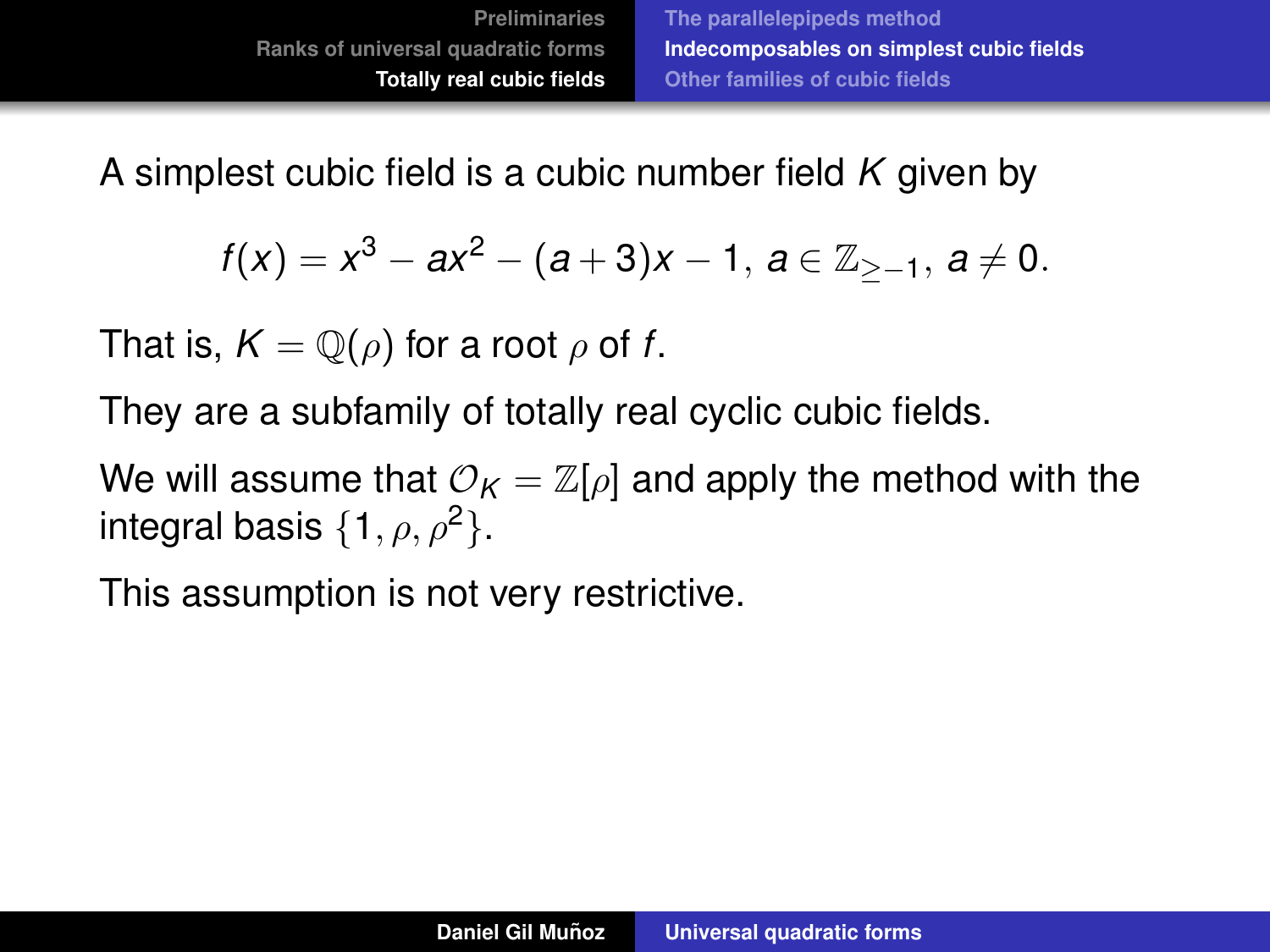$$
f(x) = x^3 - ax^2 - (a+3)x - 1, \ a \in \mathbb{Z}_{\ge -1}, \ a \ne 0.
$$

That is,  $K = \mathbb{Q}(\rho)$  for a root  $\rho$  of f.

They are a subfamily of totally real cyclic cubic fields.

We will assume that  $\mathcal{O}_K = \mathbb{Z}[\rho]$  and apply the method with the integral basis  $\{1, \rho, \rho^2\}$ .

This assumption is not very restrictive.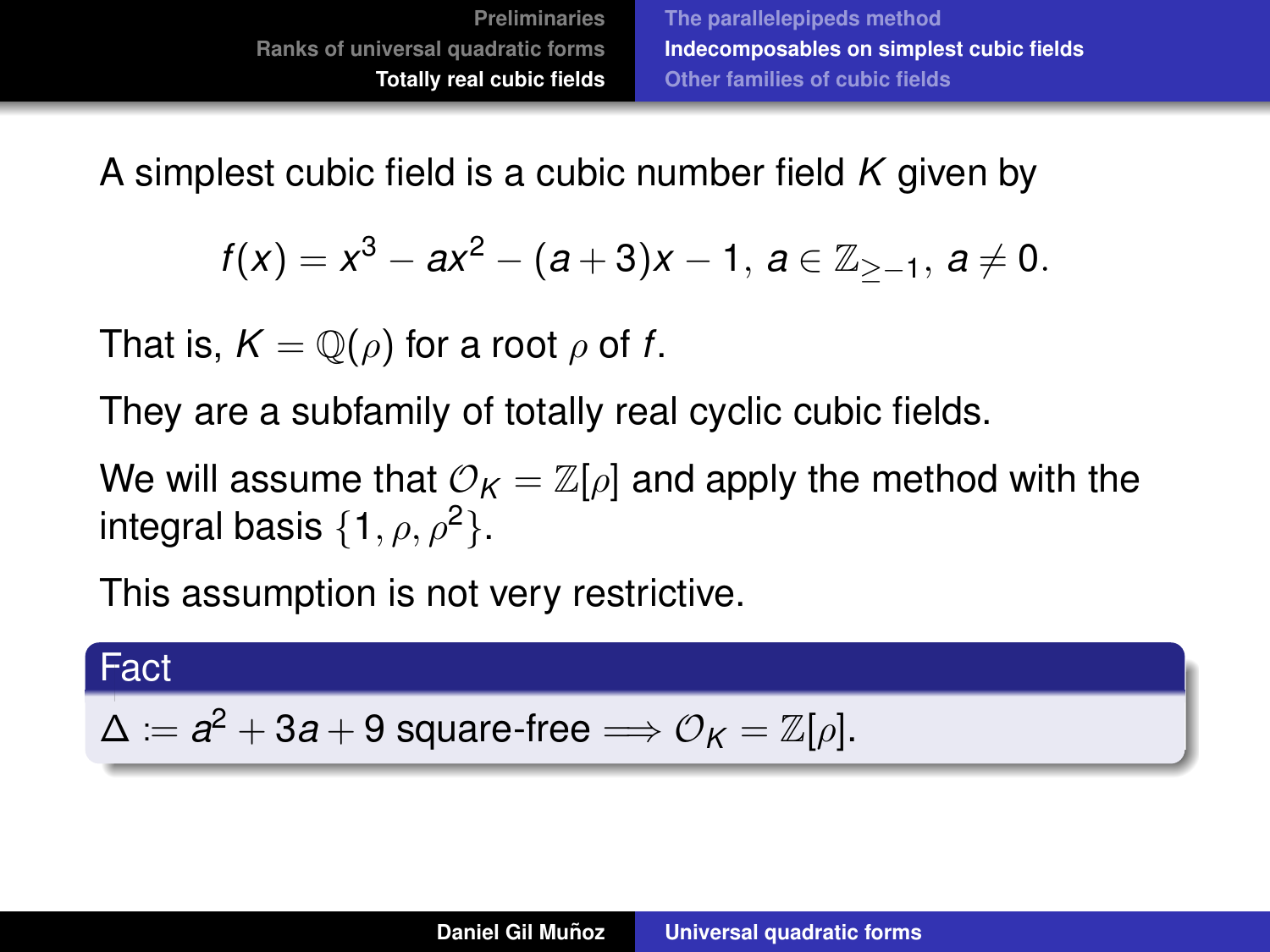$$
f(x) = x^3 - ax^2 - (a+3)x - 1, \ a \in \mathbb{Z}_{\ge -1}, \ a \ne 0.
$$

That is,  $K = \mathbb{Q}(\rho)$  for a root  $\rho$  of f.

They are a subfamily of totally real cyclic cubic fields.

We will assume that  $\mathcal{O}_K = \mathbb{Z}[\rho]$  and apply the method with the integral basis  $\{1, \rho, \rho^2\}.$ 

This assumption is not very restrictive.

#### Fact

$$
\Delta := a^2 + 3a + 9 \text{ square-free} \Longrightarrow \mathcal{O}_K = \mathbb{Z}[\rho].
$$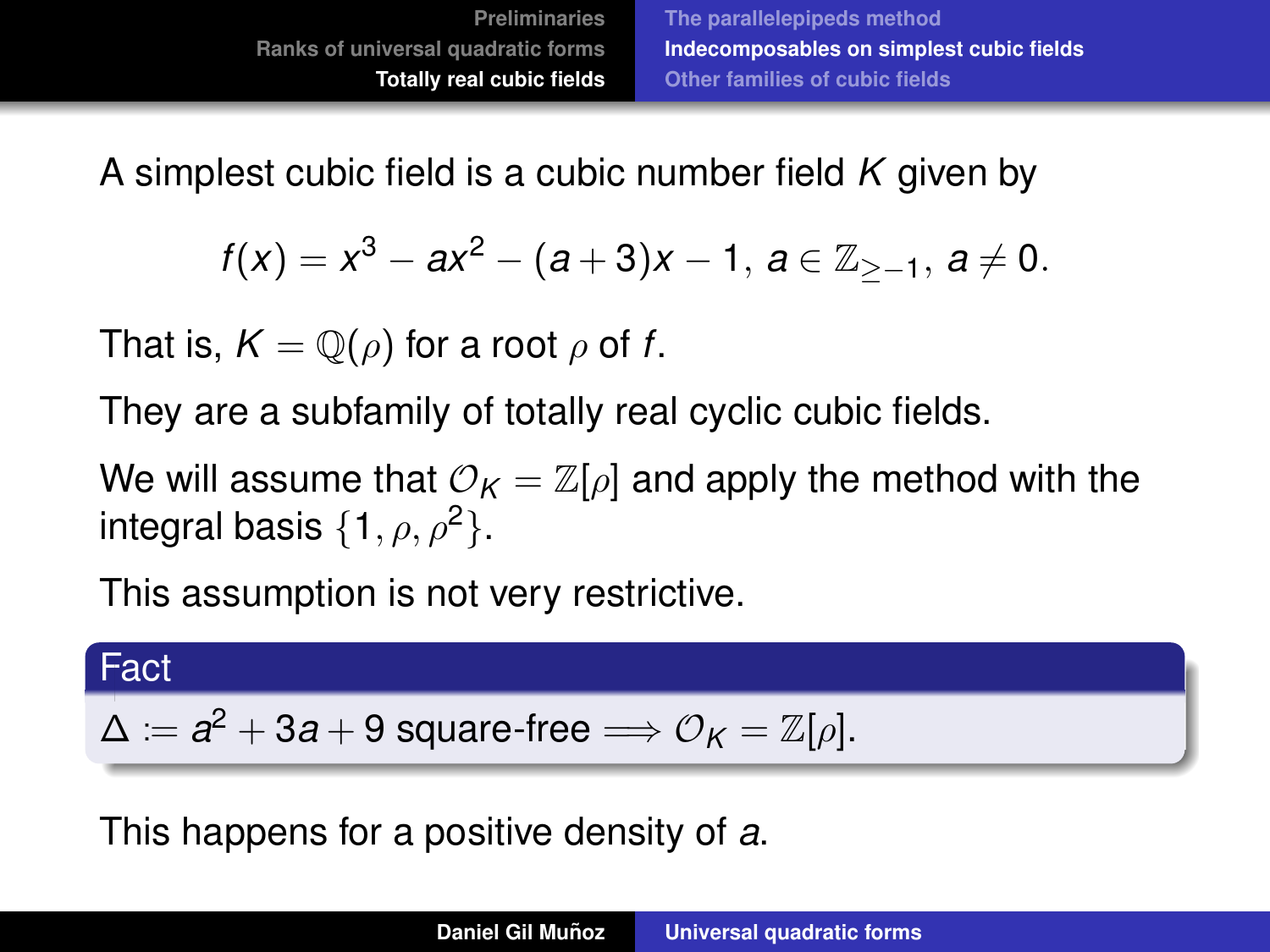<span id="page-90-0"></span>
$$
f(x) = x^3 - ax^2 - (a+3)x - 1, \ a \in \mathbb{Z}_{\ge -1}, \ a \ne 0.
$$

That is,  $K = \mathbb{Q}(\rho)$  for a root  $\rho$  of f.

They are a subfamily of totally real cyclic cubic fields.

We will assume that  $\mathcal{O}_K = \mathbb{Z}[\rho]$  and apply the method with the integral basis  $\{1, \rho, \rho^2\}$ .

This assumption is not very restrictive.

#### Fact

$$
\Delta := a^2 + 3a + 9 \text{ square-free} \Longrightarrow \mathcal{O}_K = \mathbb{Z}[\rho].
$$

This happens for a positive density of *a*.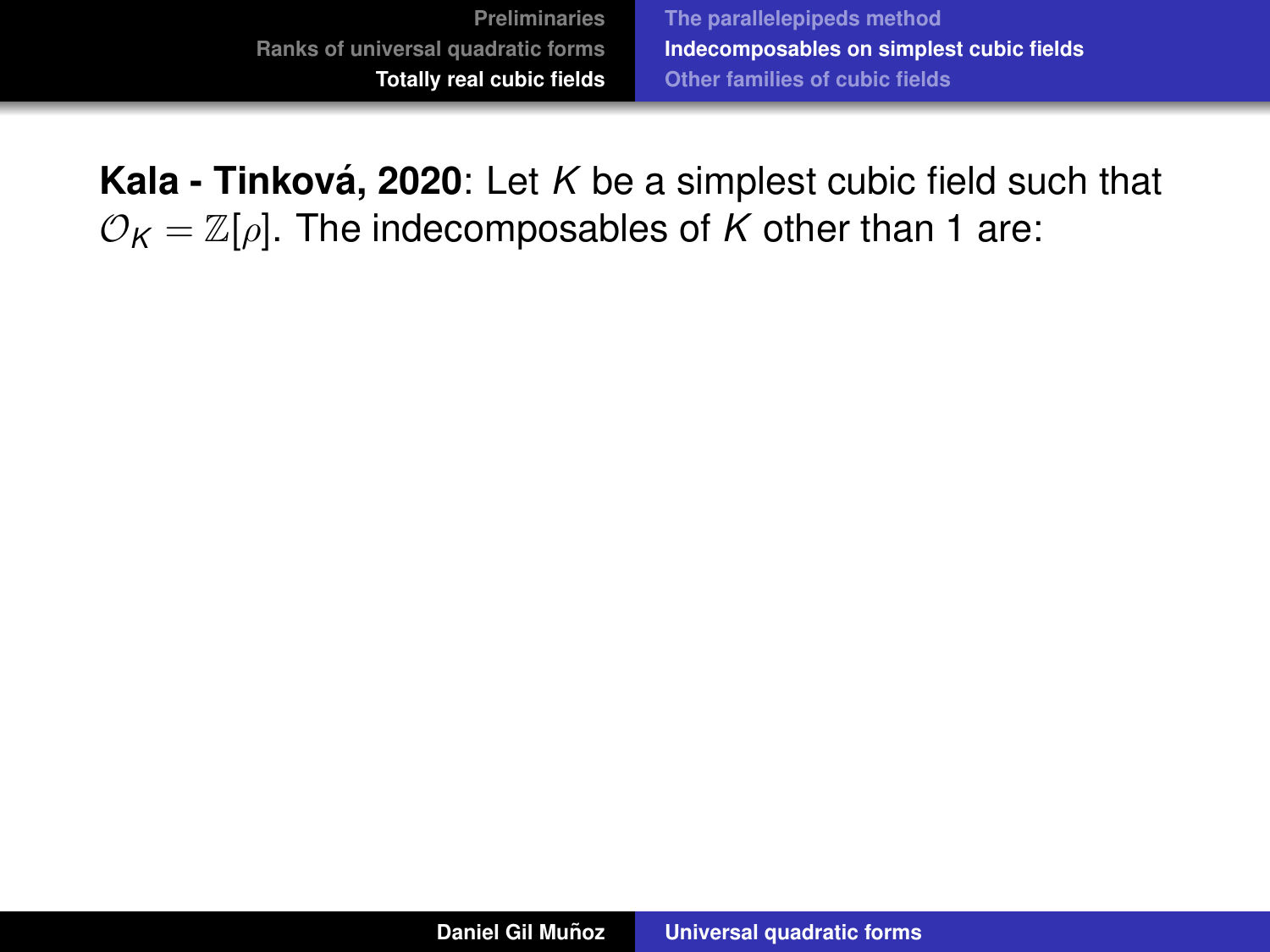**Kala - Tinková, 2020**: Let *K* be a simplest cubic field such that  $\mathcal{O}_K = \mathbb{Z}[\rho]$ . The indecomposables of *K* other than 1 are: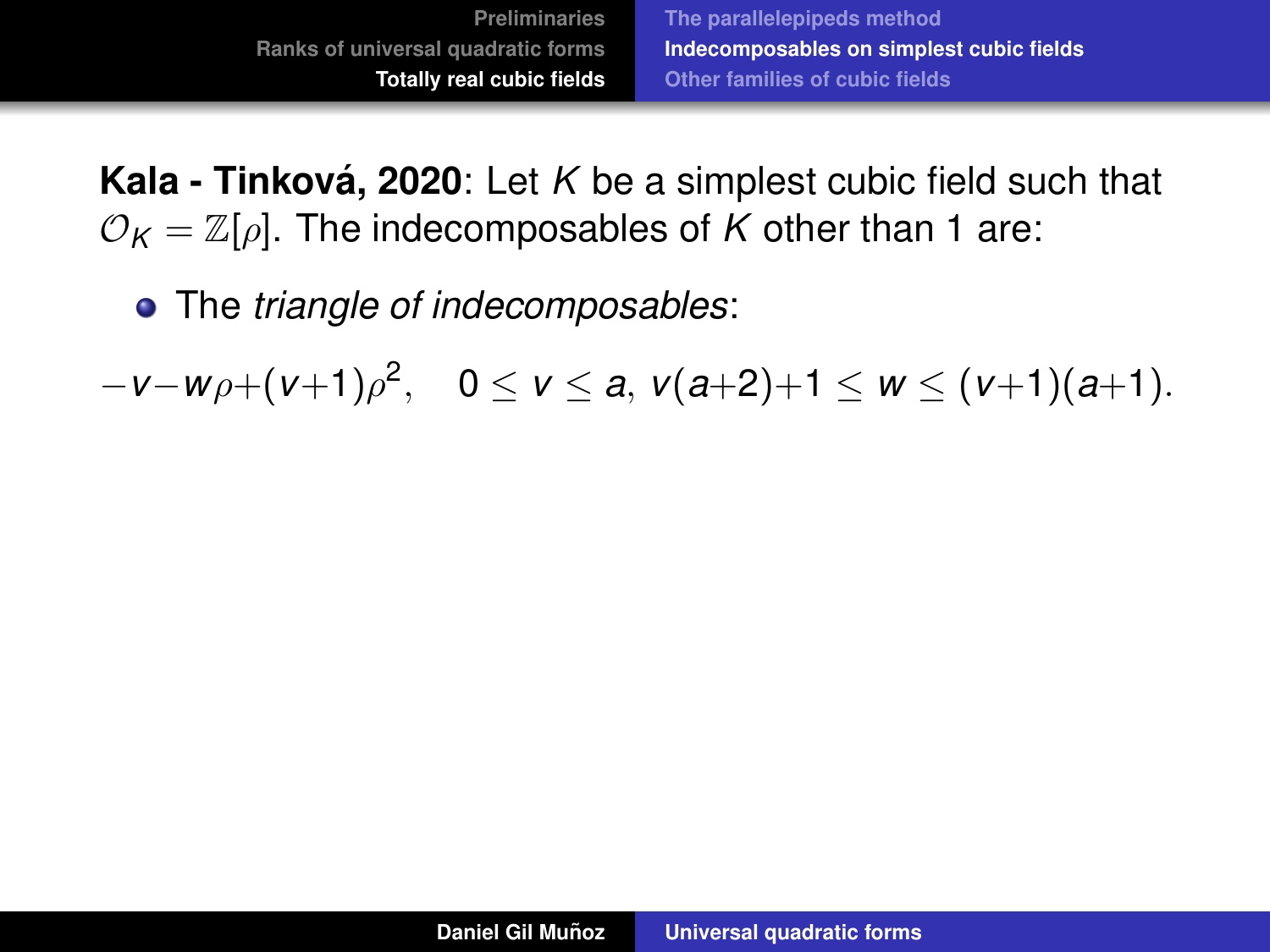The *triangle of indecomposables*:

−*v*−*w*ρ+(*v*+1)ρ 2 , 0 ≤ *v* ≤ *a*, *v*(*a*+2)+1 ≤ *w* ≤ (*v*+1)(*a*+1).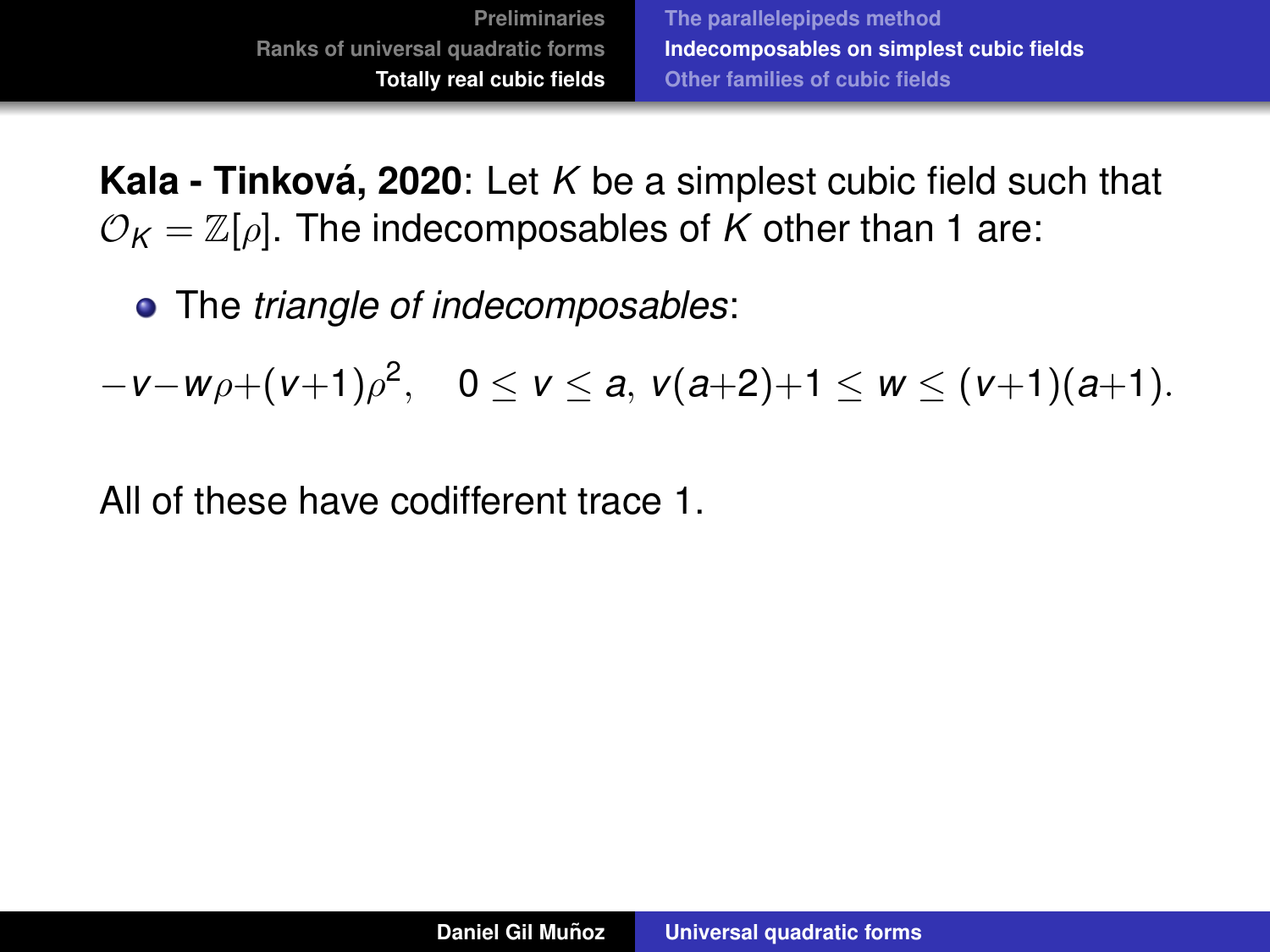The *triangle of indecomposables*:

−*v*−*w*ρ+(*v*+1)ρ 2 , 0 ≤ *v* ≤ *a*, *v*(*a*+2)+1 ≤ *w* ≤ (*v*+1)(*a*+1).

All of these have codifferent trace 1.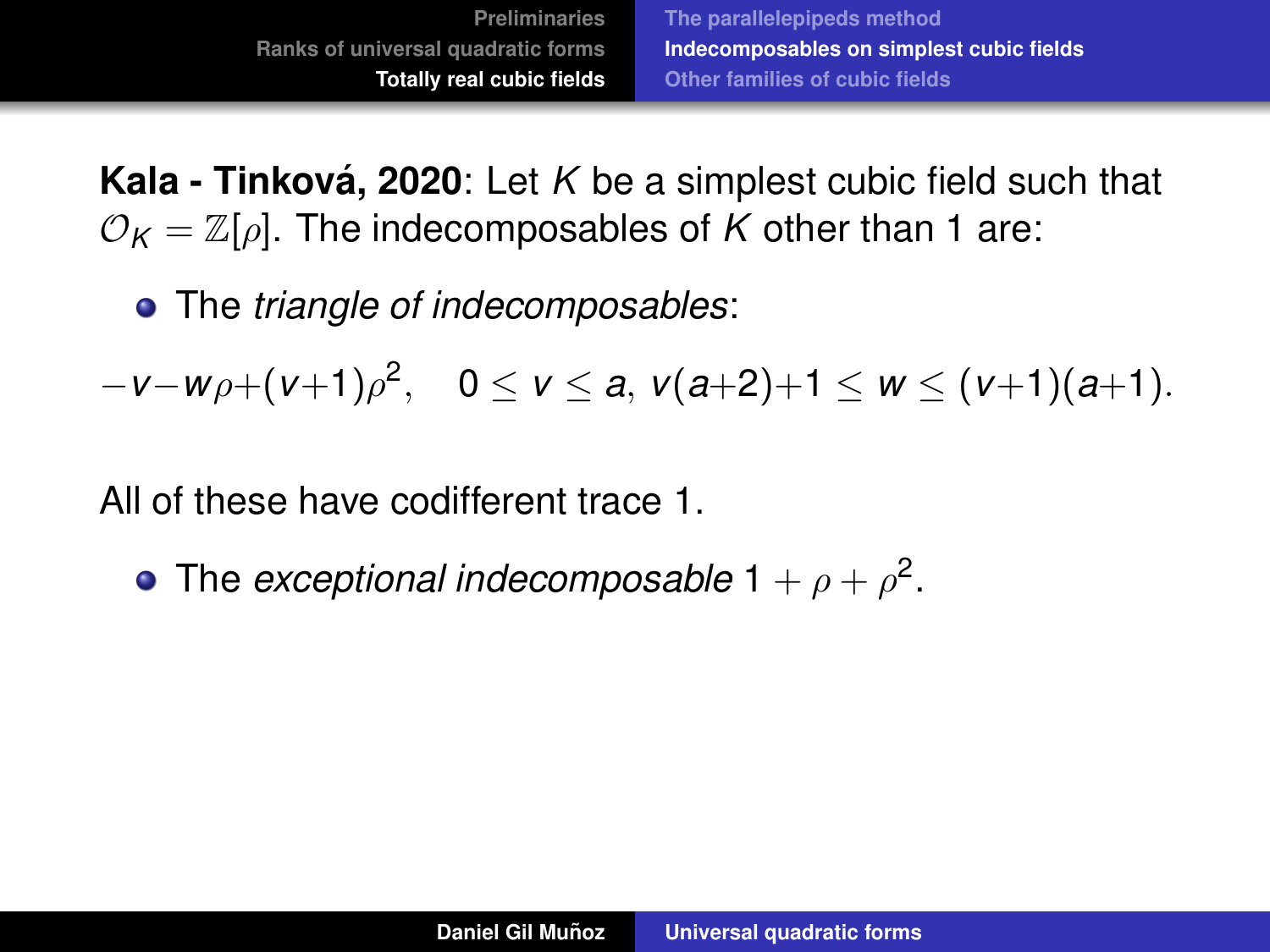The *triangle of indecomposables*:

−*v*−*w*ρ+(*v*+1)ρ 2 , 0 ≤ *v* ≤ *a*, *v*(*a*+2)+1 ≤ *w* ≤ (*v*+1)(*a*+1).

All of these have codifferent trace 1.

The *exceptional indecomposable*  $1 + \rho + \rho^2$ .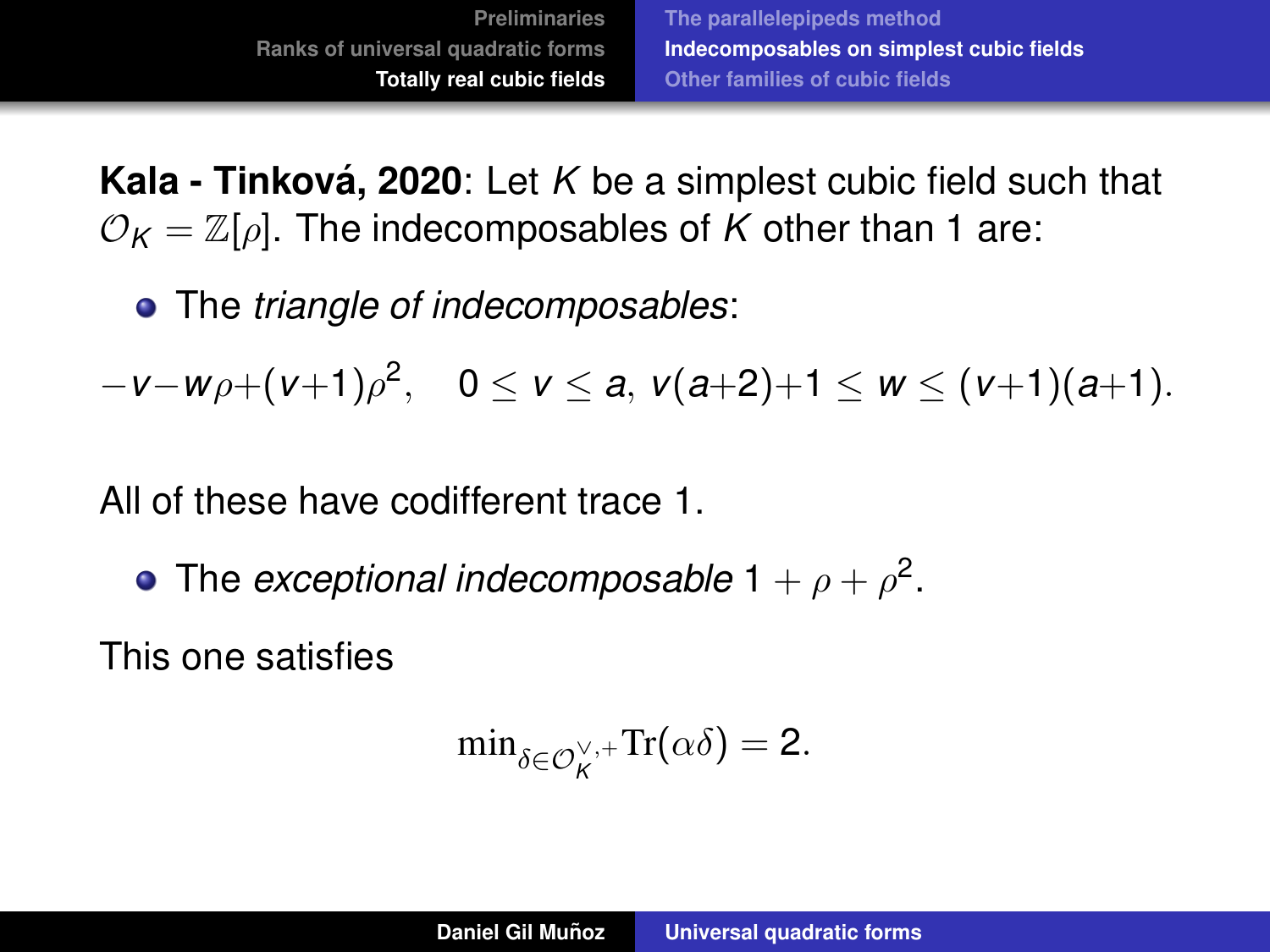The *triangle of indecomposables*:

−*v*−*w*ρ+(*v*+1)ρ 2 , 0 ≤ *v* ≤ *a*, *v*(*a*+2)+1 ≤ *w* ≤ (*v*+1)(*a*+1).

All of these have codifferent trace 1.

The *exceptional indecomposable*  $1 + \rho + \rho^2$ .

This one satisfies

$$
\min\nolimits_{\delta \in \mathcal{O}_K^{\vee,+}} \mathrm{Tr}(\alpha \delta) = 2.
$$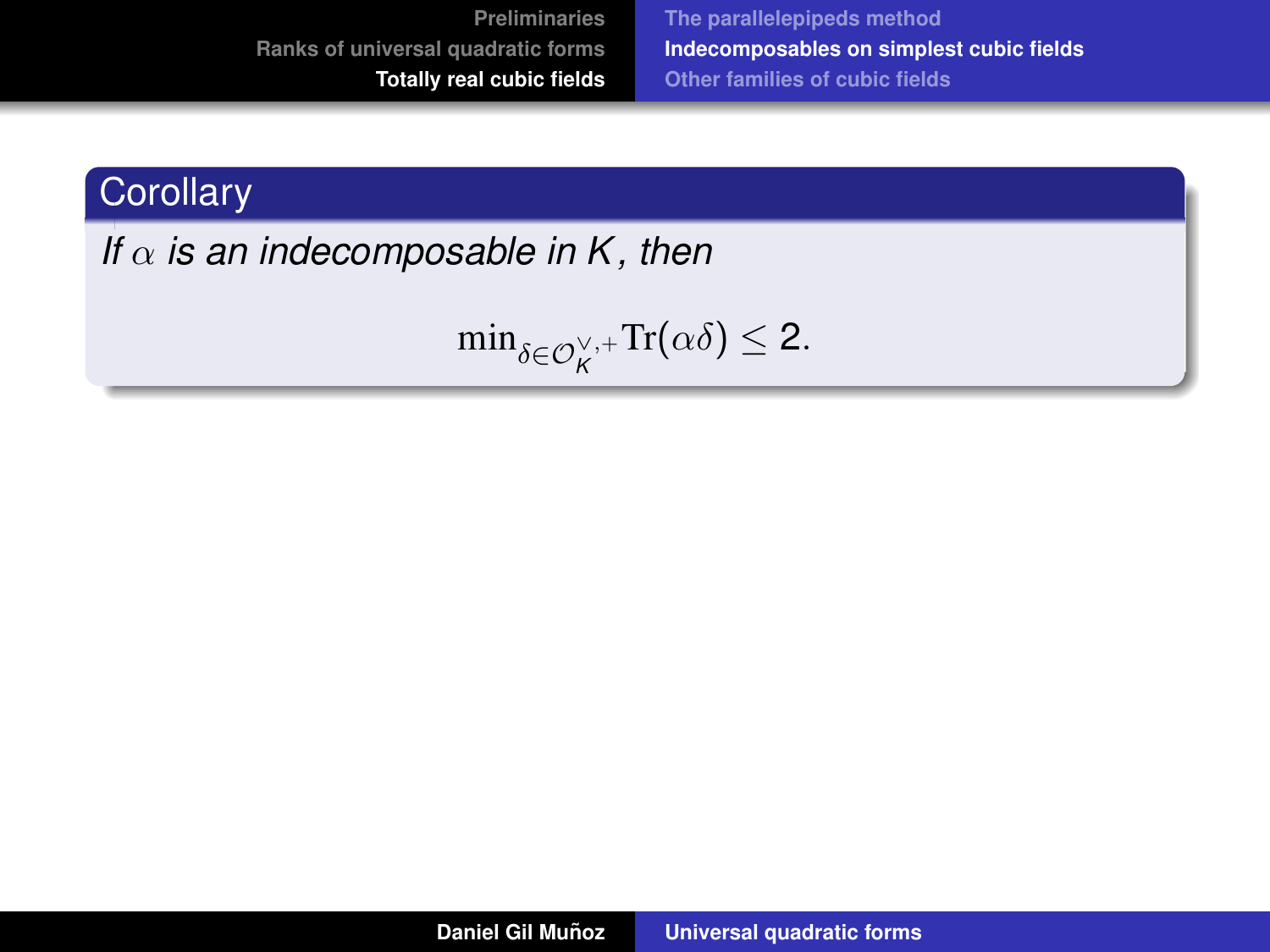**[The parallelepipeds method](#page-62-0) [Indecomposables on simplest cubic fields](#page-85-0) [Other families of cubic fields](#page-103-0)**

## **Corollary**

*If*  $\alpha$  *is an indecomposable in K, then* 

 $\min_{\delta \in \mathcal{O}_K^{\vee,+}} \text{Tr}(\alpha \delta) \leq 2.$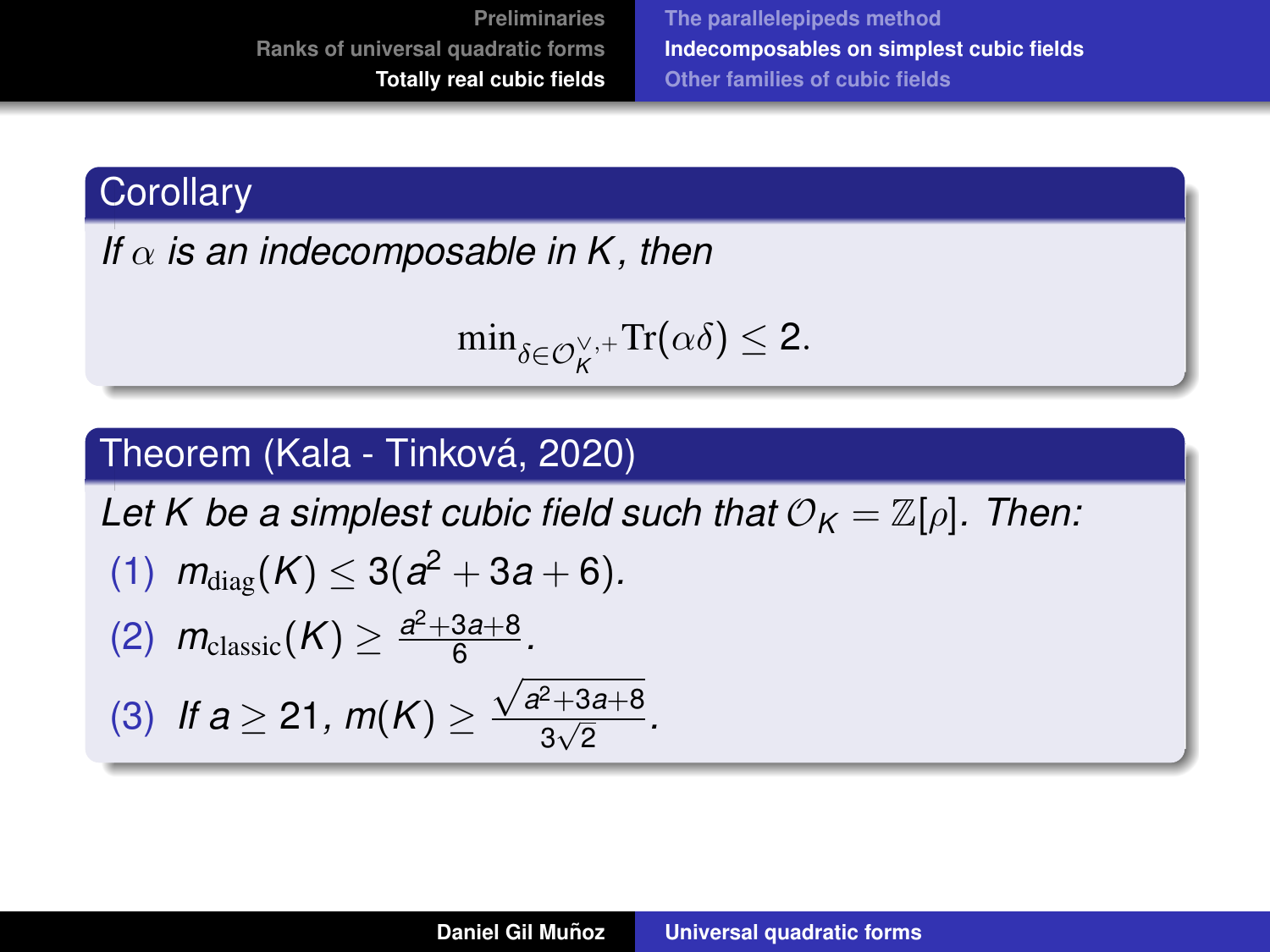**[The parallelepipeds method](#page-62-0) [Indecomposables on simplest cubic fields](#page-85-0) [Other families of cubic fields](#page-103-0)**

## **Corollary**

*If* α *is an indecomposable in K , then*

$$
\min\nolimits_{\delta \in \mathcal{O}_K^{\vee,+}} \mathrm{Tr}(\alpha \delta) \leq 2.
$$

#### Theorem (Kala - Tinková, 2020)

*Let K be a simplest cubic field such that*  $\mathcal{O}_K = \mathbb{Z}[\rho]$ *. Then:*  $(1)$   $m_{\text{diag}}(K) \leq 3(a^2 + 3a + 6)$ . (2)  $m_{\text{classic}}(K) \geq \frac{a^2 + 3a + 8}{6}$ <u>за+8</u>.<br>6 (3) *If a* ≥ 21, *m*(*K*) ≥  $\sqrt{a^2 + 3a + 8}$ −+ɔ*a*+o<br>3√2 ·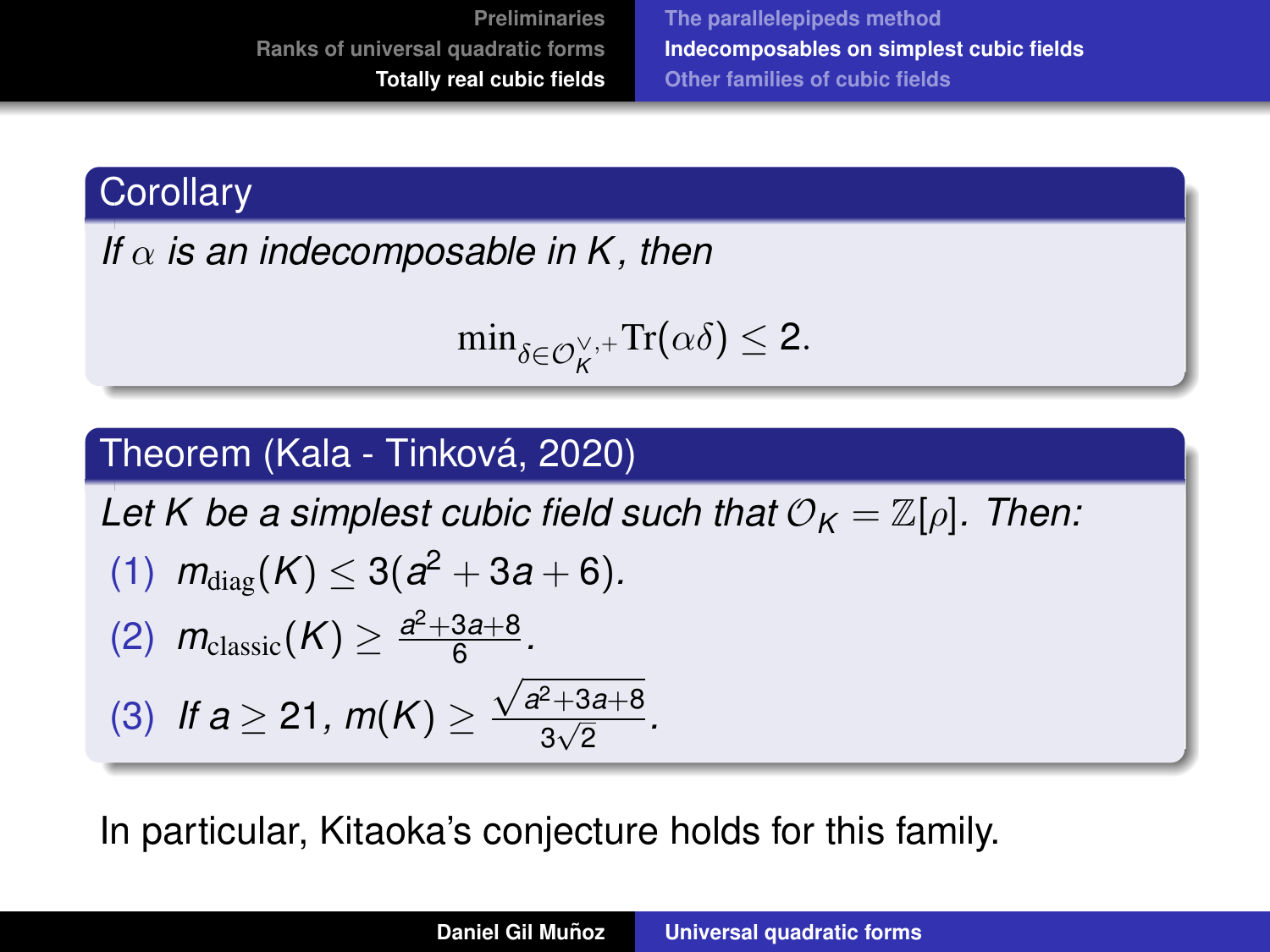**[The parallelepipeds method](#page-62-0) [Indecomposables on simplest cubic fields](#page-85-0) [Other families of cubic fields](#page-103-0)**

## **Corollary**

*If* α *is an indecomposable in K , then*

$$
\min\nolimits_{\delta \in \mathcal{O}_K^{\vee,+}} \mathrm{Tr}(\alpha \delta) \leq 2.
$$

## Theorem (Kala - Tinková, 2020)

*Let K be a simplest cubic field such that*  $\mathcal{O}_K = \mathbb{Z}[\rho]$ . Then:  $(1)$   $m_{\text{diag}}(K) \leq 3(a^2 + 3a + 6)$ . (2)  $m_{\text{classic}}(K) \geq \frac{a^2 + 3a + 8}{6}$ <u>за+8</u>.<br>6 (3) *If a* ≥ 21, *m*(*K*) ≥  $\sqrt{a^2 + 3a + 8}$ −+ɔ*a*+o<br>3√2 ·

In particular, Kitaoka's conjecture holds for this family.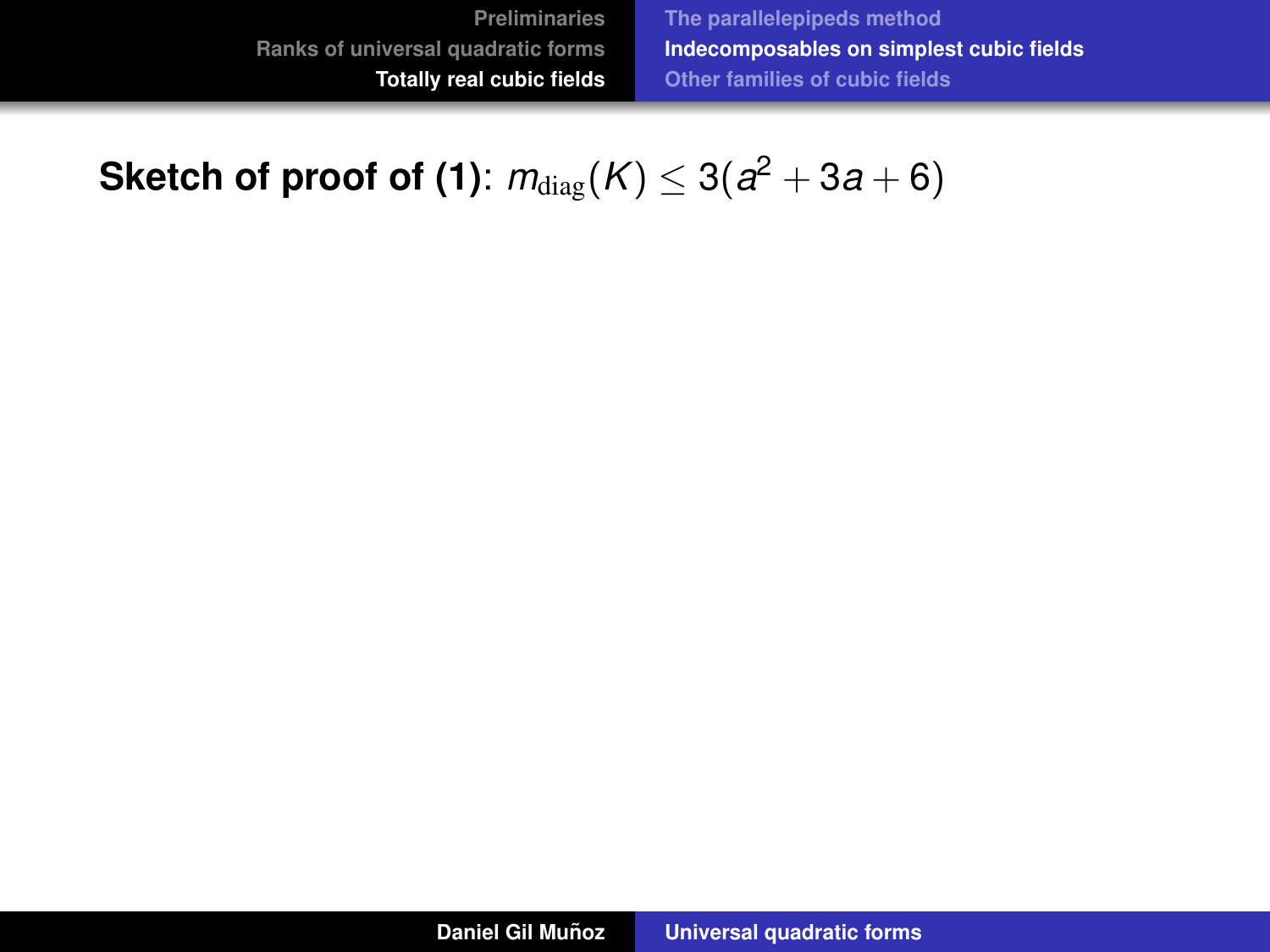**[The parallelepipeds method](#page-62-0) [Indecomposables on simplest cubic fields](#page-85-0) [Other families of cubic fields](#page-103-0)**

## $\mathbf{Sketch\;of\;proof\;of}\;(\mathbf{1})\colon m_{\text{diag}}(K)\leq 3(a^2+3a+6)$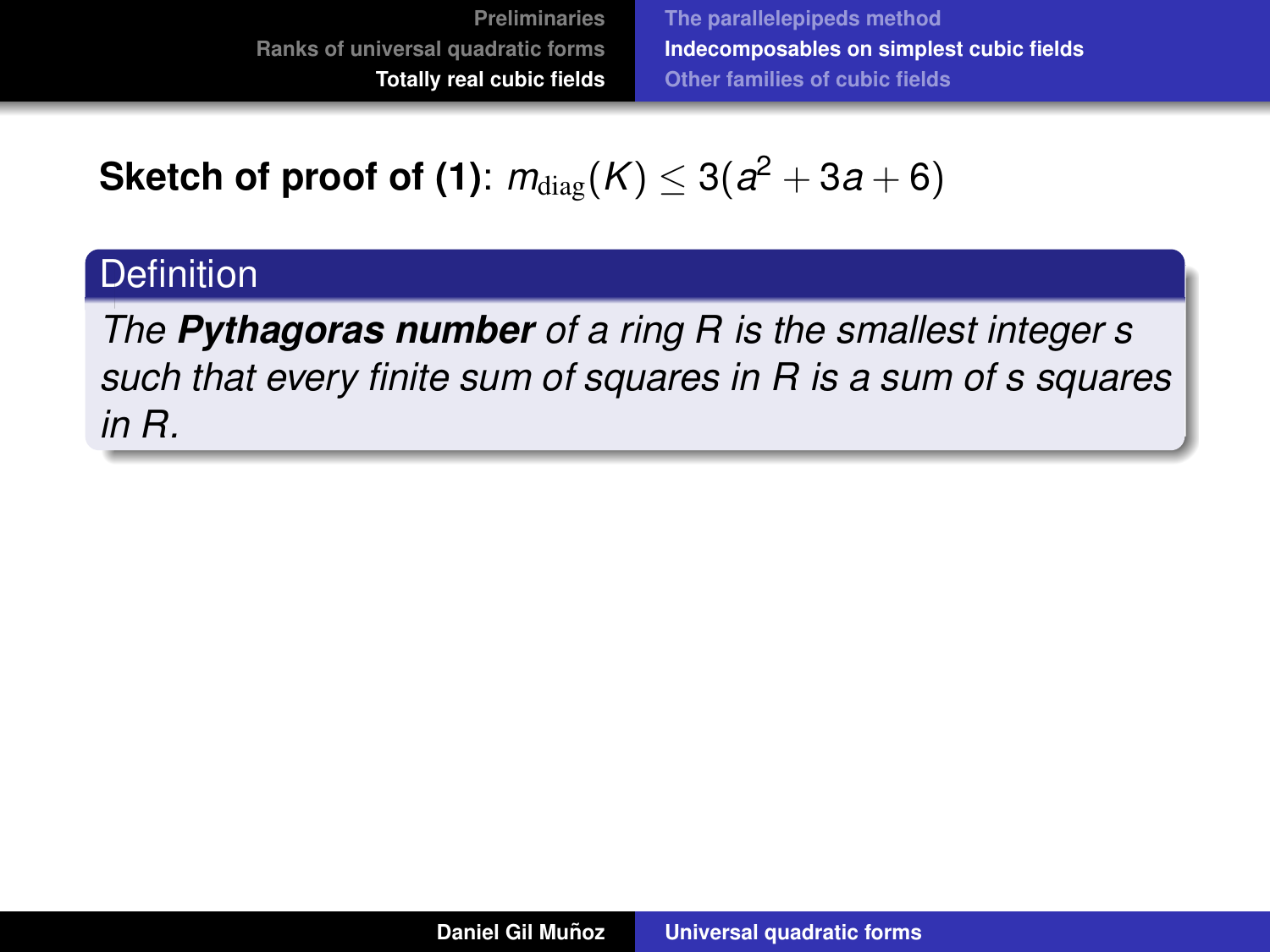**[The parallelepipeds method](#page-62-0) [Indecomposables on simplest cubic fields](#page-85-0) [Other families of cubic fields](#page-103-0)**

 $\mathbf{Sketch\;of\;proof\;of}\;(\mathbf{1})\colon m_{\text{diag}}(K)\leq 3(a^2+3a+6)$ 

## **Definition**

*The Pythagoras number of a ring R is the smallest integer s such that every finite sum of squares in R is a sum of s squares in R.*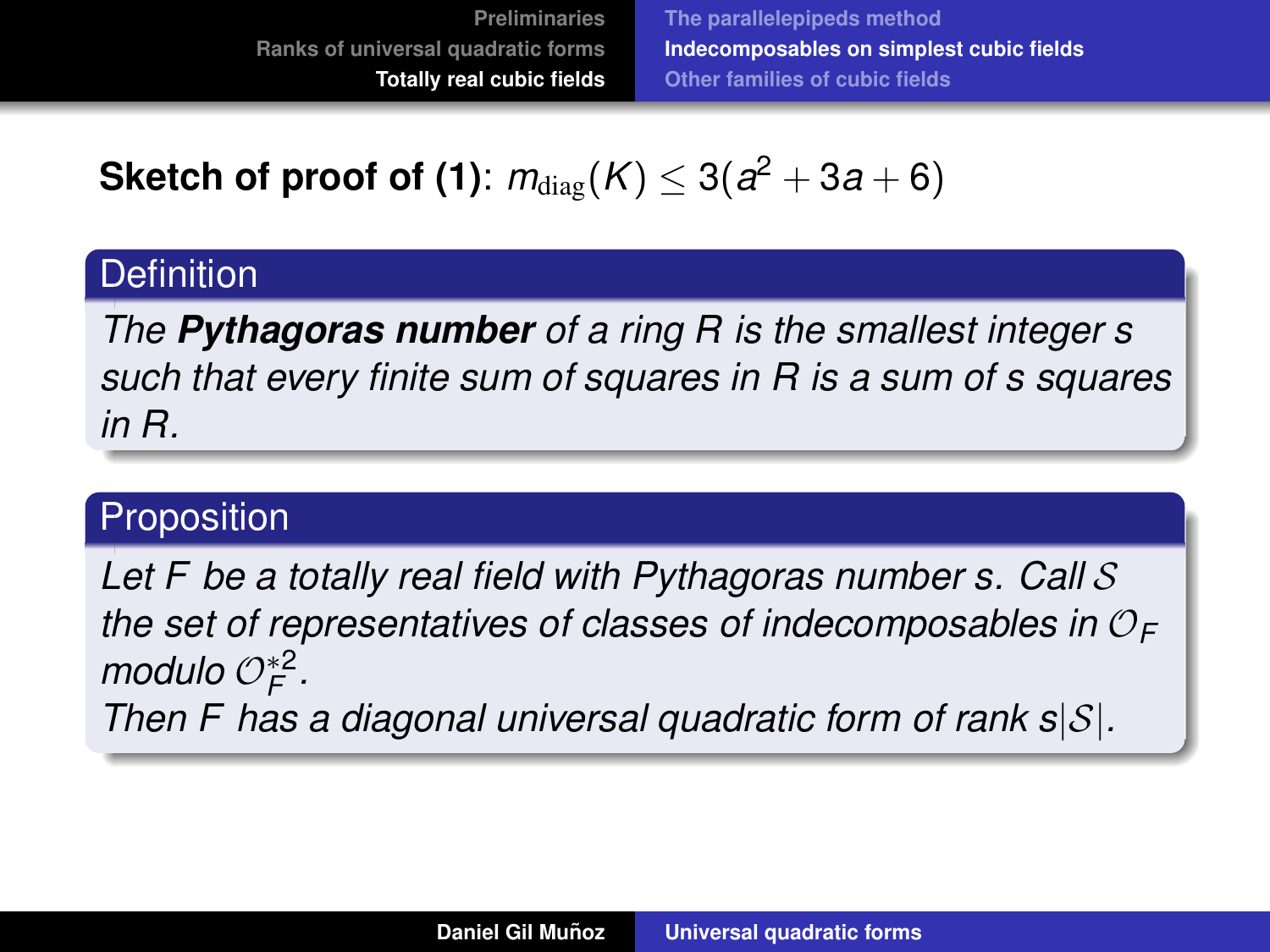**[The parallelepipeds method](#page-62-0) [Indecomposables on simplest cubic fields](#page-85-0) [Other families of cubic fields](#page-103-0)**

 $\mathbf{Sketch\;of\;proof\;of}\;(\mathbf{1})\colon m_{\text{diag}}(K)\leq 3(a^2+3a+6)$ 

## **Definition**

*The Pythagoras number of a ring R is the smallest integer s such that every finite sum of squares in R is a sum of s squares in R.*

#### **Proposition**

*Let F be a totally real field with Pythagoras number s. Call* S *the set of representatives of classes of indecomposables in* O*<sup>F</sup>*  $modulo O_F^*$ <sup>2</sup>. *Then F has a diagonal universal quadratic form of rank s*|S|*.*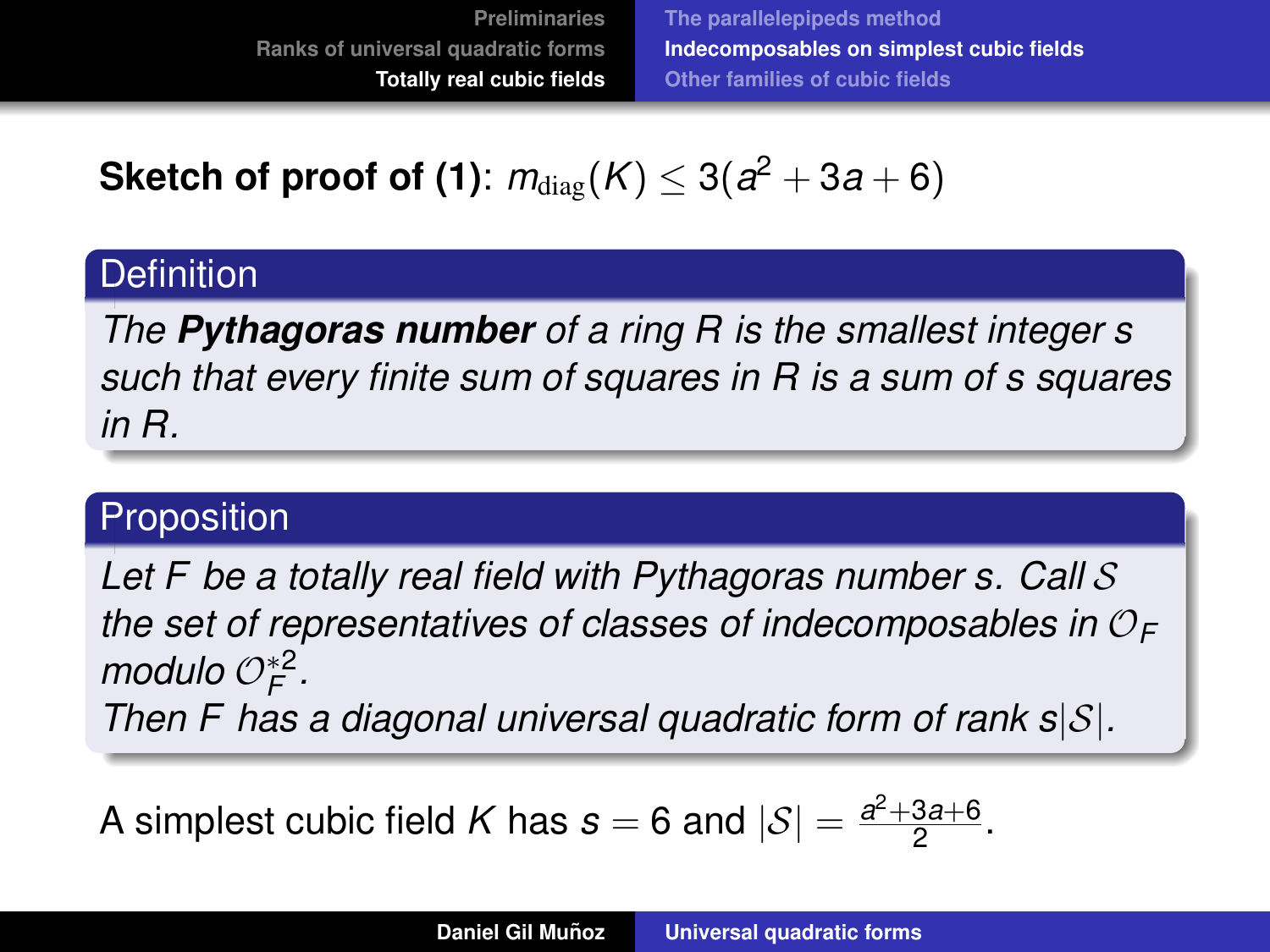**[The parallelepipeds method](#page-62-0) [Indecomposables on simplest cubic fields](#page-85-0) [Other families of cubic fields](#page-103-0)**

 $\mathbf{Sketch\;of\;proof\;of}\;(\mathbf{1})\colon m_{\text{diag}}(K)\leq 3(a^2+3a+6)$ 

## **Definition**

*The Pythagoras number of a ring R is the smallest integer s such that every finite sum of squares in R is a sum of s squares in R.*

## Proposition

*Let F be a totally real field with Pythagoras number s. Call* S *the set of representatives of classes of indecomposables in* O*<sup>F</sup>*  $modulo O_F^*$ <sup>2</sup>. *Then F has a diagonal universal quadratic form of rank s*|S|*.*

A simplest cubic field K has  $s = 6$  and  $|\mathcal{S}| = \frac{a^2 + 3a + 6}{2}$ <u>3a+b</u>.<br>2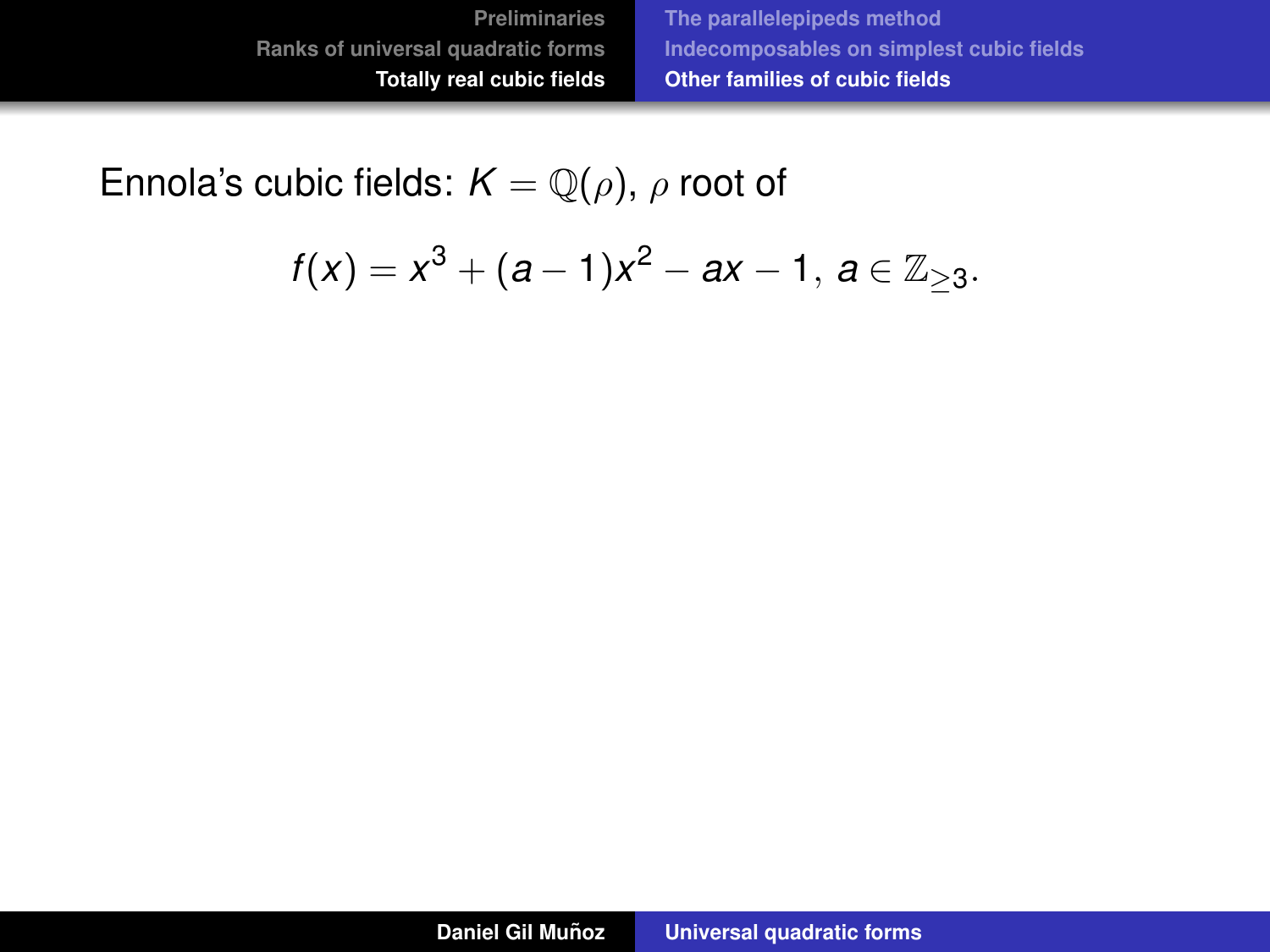<span id="page-103-0"></span>Ennola's cubic fields:  $K = \mathbb{Q}(\rho)$ ,  $\rho$  root of

$$
f(x) = x^3 + (a-1)x^2 - ax - 1, \ a \in \mathbb{Z}_{\geq 3}.
$$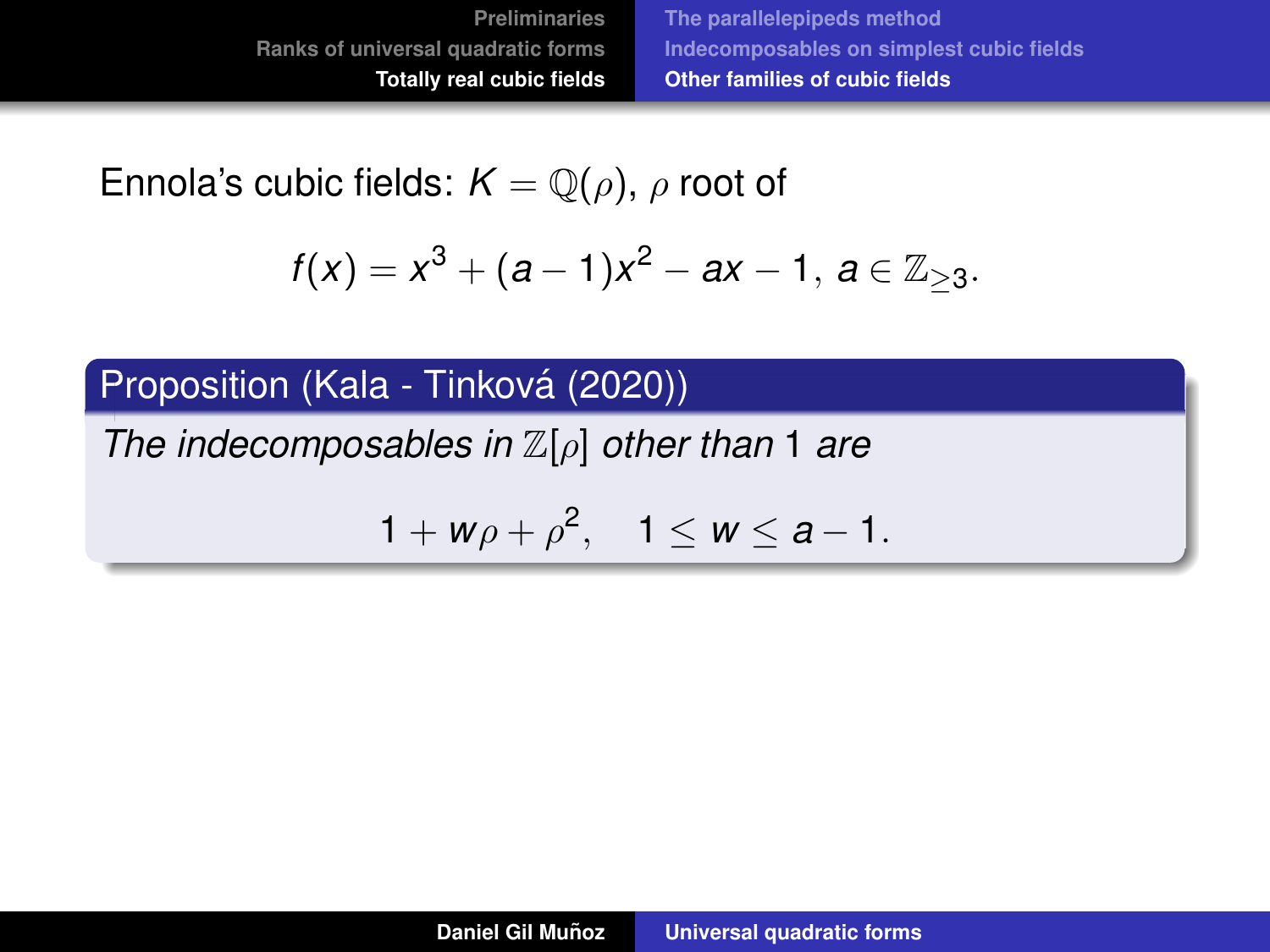Ennola's cubic fields:  $K = \mathbb{Q}(\rho)$ ,  $\rho$  root of

$$
f(x) = x^3 + (a-1)x^2 - ax - 1, \ a \in \mathbb{Z}_{\geq 3}.
$$

Proposition (Kala - Tinková (2020))

*The indecomposables in* Z[ρ] *other than* 1 *are*

$$
1+w\rho+\rho^2, \quad 1\leq w\leq a-1.
$$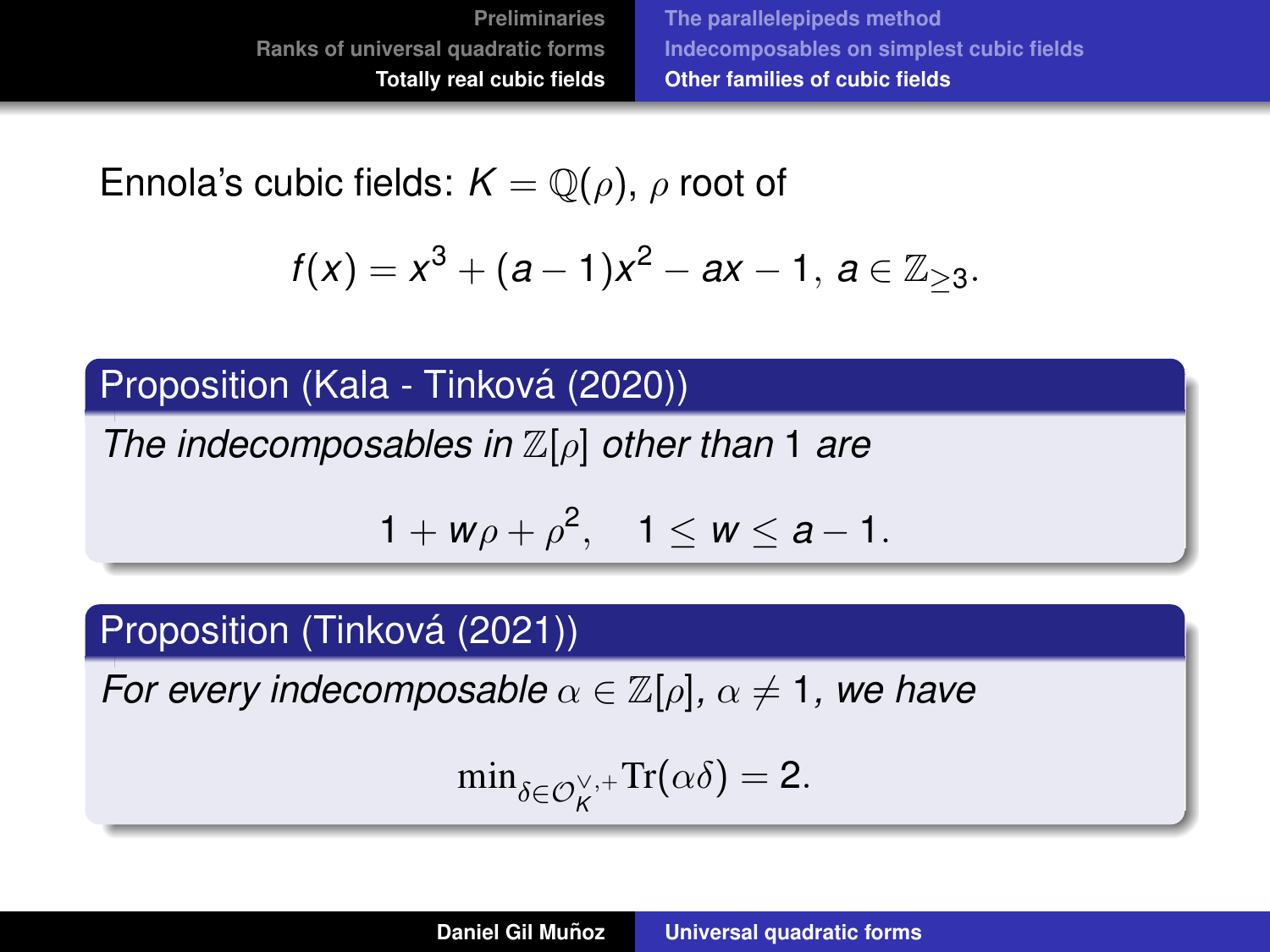<span id="page-105-0"></span>Ennola's cubic fields:  $K = \mathbb{Q}(\rho)$ ,  $\rho$  root of

$$
f(x) = x^3 + (a-1)x^2 - ax - 1, \ a \in \mathbb{Z}_{\geq 3}.
$$

#### Proposition (Kala - Tinková (2020))

*The indecomposables in* Z[ρ] *other than* 1 *are*

$$
1+w\rho+\rho^2,\quad 1\leq w\leq a-1.
$$

## Proposition (Tinková (2021))

*For every indecomposable*  $\alpha \in \mathbb{Z}[\rho], \alpha \neq 1$ , we have

$$
\min\nolimits_{\delta \in \mathcal{O}_K^{\vee,+}} \mathrm{Tr}(\alpha \delta) = 2.
$$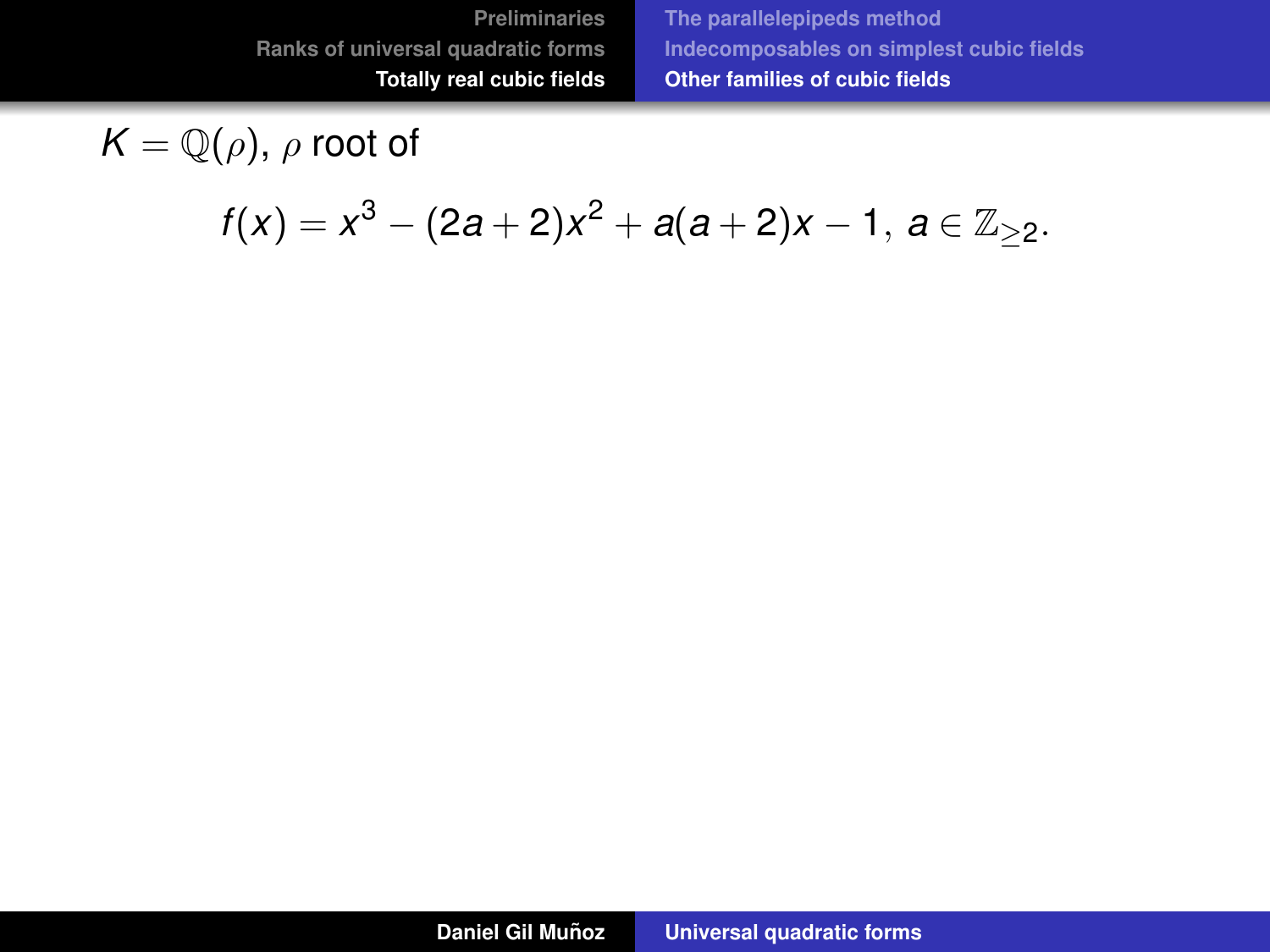**[The parallelepipeds method](#page-62-0) [Indecomposables on simplest cubic fields](#page-85-0) [Other families of cubic fields](#page-103-0)**

$$
K=\mathbb{Q}(\rho),\,\rho\text{ root of }
$$

$$
f(x) = x^3 - (2a + 2)x^2 + a(a + 2)x - 1, \ a \in \mathbb{Z}_{\geq 2}.
$$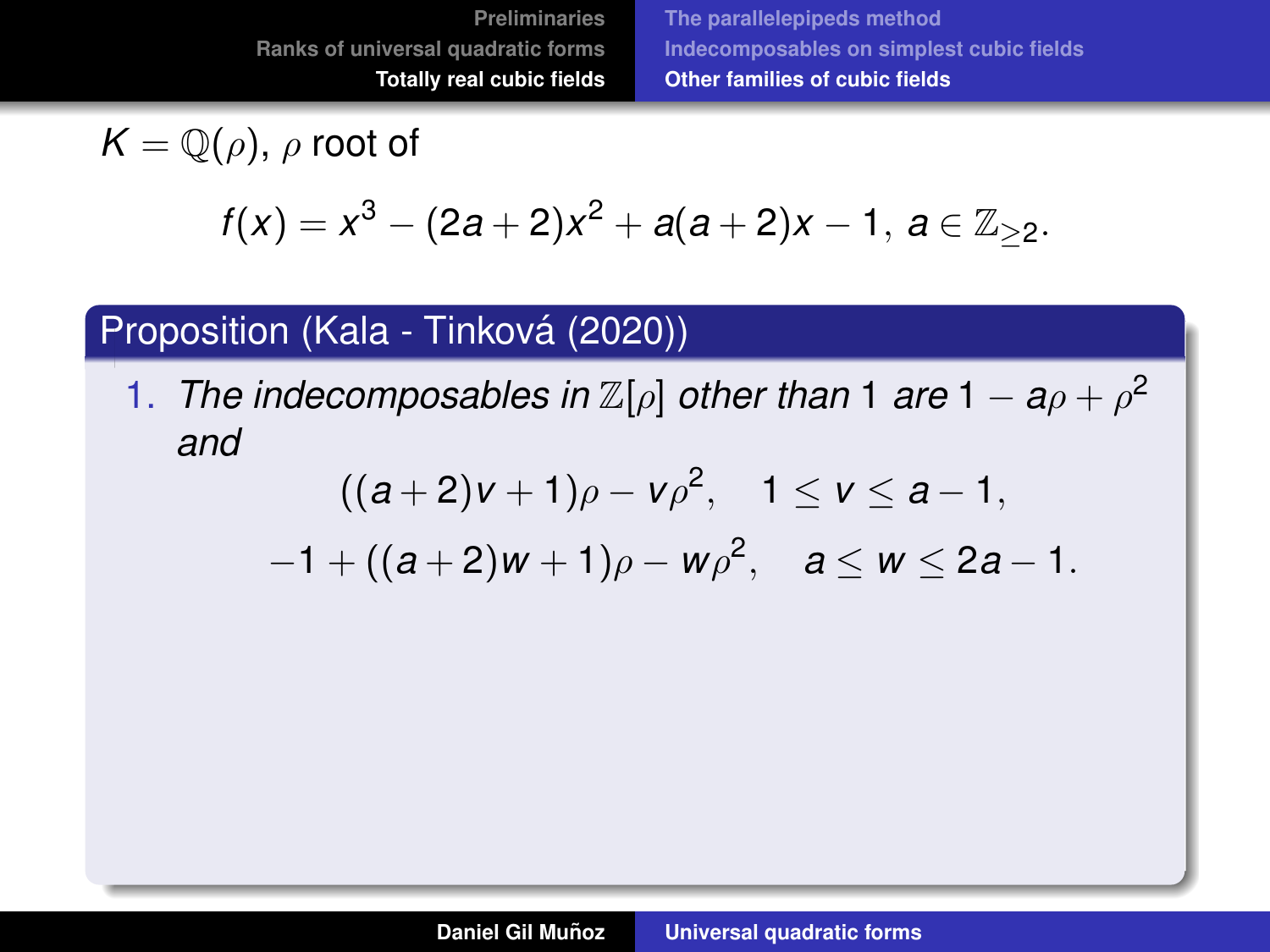**[The parallelepipeds method](#page-62-0) [Indecomposables on simplest cubic fields](#page-85-0) [Other families of cubic fields](#page-103-0)**

$$
K=\mathbb{Q}(\rho),\,\rho\text{ root of }
$$

$$
f(x) = x^3 - (2a + 2)x^2 + a(a + 2)x - 1, \ a \in \mathbb{Z}_{\geq 2}.
$$

#### Proposition (Kala - Tinková (2020))

1. *The indecomposables in*  $\mathbb{Z}[\rho]$  *other than* 1 *are* 1 –  $a\rho + \rho^2$ *and*

$$
((a+2)v+1)\rho - v\rho^2
$$
,  $1 \le v \le a-1$ ,

 $-1 + ((a+2)w + 1)\rho - w\rho^2$ ,  $a \le w \le 2a - 1$ .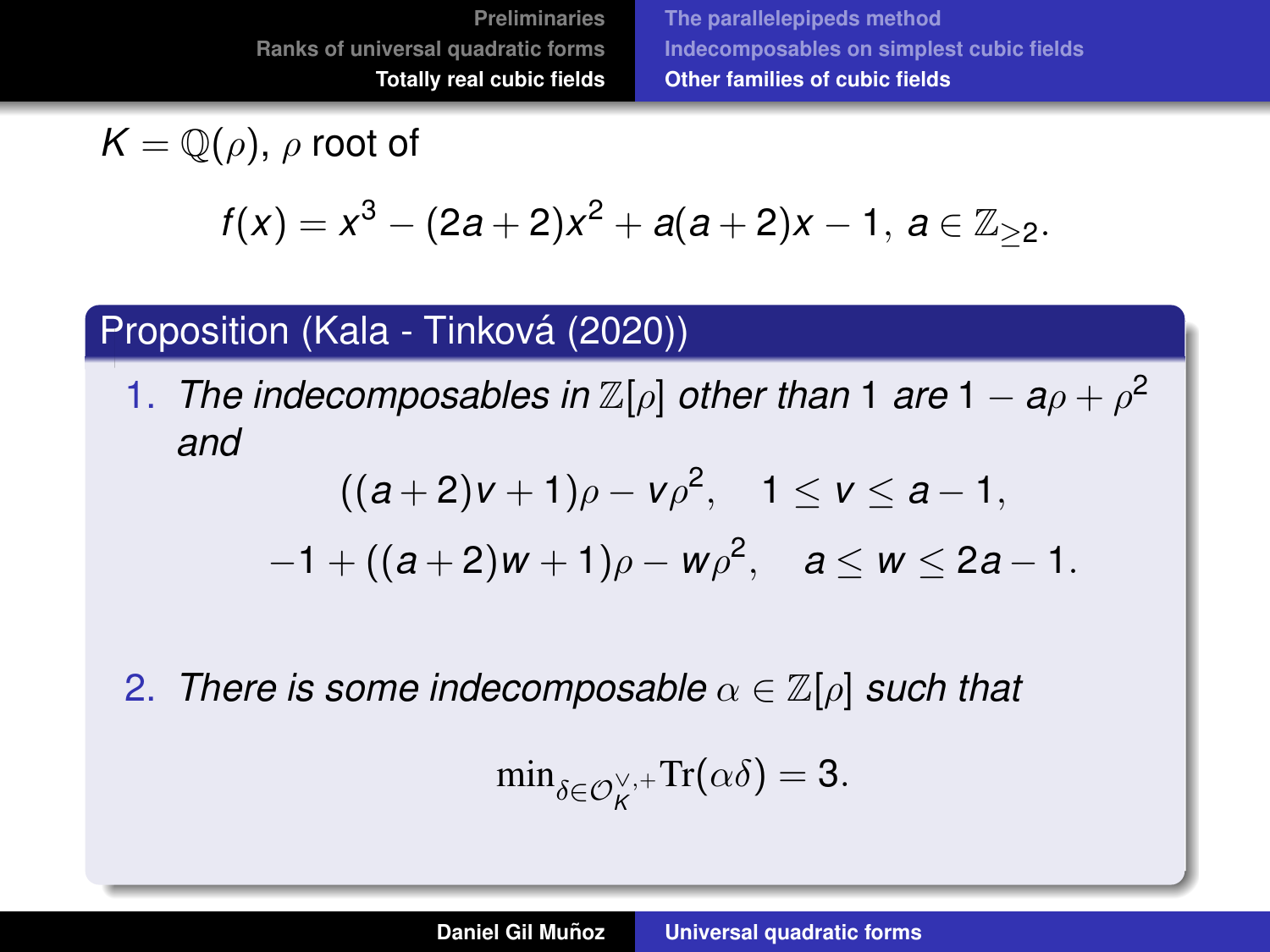**[Preliminaries](#page-3-0) [Ranks of universal quadratic forms](#page-24-0) [Totally real cubic fields](#page-60-0)**

**[The parallelepipeds method](#page-62-0) [Indecomposables on simplest cubic fields](#page-85-0) [Other families of cubic fields](#page-103-0)**

$$
K=\mathbb{Q}(\rho),\,\rho\text{ root of }
$$

$$
f(x) = x^3 - (2a + 2)x^2 + a(a + 2)x - 1, \ a \in \mathbb{Z}_{\geq 2}.
$$

#### Proposition (Kala - Tinková (2020))

1. *The indecomposables in*  $\mathbb{Z}[\rho]$  *other than* 1 *are* 1 –  $a\rho + \rho^2$ *and*

$$
((a+2)v+1)\rho - v\rho^2
$$
,  $1 \le v \le a-1$ ,  
-1+ $((a+2)w+1)\rho - w\rho^2$ ,  $a \le w \le 2a-1$ .

2. *There is some indecomposable*  $\alpha \in \mathbb{Z}[\rho]$  *such that* 

$$
\min\nolimits_{\delta \in \mathcal{O}_K^{\vee,+}} \mathrm{Tr}(\alpha \delta) = 3.
$$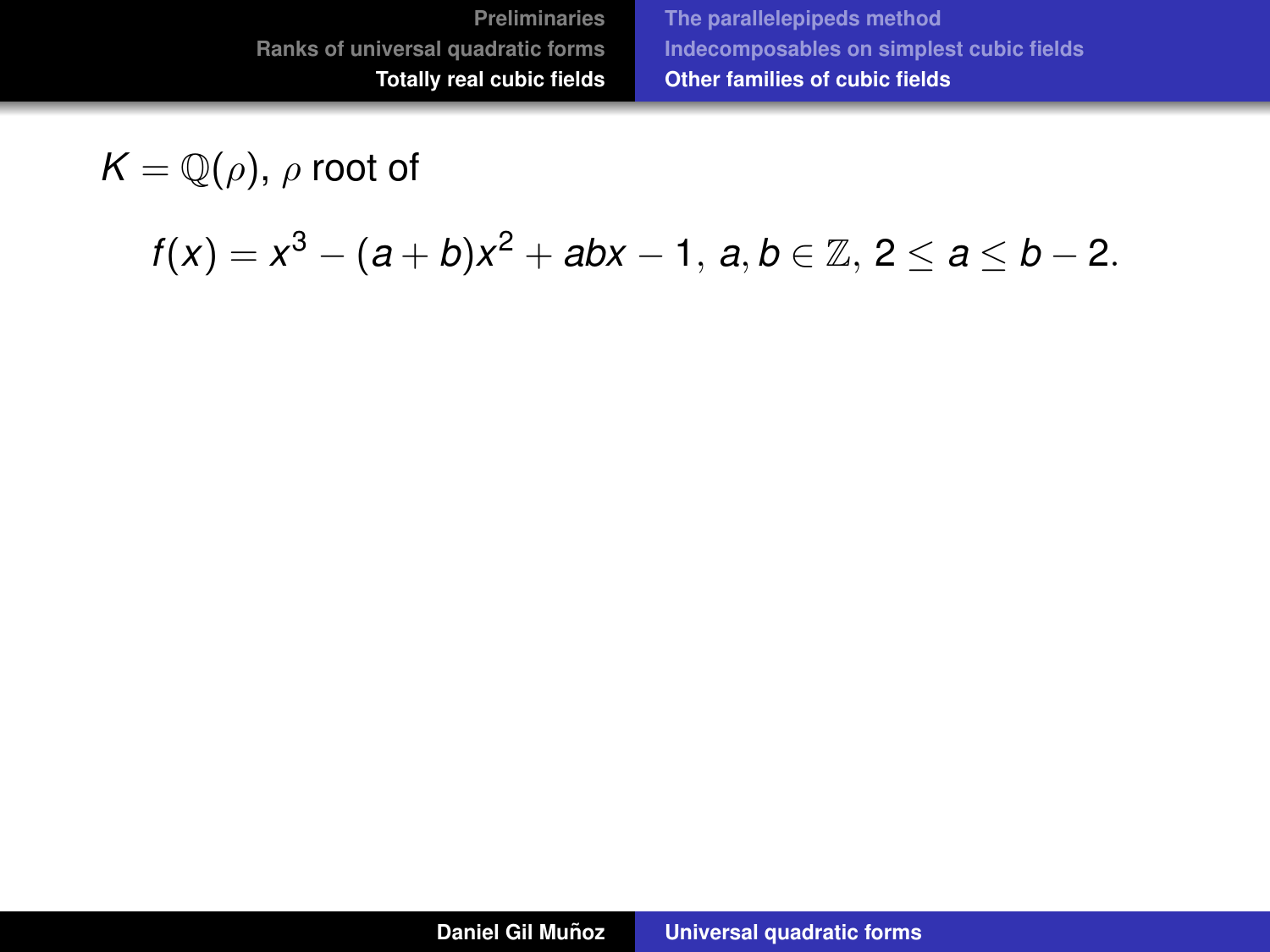$$
K=\mathbb{Q}(\rho),\,\rho\text{ root of }
$$

*f*(*x*) = *x*<sup>3</sup> − (*a* + *b*)*x*<sup>2</sup> + *abx* − 1, *a*, *b* ∈ ℤ, 2 ≤ *a* ≤ *b* − 2.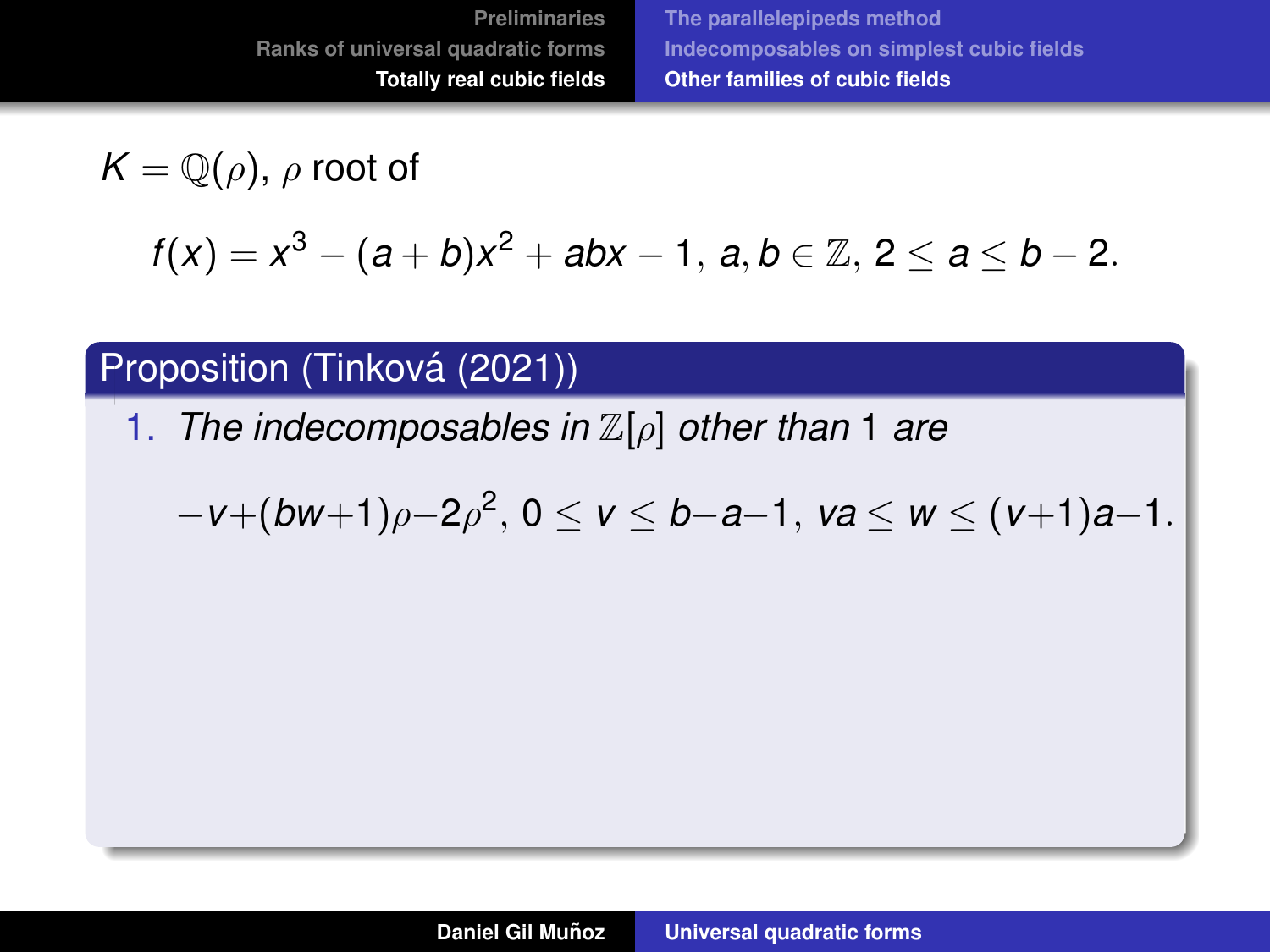$K = \mathbb{Q}(\rho)$ ,  $\rho$  root of

*f*(*x*) = *x*<sup>3</sup> − (*a* + *b*)*x*<sup>2</sup> + *abx* − 1, *a*, *b* ∈ ℤ, 2 ≤ *a* ≤ *b* − 2.

#### Proposition (Tinková (2021))

1. *The indecomposables in* Z[ρ] *other than* 1 *are*

$$
-v+(bw+1)\rho-2\rho^2, 0 \le v \le b-a-1, \ va \le w \le (v+1)a-1.
$$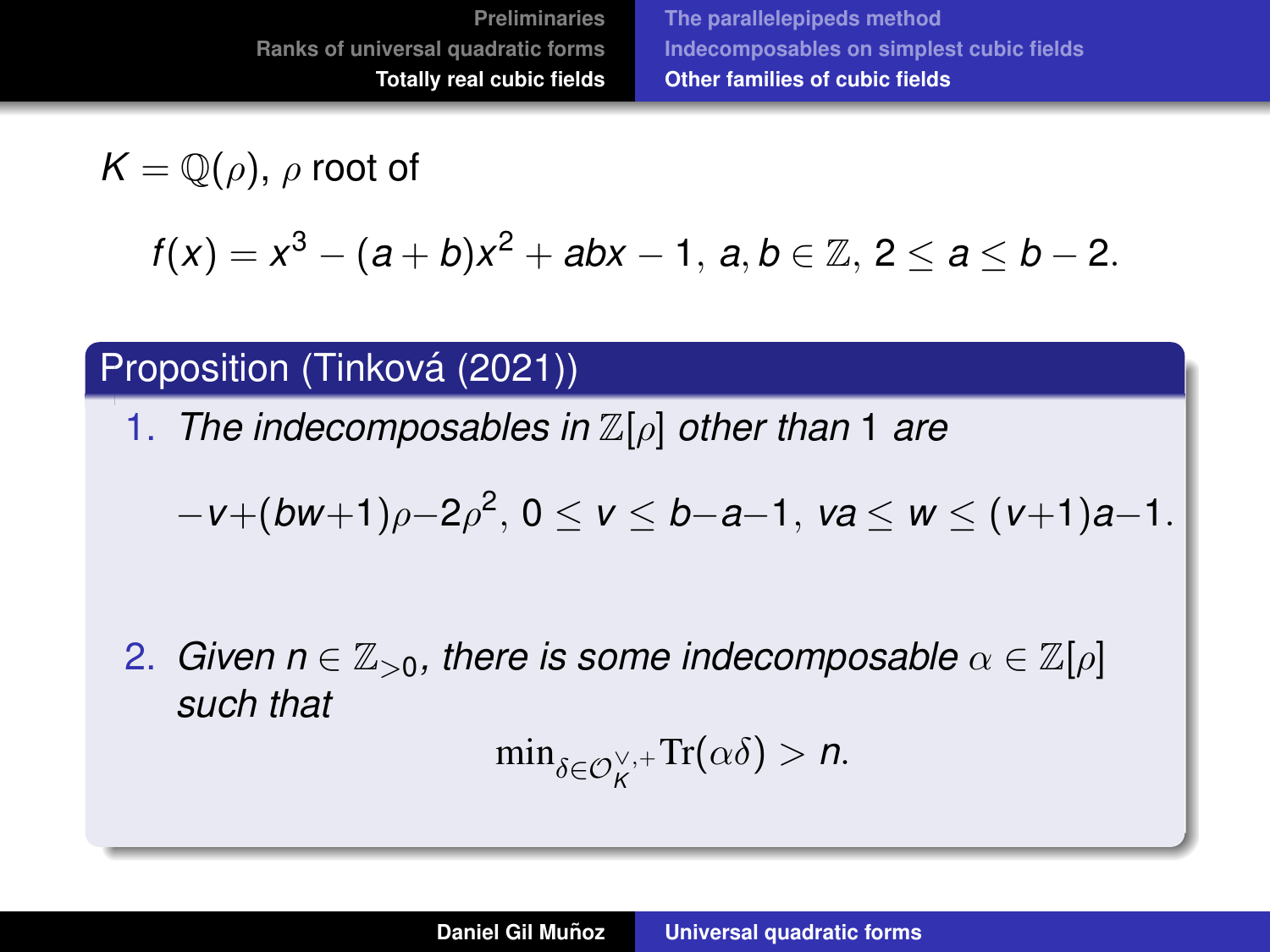$K = \mathbb{Q}(\rho)$ ,  $\rho$  root of

*f*(*x*) = *x*<sup>3</sup> − (*a* + *b*)*x*<sup>2</sup> + *abx* − 1, *a*, *b* ∈ ℤ, 2 ≤ *a* ≤ *b* − 2.

#### Proposition (Tinková (2021))

1. *The indecomposables in* Z[ρ] *other than* 1 *are*

$$
-v+(bw+1)\rho-2\rho^2, 0 \le v \le b-a-1, \; va \le w \le (v+1)a-1.
$$

2. *Given n*  $\in \mathbb{Z}_{>0}$ , there is some indecomposable  $\alpha \in \mathbb{Z}[\rho]$ *such that*

$$
\min\nolimits_{\delta \in \mathcal{O}_K^{\vee,+}} \operatorname{Tr}(\alpha \delta) > n.
$$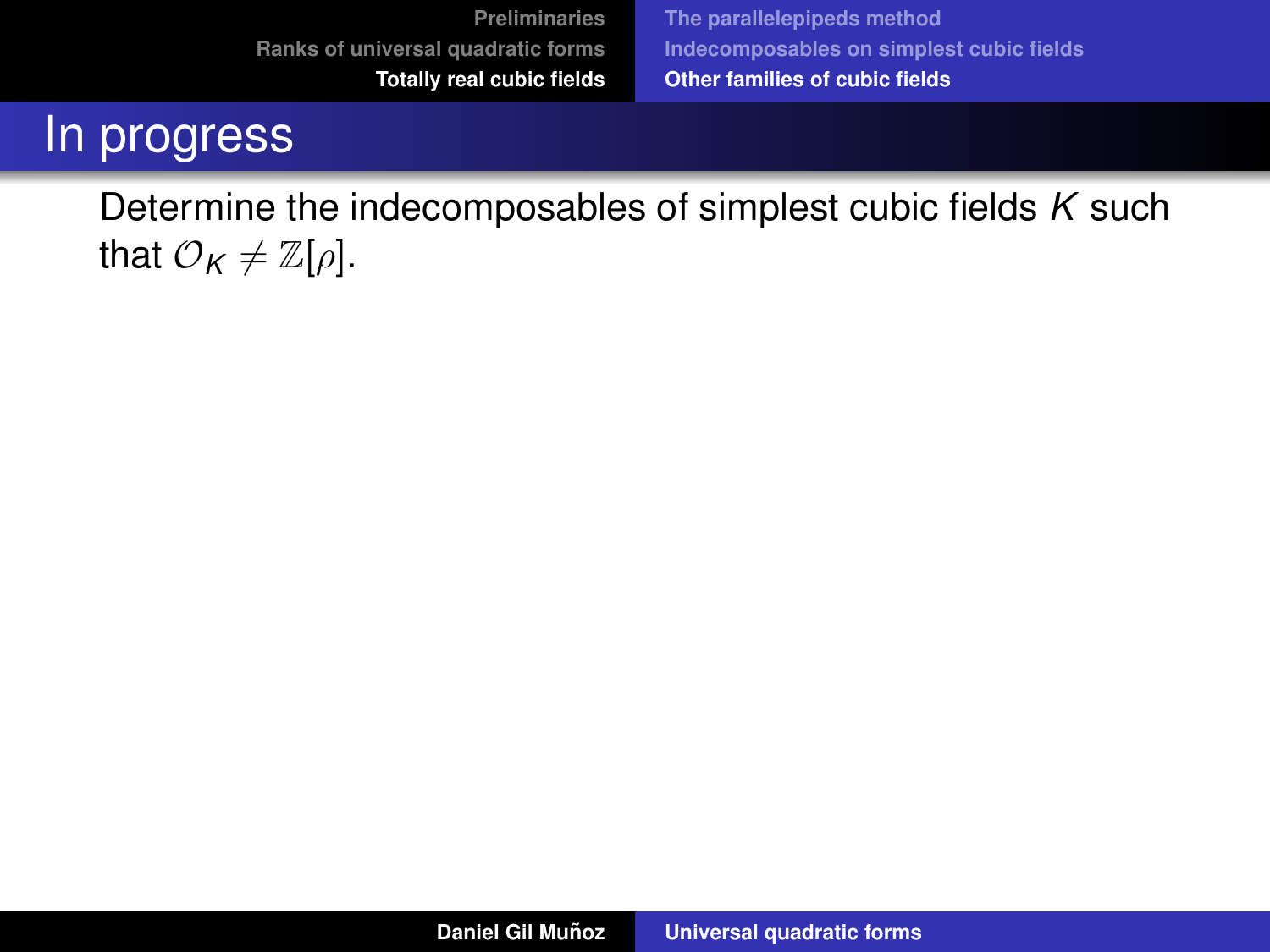**[Preliminaries](#page-3-0) [Ranks of universal quadratic forms](#page-24-0) [Totally real cubic fields](#page-60-0)**

**[The parallelepipeds method](#page-62-0) [Indecomposables on simplest cubic fields](#page-85-0) [Other families of cubic fields](#page-103-0)**

## In progress

Determine the indecomposables of simplest cubic fields *K* such that  $\mathcal{O}_K \neq \mathbb{Z}[\rho].$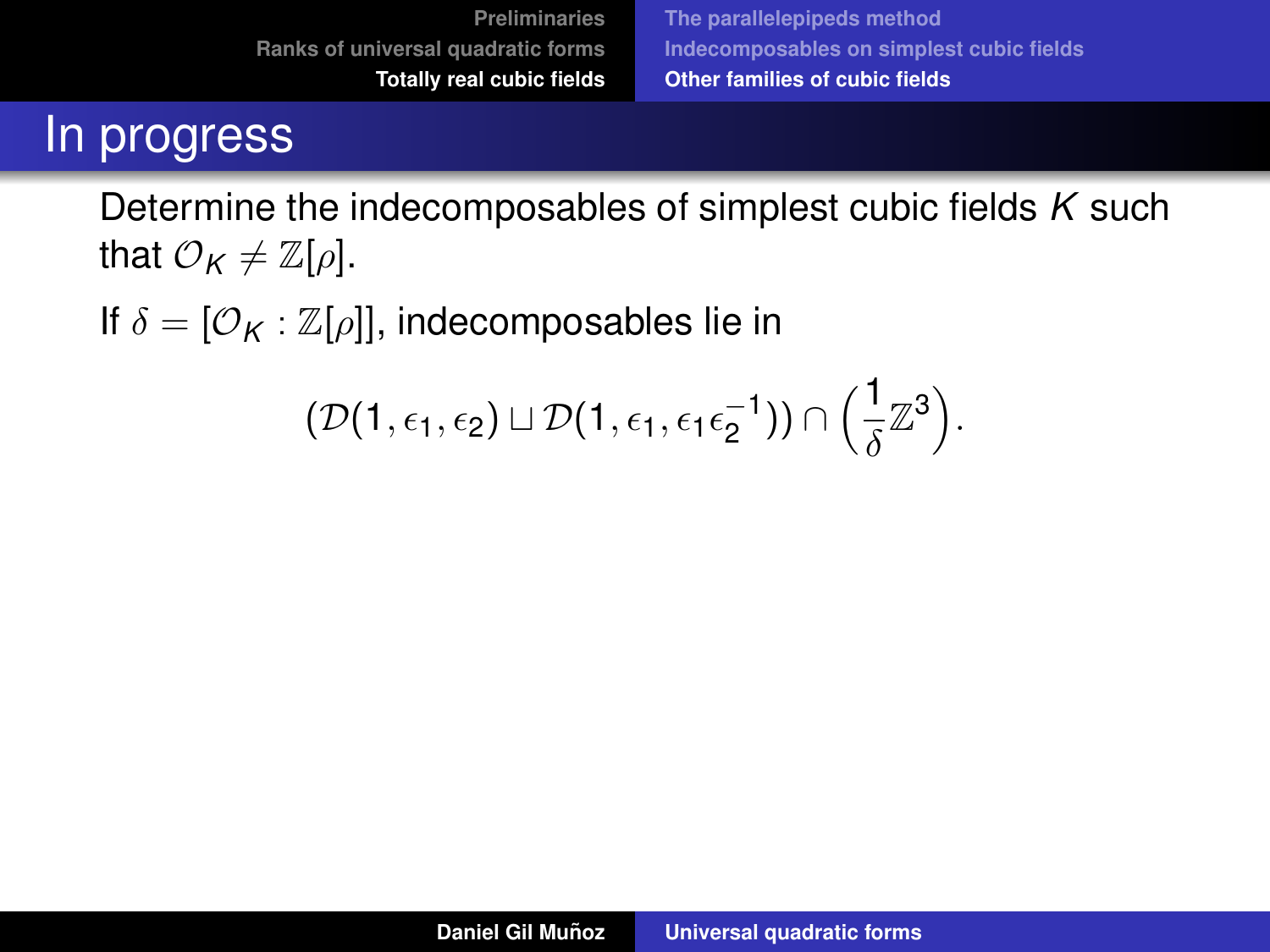### In progress

Determine the indecomposables of simplest cubic fields *K* such that  $\mathcal{O}_K \neq \mathbb{Z}[\rho]$ .

If  $\delta = [\mathcal{O}_K : \mathbb{Z}[\rho]]$ , indecomposables lie in

$$
(\mathcal{D}(1,\epsilon_1,\epsilon_2)\sqcup\mathcal{D}(1,\epsilon_1,\epsilon_1\epsilon_2^{-1}))\cap\left(\frac{1}{\delta}\mathbb{Z}^3\right).
$$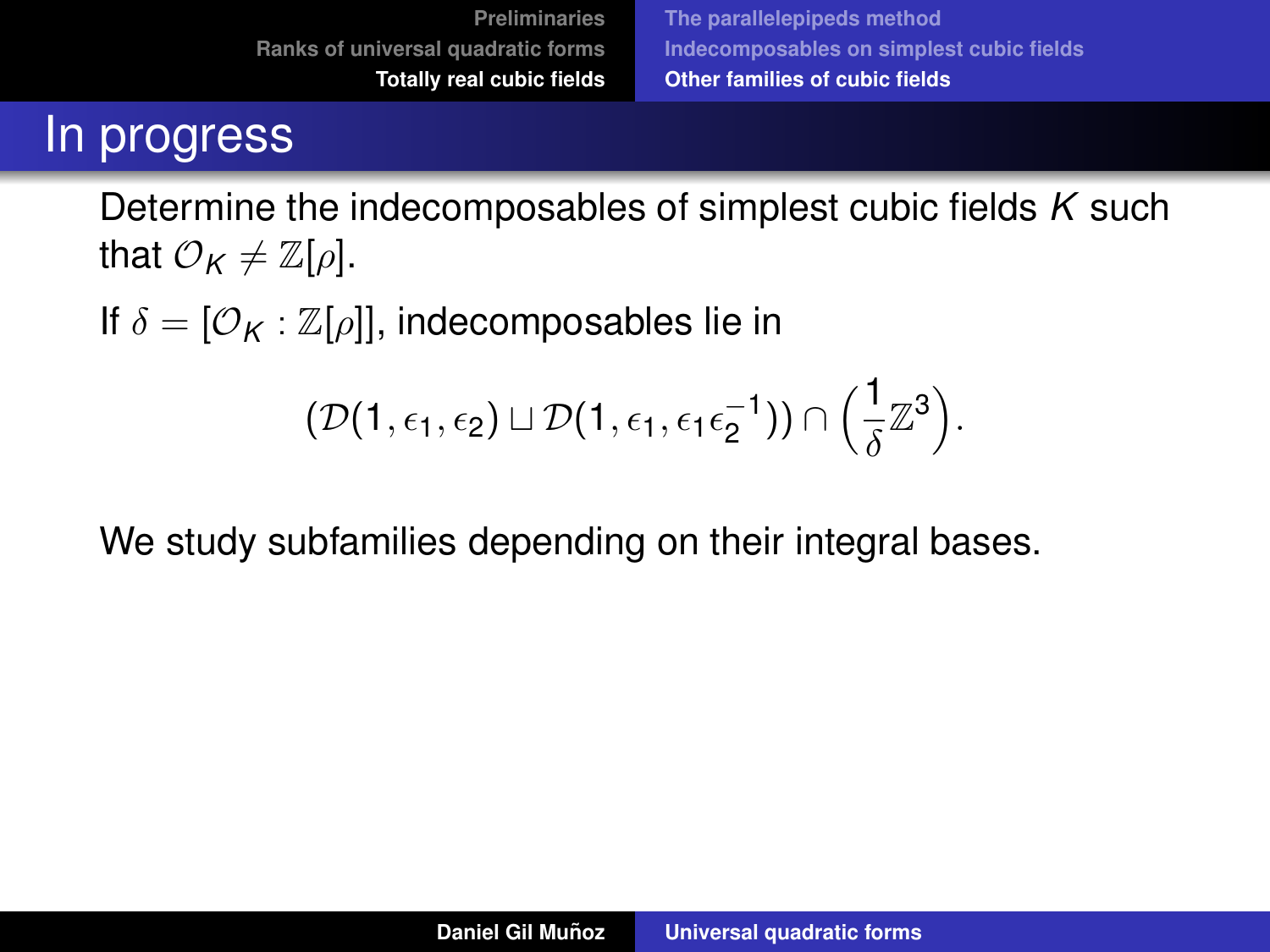## In progress

Determine the indecomposables of simplest cubic fields *K* such that  $\mathcal{O}_K \neq \mathbb{Z}[\rho]$ .

If  $\delta = [\mathcal{O}_K : \mathbb{Z}[\rho]]$ , indecomposables lie in

$$
(\mathcal{D}(1,\epsilon_1,\epsilon_2)\sqcup\mathcal{D}(1,\epsilon_1,\epsilon_1\epsilon_2^{-1}))\cap\left(\frac{1}{\delta}\mathbb{Z}^3\right).
$$

We study subfamilies depending on their integral bases.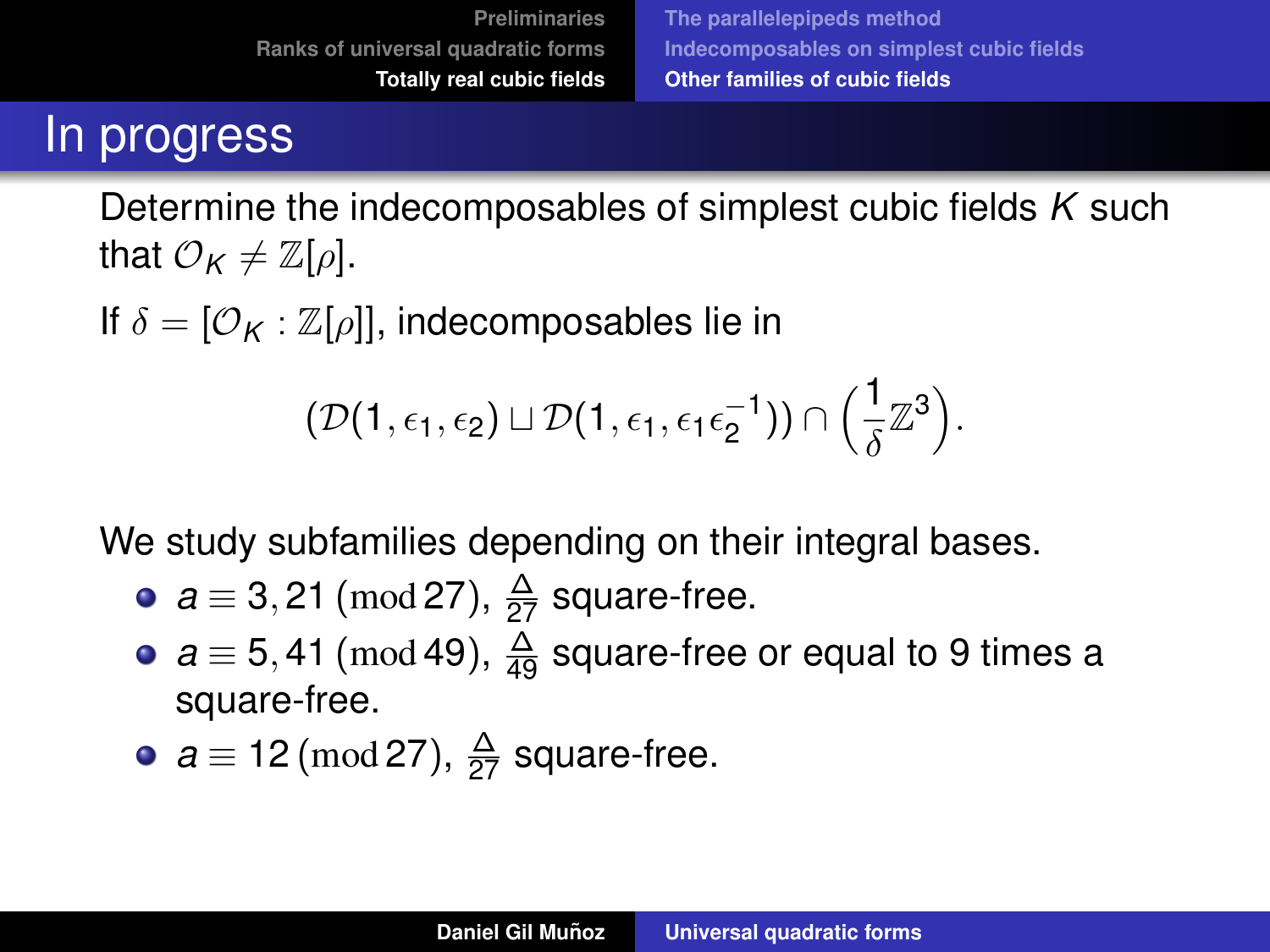## In progress

Determine the indecomposables of simplest cubic fields *K* such that  $\mathcal{O}_K \neq \mathbb{Z}[\rho]$ .

If  $\delta = [\mathcal{O}_K : \mathbb{Z}[\rho]]$ , indecomposables lie in

$$
(\mathcal{D}(1,\epsilon_1,\epsilon_2) \sqcup \mathcal{D}(1,\epsilon_1,\epsilon_1\epsilon_2^{-1})) \cap \left(\frac{1}{\delta}\mathbb{Z}^3\right).
$$

We study subfamilies depending on their integral bases.

- $a \equiv 3,21 \pmod{27}$ ,  $\frac{\Delta}{27}$  square-free.
- $a \equiv 5,41 \pmod{49}$ ,  $\frac{\Delta}{49}$  square-free or equal to 9 times a square-free.
- $a \equiv 12 \, (\text{mod } 27), \, \frac{\Delta}{27}$  square-free.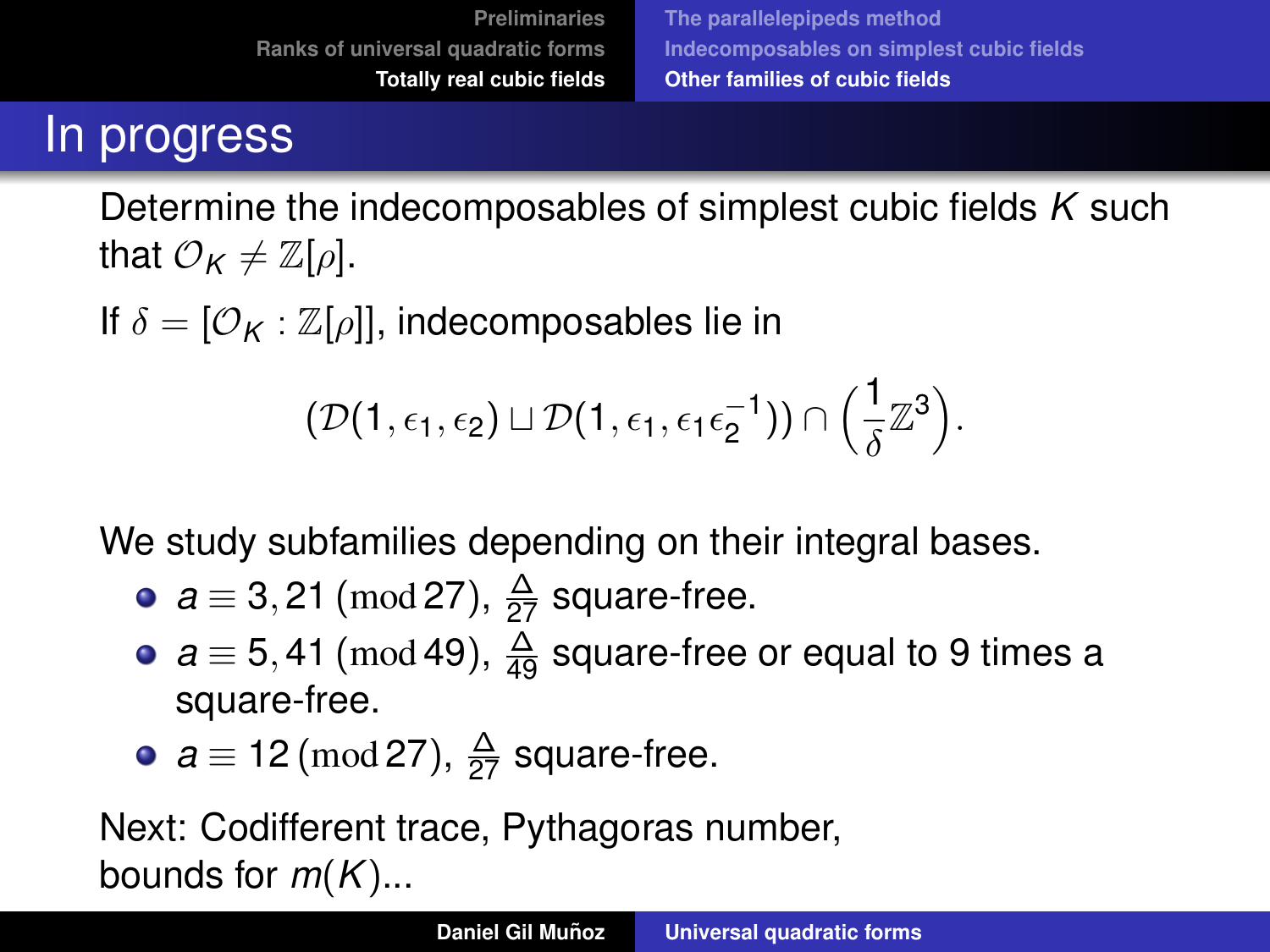# In progress

Determine the indecomposables of simplest cubic fields *K* such that  $\mathcal{O}_K \neq \mathbb{Z}[\rho]$ .

If  $\delta = [\mathcal{O}_K : \mathbb{Z}[\rho]]$ , indecomposables lie in

$$
(\mathcal{D}(1,\epsilon_1,\epsilon_2) \sqcup \mathcal{D}(1,\epsilon_1,\epsilon_1\epsilon_2^{-1})) \cap \left(\frac{1}{\delta}\mathbb{Z}^3\right).
$$

We study subfamilies depending on their integral bases.

- $a \equiv 3,21 \pmod{27}$ ,  $\frac{\Delta}{27}$  square-free.
- $a \equiv 5,41 \pmod{49}$ ,  $\frac{\Delta}{49}$  square-free or equal to 9 times a square-free.

• 
$$
a \equiv 12 \pmod{27}
$$
,  $\frac{\Delta}{27}$  square-free.

Next: Codifferent trace, Pythagoras number, bounds for *m*(*K*)...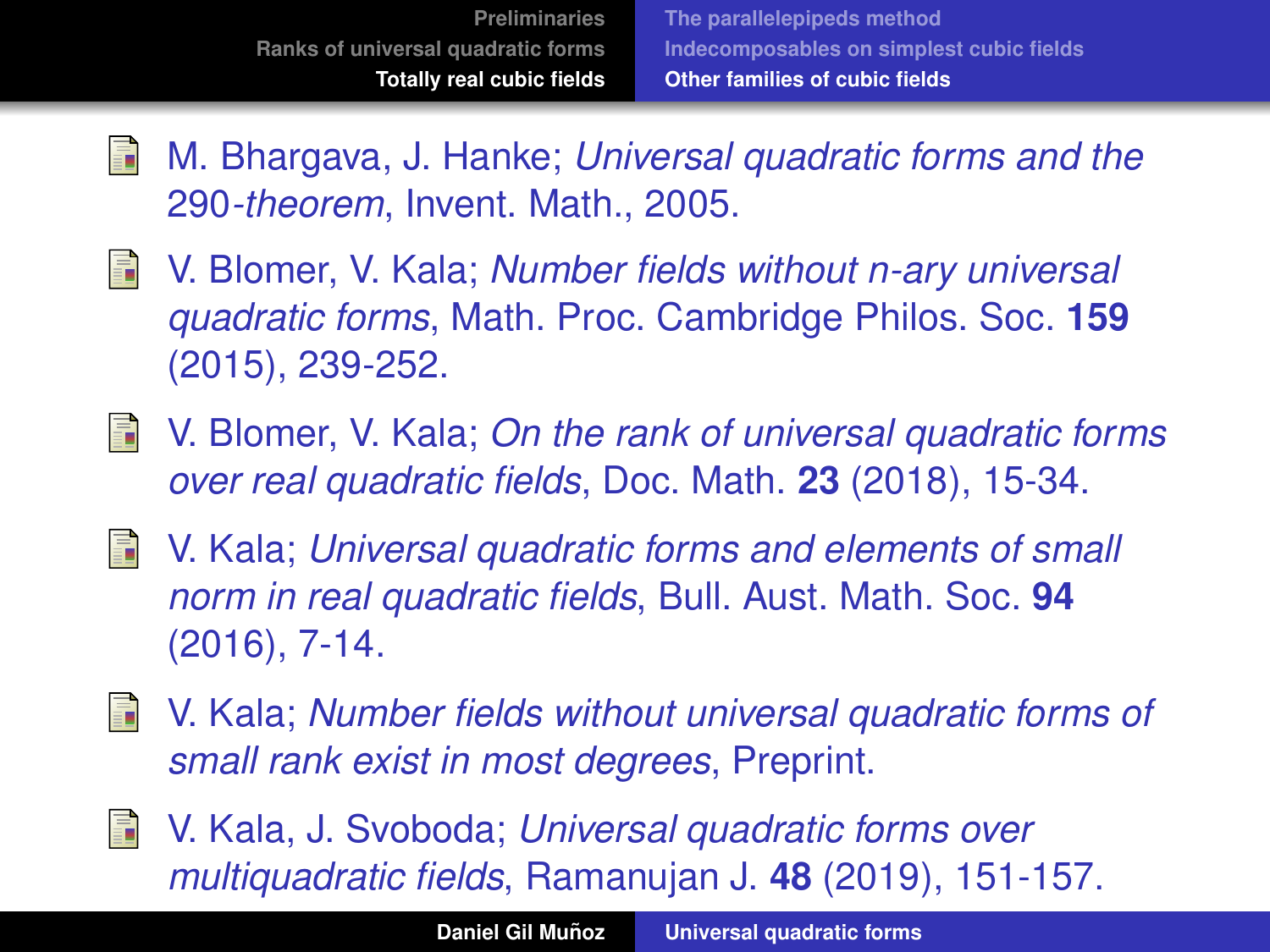- 量 M. Bhargava, J. Hanke; *Universal quadratic forms and the* 290*-theorem*, Invent. Math., 2005.
- S. V. Blomer, V. Kala; *Number fields without n-ary universal quadratic forms*, Math. Proc. Cambridge Philos. Soc. **159** (2015), 239-252.
- V. Blomer, V. Kala; *On the rank of universal quadratic forms* 手 *over real quadratic fields*, Doc. Math. **23** (2018), 15-34.
- V. Kala; *Universal quadratic forms and elements of small norm in real quadratic fields*, Bull. Aust. Math. Soc. **94** (2016), 7-14.
- S. V. Kala; *Number fields without universal quadratic forms of small rank exist in most degrees*, Preprint.
- V. Kala, J. Svoboda; *Universal quadratic forms over* 螶 *multiquadratic fields*, Ramanujan J. **48** (2019), 151-157.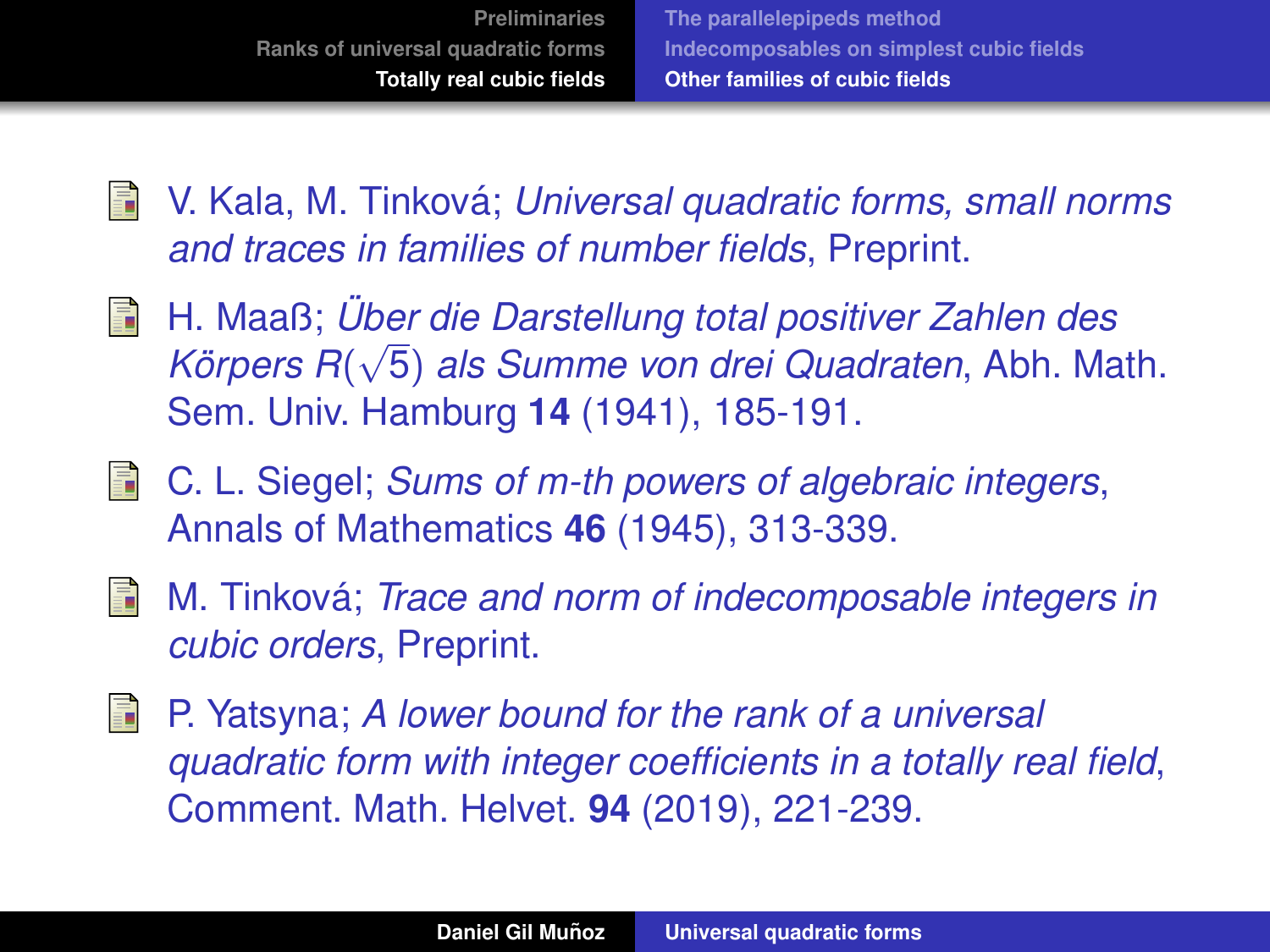- F V. Kala, M. Tinkova; ´ *Universal quadratic forms, small norms and traces in families of number fields*, Preprint.
- H. Maaß; *Uber die Darstellung total positiver Zahlen des ¨* √ F *Körpers R*(√5) *als Summe von drei Quadraten*, Abh. Math. Sem. Univ. Hamburg **14** (1941), 185-191.
- C. L. Siegel; *Sums of m-th powers of algebraic integers*, Annals of Mathematics **46** (1945), 313-339.
- M. Tinková; *Trace and norm of indecomposable integers in* 晶 *cubic orders*, Preprint.
- E. P. Yatsyna; *A lower bound for the rank of a universal quadratic form with integer coefficients in a totally real field*, Comment. Math. Helvet. **94** (2019), 221-239.